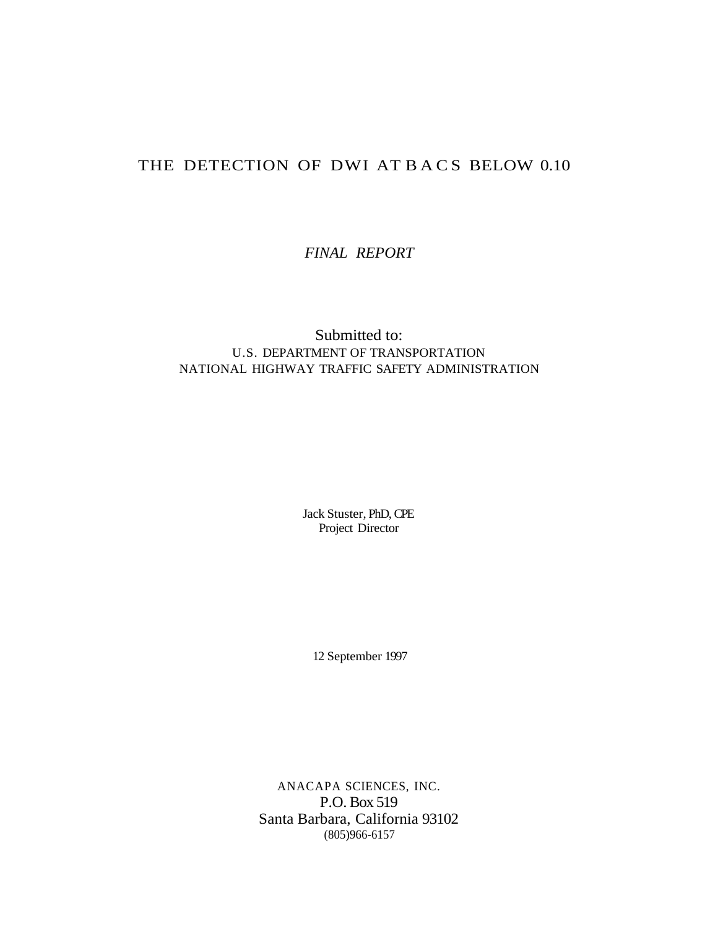# THE DETECTION OF DWI AT BACS BELOW 0.10

*FINAL REPORT*

## Submitted to: U.S. DEPARTMENT OF TRANSPORTATION NATIONAL HIGHWAY TRAFFIC SAFETY ADMINISTRATION

Jack Stuster, PhD, CPE Project Director

12 September 1997

ANACAPA SCIENCES, INC. P.O. Box 519 Santa Barbara, California 93102 (805)966-6157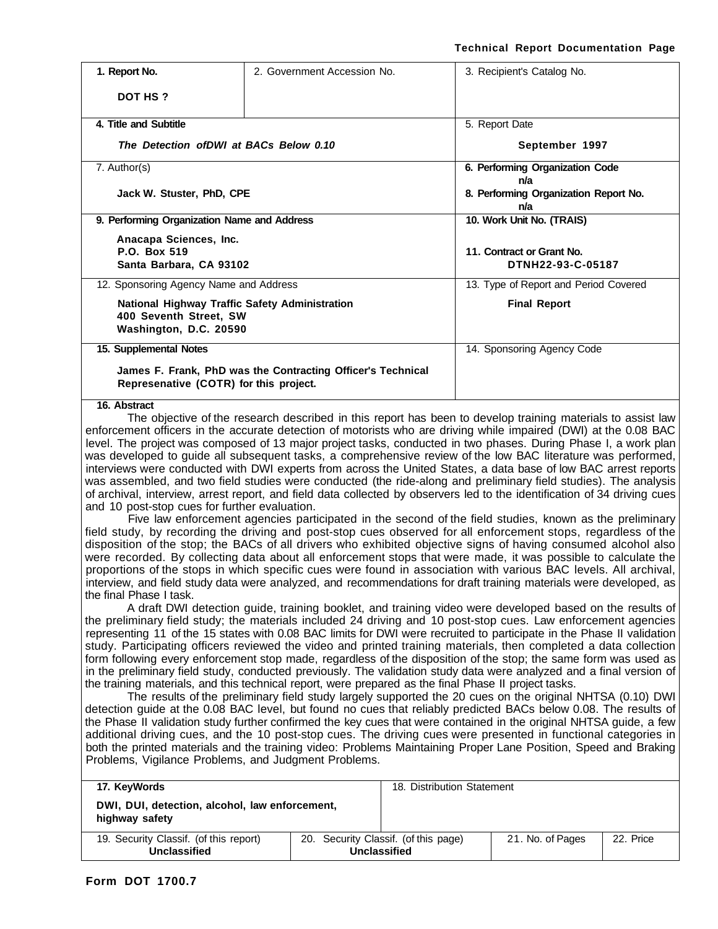| 1. Report No.                                                                                             | 2. Government Accession No.                                 | 3. Recipient's Catalog No.                                                                                                                                                                                                      |
|-----------------------------------------------------------------------------------------------------------|-------------------------------------------------------------|---------------------------------------------------------------------------------------------------------------------------------------------------------------------------------------------------------------------------------|
| DOT HS?                                                                                                   |                                                             |                                                                                                                                                                                                                                 |
| 4. Title and Subtitle                                                                                     |                                                             | 5. Report Date                                                                                                                                                                                                                  |
| The Detection of DWI at BACs Below 0.10                                                                   |                                                             | September 1997                                                                                                                                                                                                                  |
| 7. Author(s)                                                                                              |                                                             | 6. Performing Organization Code<br>n/a                                                                                                                                                                                          |
| Jack W. Stuster, PhD, CPE                                                                                 |                                                             | 8. Performing Organization Report No.<br>n/a                                                                                                                                                                                    |
| 9. Performing Organization Name and Address                                                               |                                                             | 10. Work Unit No. (TRAIS)                                                                                                                                                                                                       |
| Anacapa Sciences, Inc.                                                                                    |                                                             |                                                                                                                                                                                                                                 |
| P.O. Box 519                                                                                              |                                                             | 11. Contract or Grant No.                                                                                                                                                                                                       |
| Santa Barbara, CA 93102                                                                                   |                                                             | DTNH22-93-C-05187                                                                                                                                                                                                               |
| 12. Sponsoring Agency Name and Address                                                                    |                                                             | 13. Type of Report and Period Covered                                                                                                                                                                                           |
| <b>National Highway Traffic Safety Administration</b><br>400 Seventh Street. SW<br>Washington, D.C. 20590 |                                                             | <b>Final Report</b>                                                                                                                                                                                                             |
| 15. Supplemental Notes                                                                                    |                                                             | 14. Sponsoring Agency Code                                                                                                                                                                                                      |
| Represenative (COTR) for this project.                                                                    | James F. Frank, PhD was the Contracting Officer's Technical |                                                                                                                                                                                                                                 |
| 16. Abstract                                                                                              |                                                             | The objective of the research described in this report has been to develop training materials to assist law<br>enforcement officers in the accurate detection of motorists who are driving while impaired (DWI) at the 0.08 BAC |

level. The project was composed of 13 major project tasks, conducted in two phases. During Phase I, a work plan was developed to guide all subsequent tasks, a comprehensive review of the low BAC literature was performed, interviews were conducted with DWI experts from across the United States, a data base of low BAC arrest reports was assembled, and two field studies were conducted (the ride-along and preliminary field studies). The analysis of archival, interview, arrest report, and field data collected by observers led to the identification of 34 driving cues and 10 post-stop cues for further evaluation.

Five law enforcement agencies participated in the second of the field studies, known as the preliminary field study, by recording the driving and post-stop cues observed for all enforcement stops, regardless of the disposition of the stop; the BACs of all drivers who exhibited objective signs of having consumed alcohol also were recorded. By collecting data about all enforcement stops that were made, it was possible to calculate the proportions of the stops in which specific cues were found in association with various BAC levels. All archival, interview, and field study data were analyzed, and recommendations for draft training materials were developed, as the final Phase I task.

A draft DWI detection guide, training booklet, and training video were developed based on the results of the preliminary field study; the materials included 24 driving and 10 post-stop cues. Law enforcement agencies representing 11 of the 15 states with 0.08 BAC limits for DWI were recruited to participate in the Phase II validation study. Participating officers reviewed the video and printed training materials, then completed a data collection form following every enforcement stop made, regardless of the disposition of the stop; the same form was used as in the preliminary field study, conducted previously. The validation study data were analyzed and a final version of the training materials, and this technical report, were prepared as the final Phase II project tasks.

The results of the preliminary field study largely supported the 20 cues on the original NHTSA (0.10) DWI detection guide at the 0.08 BAC level, but found no cues that reliably predicted BACs below 0.08. The results of the Phase II validation study further confirmed the key cues that were contained in the original NHTSA guide, a few additional driving cues, and the 10 post-stop cues. The driving cues were presented in functional categories in both the printed materials and the training video: Problems Maintaining Proper Lane Position, Speed and Braking Problems, Vigilance Problems, and Judgment Problems.

| 17. KeyWords                                                     |              | 18. Distribution Statement           |                  |           |
|------------------------------------------------------------------|--------------|--------------------------------------|------------------|-----------|
| DWI, DUI, detection, alcohol, law enforcement,<br>highway safety |              |                                      |                  |           |
| 19. Security Classif. (of this report)<br>Unclassified           | Unclassified | 20. Security Classif. (of this page) | 21. No. of Pages | 22. Price |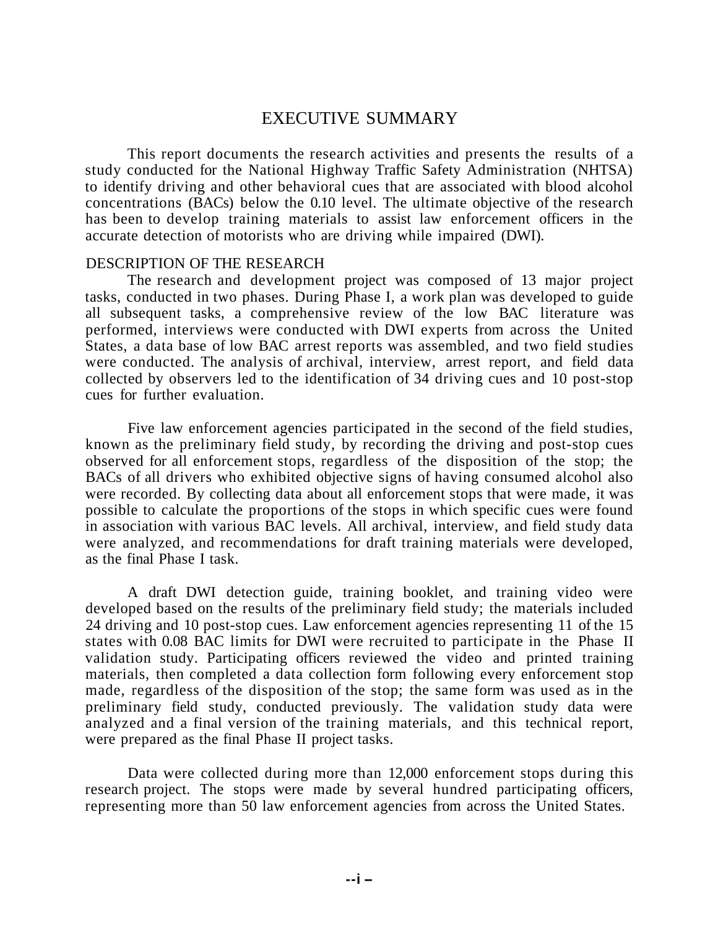# EXECUTIVE SUMMARY

This report documents the research activities and presents the results of a study conducted for the National Highway Traffic Safety Administration (NHTSA) to identify driving and other behavioral cues that are associated with blood alcohol concentrations (BACs) below the 0.10 level. The ultimate objective of the research has been to develop training materials to assist law enforcement officers in the accurate detection of motorists who are driving while impaired (DWI).

#### DESCRIPTION OF THE RESEARCH

The research and development project was composed of 13 major project tasks, conducted in two phases. During Phase I, a work plan was developed to guide all subsequent tasks, a comprehensive review of the low BAC literature was performed, interviews were conducted with DWI experts from across the United States, a data base of low BAC arrest reports was assembled, and two field studies were conducted. The analysis of archival, interview, arrest report, and field data collected by observers led to the identification of 34 driving cues and 10 post-stop cues for further evaluation.

Five law enforcement agencies participated in the second of the field studies, known as the preliminary field study, by recording the driving and post-stop cues observed for all enforcement stops, regardless of the disposition of the stop; the BACs of all drivers who exhibited objective signs of having consumed alcohol also were recorded. By collecting data about all enforcement stops that were made, it was possible to calculate the proportions of the stops in which specific cues were found in association with various BAC levels. All archival, interview, and field study data were analyzed, and recommendations for draft training materials were developed, as the final Phase I task.

A draft DWI detection guide, training booklet, and training video were developed based on the results of the preliminary field study; the materials included 24 driving and 10 post-stop cues. Law enforcement agencies representing 11 of the 15 states with 0.08 BAC limits for DWI were recruited to participate in the Phase II validation study. Participating officers reviewed the video and printed training materials, then completed a data collection form following every enforcement stop made, regardless of the disposition of the stop; the same form was used as in the preliminary field study, conducted previously. The validation study data were analyzed and a final version of the training materials, and this technical report, were prepared as the final Phase II project tasks.

Data were collected during more than 12,000 enforcement stops during this research project. The stops were made by several hundred participating officers, representing more than 50 law enforcement agencies from across the United States.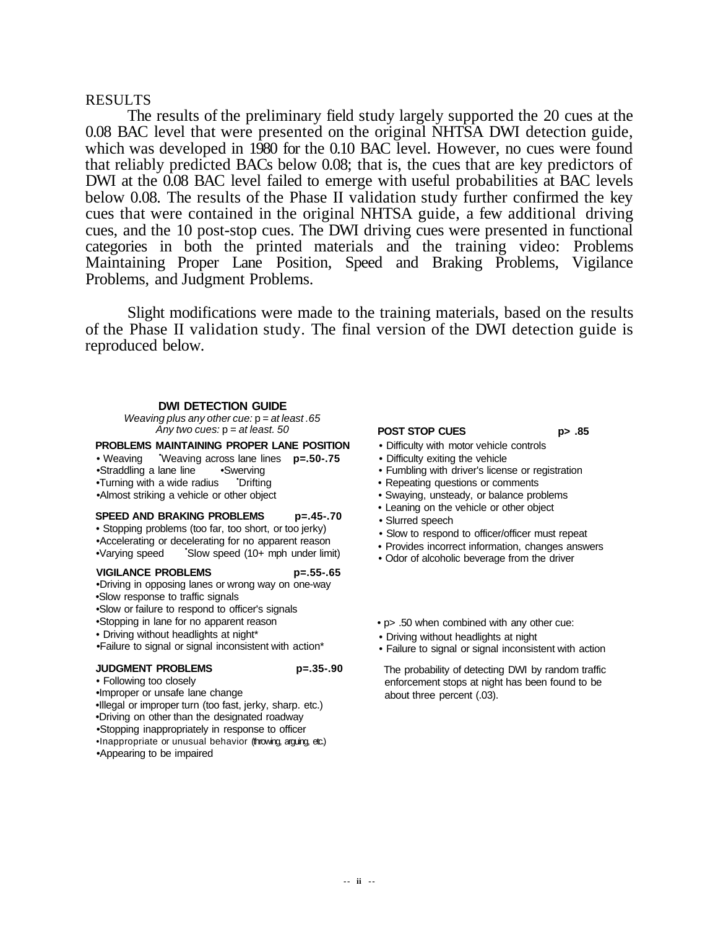### RESULTS

The results of the preliminary field study largely supported the 20 cues at the 0.08 BAC level that were presented on the original NHTSA DWI detection guide, which was developed in 1980 for the 0.10 BAC level. However, no cues were found that reliably predicted BACs below 0.08; that is, the cues that are key predictors of DWI at the 0.08 BAC level failed to emerge with useful probabilities at BAC levels below 0.08. The results of the Phase II validation study further confirmed the key cues that were contained in the original NHTSA guide, a few additional driving cues, and the 10 post-stop cues. The DWI driving cues were presented in functional categories in both the printed materials and the training video: Problems Maintaining Proper Lane Position, Speed and Braking Problems, Vigilance Problems, and Judgment Problems.

Slight modifications were made to the training materials, based on the results of the Phase II validation study. The final version of the DWI detection guide is reproduced below.

#### **DWI DETECTION GUIDE**

Weaving plus any other cue:  $p = at least .65$ Any two cues:  $p = at$  least. 50

#### **PROBLEMS MAINTAINING PROPER LANE POSITION**

• Weaving **•Weaving across lane lines p=.50-.75**<br>lane line •Swerving

- •Straddling a lane line
- •Turning with a wide radius •Drifting
- •Almost striking a vehicle or other object

#### **SPEED AND BRAKING PROBLEMS p=.45-.70**

• Stopping problems (too far, too short, or too jerky) •Accelerating or decelerating for no apparent reason •Varying speed •Slow speed (10+ mph under limit)

#### **VIGILANCE PROBLEMS p=.55-.65**

- •Driving in opposing lanes or wrong way on one-way •Slow response to traffic signals
- •Slow or failure to respond to officer's signals
- •Stopping in lane for no apparent reason
- Driving without headlights at night\*
- •Failure to signal or signal inconsistent with action\*

#### **JUDGMENT PROBLEMS p=.35-.90**

- Following too closely •Improper or unsafe lane change •Illegal or improper turn (too fast, jerky, sharp. etc.) •Driving on other than the designated roadway •Stopping inappropriately in response to officer
- •Inappropriate or unusual behavior (throwing, arguing, etc.) •Appearing to be impaired

#### **POST STOP CUES** p  $\geq$  .85

- Difficulty with motor vehicle controls
- Difficulty exiting the vehicle
- Fumbling with driver's license or registration
- Repeating questions or comments
- Swaying, unsteady, or balance problems
- Leaning on the vehicle or other object
- Slurred speech
- Slow to respond to officer/officer must repeat
- Provides incorrect information, changes answers
- Odor of alcoholic beverage from the driver
- p> .50 when combined with any other cue:
- Driving without headlights at night
- Failure to signal or signal inconsistent with action

The probability of detecting DWI by random traffic enforcement stops at night has been found to be about three percent (.03).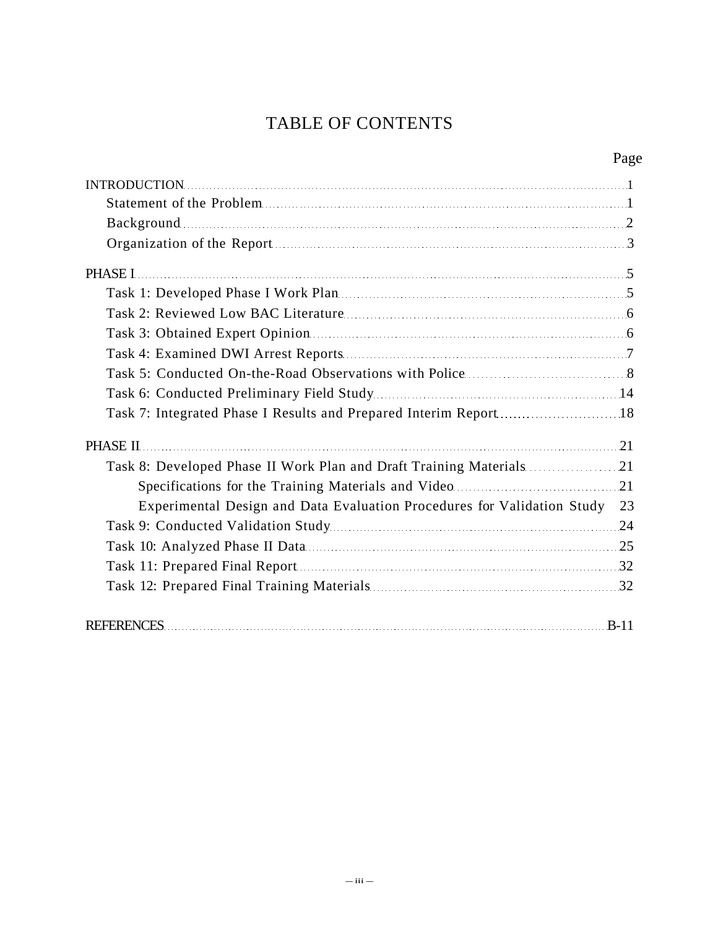# TABLE OF CONTENTS

# Page

| INTRODUCTION 2000 POINT 2000 POINT 2000 POINT 2000 POINT 2000 POINT 2000 POINT 2000 POINT 2000 POINT 2000 POINT 2000 POINT 2000 POINT 2000 POINT 2000 POINT 2000 POINT 2000 POINT 2000 POINT 2000 POINT 2000 POINT 2000 POINT        |    |
|--------------------------------------------------------------------------------------------------------------------------------------------------------------------------------------------------------------------------------------|----|
|                                                                                                                                                                                                                                      |    |
| Background 2                                                                                                                                                                                                                         |    |
| Organization of the Report 2000 and 2000 and 2000 and 30 and 30 and 30 and 30 and 30 and 30 and 30 and 30 and 30 and 30 and 30 and 30 and 30 and 30 and 30 and 30 and 30 and 30 and 30 and 30 and 30 and 30 and 30 and 30 and        |    |
| PHASE I <u>the contract of the set of the set of the set of the set of the set of the set of the set of the set of the set of the set of the set of the set of the set of the set of the set of the set of the set of the set of</u> |    |
|                                                                                                                                                                                                                                      |    |
|                                                                                                                                                                                                                                      |    |
|                                                                                                                                                                                                                                      |    |
|                                                                                                                                                                                                                                      |    |
|                                                                                                                                                                                                                                      |    |
|                                                                                                                                                                                                                                      |    |
|                                                                                                                                                                                                                                      |    |
| <b>PHASE II</b> 21                                                                                                                                                                                                                   |    |
|                                                                                                                                                                                                                                      |    |
|                                                                                                                                                                                                                                      |    |
| Experimental Design and Data Evaluation Procedures for Validation Study                                                                                                                                                              | 23 |
|                                                                                                                                                                                                                                      |    |
|                                                                                                                                                                                                                                      |    |
|                                                                                                                                                                                                                                      |    |
|                                                                                                                                                                                                                                      |    |
|                                                                                                                                                                                                                                      |    |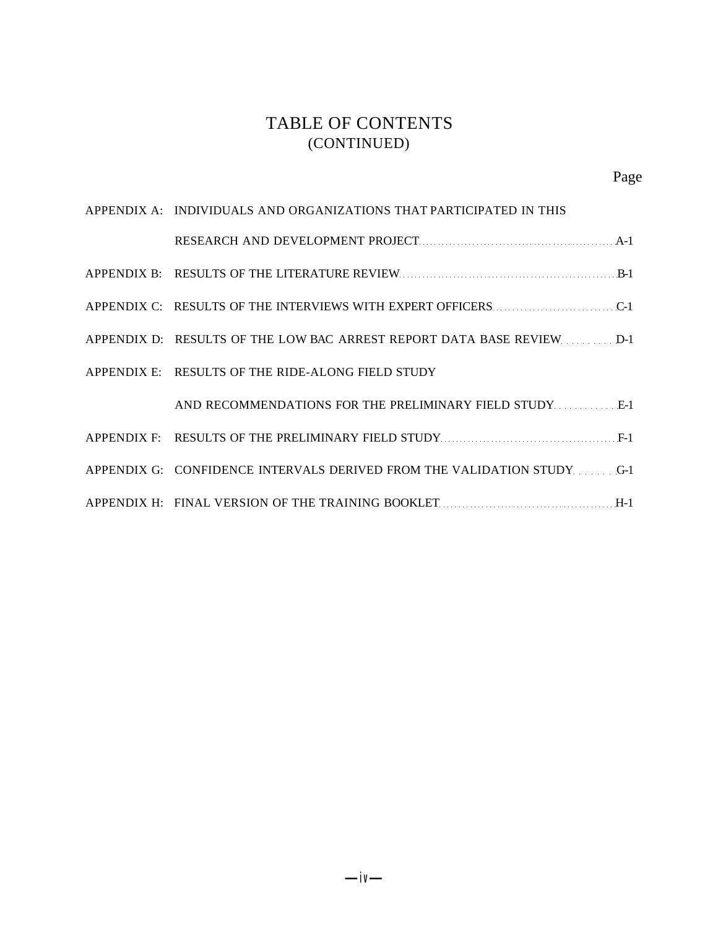# TABLE OF CONTENTS (CONTINUED)

| APPENDIX A: INDIVIDUALS AND ORGANIZATIONS THAT PARTICIPATED IN THIS    |
|------------------------------------------------------------------------|
|                                                                        |
|                                                                        |
|                                                                        |
| APPENDIX D: RESULTS OF THE LOW BAC ARREST REPORT DATA BASE REVIEW  D-1 |
| APPENDIX E: RESULTS OF THE RIDE-ALONG FIELD STUDY                      |
| AND RECOMMENDATIONS FOR THE PRELIMINARY FIELD STUDY E-1                |
|                                                                        |
| APPENDIX G: CONFIDENCE INTERVALS DERIVED FROM THE VALIDATION STUDY G-1 |
|                                                                        |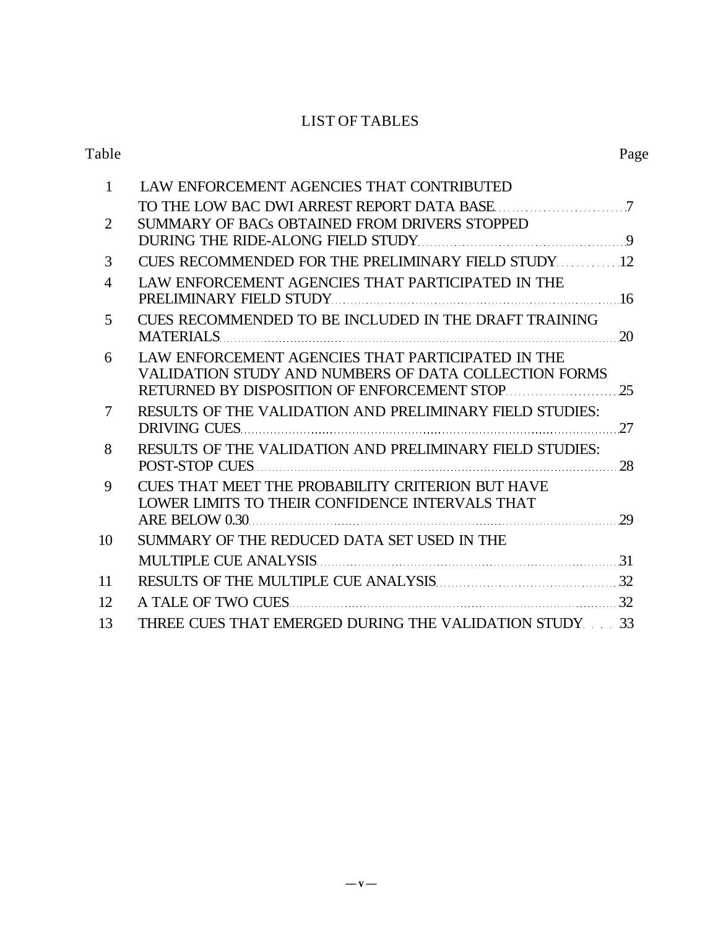# LIST OF TABLES

## Table Page

| 1              | LAW ENFORCEMENT AGENCIES THAT CONTRIBUTED                |    |
|----------------|----------------------------------------------------------|----|
|                |                                                          |    |
| $\overline{2}$ | SUMMARY OF BACs OBTAINED FROM DRIVERS STOPPED            |    |
|                |                                                          |    |
| 3              | CUES RECOMMENDED FOR THE PRELIMINARY FIELD STUDY 12      |    |
| 4              | LAW ENFORCEMENT AGENCIES THAT PARTICIPATED IN THE        |    |
|                |                                                          |    |
| 5              | CUES RECOMMENDED TO BE INCLUDED IN THE DRAFT TRAINING    |    |
|                |                                                          | 20 |
| 6              | LAW ENFORCEMENT AGENCIES THAT PARTICIPATED IN THE        |    |
|                | VALIDATION STUDY AND NUMBERS OF DATA COLLECTION FORMS    |    |
|                |                                                          | 25 |
| 7              | RESULTS OF THE VALIDATION AND PRELIMINARY FIELD STUDIES: |    |
|                | DRIVING CUES                                             | 27 |
| 8              | RESULTS OF THE VALIDATION AND PRELIMINARY FIELD STUDIES: |    |
|                |                                                          | 28 |
| 9              | CUES THAT MEET THE PROBABILITY CRITERION BUT HAVE        |    |
|                | LOWER LIMITS TO THEIR CONFIDENCE INTERVALS THAT          |    |
|                | $\sim$ 29<br>ARE BELOW 0.30                              |    |
| 10             | SUMMARY OF THE REDUCED DATA SET USED IN THE              |    |
|                |                                                          |    |
| 11             |                                                          |    |
| 12             |                                                          |    |
| 13             | THREE CUES THAT EMERGED DURING THE VALIDATION STUDY 33   |    |
|                |                                                          |    |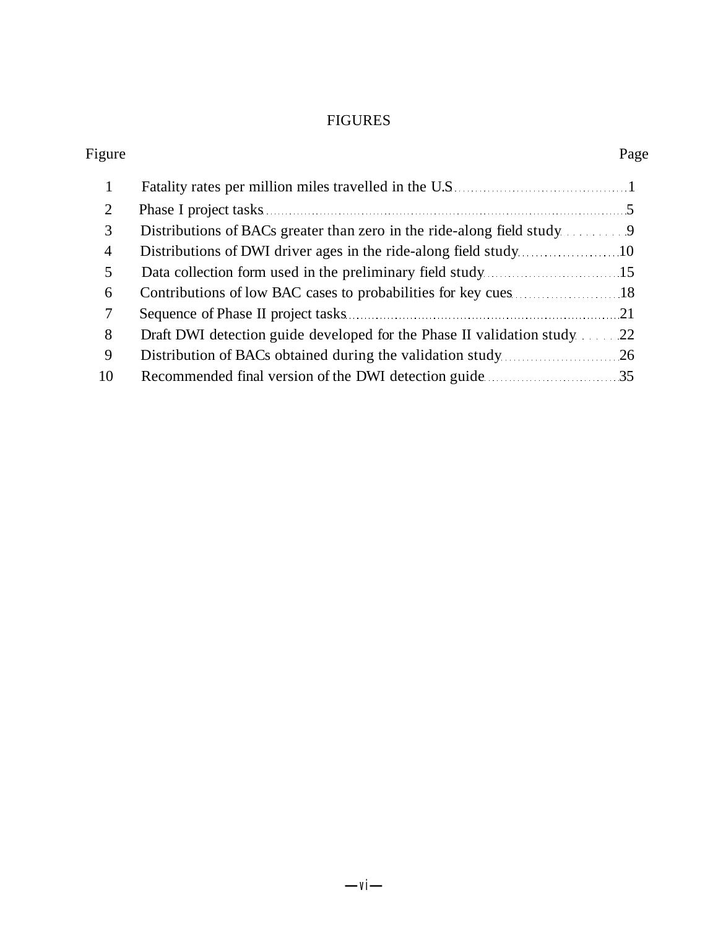# FIGURES

| Figure         |                                                                                     | Page |
|----------------|-------------------------------------------------------------------------------------|------|
|                |                                                                                     |      |
| 2              |                                                                                     |      |
| 3              | Distributions of BACs greater than zero in the ride-along field study 1.1.1.1.1.1.9 |      |
| $\overline{4}$ | Distributions of DWI driver ages in the ride-along field study 10                   |      |
| 5              |                                                                                     |      |
| 6              | Contributions of low BAC cases to probabilities for key cues 2000 metal of 8        |      |
| 7              |                                                                                     |      |
| 8              | Draft DWI detection guide developed for the Phase II validation study 22            |      |
| 9              |                                                                                     |      |
| 10             |                                                                                     |      |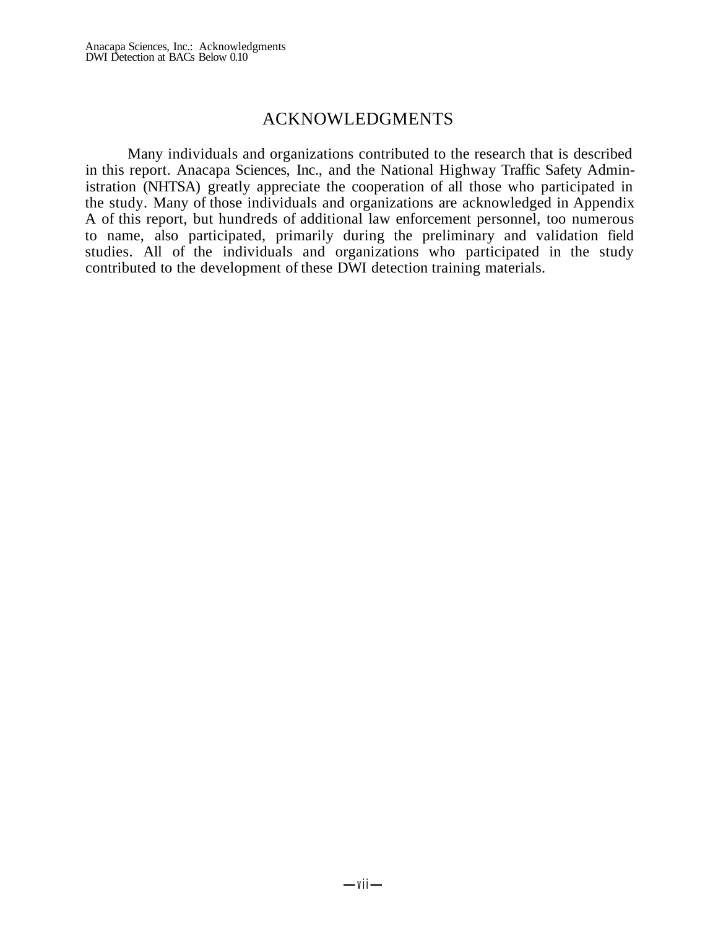# ACKNOWLEDGMENTS

Many individuals and organizations contributed to the research that is described in this report. Anacapa Sciences, Inc., and the National Highway Traffic Safety Administration (NHTSA) greatly appreciate the cooperation of all those who participated in the study. Many of those individuals and organizations are acknowledged in Appendix A of this report, but hundreds of additional law enforcement personnel, too numerous to name, also participated, primarily during the preliminary and validation field studies. All of the individuals and organizations who participated in the study contributed to the development of these DWI detection training materials.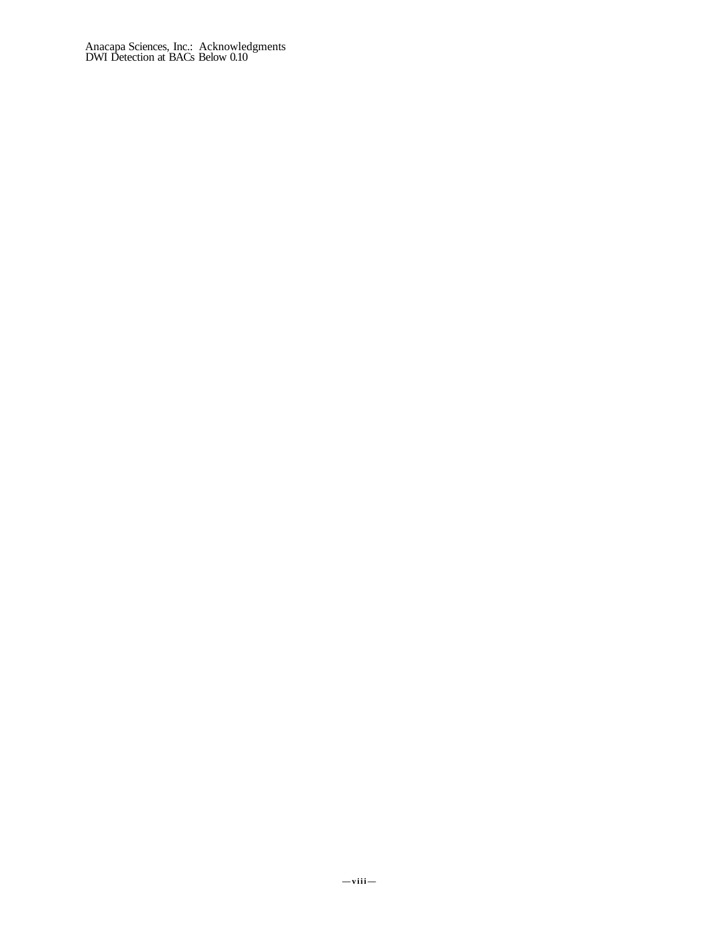Anacapa Sciences, Inc.: Acknowledgments DWI Detection at BACs Below 0.10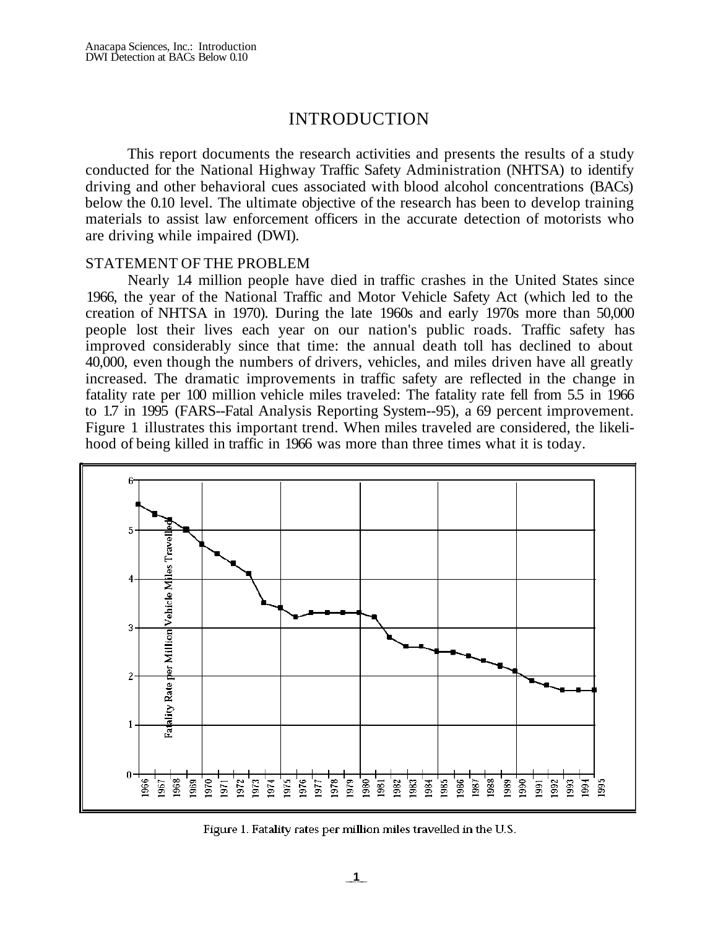# INTRODUCTION

This report documents the research activities and presents the results of a study conducted for the National Highway Traffic Safety Administration (NHTSA) to identify driving and other behavioral cues associated with blood alcohol concentrations (BACs) below the 0.10 level. The ultimate objective of the research has been to develop training materials to assist law enforcement officers in the accurate detection of motorists who are driving while impaired (DWI).

### STATEMENT OF THE PROBLEM

Nearly 1.4 million people have died in traffic crashes in the United States since 1966, the year of the National Traffic and Motor Vehicle Safety Act (which led to the creation of NHTSA in 1970). During the late 1960s and early 1970s more than 50,000 people lost their lives each year on our nation's public roads. Traffic safety has improved considerably since that time: the annual death toll has declined to about 40,000, even though the numbers of drivers, vehicles, and miles driven have all greatly increased. The dramatic improvements in traffic safety are reflected in the change in fatality rate per 100 million vehicle miles traveled: The fatality rate fell from 5.5 in 1966 to 1.7 in 1995 (FARS--Fatal Analysis Reporting System--95), a 69 percent improvement. Figure 1 illustrates this important trend. When miles traveled are considered, the likelihood of being killed in traffic in 1966 was more than three times what it is today.



Figure 1. Fatality rates per million miles travelled in the U.S.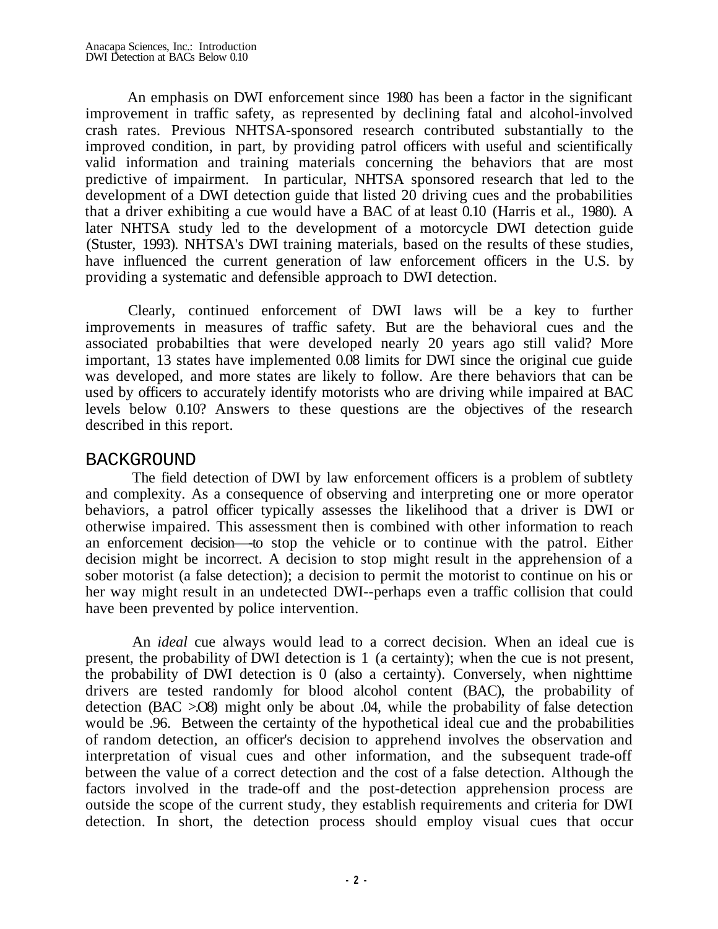An emphasis on DWI enforcement since 1980 has been a factor in the significant improvement in traffic safety, as represented by declining fatal and alcohol-involved crash rates. Previous NHTSA-sponsored research contributed substantially to the improved condition, in part, by providing patrol officers with useful and scientifically valid information and training materials concerning the behaviors that are most predictive of impairment. In particular, NHTSA sponsored research that led to the development of a DWI detection guide that listed 20 driving cues and the probabilities that a driver exhibiting a cue would have a BAC of at least 0.10 (Harris et al., 1980). A later NHTSA study led to the development of a motorcycle DWI detection guide (Stuster, 1993). NHTSA's DWI training materials, based on the results of these studies, have influenced the current generation of law enforcement officers in the U.S. by providing a systematic and defensible approach to DWI detection.

Clearly, continued enforcement of DWI laws will be a key to further improvements in measures of traffic safety. But are the behavioral cues and the associated probabilties that were developed nearly 20 years ago still valid? More important, 13 states have implemented 0.08 limits for DWI since the original cue guide was developed, and more states are likely to follow. Are there behaviors that can be used by officers to accurately identify motorists who are driving while impaired at BAC levels below 0.10? Answers to these questions are the objectives of the research described in this report.

## BACKGROUND

The field detection of DWI by law enforcement officers is a problem of subtlety and complexity. As a consequence of observing and interpreting one or more operator behaviors, a patrol officer typically assesses the likelihood that a driver is DWI or otherwise impaired. This assessment then is combined with other information to reach an enforcement decision—-to stop the vehicle or to continue with the patrol. Either decision might be incorrect. A decision to stop might result in the apprehension of a sober motorist (a false detection); a decision to permit the motorist to continue on his or her way might result in an undetected DWI--perhaps even a traffic collision that could have been prevented by police intervention.

An *ideal* cue always would lead to a correct decision. When an ideal cue is present, the probability of DWI detection is 1 (a certainty); when the cue is not present, the probability of DWI detection is 0 (also a certainty). Conversely, when nighttime drivers are tested randomly for blood alcohol content (BAC), the probability of detection (BAC >.O8) might only be about .04, while the probability of false detection would be .96. Between the certainty of the hypothetical ideal cue and the probabilities of random detection, an officer's decision to apprehend involves the observation and interpretation of visual cues and other information, and the subsequent trade-off between the value of a correct detection and the cost of a false detection. Although the factors involved in the trade-off and the post-detection apprehension process are outside the scope of the current study, they establish requirements and criteria for DWI detection. In short, the detection process should employ visual cues that occur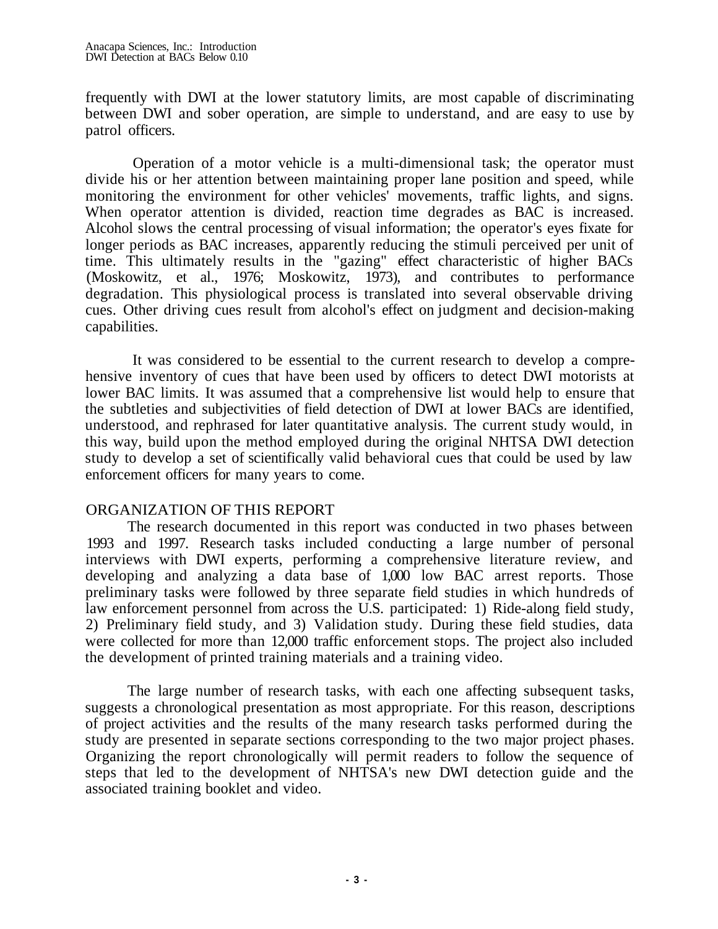frequently with DWI at the lower statutory limits, are most capable of discriminating between DWI and sober operation, are simple to understand, and are easy to use by patrol officers.

Operation of a motor vehicle is a multi-dimensional task; the operator must divide his or her attention between maintaining proper lane position and speed, while monitoring the environment for other vehicles' movements, traffic lights, and signs. When operator attention is divided, reaction time degrades as BAC is increased. Alcohol slows the central processing of visual information; the operator's eyes fixate for longer periods as BAC increases, apparently reducing the stimuli perceived per unit of time. This ultimately results in the "gazing" effect characteristic of higher BACs (Moskowitz, et al., 1976; Moskowitz, 1973), and contributes to performance degradation. This physiological process is translated into several observable driving cues. Other driving cues result from alcohol's effect on judgment and decision-making capabilities.

It was considered to be essential to the current research to develop a comprehensive inventory of cues that have been used by officers to detect DWI motorists at lower BAC limits. It was assumed that a comprehensive list would help to ensure that the subtleties and subjectivities of field detection of DWI at lower BACs are identified, understood, and rephrased for later quantitative analysis. The current study would, in this way, build upon the method employed during the original NHTSA DWI detection study to develop a set of scientifically valid behavioral cues that could be used by law enforcement officers for many years to come.

## ORGANIZATION OF THIS REPORT

The research documented in this report was conducted in two phases between 1993 and 1997. Research tasks included conducting a large number of personal interviews with DWI experts, performing a comprehensive literature review, and developing and analyzing a data base of  $1,000$  low BAC arrest reports. Those preliminary tasks were followed by three separate field studies in which hundreds of law enforcement personnel from across the U.S. participated: 1) Ride-along field study, 2) Preliminary field study, and 3) Validation study. During these field studies, data were collected for more than 12,000 traffic enforcement stops. The project also included the development of printed training materials and a training video.

The large number of research tasks, with each one affecting subsequent tasks, suggests a chronological presentation as most appropriate. For this reason, descriptions of project activities and the results of the many research tasks performed during the study are presented in separate sections corresponding to the two major project phases. Organizing the report chronologically will permit readers to follow the sequence of steps that led to the development of NHTSA's new DWI detection guide and the associated training booklet and video.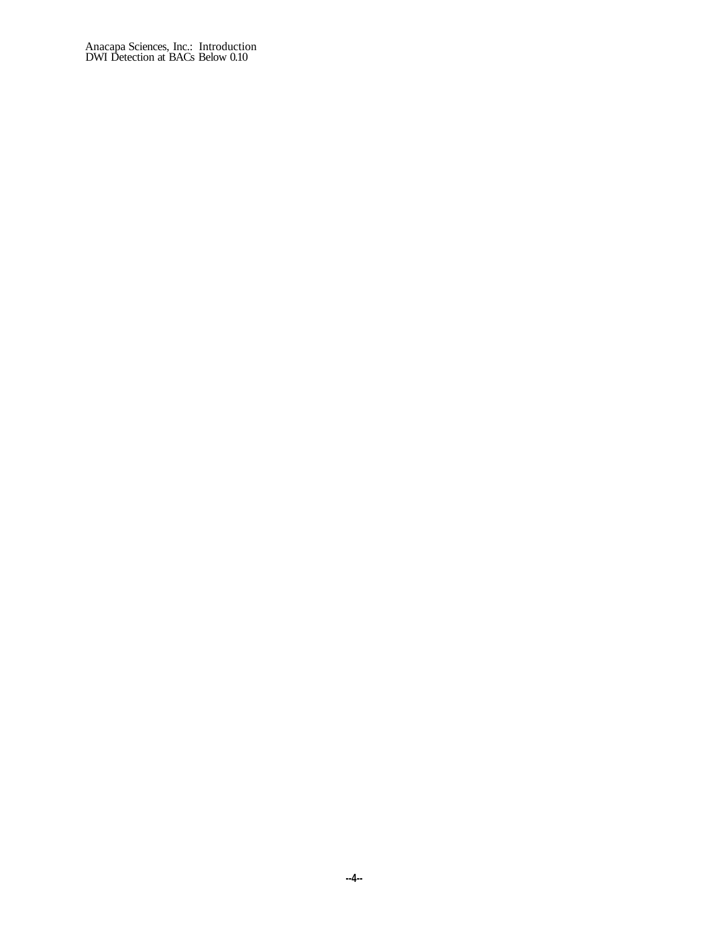Anacapa Sciences, Inc.: Introduction DWI Detection at BACs Below 0.10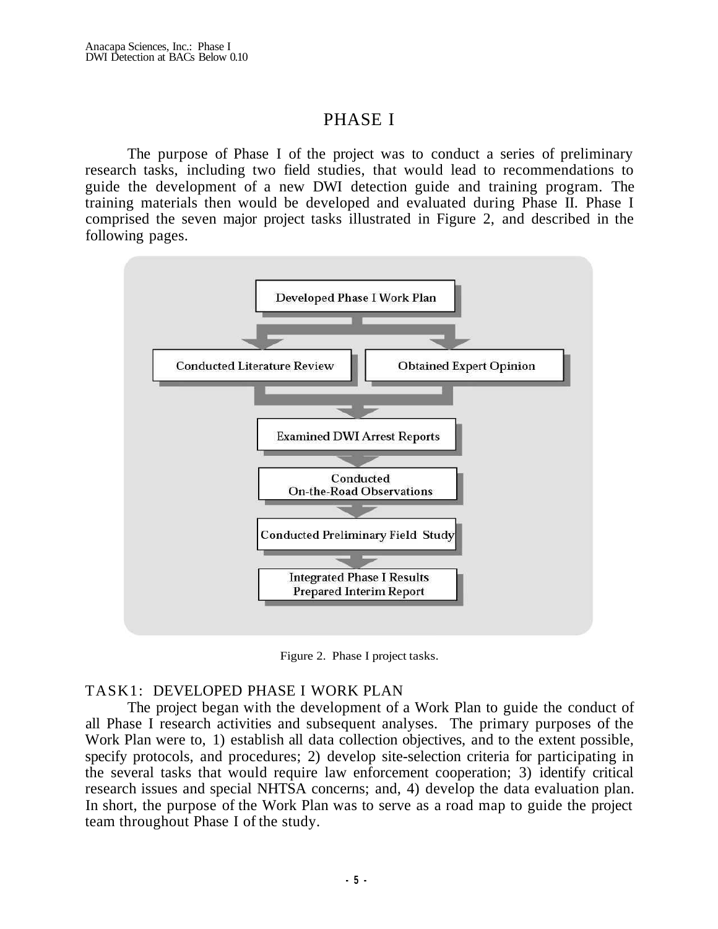# PHASE I

The purpose of Phase I of the project was to conduct a series of preliminary research tasks, including two field studies, that would lead to recommendations to guide the development of a new DWI detection guide and training program. The training materials then would be developed and evaluated during Phase II. Phase I comprised the seven major project tasks illustrated in Figure 2, and described in the following pages.



Figure 2. Phase I project tasks.

# TASK1: DEVELOPED PHASE I WORK PLAN

The project began with the development of a Work Plan to guide the conduct of all Phase I research activities and subsequent analyses. The primary purposes of the Work Plan were to, 1) establish all data collection objectives, and to the extent possible, specify protocols, and procedures; 2) develop site-selection criteria for participating in the several tasks that would require law enforcement cooperation; 3) identify critical research issues and special NHTSA concerns; and, 4) develop the data evaluation plan. In short, the purpose of the Work Plan was to serve as a road map to guide the project team throughout Phase I of the study.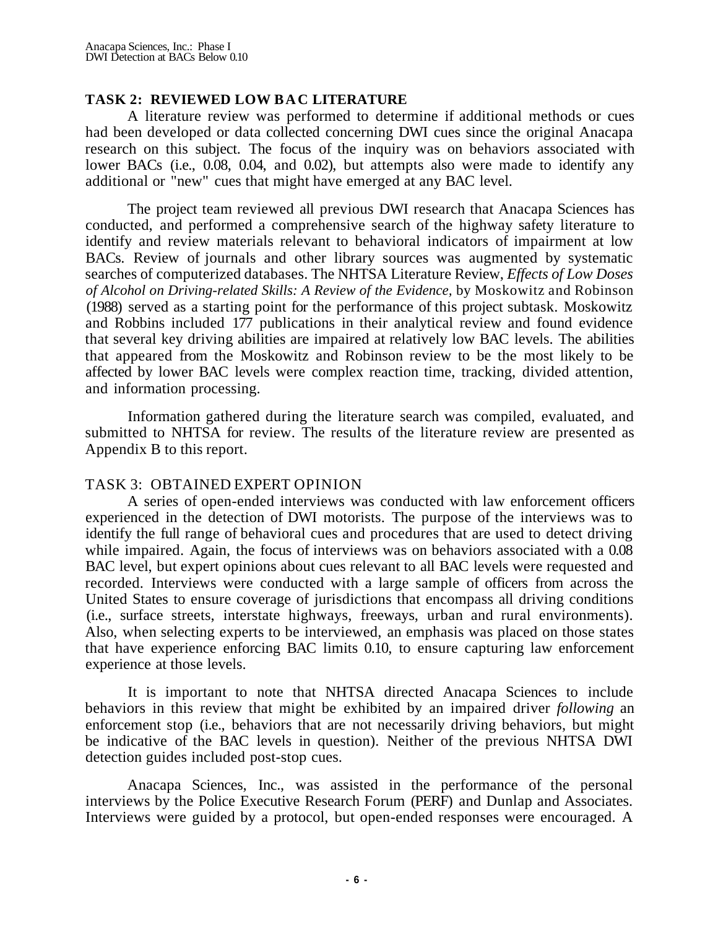## **TASK 2: REVIEWED LOW BAC LITERATURE**

A literature review was performed to determine if additional methods or cues had been developed or data collected concerning DWI cues since the original Anacapa research on this subject. The focus of the inquiry was on behaviors associated with lower BACs (i.e., 0.08, 0.04, and 0.02), but attempts also were made to identify any additional or "new" cues that might have emerged at any BAC level.

The project team reviewed all previous DWI research that Anacapa Sciences has conducted, and performed a comprehensive search of the highway safety literature to identify and review materials relevant to behavioral indicators of impairment at low BACs. Review of journals and other library sources was augmented by systematic searches of computerized databases. The NHTSA Literature Review, *Effects of Low Doses of Alcohol on Driving-related Skills: A Review of the Evidence,* by Moskowitz and Robinson (1988) served as a starting point for the performance of this project subtask. Moskowitz and Robbins included 177 publications in their analytical review and found evidence that several key driving abilities are impaired at relatively low BAC levels. The abilities that appeared from the Moskowitz and Robinson review to be the most likely to be affected by lower BAC levels were complex reaction time, tracking, divided attention, and information processing.

Information gathered during the literature search was compiled, evaluated, and submitted to NHTSA for review. The results of the literature review are presented as Appendix B to this report.

# TASK 3: OBTAINED EXPERT OPINION

A series of open-ended interviews was conducted with law enforcement officers experienced in the detection of DWI motorists. The purpose of the interviews was to identify the full range of behavioral cues and procedures that are used to detect driving while impaired. Again, the focus of interviews was on behaviors associated with a 0.08 BAC level, but expert opinions about cues relevant to all BAC levels were requested and recorded. Interviews were conducted with a large sample of officers from across the United States to ensure coverage of jurisdictions that encompass all driving conditions (i.e., surface streets, interstate highways, freeways, urban and rural environments). Also, when selecting experts to be interviewed, an emphasis was placed on those states that have experience enforcing BAC limits 0.10, to ensure capturing law enforcement experience at those levels.

It is important to note that NHTSA directed Anacapa Sciences to include behaviors in this review that might be exhibited by an impaired driver *following* an enforcement stop (i.e., behaviors that are not necessarily driving behaviors, but might be indicative of the BAC levels in question). Neither of the previous NHTSA DWI detection guides included post-stop cues.

Anacapa Sciences, Inc., was assisted in the performance of the personal interviews by the Police Executive Research Forum (PERF) and Dunlap and Associates. Interviews were guided by a protocol, but open-ended responses were encouraged. A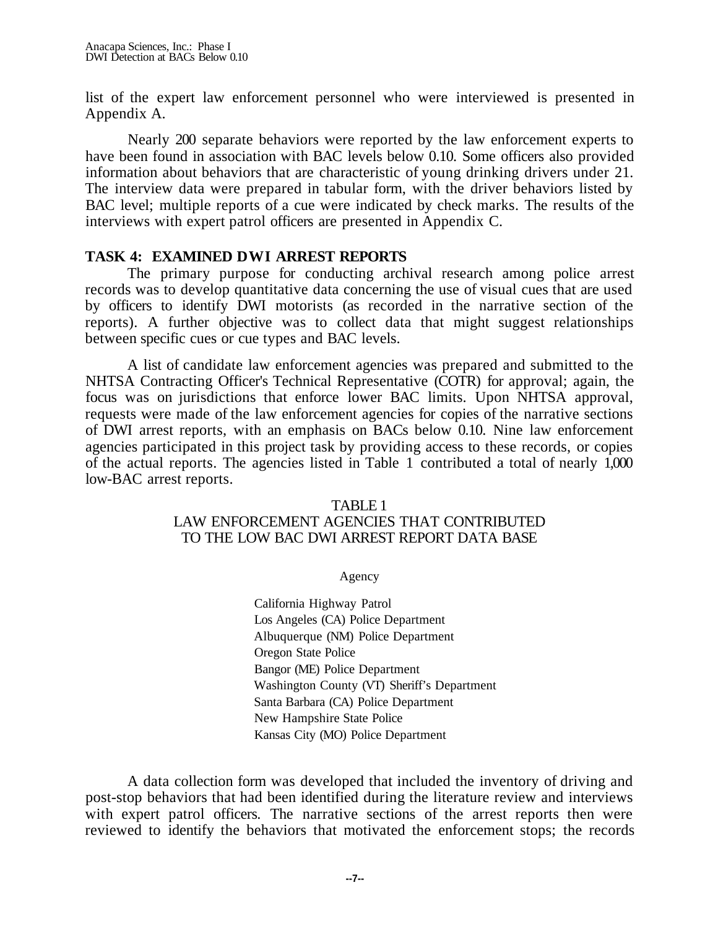list of the expert law enforcement personnel who were interviewed is presented in Appendix A.

Nearly 200 separate behaviors were reported by the law enforcement experts to have been found in association with BAC levels below 0.10. Some officers also provided information about behaviors that are characteristic of young drinking drivers under 21. The interview data were prepared in tabular form, with the driver behaviors listed by BAC level; multiple reports of a cue were indicated by check marks. The results of the interviews with expert patrol officers are presented in Appendix C.

### **TASK 4: EXAMINED DWI ARREST REPORTS**

The primary purpose for conducting archival research among police arrest records was to develop quantitative data concerning the use of visual cues that are used by officers to identify DWI motorists (as recorded in the narrative section of the reports). A further objective was to collect data that might suggest relationships between specific cues or cue types and BAC levels.

A list of candidate law enforcement agencies was prepared and submitted to the NHTSA Contracting Officer's Technical Representative (COTR) for approval; again, the focus was on jurisdictions that enforce lower BAC limits. Upon NHTSA approval, requests were made of the law enforcement agencies for copies of the narrative sections of DWI arrest reports, with an emphasis on BACs below 0.10. Nine law enforcement agencies participated in this project task by providing access to these records, or copies of the actual reports. The agencies listed in Table 1 contributed a total of nearly 1,000 low-BAC arrest reports.

## TABLE 1 LAW ENFORCEMENT AGENCIES THAT CONTRIBUTED TO THE LOW BAC DWI ARREST REPORT DATA BASE

Agency

California Highway Patrol Los Angeles (CA) Police Department Albuquerque (NM) Police Department Oregon State Police Bangor (ME) Police Department Washington County (VT) Sheriff's Department Santa Barbara (CA) Police Department New Hampshire State Police Kansas City (MO) Police Department

A data collection form was developed that included the inventory of driving and post-stop behaviors that had been identified during the literature review and interviews with expert patrol officers. The narrative sections of the arrest reports then were reviewed to identify the behaviors that motivated the enforcement stops; the records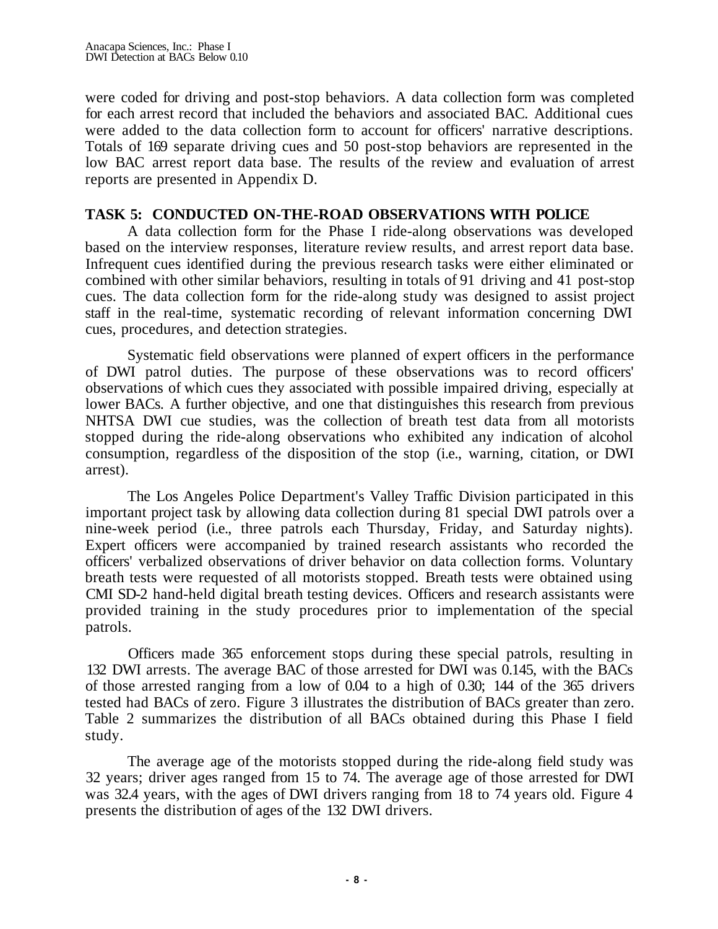were coded for driving and post-stop behaviors. A data collection form was completed for each arrest record that included the behaviors and associated BAC. Additional cues were added to the data collection form to account for officers' narrative descriptions. Totals of 169 separate driving cues and 50 post-stop behaviors are represented in the low BAC arrest report data base. The results of the review and evaluation of arrest reports are presented in Appendix D.

## **TASK 5: CONDUCTED ON-THE-ROAD OBSERVATIONS WITH POLICE**

A data collection form for the Phase I ride-along observations was developed based on the interview responses, literature review results, and arrest report data base. Infrequent cues identified during the previous research tasks were either eliminated or combined with other similar behaviors, resulting in totals of 91 driving and 41 post-stop cues. The data collection form for the ride-along study was designed to assist project staff in the real-time, systematic recording of relevant information concerning DWI cues, procedures, and detection strategies.

Systematic field observations were planned of expert officers in the performance of DWI patrol duties. The purpose of these observations was to record officers' observations of which cues they associated with possible impaired driving, especially at lower BACs. A further objective, and one that distinguishes this research from previous NHTSA DWI cue studies, was the collection of breath test data from all motorists stopped during the ride-along observations who exhibited any indication of alcohol consumption, regardless of the disposition of the stop (i.e., warning, citation, or DWI arrest).

The Los Angeles Police Department's Valley Traffic Division participated in this important project task by allowing data collection during 81 special DWI patrols over a nine-week period (i.e., three patrols each Thursday, Friday, and Saturday nights). Expert officers were accompanied by trained research assistants who recorded the officers' verbalized observations of driver behavior on data collection forms. Voluntary breath tests were requested of all motorists stopped. Breath tests were obtained using CMI SD-2 hand-held digital breath testing devices. Officers and research assistants were provided training in the study procedures prior to implementation of the special patrols.

Officers made 365 enforcement stops during these special patrols, resulting in 132 DWI arrests. The average BAC of those arrested for DWI was 0.145, with the BACs of those arrested ranging from a low of 0.04 to a high of 0.30; 144 of the 365 drivers tested had BACs of zero. Figure 3 illustrates the distribution of BACs greater than zero. Table 2 summarizes the distribution of all BACs obtained during this Phase I field study.

The average age of the motorists stopped during the ride-along field study was 32 years; driver ages ranged from 15 to 74. The average age of those arrested for DWI was 32.4 years, with the ages of DWI drivers ranging from 18 to 74 years old. Figure 4 presents the distribution of ages of the 132 DWI drivers.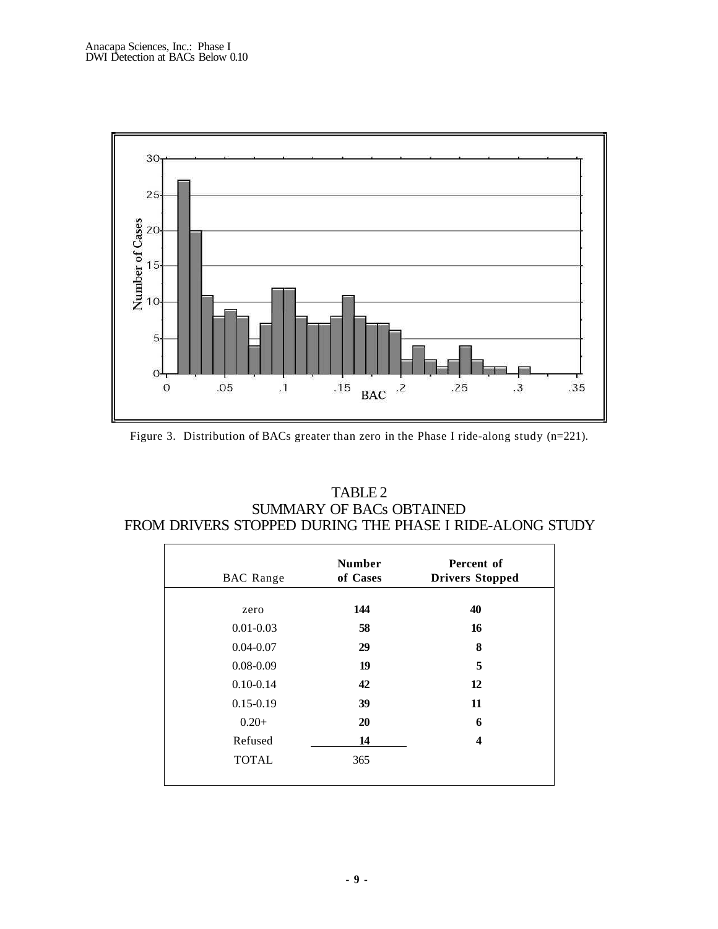

Figure 3. Distribution of BACs greater than zero in the Phase I ride-along study (n=221).

| TARLE <sub>2</sub>                                       |
|----------------------------------------------------------|
| SUMMARY OF BACs OBTAINED                                 |
| FROM DRIVERS STOPPED DURING THE PHASE I RIDE-ALONG STUDY |

| <b>BAC</b> Range | <b>Number</b><br>of Cases | Percent of<br><b>Drivers Stopped</b> |
|------------------|---------------------------|--------------------------------------|
| zero             | 144                       | 40                                   |
| $0.01 - 0.03$    | 58                        | 16                                   |
| $0.04 - 0.07$    | 29                        | 8                                    |
| $0.08 - 0.09$    | 19                        | 5                                    |
| $0.10 - 0.14$    | 42                        | 12                                   |
| $0.15 - 0.19$    | 39                        | 11                                   |
| $0.20+$          | 20                        | 6                                    |
| Refused          | 14                        | 4                                    |
| <b>TOTAL</b>     | 365                       |                                      |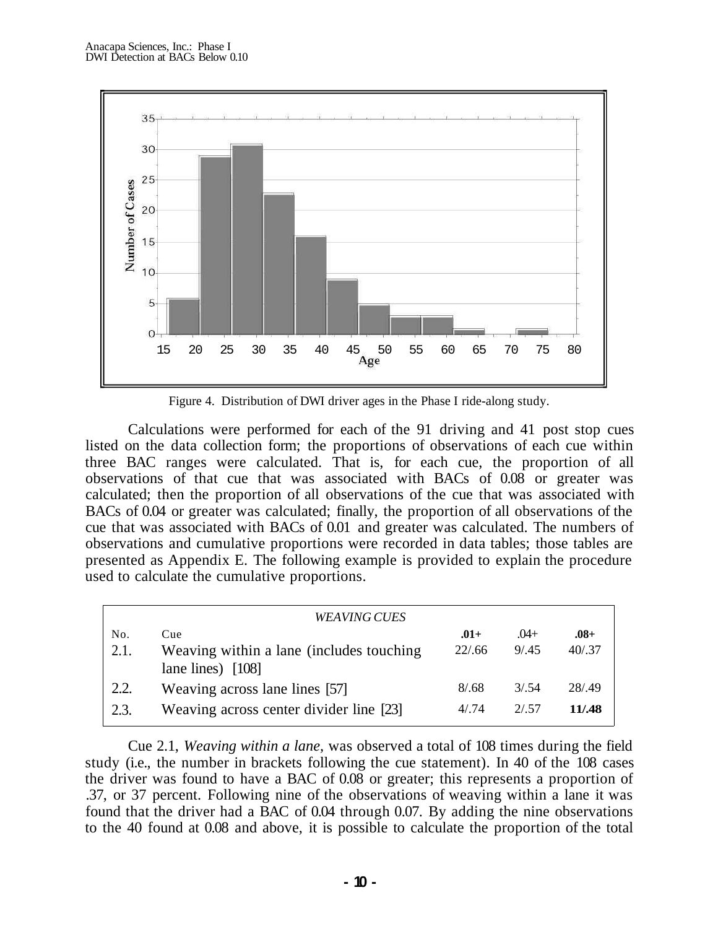

Figure 4. Distribution of DWI driver ages in the Phase I ride-along study.

Calculations were performed for each of the 91 driving and 41 post stop cues listed on the data collection form; the proportions of observations of each cue within three BAC ranges were calculated. That is, for each cue, the proportion of all observations of that cue that was associated with BACs of 0.08 or greater was calculated; then the proportion of all observations of the cue that was associated with BACs of 0.04 or greater was calculated; finally, the proportion of all observations of the cue that was associated with BACs of 0.01 and greater was calculated. The numbers of observations and cumulative proportions were recorded in data tables; those tables are presented as Appendix E. The following example is provided to explain the procedure used to calculate the cumulative proportions.

| <b>WEAVING CUES</b> |                                                                |         |        |         |  |
|---------------------|----------------------------------------------------------------|---------|--------|---------|--|
| No.                 | Cue                                                            | $.01+$  | $.04+$ | $.08+$  |  |
| 2.1.                | Weaving within a lane (includes touching)<br>lane lines) [108] | 22/0.66 | 9/0.45 | 40/0.37 |  |
| 2.2.                | Weaving across lane lines [57]                                 | 8/0.68  | 3/54   | 28/.49  |  |
| 2.3.                | Weaving across center divider line [23]                        | 4/74    | 2/57   | 11/.48  |  |

Cue 2.1, *Weaving within a lane,* was observed a total of 108 times during the field study (i.e., the number in brackets following the cue statement). In 40 of the 108 cases the driver was found to have a BAC of 0.08 or greater; this represents a proportion of .37, or 37 percent. Following nine of the observations of weaving within a lane it was found that the driver had a BAC of 0.04 through 0.07. By adding the nine observations to the 40 found at 0.08 and above, it is possible to calculate the proportion of the total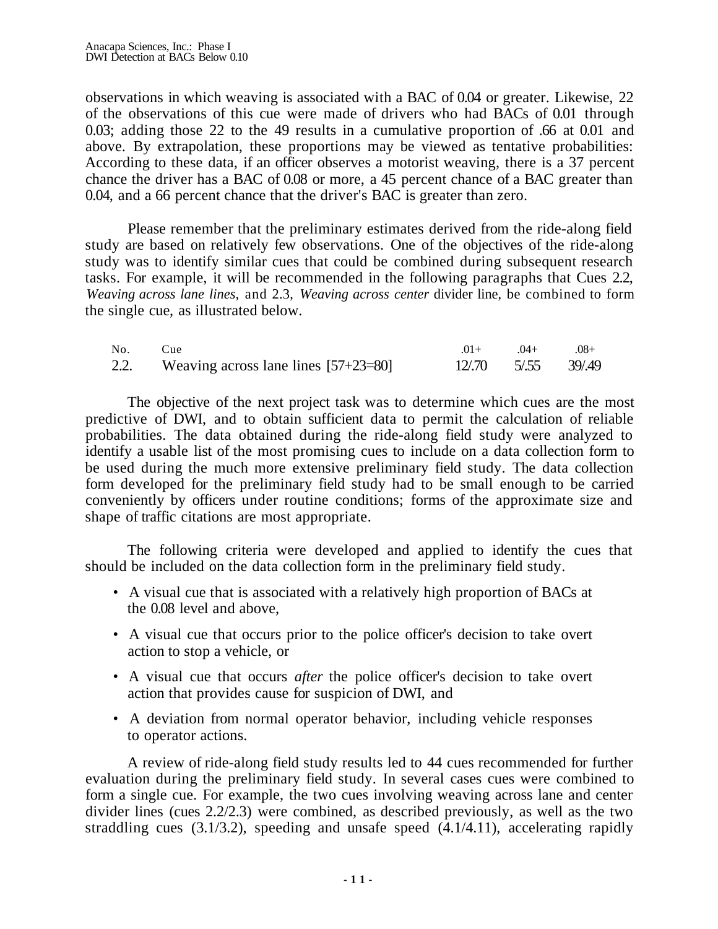observations in which weaving is associated with a BAC of 0.04 or greater. Likewise, 22 of the observations of this cue were made of drivers who had BACs of 0.01 through 0.03; adding those 22 to the 49 results in a cumulative proportion of .66 at 0.01 and above. By extrapolation, these proportions may be viewed as tentative probabilities: According to these data, if an officer observes a motorist weaving, there is a 37 percent chance the driver has a BAC of 0.08 or more, a 45 percent chance of a BAC greater than 0.04, and a 66 percent chance that the driver's BAC is greater than zero.

Please remember that the preliminary estimates derived from the ride-along field study are based on relatively few observations. One of the objectives of the ride-along study was to identify similar cues that could be combined during subsequent research tasks. For example, it will be recommended in the following paragraphs that Cues 2.2, *Weaving across lane lines,* and 2.3, *Weaving across center* divider line, be combined to form the single cue, as illustrated below.

| No. Cue |                                             |                  | $.01 + .04 + .08 + .08 + .08$ |  |
|---------|---------------------------------------------|------------------|-------------------------------|--|
|         | 2.2. Weaving across lane lines $[57+23=80]$ | 12.70 5.55 39.49 |                               |  |

The objective of the next project task was to determine which cues are the most predictive of DWI, and to obtain sufficient data to permit the calculation of reliable probabilities. The data obtained during the ride-along field study were analyzed to identify a usable list of the most promising cues to include on a data collection form to be used during the much more extensive preliminary field study. The data collection form developed for the preliminary field study had to be small enough to be carried conveniently by officers under routine conditions; forms of the approximate size and shape of traffic citations are most appropriate.

The following criteria were developed and applied to identify the cues that should be included on the data collection form in the preliminary field study.

- A visual cue that is associated with a relatively high proportion of BACs at the 0.08 level and above,
- A visual cue that occurs prior to the police officer's decision to take overt action to stop a vehicle, or
- A visual cue that occurs *after* the police officer's decision to take overt action that provides cause for suspicion of DWI, and
- A deviation from normal operator behavior, including vehicle responses to operator actions.

A review of ride-along field study results led to 44 cues recommended for further evaluation during the preliminary field study. In several cases cues were combined to form a single cue. For example, the two cues involving weaving across lane and center divider lines (cues 2.2/2.3) were combined, as described previously, as well as the two straddling cues (3.1/3.2), speeding and unsafe speed (4.1/4.11), accelerating rapidly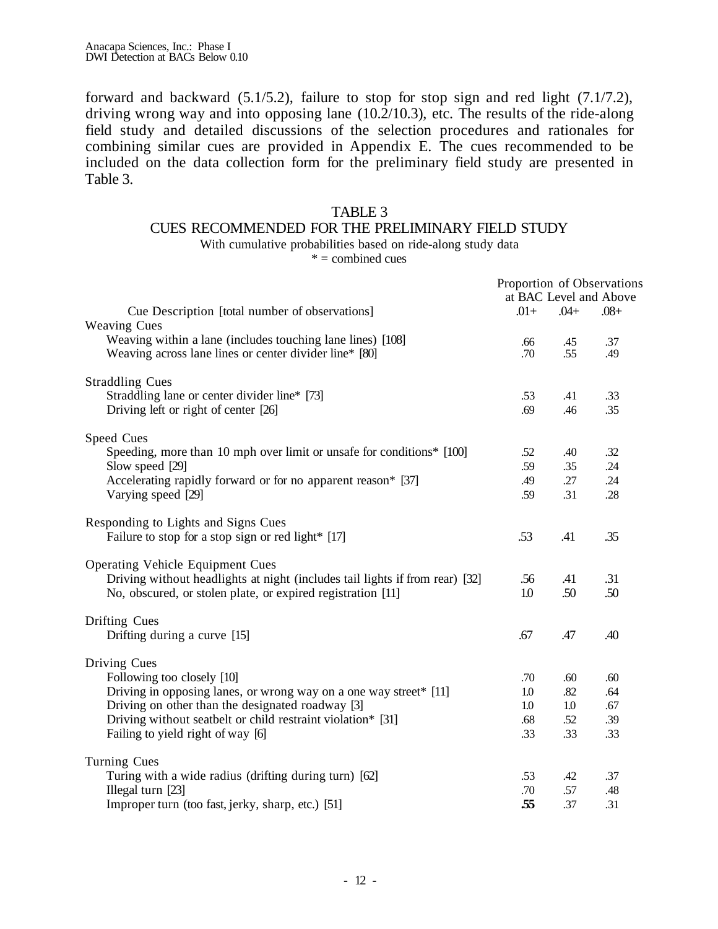forward and backward (5.1/5.2), failure to stop for stop sign and red light (7.1/7.2), driving wrong way and into opposing lane  $(10.2/10.3)$ , etc. The results of the ride-along field study and detailed discussions of the selection procedures and rationales for combining similar cues are provided in Appendix E. The cues recommended to be included on the data collection form for the preliminary field study are presented in Table 3.

#### TABLE 3

#### CUES RECOMMENDED FOR THE PRELIMINARY FIELD STUDY

With cumulative probabilities based on ride-along study data

 $* =$  combined cues

|                                                                                                                      |            |            | Proportion of Observations<br>at BAC Level and Above |
|----------------------------------------------------------------------------------------------------------------------|------------|------------|------------------------------------------------------|
| Cue Description [total number of observations]<br><b>Weaving Cues</b>                                                | $.01+$     | $.04+$     | $.08+$                                               |
| Weaving within a lane (includes touching lane lines) [108]<br>Weaving across lane lines or center divider line* [80] | .66<br>.70 | .45<br>.55 | .37<br>.49                                           |
| <b>Straddling Cues</b>                                                                                               |            |            |                                                      |
| Straddling lane or center divider line* [73]<br>Driving left or right of center [26]                                 | .53<br>.69 | .41<br>.46 | .33<br>.35                                           |
| Speed Cues                                                                                                           |            |            |                                                      |
| Speeding, more than 10 mph over limit or unsafe for conditions* [100]                                                | .52        | .40        | .32                                                  |
| Slow speed [29]                                                                                                      | .59        | .35        | .24                                                  |
| Accelerating rapidly forward or for no apparent reason* [37]                                                         | .49        | .27        | .24                                                  |
| Varying speed [29]                                                                                                   | .59        | .31        | .28                                                  |
| Responding to Lights and Signs Cues                                                                                  |            |            |                                                      |
| Failure to stop for a stop sign or red light* [17]                                                                   | .53        | .41        | .35                                                  |
| <b>Operating Vehicle Equipment Cues</b>                                                                              |            |            |                                                      |
| Driving without headlights at night (includes tail lights if from rear) [32]                                         | .56        | .41        | .31                                                  |
| No, obscured, or stolen plate, or expired registration [11]                                                          | 1.0        | .50        | .50                                                  |
|                                                                                                                      |            |            |                                                      |
| Drifting Cues                                                                                                        |            |            |                                                      |
| Drifting during a curve [15]                                                                                         | .67        | .47        | .40                                                  |
|                                                                                                                      |            |            |                                                      |
| Driving Cues                                                                                                         |            |            |                                                      |
| Following too closely [10]                                                                                           | .70        | .60        | .60                                                  |
| Driving in opposing lanes, or wrong way on a one way street* [11]                                                    | 1.0        | .82        | .64                                                  |
| Driving on other than the designated roadway [3]                                                                     | 1.0        | 1.0        | .67                                                  |
| Driving without seatbelt or child restraint violation* [31]                                                          | .68        | .52        | .39                                                  |
| Failing to yield right of way [6]                                                                                    | .33        | .33        | .33                                                  |
| <b>Turning Cues</b>                                                                                                  |            |            |                                                      |
| Turing with a wide radius (drifting during turn) [62]                                                                | .53        | .42        | .37                                                  |
| Illegal turn [23]                                                                                                    | .70        | .57        | .48                                                  |
| Improper turn (too fast, jerky, sharp, etc.) [51]                                                                    | .55        | .37        | .31                                                  |
|                                                                                                                      |            |            |                                                      |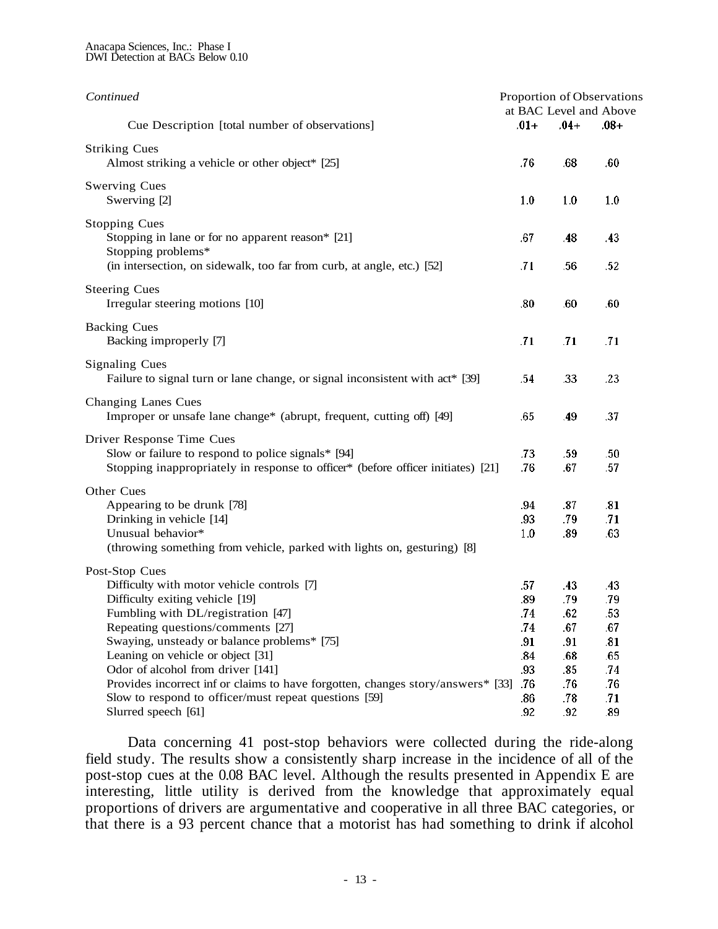| Continued                                                                                                                                                                                                                                                                                                                                                                                                                                       |                                                             | Proportion of Observations<br>at BAC Level and Above        |                                                             |  |
|-------------------------------------------------------------------------------------------------------------------------------------------------------------------------------------------------------------------------------------------------------------------------------------------------------------------------------------------------------------------------------------------------------------------------------------------------|-------------------------------------------------------------|-------------------------------------------------------------|-------------------------------------------------------------|--|
| Cue Description [total number of observations]                                                                                                                                                                                                                                                                                                                                                                                                  | $.01 +$                                                     | $.04 +$                                                     | $.08 +$                                                     |  |
| <b>Striking Cues</b><br>Almost striking a vehicle or other object* [25]                                                                                                                                                                                                                                                                                                                                                                         | .76                                                         | .68                                                         | .60                                                         |  |
| <b>Swerving Cues</b><br>Swerving [2]                                                                                                                                                                                                                                                                                                                                                                                                            | 1.0                                                         | 1.0                                                         | 1.0                                                         |  |
| <b>Stopping Cues</b><br>Stopping in lane or for no apparent reason* [21]<br>Stopping problems*<br>(in intersection, on sidewalk, too far from curb, at angle, etc.) [52]                                                                                                                                                                                                                                                                        | .67<br>.71                                                  | .48<br>.56                                                  | .43<br>.52                                                  |  |
| <b>Steering Cues</b><br>Irregular steering motions [10]                                                                                                                                                                                                                                                                                                                                                                                         | .80                                                         | .60                                                         | .60                                                         |  |
| <b>Backing Cues</b><br>Backing improperly [7]                                                                                                                                                                                                                                                                                                                                                                                                   | .71                                                         | .71                                                         | .71                                                         |  |
| <b>Signaling Cues</b><br>Failure to signal turn or lane change, or signal inconsistent with act* [39]                                                                                                                                                                                                                                                                                                                                           | .54                                                         | .33                                                         | .23                                                         |  |
| <b>Changing Lanes Cues</b><br>Improper or unsafe lane change* (abrupt, frequent, cutting off) [49]                                                                                                                                                                                                                                                                                                                                              | .65                                                         | .49                                                         | .37                                                         |  |
| Driver Response Time Cues<br>Slow or failure to respond to police signals* [94]<br>Stopping inappropriately in response to officer* (before officer initiates) [21]                                                                                                                                                                                                                                                                             | .73<br>.76                                                  | .59<br>.67                                                  | .50<br>.57                                                  |  |
| Other Cues<br>Appearing to be drunk [78]<br>Drinking in vehicle [14]<br>Unusual behavior*<br>(throwing something from vehicle, parked with lights on, gesturing) [8]                                                                                                                                                                                                                                                                            | .94<br>.93<br>1.0                                           | .87<br>.79<br>.89                                           | .81<br>.71<br>.63                                           |  |
| Post-Stop Cues<br>Difficulty with motor vehicle controls [7]<br>Difficulty exiting vehicle [19]<br>Fumbling with DL/registration [47]<br>Repeating questions/comments [27]<br>Swaying, unsteady or balance problems* [75]<br>Leaning on vehicle or object [31]<br>Odor of alcohol from driver [141]<br>Provides incorrect inf or claims to have forgotten, changes story/answers* [33]<br>Slow to respond to officer/must repeat questions [59] | .57<br>.89<br>.74<br>.74<br>.91<br>.84<br>.93<br>.76<br>.86 | .43<br>.79<br>.62<br>.67<br>.91<br>.68<br>.85<br>.76<br>.78 | .43<br>.79<br>.53<br>.67<br>.81<br>.65<br>.74<br>.76<br>.71 |  |
| Slurred speech [61]                                                                                                                                                                                                                                                                                                                                                                                                                             | .92                                                         | .92                                                         | .89                                                         |  |

Data concerning 41 post-stop behaviors were collected during the ride-along field study. The results show a consistently sharp increase in the incidence of all of the post-stop cues at the 0.08 BAC level. Although the results presented in Appendix E are interesting, little utility is derived from the knowledge that approximately equal proportions of drivers are argumentative and cooperative in all three BAC categories, or that there is a 93 percent chance that a motorist has had something to drink if alcohol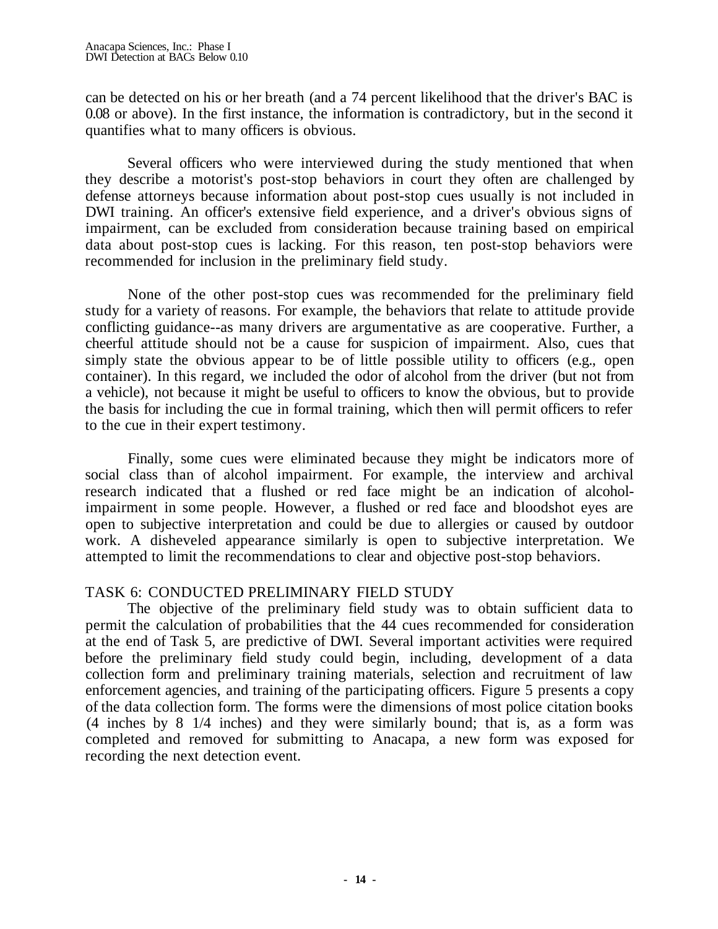can be detected on his or her breath (and a 74 percent likelihood that the driver's BAC is 0.08 or above). In the first instance, the information is contradictory, but in the second it quantifies what to many officers is obvious.

Several officers who were interviewed during the study mentioned that when they describe a motorist's post-stop behaviors in court they often are challenged by defense attorneys because information about post-stop cues usually is not included in DWI training. An officer's extensive field experience, and a driver's obvious signs of impairment, can be excluded from consideration because training based on empirical data about post-stop cues is lacking. For this reason, ten post-stop behaviors were recommended for inclusion in the preliminary field study.

None of the other post-stop cues was recommended for the preliminary field study for a variety of reasons. For example, the behaviors that relate to attitude provide conflicting guidance--as many drivers are argumentative as are cooperative. Further, a cheerful attitude should not be a cause for suspicion of impairment. Also, cues that simply state the obvious appear to be of little possible utility to officers (e.g., open container). In this regard, we included the odor of alcohol from the driver (but not from a vehicle), not because it might be useful to officers to know the obvious, but to provide the basis for including the cue in formal training, which then will permit officers to refer to the cue in their expert testimony.

Finally, some cues were eliminated because they might be indicators more of social class than of alcohol impairment. For example, the interview and archival research indicated that a flushed or red face might be an indication of alcoholimpairment in some people. However, a flushed or red face and bloodshot eyes are open to subjective interpretation and could be due to allergies or caused by outdoor work. A disheveled appearance similarly is open to subjective interpretation. We attempted to limit the recommendations to clear and objective post-stop behaviors.

# TASK 6: CONDUCTED PRELIMINARY FIELD STUDY

The objective of the preliminary field study was to obtain sufficient data to permit the calculation of probabilities that the 44 cues recommended for consideration at the end of Task 5, are predictive of DWI. Several important activities were required before the preliminary field study could begin, including, development of a data collection form and preliminary training materials, selection and recruitment of law enforcement agencies, and training of the participating officers. Figure 5 presents a copy of the data collection form. The forms were the dimensions of most police citation books (4 inches by 8 1/4 inches) and they were similarly bound; that is, as a form was completed and removed for submitting to Anacapa, a new form was exposed for recording the next detection event.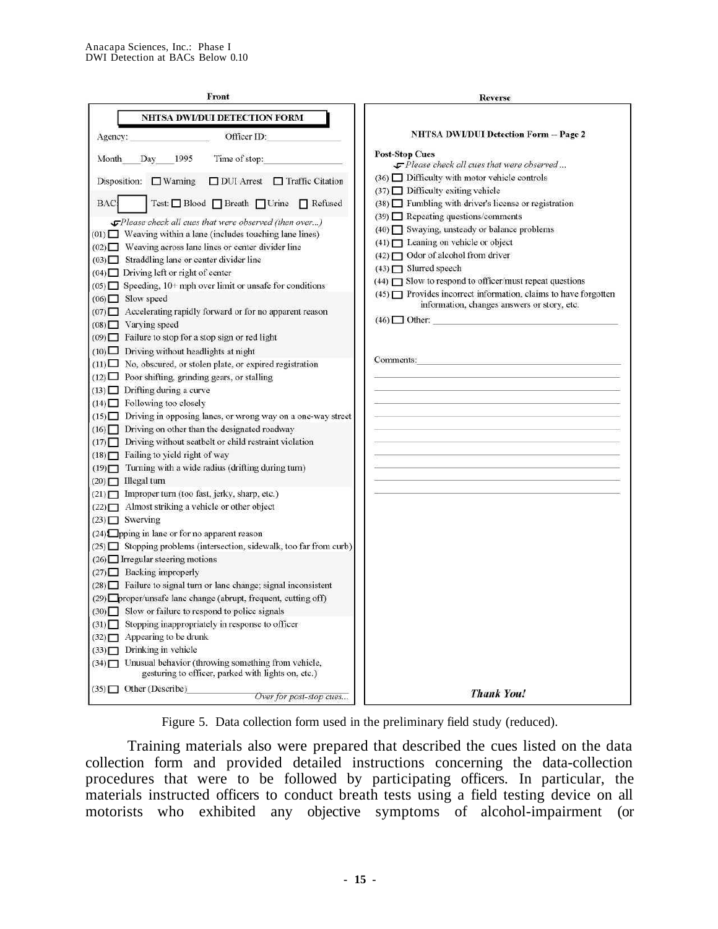| Front                                                                                                            | <b>Reverse</b>                                                                 |
|------------------------------------------------------------------------------------------------------------------|--------------------------------------------------------------------------------|
| NHTSA DWI/DUI DETECTION FORM                                                                                     |                                                                                |
| Officer ID:<br>Agency:                                                                                           | <b>NHTSA DWI/DUI Detection Form - Page 2</b>                                   |
| Time of stop:<br>1995<br>Month<br>Day                                                                            | <b>Post-Stop Cues</b><br>$\mathcal F$ Please check all cues that were observed |
| □ DUI Arrest □ Traffic Citation<br>Disposition: $\Box$ Warning                                                   | $(36)$ $\Box$ Difficulty with motor vehicle controls                           |
|                                                                                                                  | $(37)$ Difficulty exiting vehicle                                              |
| Test: □ Blood □ Breath □ Urine □ Refused<br>BAC:                                                                 | $(38)$ $\Box$ Fumbling with driver's license or registration                   |
| $\mathcal{F}$ Please check all cues that were observed (then over)                                               | (39) □ Repeating questions/comments                                            |
| $(01)$ Weaving within a lane (includes touching lane lines)                                                      | $(40)$ $\Box$ Swaying, unsteady or balance problems                            |
| $(02)$ Weaving across lane lines or center divider line                                                          | $(41)$ [ Leaning on vehicle or object                                          |
| $(03)$ Straddling lane or center divider line                                                                    | $(42)$ Odor of alcohol from driver                                             |
| $(04)$ Driving left or right of center                                                                           | $(43)$ Slurred speech                                                          |
| $(05)$ Speeding, 10+ mph over limit or unsafe for conditions                                                     | (44) □ Slow to respond to officer/must repeat questions                        |
| $(06)$ Slow speed                                                                                                | $(45)$ Provides incorrect information, claims to have forgotten                |
| (07) △ Accelerating rapidly forward or for no apparent reason                                                    | information, changes answers or story, etc.                                    |
| $(08)$ Varying speed                                                                                             | $(46)$ Other:                                                                  |
| (09) ■ Failure to stop for a stop sign or red light                                                              |                                                                                |
| $(10)$ Driving without headlights at night                                                                       |                                                                                |
| $(11)$ No, obscured, or stolen plate, or expired registration                                                    | Comments:                                                                      |
| $(12)$ Poor shifting, grinding gears, or stalling                                                                |                                                                                |
| $(13)$ $\Box$ Drifting during a curve                                                                            |                                                                                |
| $(14)$ Following too closely                                                                                     |                                                                                |
| $(15)$ Driving in opposing lanes, or wrong way on a one-way street                                               |                                                                                |
| $(16)$ Driving on other than the designated roadway                                                              |                                                                                |
| $(17)$ Driving without seatbelt or child restraint violation                                                     |                                                                                |
| $(18)$ Failing to yield right of way                                                                             |                                                                                |
| $(19)$ Turning with a wide radius (drifting during turn)                                                         |                                                                                |
| $(20)$ Illegal turn                                                                                              |                                                                                |
| $(21)$ Improper turn (too fast, jerky, sharp, etc.)                                                              |                                                                                |
| $(22)$ Almost striking a vehicle or other object                                                                 |                                                                                |
| $(23)$ Swerving                                                                                                  |                                                                                |
| (24) pping in lane or for no apparent reason                                                                     |                                                                                |
| $(25)$ Stopping problems (intersection, sidewalk, too far from curb)                                             |                                                                                |
| $(26)$ Irregular steering motions                                                                                |                                                                                |
| $(27)$ Backing improperly                                                                                        |                                                                                |
| $(28)$ Failure to signal turn or lane change; signal inconsistent                                                |                                                                                |
| (29) □ proper/unsafe lane change (abrupt, frequent, cutting off)                                                 |                                                                                |
| $(30)$ Slow or failure to respond to police signals                                                              |                                                                                |
| Stopping inappropriately in response to officer<br>(31)                                                          |                                                                                |
| Appearing to be drunk<br>(32)                                                                                    |                                                                                |
| Drinking in vehicle<br>$(33)\Box$                                                                                |                                                                                |
| Unusual behavior (throwing something from vehicle,<br>(34)<br>gesturing to officer, parked with lights on, etc.) |                                                                                |
| $(35)$ Other (Describe)                                                                                          | <b>Thank You!</b>                                                              |
| Over for post-stop cues                                                                                          |                                                                                |

Figure 5. Data collection form used in the preliminary field study (reduced).

Training materials also were prepared that described the cues listed on the data collection form and provided detailed instructions concerning the data-collection procedures that were to be followed by participating officers. In particular, the materials instructed officers to conduct breath tests using a field testing device on all motorists who exhibited any objective symptoms of alcohol-impairment (or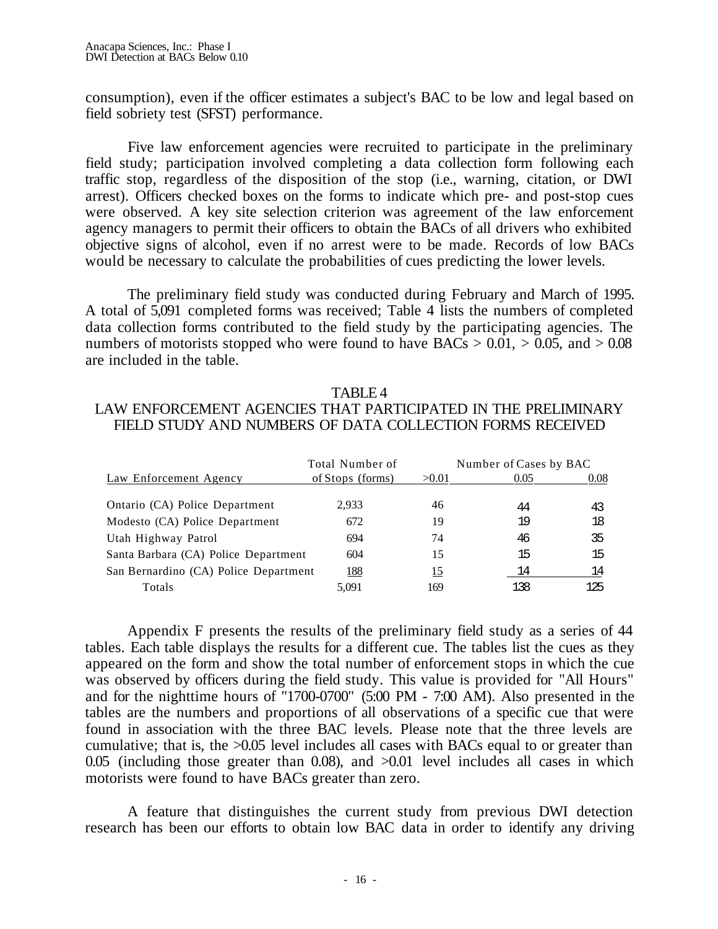consumption), even if the officer estimates a subject's BAC to be low and legal based on field sobriety test (SFST) performance.

Five law enforcement agencies were recruited to participate in the preliminary field study; participation involved completing a data collection form following each traffic stop, regardless of the disposition of the stop (i.e., warning, citation, or DWI arrest). Officers checked boxes on the forms to indicate which pre- and post-stop cues were observed. A key site selection criterion was agreement of the law enforcement agency managers to permit their officers to obtain the BACs of all drivers who exhibited objective signs of alcohol, even if no arrest were to be made. Records of low BACs would be necessary to calculate the probabilities of cues predicting the lower levels.

The preliminary field study was conducted during February and March of 1995. A total of 5,091 completed forms was received; Table 4 lists the numbers of completed data collection forms contributed to the field study by the participating agencies. The numbers of motorists stopped who were found to have BACs  $> 0.01, > 0.05$ , and  $> 0.08$ are included in the table.

### TABLE 4

### LAW ENFORCEMENT AGENCIES THAT PARTICIPATED IN THE PRELIMINARY FIELD STUDY AND NUMBERS OF DATA COLLECTION FORMS RECEIVED

|                                       | Total Number of  |       | Number of Cases by BAC |      |  |
|---------------------------------------|------------------|-------|------------------------|------|--|
| Law Enforcement Agency                | of Stops (forms) | >0.01 | 0.05                   | 0.08 |  |
| Ontario (CA) Police Department        | 2.933            | 46    | 44                     | 43   |  |
| Modesto (CA) Police Department        | 672              | 19    | 19                     | 18   |  |
| Utah Highway Patrol                   | 694              | 74    | 46                     | 35   |  |
| Santa Barbara (CA) Police Department  | 604              | 15    | 15                     | 15   |  |
| San Bernardino (CA) Police Department | 188              | 15    | 14                     | 14   |  |
| Totals                                | 5.091            | 169   | 138                    | 125  |  |

Appendix F presents the results of the preliminary field study as a series of 44 tables. Each table displays the results for a different cue. The tables list the cues as they appeared on the form and show the total number of enforcement stops in which the cue was observed by officers during the field study. This value is provided for "All Hours" and for the nighttime hours of "1700-0700" (5:00 PM - 7:00 AM). Also presented in the tables are the numbers and proportions of all observations of a specific cue that were found in association with the three BAC levels. Please note that the three levels are cumulative; that is, the >0.05 level includes all cases with BACs equal to or greater than 0.05 (including those greater than 0.08), and >0.01 level includes all cases in which motorists were found to have BACs greater than zero.

A feature that distinguishes the current study from previous DWI detection research has been our efforts to obtain low BAC data in order to identify any driving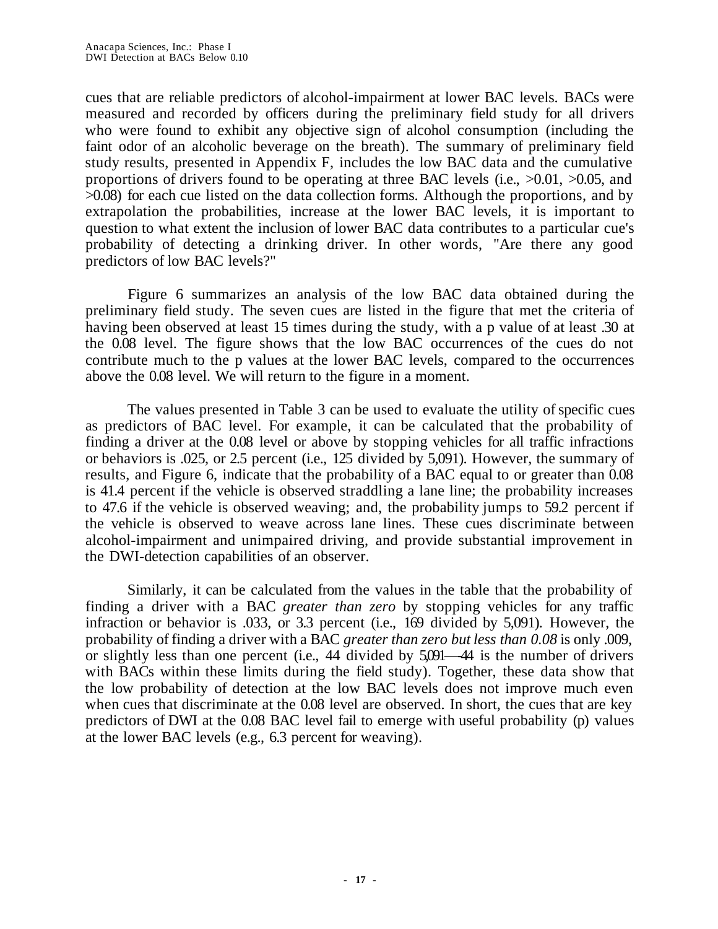cues that are reliable predictors of alcohol-impairment at lower BAC levels. BACs were measured and recorded by officers during the preliminary field study for all drivers who were found to exhibit any objective sign of alcohol consumption (including the faint odor of an alcoholic beverage on the breath). The summary of preliminary field study results, presented in Appendix F, includes the low BAC data and the cumulative proportions of drivers found to be operating at three BAC levels (i.e., >0.01, >0.05, and  $>0.08$ ) for each cue listed on the data collection forms. Although the proportions, and by extrapolation the probabilities, increase at the lower BAC levels, it is important to question to what extent the inclusion of lower BAC data contributes to a particular cue's probability of detecting a drinking driver. In other words, "Are there any good predictors of low BAC levels?"

Figure 6 summarizes an analysis of the low BAC data obtained during the preliminary field study. The seven cues are listed in the figure that met the criteria of having been observed at least 15 times during the study, with a p value of at least .30 at the 0.08 level. The figure shows that the low BAC occurrences of the cues do not contribute much to the p values at the lower BAC levels, compared to the occurrences above the 0.08 level. We will return to the figure in a moment.

The values presented in Table 3 can be used to evaluate the utility of specific cues as predictors of BAC level. For example, it can be calculated that the probability of finding a driver at the 0.08 level or above by stopping vehicles for all traffic infractions or behaviors is .025, or 2.5 percent (i.e., 125 divided by 5,091). However, the summary of results, and Figure 6, indicate that the probability of a BAC equal to or greater than 0.08 is 41.4 percent if the vehicle is observed straddling a lane line; the probability increases to 47.6 if the vehicle is observed weaving; and, the probability jumps to 59.2 percent if the vehicle is observed to weave across lane lines. These cues discriminate between alcohol-impairment and unimpaired driving, and provide substantial improvement in the DWI-detection capabilities of an observer.

Similarly, it can be calculated from the values in the table that the probability of finding a driver with a BAC *greater than zero* by stopping vehicles for any traffic infraction or behavior is .033, or 3.3 percent (i.e., 169 divided by 5,091). However, the probability of finding a driver with a BAC *greater than zero but less than 0.08* is only .009, or slightly less than one percent (i.e., 44 divided by 5,091—-44 is the number of drivers with BACs within these limits during the field study). Together, these data show that the low probability of detection at the low BAC levels does not improve much even when cues that discriminate at the 0.08 level are observed. In short, the cues that are key predictors of DWI at the 0.08 BAC level fail to emerge with useful probability (p) values at the lower BAC levels (e.g., 6.3 percent for weaving).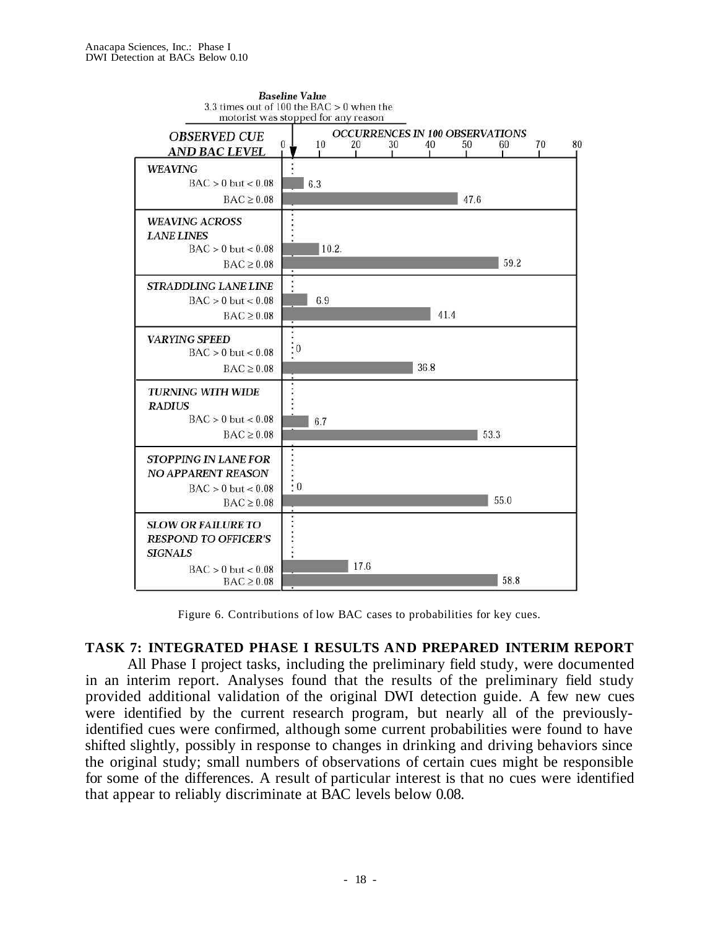

Figure 6. Contributions of low BAC cases to probabilities for key cues.

## **TASK 7: INTEGRATED PHASE I RESULTS AND PREPARED INTERIM REPORT**

All Phase I project tasks, including the preliminary field study, were documented in an interim report. Analyses found that the results of the preliminary field study provided additional validation of the original DWI detection guide. A few new cues were identified by the current research program, but nearly all of the previouslyidentified cues were confirmed, although some current probabilities were found to have shifted slightly, possibly in response to changes in drinking and driving behaviors since the original study; small numbers of observations of certain cues might be responsible for some of the differences. A result of particular interest is that no cues were identified that appear to reliably discriminate at BAC levels below 0.08.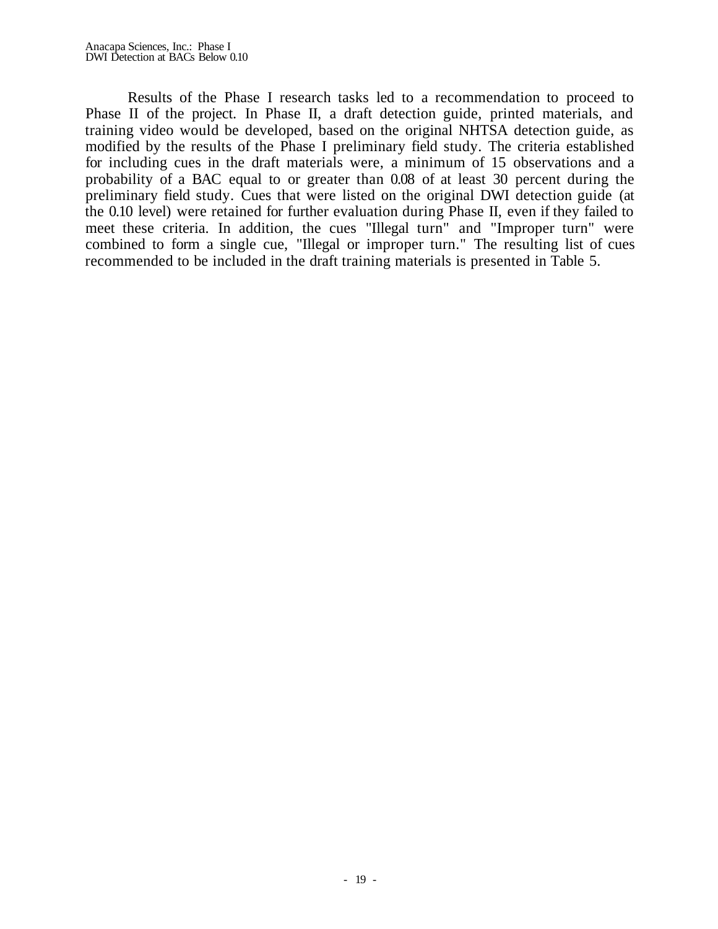Results of the Phase I research tasks led to a recommendation to proceed to Phase II of the project. In Phase II, a draft detection guide, printed materials, and training video would be developed, based on the original NHTSA detection guide, as modified by the results of the Phase I preliminary field study. The criteria established for including cues in the draft materials were, a minimum of 15 observations and a probability of a BAC equal to or greater than 0.08 of at least 30 percent during the preliminary field study. Cues that were listed on the original DWI detection guide (at the 0.10 level) were retained for further evaluation during Phase II, even if they failed to meet these criteria. In addition, the cues "Illegal turn" and "Improper turn" were combined to form a single cue, "Illegal or improper turn." The resulting list of cues recommended to be included in the draft training materials is presented in Table 5.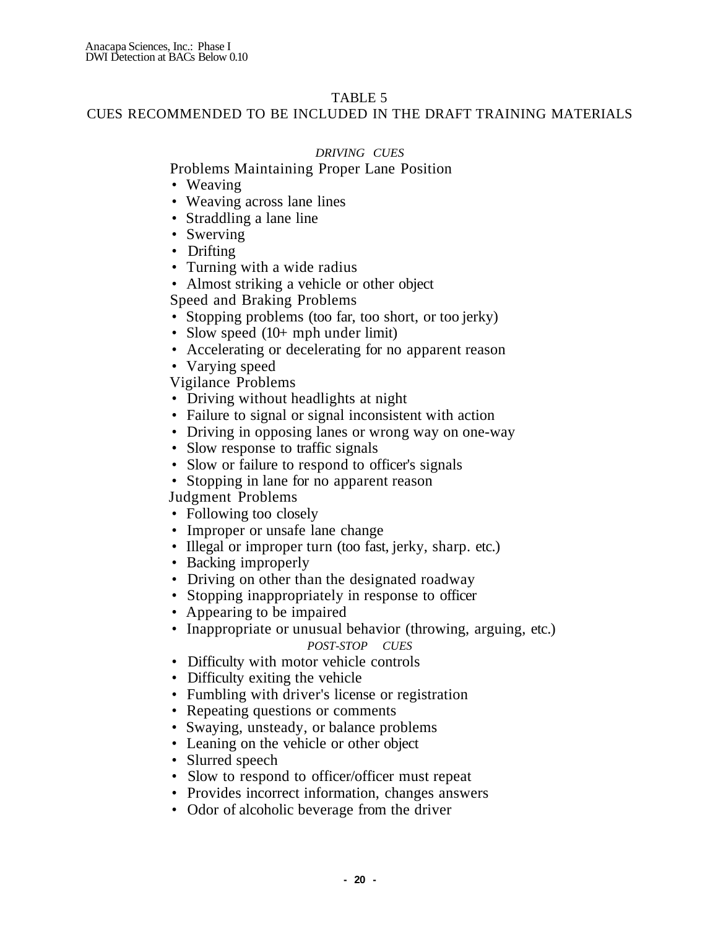## TABLE 5

### CUES RECOMMENDED TO BE INCLUDED IN THE DRAFT TRAINING MATERIALS

#### *DRIVING CUES*

Problems Maintaining Proper Lane Position

- Weaving
- Weaving across lane lines
- Straddling a lane line
- Swerving
- Drifting
- Turning with a wide radius
- Almost striking a vehicle or other object
- Speed and Braking Problems
- Stopping problems (too far, too short, or too jerky)
- Slow speed (10+ mph under limit)
- Accelerating or decelerating for no apparent reason
- Varying speed

Vigilance Problems

- Driving without headlights at night
- Failure to signal or signal inconsistent with action
- Driving in opposing lanes or wrong way on one-way
- Slow response to traffic signals
- Slow or failure to respond to officer's signals
- Stopping in lane for no apparent reason
- Judgment Problems
- Following too closely
- Improper or unsafe lane change
- Illegal or improper turn (too fast, jerky, sharp. etc.)
- Backing improperly
- Driving on other than the designated roadway
- Stopping inappropriately in response to officer
- Appearing to be impaired
- Inappropriate or unusual behavior (throwing, arguing, etc.)

### *POST-STOP CUES*

- Difficulty with motor vehicle controls
- Difficulty exiting the vehicle
- Fumbling with driver's license or registration
- Repeating questions or comments
- Swaying, unsteady, or balance problems
- Leaning on the vehicle or other object
- Slurred speech
- Slow to respond to officer/officer must repeat
- Provides incorrect information, changes answers
- Odor of alcoholic beverage from the driver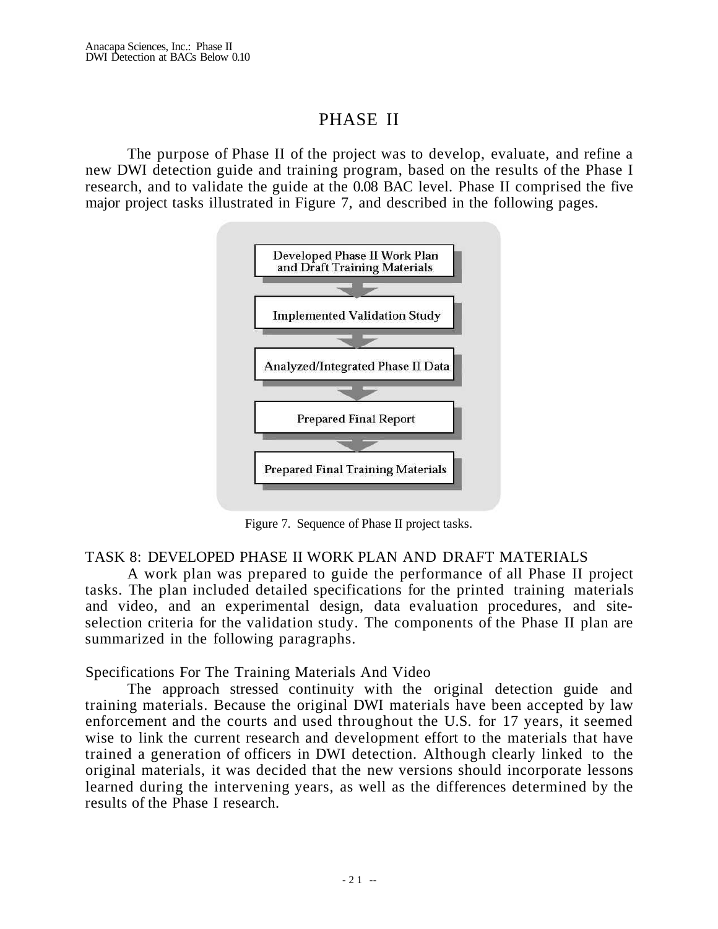# PHASE II

The purpose of Phase II of the project was to develop, evaluate, and refine a new DWI detection guide and training program, based on the results of the Phase I research, and to validate the guide at the 0.08 BAC level. Phase II comprised the five major project tasks illustrated in Figure 7, and described in the following pages.



Figure 7. Sequence of Phase II project tasks.

## TASK 8: DEVELOPED PHASE II WORK PLAN AND DRAFT MATERIALS

A work plan was prepared to guide the performance of all Phase II project tasks. The plan included detailed specifications for the printed training materials and video, and an experimental design, data evaluation procedures, and siteselection criteria for the validation study. The components of the Phase II plan are summarized in the following paragraphs.

Specifications For The Training Materials And Video

The approach stressed continuity with the original detection guide and training materials. Because the original DWI materials have been accepted by law enforcement and the courts and used throughout the U.S. for 17 years, it seemed wise to link the current research and development effort to the materials that have trained a generation of officers in DWI detection. Although clearly linked to the original materials, it was decided that the new versions should incorporate lessons learned during the intervening years, as well as the differences determined by the results of the Phase I research.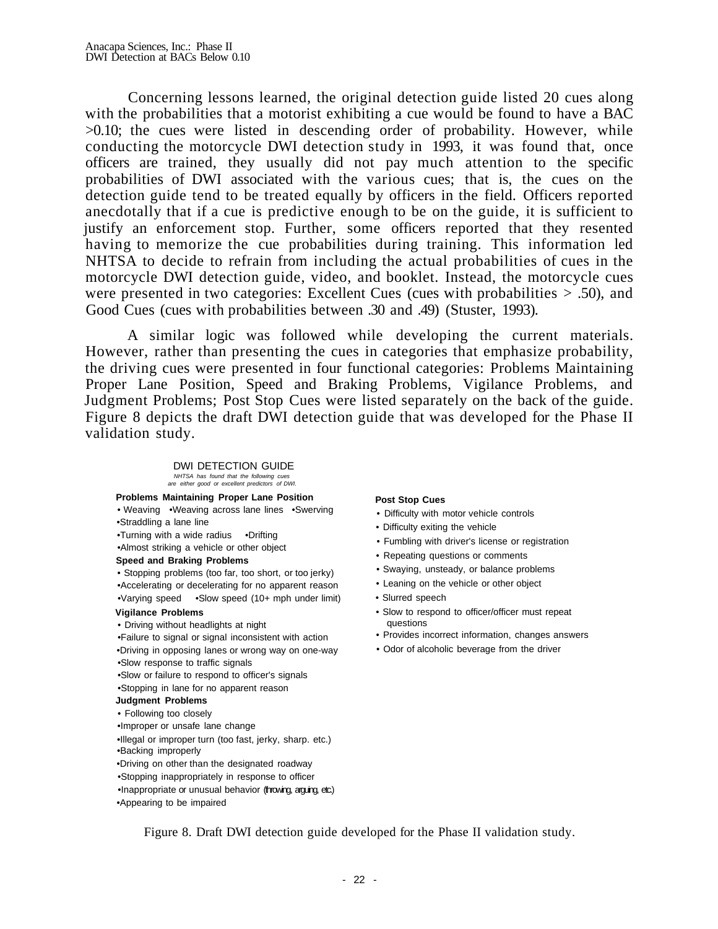Concerning lessons learned, the original detection guide listed 20 cues along with the probabilities that a motorist exhibiting a cue would be found to have a BAC >0.10; the cues were listed in descending order of probability. However, while conducting the motorcycle DWI detection study in 1993, it was found that, once officers are trained, they usually did not pay much attention to the specific probabilities of DWI associated with the various cues; that is, the cues on the detection guide tend to be treated equally by officers in the field. Officers reported anecdotally that if a cue is predictive enough to be on the guide, it is sufficient to justify an enforcement stop. Further, some officers reported that they resented having to memorize the cue probabilities during training. This information led NHTSA to decide to refrain from including the actual probabilities of cues in the motorcycle DWI detection guide, video, and booklet. Instead, the motorcycle cues were presented in two categories: Excellent Cues (cues with probabilities > .50), and Good Cues (cues with probabilities between .30 and .49) (Stuster, 1993).

A similar logic was followed while developing the current materials. However, rather than presenting the cues in categories that emphasize probability, the driving cues were presented in four functional categories: Problems Maintaining Proper Lane Position, Speed and Braking Problems, Vigilance Problems, and Judgment Problems; Post Stop Cues were listed separately on the back of the guide. Figure 8 depicts the draft DWI detection guide that was developed for the Phase II validation study.

> DWI DETECTION GUIDE NHTSA has found that the following cues are either good or excellent predictors of DWI.

#### **Problems Maintaining Proper Lane Position**

• Weaving •Weaving across lane lines •Swerving •Straddling a lane line

- •Turning with a wide radius •Drifting
- •Almost striking a vehicle or other object
- **Speed and Braking Problems**

• Stopping problems (too far, too short, or too jerky) •Accelerating or decelerating for no apparent reason •Varying speed •Slow speed (10+ mph under limit)

#### **Vigilance Problems**

- Driving without headlights at night
- •Failure to signal or signal inconsistent with action
- •Driving in opposing lanes or wrong way on one-way
- •Slow response to traffic signals
- •Slow or failure to respond to officer's signals
- •Stopping in lane for no apparent reason

#### **Judgment Problems**

- Following too closely
- •Improper or unsafe lane change

•Illegal or improper turn (too fast, jerky, sharp. etc.)

- •Backing improperly
- •Driving on other than the designated roadway
- •Stopping inappropriately in response to officer
- •Inappropriate or unusual behavior (throwing, arguing, etc.)
- •Appearing to be impaired

#### **Post Stop Cues**

- Difficulty with motor vehicle controls
- Difficulty exiting the vehicle
- Fumbling with driver's license or registration
- Repeating questions or comments
- Swaying, unsteady, or balance problems
- Leaning on the vehicle or other object
- Slurred speech
- Slow to respond to officer/officer must repeat questions
- Provides incorrect information, changes answers
- Odor of alcoholic beverage from the driver

Figure 8. Draft DWI detection guide developed for the Phase II validation study.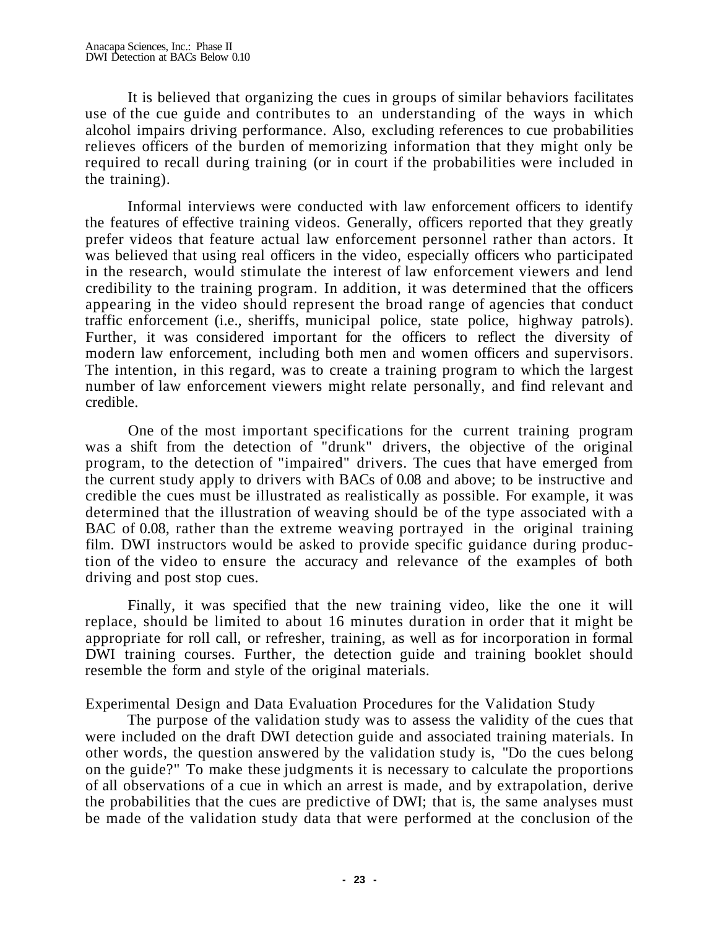It is believed that organizing the cues in groups of similar behaviors facilitates use of the cue guide and contributes to an understanding of the ways in which alcohol impairs driving performance. Also, excluding references to cue probabilities relieves officers of the burden of memorizing information that they might only be required to recall during training (or in court if the probabilities were included in the training).

Informal interviews were conducted with law enforcement officers to identify the features of effective training videos. Generally, officers reported that they greatly prefer videos that feature actual law enforcement personnel rather than actors. It was believed that using real officers in the video, especially officers who participated in the research, would stimulate the interest of law enforcement viewers and lend credibility to the training program. In addition, it was determined that the officers appearing in the video should represent the broad range of agencies that conduct traffic enforcement (i.e., sheriffs, municipal police, state police, highway patrols). Further, it was considered important for the officers to reflect the diversity of modern law enforcement, including both men and women officers and supervisors. The intention, in this regard, was to create a training program to which the largest number of law enforcement viewers might relate personally, and find relevant and credible.

One of the most important specifications for the current training program was a shift from the detection of "drunk" drivers, the objective of the original program, to the detection of "impaired" drivers. The cues that have emerged from the current study apply to drivers with BACs of 0.08 and above; to be instructive and credible the cues must be illustrated as realistically as possible. For example, it was determined that the illustration of weaving should be of the type associated with a BAC of 0.08, rather than the extreme weaving portrayed in the original training film. DWI instructors would be asked to provide specific guidance during production of the video to ensure the accuracy and relevance of the examples of both driving and post stop cues.

Finally, it was specified that the new training video, like the one it will replace, should be limited to about 16 minutes duration in order that it might be appropriate for roll call, or refresher, training, as well as for incorporation in formal DWI training courses. Further, the detection guide and training booklet should resemble the form and style of the original materials.

Experimental Design and Data Evaluation Procedures for the Validation Study

The purpose of the validation study was to assess the validity of the cues that were included on the draft DWI detection guide and associated training materials. In other words, the question answered by the validation study is, "Do the cues belong on the guide?" To make these judgments it is necessary to calculate the proportions of all observations of a cue in which an arrest is made, and by extrapolation, derive the probabilities that the cues are predictive of DWI; that is, the same analyses must be made of the validation study data that were performed at the conclusion of the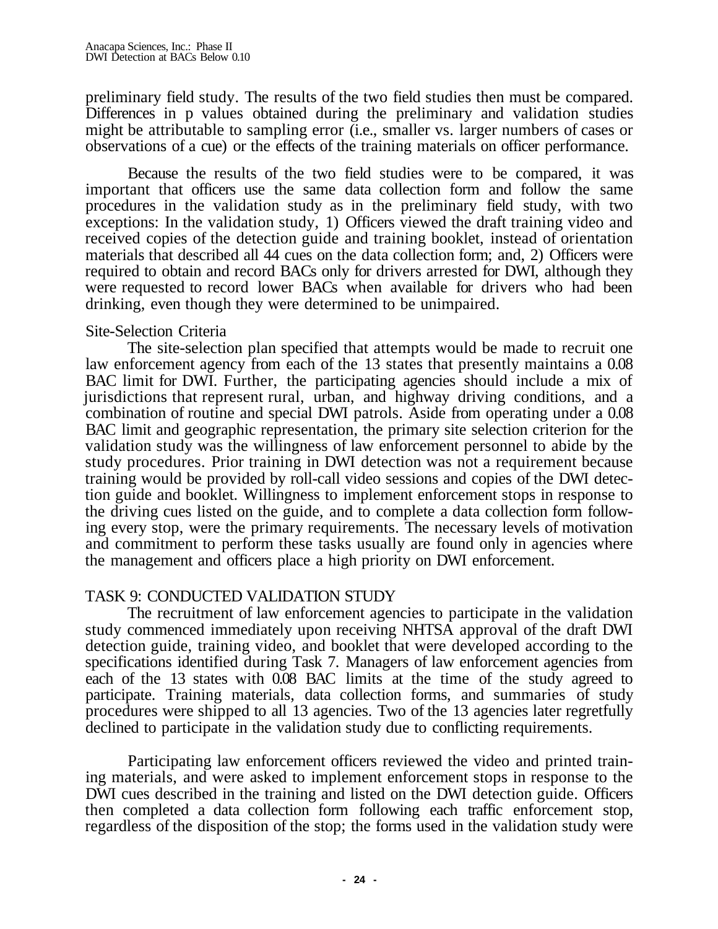preliminary field study. The results of the two field studies then must be compared. Differences in p values obtained during the preliminary and validation studies might be attributable to sampling error (i.e., smaller vs. larger numbers of cases or observations of a cue) or the effects of the training materials on officer performance.

Because the results of the two field studies were to be compared, it was important that officers use the same data collection form and follow the same procedures in the validation study as in the preliminary field study, with two exceptions: In the validation study, 1) Officers viewed the draft training video and received copies of the detection guide and training booklet, instead of orientation materials that described all 44 cues on the data collection form; and, 2) Officers were required to obtain and record BACs only for drivers arrested for DWI, although they were requested to record lower BACs when available for drivers who had been drinking, even though they were determined to be unimpaired.

# Site-Selection Criteria

The site-selection plan specified that attempts would be made to recruit one law enforcement agency from each of the 13 states that presently maintains a 0.08 BAC limit for DWI. Further, the participating agencies should include a mix of jurisdictions that represent rural, urban, and highway driving conditions, and a combination of routine and special DWI patrols. Aside from operating under a 0.08 BAC limit and geographic representation, the primary site selection criterion for the validation study was the willingness of law enforcement personnel to abide by the study procedures. Prior training in DWI detection was not a requirement because training would be provided by roll-call video sessions and copies of the DWI detection guide and booklet. Willingness to implement enforcement stops in response to the driving cues listed on the guide, and to complete a data collection form following every stop, were the primary requirements. The necessary levels of motivation and commitment to perform these tasks usually are found only in agencies where the management and officers place a high priority on DWI enforcement.

# TASK 9: CONDUCTED VALIDATION STUDY

The recruitment of law enforcement agencies to participate in the validation study commenced immediately upon receiving NHTSA approval of the draft DWI detection guide, training video, and booklet that were developed according to the specifications identified during Task 7. Managers of law enforcement agencies from each of the 13 states with 0.08 BAC limits at the time of the study agreed to participate. Training materials, data collection forms, and summaries of study procedures were shipped to all 13 agencies. Two of the 13 agencies later regretfully declined to participate in the validation study due to conflicting requirements.

Participating law enforcement officers reviewed the video and printed training materials, and were asked to implement enforcement stops in response to the DWI cues described in the training and listed on the DWI detection guide. Officers then completed a data collection form following each traffic enforcement stop, regardless of the disposition of the stop; the forms used in the validation study were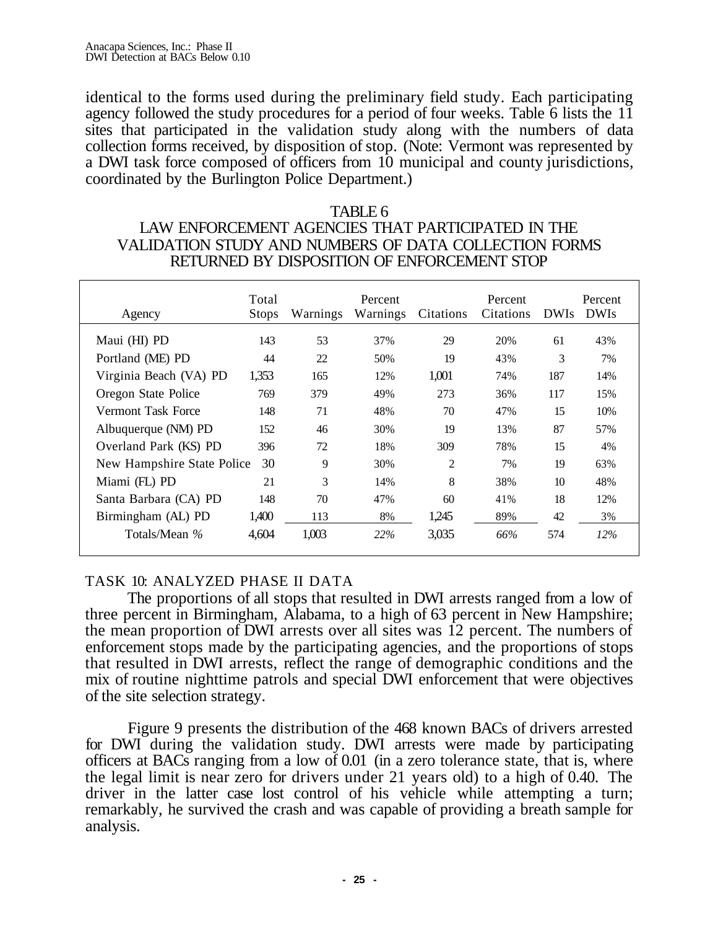identical to the forms used during the preliminary field study. Each participating agency followed the study procedures for a period of four weeks. Table 6 lists the 11 sites that participated in the validation study along with the numbers of data collection forms received, by disposition of stop. (Note: Vermont was represented by a DWI task force composed of officers from 10 municipal and county jurisdictions, coordinated by the Burlington Police Department.)

# TABLE 6 LAW ENFORCEMENT AGENCIES THAT PARTICIPATED IN THE VALIDATION STUDY AND NUMBERS OF DATA COLLECTION FORMS RETURNED BY DISPOSITION OF ENFORCEMENT STOP

| Agency                     | Total<br><b>Stops</b> | Warnings | Percent<br>Warnings | Citations      | Percent<br>Citations | <b>DWIs</b> | Percent<br><b>DWIs</b> |
|----------------------------|-----------------------|----------|---------------------|----------------|----------------------|-------------|------------------------|
| Maui (HI) PD               | 143                   | 53       | 37%                 | 29             | 20%                  | 61          | 43%                    |
| Portland (ME) PD           | 44                    | 22       | 50%                 | 19             | 43%                  | 3           | 7%                     |
| Virginia Beach (VA) PD     | 1,353                 | 165      | 12%                 | 1.001          | 74%                  | 187         | 14%                    |
| Oregon State Police        | 769                   | 379      | 49%                 | 273            | 36%                  | 117         | 15%                    |
| Vermont Task Force         | 148                   | 71       | 48%                 | 70             | 47%                  | 15          | 10%                    |
| Albuquerque (NM) PD        | 152                   | 46       | 30%                 | 19             | 13%                  | 87          | 57%                    |
| Overland Park (KS) PD      | 396                   | 72       | 18%                 | 309            | 78%                  | 15          | 4%                     |
| New Hampshire State Police | 30                    | 9        | 30%                 | $\mathfrak{D}$ | 7%                   | 19          | 63%                    |
| Miami (FL) PD              | 21                    | 3        | 14%                 | 8              | 38%                  | 10          | 48%                    |
| Santa Barbara (CA) PD      | 148                   | 70       | 47%                 | 60             | 41%                  | 18          | 12%                    |
| Birmingham (AL) PD         | 1,400                 | 113      | 8%                  | 1,245          | 89%                  | 42          | 3%                     |
| Totals/Mean %              | 4,604                 | 1,003    | 22%                 | 3,035          | 66%                  | 574         | 12%                    |

# TASK 10: ANALYZED PHASE II DATA

The proportions of all stops that resulted in DWI arrests ranged from a low of three percent in Birmingham, Alabama, to a high of 63 percent in New Hampshire; the mean proportion of DWI arrests over all sites was 12 percent. The numbers of enforcement stops made by the participating agencies, and the proportions of stops that resulted in DWI arrests, reflect the range of demographic conditions and the mix of routine nighttime patrols and special DWI enforcement that were objectives of the site selection strategy.

Figure 9 presents the distribution of the 468 known BACs of drivers arrested for DWI during the validation study. DWI arrests were made by participating officers at BACs ranging from a low of 0.01 (in a zero tolerance state, that is, where the legal limit is near zero for drivers under 21 years old) to a high of 0.40. The driver in the latter case lost control of his vehicle while attempting a turn; remarkably, he survived the crash and was capable of providing a breath sample for analysis.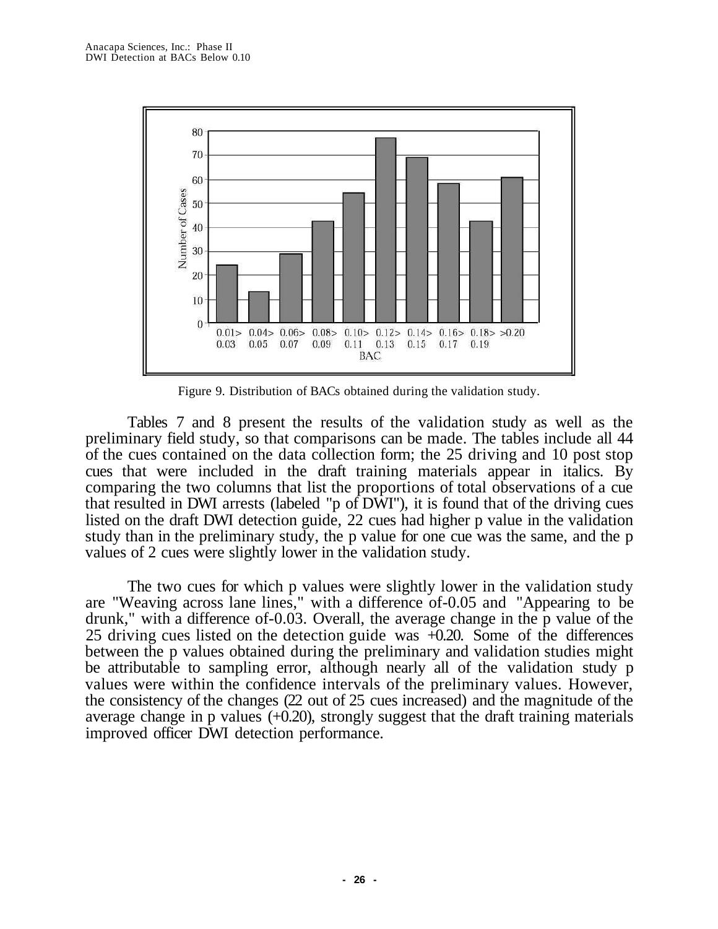

Figure 9. Distribution of BACs obtained during the validation study.

Tables 7 and 8 present the results of the validation study as well as the preliminary field study, so that comparisons can be made. The tables include all 44 of the cues contained on the data collection form; the 25 driving and 10 post stop cues that were included in the draft training materials appear in italics. By comparing the two columns that list the proportions of total observations of a cue that resulted in DWI arrests (labeled "p of DWI"), it is found that of the driving cues listed on the draft DWI detection guide, 22 cues had higher p value in the validation study than in the preliminary study, the p value for one cue was the same, and the p values of 2 cues were slightly lower in the validation study.

The two cues for which p values were slightly lower in the validation study are "Weaving across lane lines," with a difference of-0.05 and "Appearing to be drunk," with a difference of-0.03. Overall, the average change in the p value of the 25 driving cues listed on the detection guide was  $+0.20$ . Some of the differences between the p values obtained during the preliminary and validation studies might be attributable to sampling error, although nearly all of the validation study p values were within the confidence intervals of the preliminary values. However, the consistency of the changes (22 out of 25 cues increased) and the magnitude of the average change in p values (+0.20), strongly suggest that the draft training materials improved officer DWI detection performance.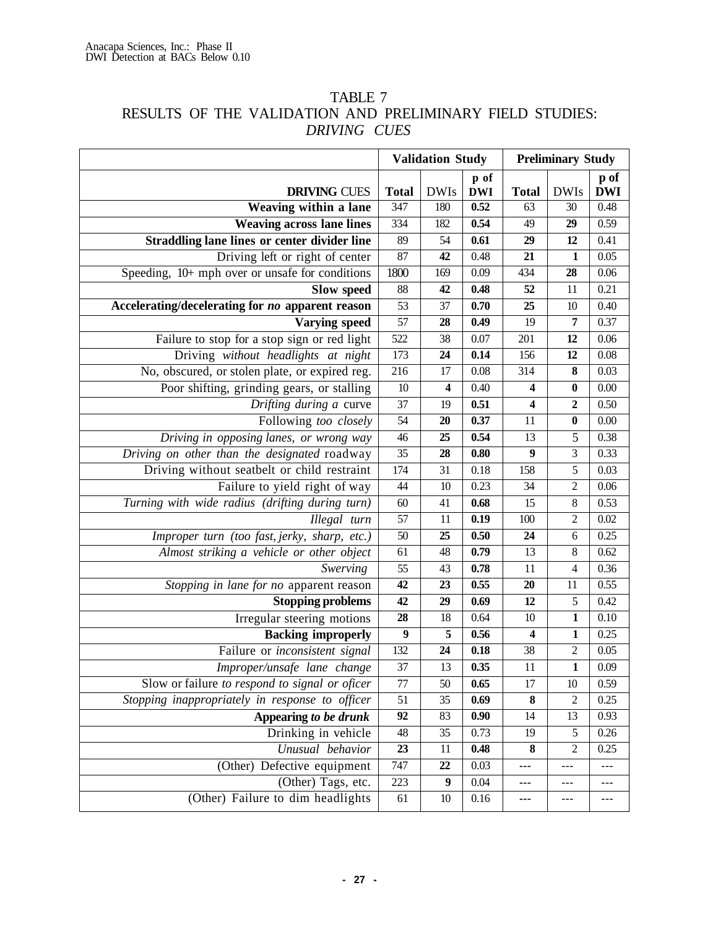| TABLE 7      |  |  |                                                          |  |  |  |  |  |
|--------------|--|--|----------------------------------------------------------|--|--|--|--|--|
|              |  |  | RESULTS OF THE VALIDATION AND PRELIMINARY FIELD STUDIES: |  |  |  |  |  |
| DRIVING CUES |  |  |                                                          |  |  |  |  |  |

|                                                                                         | <b>Validation Study</b> |                  | <b>Preliminary Study</b> |              |                  |              |
|-----------------------------------------------------------------------------------------|-------------------------|------------------|--------------------------|--------------|------------------|--------------|
|                                                                                         |                         |                  | p of                     |              |                  | p of         |
| <b>DRIVING CUES</b>                                                                     | <b>Total</b>            | <b>DWIs</b>      | <b>DWI</b>               | <b>Total</b> | <b>DWIs</b>      | <b>DWI</b>   |
| Weaving within a lane                                                                   | 347                     | 180              | 0.52                     | 63           | 30               | 0.48         |
| <b>Weaving across lane lines</b>                                                        | 334                     | 182              | 0.54                     | 49           | 29               | 0.59         |
| Straddling lane lines or center divider line                                            | 89                      | 54               | 0.61                     | 29           | 12               | 0.41         |
| Driving left or right of center                                                         | 87                      | 42               | 0.48                     | 21           | $\mathbf{1}$     | 0.05         |
| Speeding, 10+ mph over or unsafe for conditions                                         | 1800                    | 169              | 0.09                     | 434          | 28               | 0.06         |
| Slow speed                                                                              | 88                      | 42               | 0.48                     | 52           | 11               | 0.21         |
| Accelerating/decelerating for no apparent reason                                        | 53<br>57                | 37<br>28         | 0.70<br>0.49             | 25<br>19     | 10<br>7          | 0.40<br>0.37 |
| Varying speed                                                                           |                         |                  |                          |              | 12               |              |
| Failure to stop for a stop sign or red light                                            | 522                     | 38               | 0.07                     | 201          |                  | 0.06         |
| Driving without headlights at night                                                     | 173<br>216              | 24<br>17         | 0.14                     | 156          | 12<br>8          | 0.08<br>0.03 |
| No, obscured, or stolen plate, or expired reg.                                          |                         |                  | 0.08                     | 314          | $\bf{0}$         |              |
| Poor shifting, grinding gears, or stalling                                              | 10                      | 4                | 0.40                     | 4            | $\boldsymbol{2}$ | 0.00<br>0.50 |
| Drifting during a curve                                                                 | 37<br>54                | 19<br>20         | 0.51<br>0.37             | 4<br>11      | $\bf{0}$         | 0.00         |
| Following too closely                                                                   | 46                      | 25               | 0.54                     | 13           | 5                | 0.38         |
| Driving in opposing lanes, or wrong way<br>Driving on other than the designated roadway | 35                      | 28               | 0.80                     | 9            | 3                | 0.33         |
| Driving without seatbelt or child restraint                                             | 174                     | 31               | 0.18                     | 158          | 5                | 0.03         |
| Failure to yield right of way                                                           | 44                      | 10               | 0.23                     | 34           | $\overline{2}$   | 0.06         |
| Turning with wide radius (drifting during turn)                                         | 60                      | 41               | 0.68                     | 15           | 8                | 0.53         |
| Illegal turn                                                                            | 57                      | $\overline{11}$  | 0.19                     | 100          | $\overline{2}$   | 0.02         |
| Improper turn (too fast, jerky, sharp, etc.)                                            | 50                      | 25               | 0.50                     | 24           | 6                | 0.25         |
| Almost striking a vehicle or other object                                               | 61                      | 48               | 0.79                     | 13           | 8                | 0.62         |
| Swerving                                                                                | 55                      | 43               | 0.78                     | 11           | 4                | 0.36         |
| Stopping in lane for no apparent reason                                                 | 42                      | 23               | 0.55                     | 20           | 11               | 0.55         |
| <b>Stopping problems</b>                                                                | 42                      | 29               | 0.69                     | 12           | 5                | 0.42         |
| Irregular steering motions                                                              | 28                      | 18               | 0.64                     | 10           | $\mathbf{1}$     | 0.10         |
| <b>Backing improperly</b>                                                               | $\boldsymbol{9}$        | 5                | 0.56                     | 4            | 1                | 0.25         |
| Failure or <i>inconsistent</i> signal                                                   | 132                     | 24               | 0.18                     | 38           | $\overline{2}$   | 0.05         |
| Improper/unsafe lane change                                                             | 37                      | 13               | 0.35                     | 11           | $\mathbf{1}$     | 0.09         |
| Slow or failure to respond to signal or oficer                                          | 77                      | 50               | 0.65                     | 17           | 10               | 0.59         |
| Stopping inappropriately in response to officer                                         | 51                      | 35               | 0.69                     | 8            | $\mathfrak{2}$   | 0.25         |
| Appearing to be drunk                                                                   | 92                      | 83               | 0.90                     | 14           | 13               | 0.93         |
| Drinking in vehicle                                                                     | 48                      | 35               | 0.73                     | 19           | 5                | 0.26         |
| Unusual behavior                                                                        | 23                      | 11               | 0.48                     | 8            | $\mathfrak{2}$   | 0.25         |
| (Other) Defective equipment                                                             | 747                     | 22               | 0.03                     |              | ---              |              |
| (Other) Tags, etc.                                                                      | 223                     | $\boldsymbol{9}$ | 0.04                     |              |                  | $---$        |
| (Other) Failure to dim headlights                                                       | 61                      | 10               | 0.16                     | ---          | ---              | $---$        |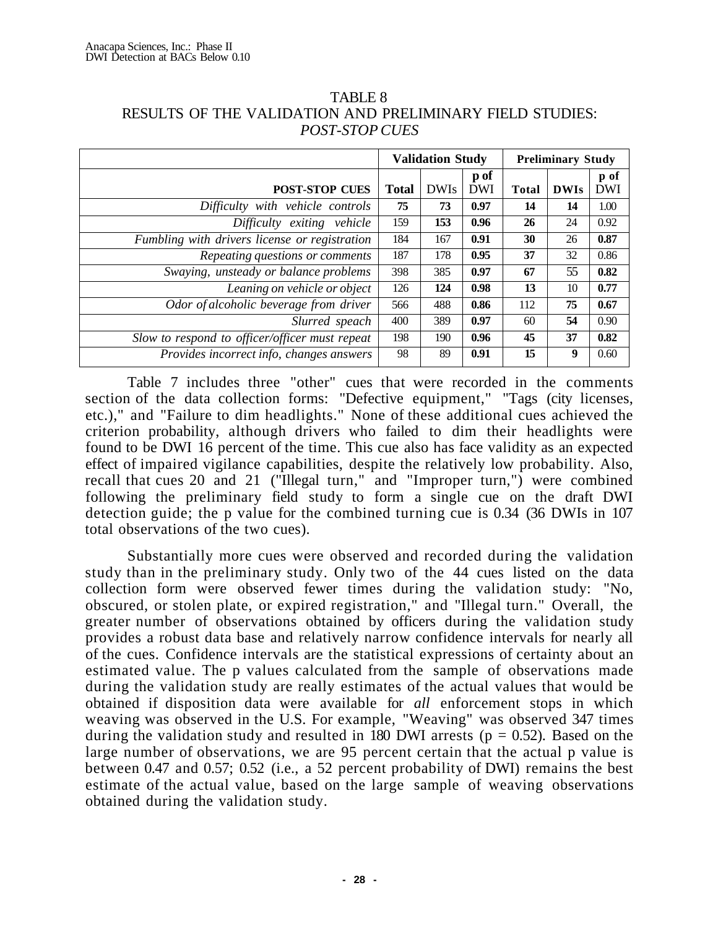|                                                | <b>Validation Study</b> |             | <b>Preliminary Study</b> |              |             |                    |
|------------------------------------------------|-------------------------|-------------|--------------------------|--------------|-------------|--------------------|
| <b>POST-STOP CUES</b>                          | <b>Total</b>            | <b>DWIs</b> | p of<br><b>DWI</b>       | <b>Total</b> | <b>DWIs</b> | p of<br><b>DWI</b> |
| Difficulty with vehicle controls               | 75                      | 73          | 0.97                     | 14           | 14          | 1.00               |
| Difficulty exiting vehicle                     | 159                     | 153         | 0.96                     | 26           | 24          | 0.92               |
| Fumbling with drivers license or registration  | 184                     | 167         | 0.91                     | 30           | 26          | 0.87               |
| Repeating questions or comments                | 187                     | 178         | 0.95                     | 37           | 32          | 0.86               |
| Swaying, unsteady or balance problems          | 398                     | 385         | 0.97                     | 67           | 55          | 0.82               |
| Leaning on vehicle or object                   | 126                     | 124         | 0.98                     | 13           | 10          | 0.77               |
| Odor of alcoholic beverage from driver         | 566                     | 488         | 0.86                     | 112          | 75          | 0.67               |
| Slurred speach                                 | 400                     | 389         | 0.97                     | 60           | 54          | 0.90               |
| Slow to respond to officer/officer must repeat | 198                     | 190         | 0.96                     | 45           | 37          | 0.82               |
| Provides incorrect info, changes answers       | 98                      | 89          | 0.91                     | 15           | 9           | 0.60               |

### TABLE 8 RESULTS OF THE VALIDATION AND PRELIMINARY FIELD STUDIES: *POST-STOP CUES*

Table 7 includes three "other" cues that were recorded in the comments section of the data collection forms: "Defective equipment," "Tags (city licenses, etc.)," and "Failure to dim headlights." None of these additional cues achieved the criterion probability, although drivers who failed to dim their headlights were found to be DWI 16 percent of the time. This cue also has face validity as an expected effect of impaired vigilance capabilities, despite the relatively low probability. Also, recall that cues 20 and 21 ("Illegal turn," and "Improper turn,") were combined following the preliminary field study to form a single cue on the draft DWI detection guide; the p value for the combined turning cue is 0.34 (36 DWIs in 107 total observations of the two cues).

Substantially more cues were observed and recorded during the validation study than in the preliminary study. Only two of the 44 cues listed on the data collection form were observed fewer times during the validation study: "No, obscured, or stolen plate, or expired registration," and "Illegal turn." Overall, the greater number of observations obtained by officers during the validation study provides a robust data base and relatively narrow confidence intervals for nearly all of the cues. Confidence intervals are the statistical expressions of certainty about an estimated value. The p values calculated from the sample of observations made during the validation study are really estimates of the actual values that would be obtained if disposition data were available for *all* enforcement stops in which weaving was observed in the U.S. For example, "Weaving" was observed 347 times during the validation study and resulted in 180 DWI arrests ( $p = 0.52$ ). Based on the large number of observations, we are 95 percent certain that the actual p value is between 0.47 and 0.57; 0.52 (i.e., a 52 percent probability of DWI) remains the best estimate of the actual value, based on the large sample of weaving observations obtained during the validation study.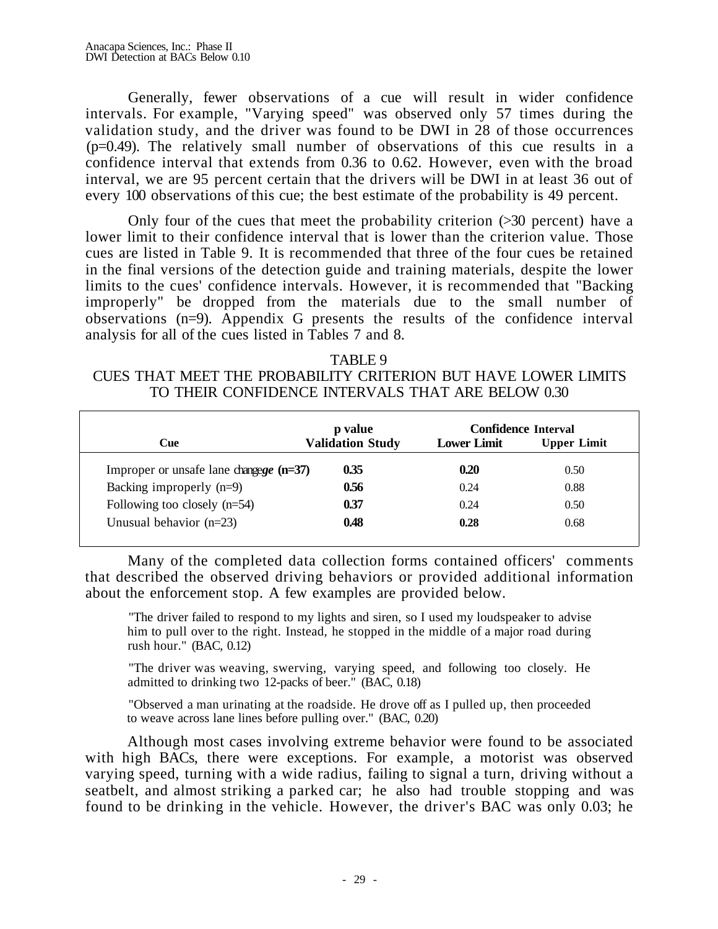Generally, fewer observations of a cue will result in wider confidence intervals. For example, "Varying speed" was observed only 57 times during the validation study, and the driver was found to be DWI in 28 of those occurrences (p=0.49). The relatively small number of observations of this cue results in a confidence interval that extends from 0.36 to 0.62. However, even with the broad interval, we are 95 percent certain that the drivers will be DWI in at least 36 out of every 100 observations of this cue; the best estimate of the probability is 49 percent.

Only four of the cues that meet the probability criterion (>30 percent) have a lower limit to their confidence interval that is lower than the criterion value. Those cues are listed in Table 9. It is recommended that three of the four cues be retained in the final versions of the detection guide and training materials, despite the lower limits to the cues' confidence intervals. However, it is recommended that "Backing improperly" be dropped from the materials due to the small number of observations (n=9). Appendix G presents the results of the confidence interval analysis for all of the cues listed in Tables 7 and 8.

TABLE 9 CUES THAT MEET THE PROBABILITY CRITERION BUT HAVE LOWER LIMITS TO THEIR CONFIDENCE INTERVALS THAT ARE BELOW 0.30

|                                           | <b>p</b> value          |                    | <b>Confidence Interval</b> |
|-------------------------------------------|-------------------------|--------------------|----------------------------|
| Cue                                       | <b>Validation Study</b> | <b>Lower Limit</b> | <b>Upper Limit</b>         |
| Improper or unsafe lane changege $(n=37)$ | 0.35                    | 0.20               | 0.50                       |
| Backing improperly $(n=9)$                | 0.56                    | 0.24               | 0.88                       |
| Following too closely $(n=54)$            | 0.37                    | 0.24               | 0.50                       |
| Unusual behavior $(n=23)$                 | 0.48                    | 0.28               | 0.68                       |

Many of the completed data collection forms contained officers' comments that described the observed driving behaviors or provided additional information about the enforcement stop. A few examples are provided below.

"The driver failed to respond to my lights and siren, so I used my loudspeaker to advise him to pull over to the right. Instead, he stopped in the middle of a major road during rush hour." (BAC, 0.12)

"The driver was weaving, swerving, varying speed, and following too closely. He admitted to drinking two 12-packs of beer." (BAC, 0.18)

"Observed a man urinating at the roadside. He drove off as I pulled up, then proceeded to weave across lane lines before pulling over." (BAC, 0.20)

Although most cases involving extreme behavior were found to be associated with high BACs, there were exceptions. For example, a motorist was observed varying speed, turning with a wide radius, failing to signal a turn, driving without a seatbelt, and almost striking a parked car; he also had trouble stopping and was found to be drinking in the vehicle. However, the driver's BAC was only 0.03; he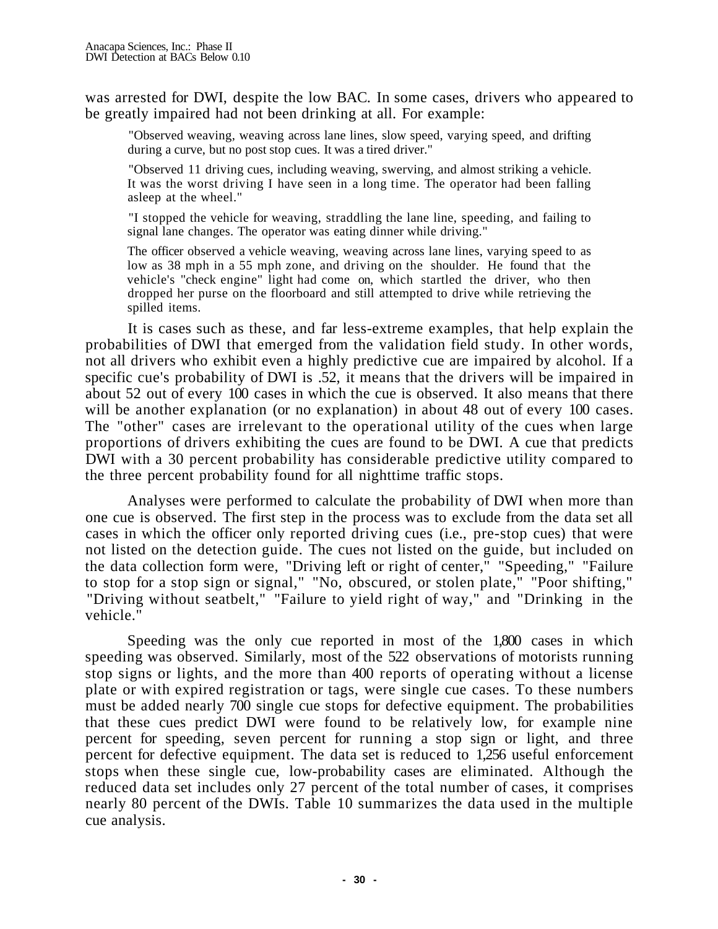was arrested for DWI, despite the low BAC. In some cases, drivers who appeared to be greatly impaired had not been drinking at all. For example:

"Observed weaving, weaving across lane lines, slow speed, varying speed, and drifting during a curve, but no post stop cues. It was a tired driver."

"Observed 11 driving cues, including weaving, swerving, and almost striking a vehicle. It was the worst driving I have seen in a long time. The operator had been falling asleep at the wheel."

"I stopped the vehicle for weaving, straddling the lane line, speeding, and failing to signal lane changes. The operator was eating dinner while driving."

The officer observed a vehicle weaving, weaving across lane lines, varying speed to as low as 38 mph in a 55 mph zone, and driving on the shoulder. He found that the vehicle's "check engine" light had come on, which startled the driver, who then dropped her purse on the floorboard and still attempted to drive while retrieving the spilled items.

It is cases such as these, and far less-extreme examples, that help explain the probabilities of DWI that emerged from the validation field study. In other words, not all drivers who exhibit even a highly predictive cue are impaired by alcohol. If a specific cue's probability of DWI is .52, it means that the drivers will be impaired in about 52 out of every 100 cases in which the cue is observed. It also means that there will be another explanation (or no explanation) in about 48 out of every 100 cases. The "other" cases are irrelevant to the operational utility of the cues when large proportions of drivers exhibiting the cues are found to be DWI. A cue that predicts DWI with a 30 percent probability has considerable predictive utility compared to the three percent probability found for all nighttime traffic stops.

Analyses were performed to calculate the probability of DWI when more than one cue is observed. The first step in the process was to exclude from the data set all cases in which the officer only reported driving cues (i.e., pre-stop cues) that were not listed on the detection guide. The cues not listed on the guide, but included on the data collection form were, "Driving left or right of center," "Speeding," "Failure to stop for a stop sign or signal," "No, obscured, or stolen plate," "Poor shifting," "Driving without seatbelt," "Failure to yield right of way," and "Drinking in the vehicle."

Speeding was the only cue reported in most of the 1,800 cases in which speeding was observed. Similarly, most of the 522 observations of motorists running stop signs or lights, and the more than 400 reports of operating without a license plate or with expired registration or tags, were single cue cases. To these numbers must be added nearly 700 single cue stops for defective equipment. The probabilities that these cues predict DWI were found to be relatively low, for example nine percent for speeding, seven percent for running a stop sign or light, and three percent for defective equipment. The data set is reduced to 1,256 useful enforcement stops when these single cue, low-probability cases are eliminated. Although the reduced data set includes only 27 percent of the total number of cases, it comprises nearly 80 percent of the DWIs. Table 10 summarizes the data used in the multiple cue analysis.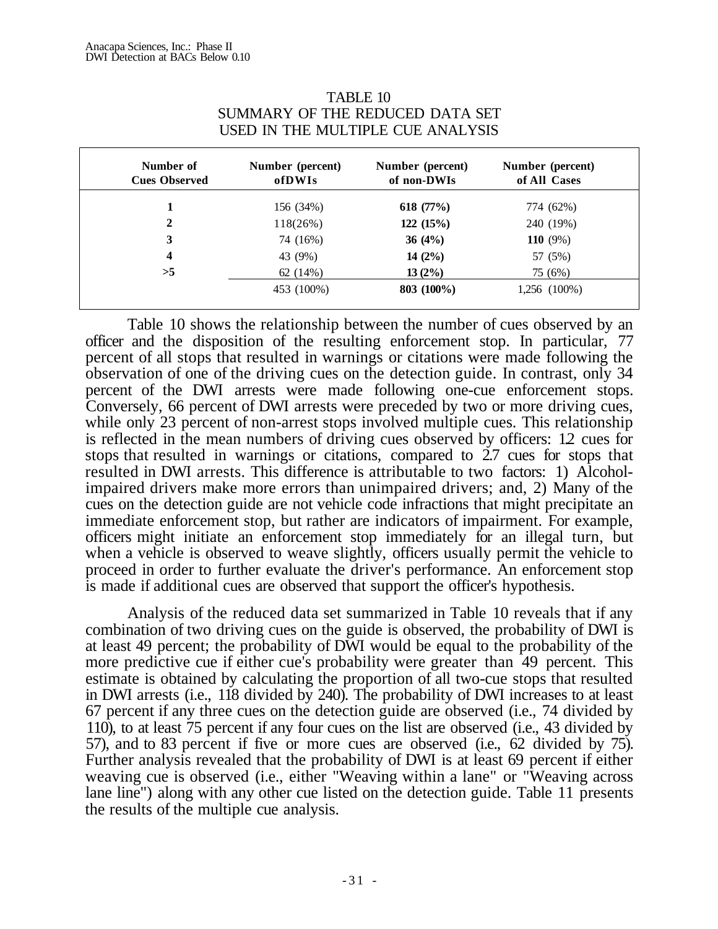| Number of<br><b>Cues Observed</b> | Number (percent)<br>ofDWIs | Number (percent)<br>of non-DWIs | Number (percent)<br>of All Cases |
|-----------------------------------|----------------------------|---------------------------------|----------------------------------|
|                                   | 156 (34%)                  | 618 $(77%)$                     | 774 (62%)                        |
| 2                                 | 118(26%)                   | 122(15%)                        | 240 (19%)                        |
| 3                                 | 74 (16%)                   | 36 $(4\%)$                      | 110 $(9%)$                       |
| 4                                 | 43 (9%)                    | 14 $(2\%)$                      | 57 (5%)                          |
| >5                                | 62(14%)                    | 13(2%)                          | 75 (6%)                          |
|                                   | 453 (100%)                 | 803 (100%)                      | 1,256 (100%)                     |

### TABLE 10 SUMMARY OF THE REDUCED DATA SET USED IN THE MULTIPLE CUE ANALYSIS

Table 10 shows the relationship between the number of cues observed by an officer and the disposition of the resulting enforcement stop. In particular, 77 percent of all stops that resulted in warnings or citations were made following the observation of one of the driving cues on the detection guide. In contrast, only 34 percent of the DWI arrests were made following one-cue enforcement stops. Conversely, 66 percent of DWI arrests were preceded by two or more driving cues, while only 23 percent of non-arrest stops involved multiple cues. This relationship is reflected in the mean numbers of driving cues observed by officers: 1.2 cues for stops that resulted in warnings or citations, compared to 2.7 cues for stops that resulted in DWI arrests. This difference is attributable to two factors: 1) Alcoholimpaired drivers make more errors than unimpaired drivers; and, 2) Many of the cues on the detection guide are not vehicle code infractions that might precipitate an immediate enforcement stop, but rather are indicators of impairment. For example, officers might initiate an enforcement stop immediately for an illegal turn, but when a vehicle is observed to weave slightly, officers usually permit the vehicle to proceed in order to further evaluate the driver's performance. An enforcement stop is made if additional cues are observed that support the officer's hypothesis.

Analysis of the reduced data set summarized in Table 10 reveals that if any combination of two driving cues on the guide is observed, the probability of DWI is at least 49 percent; the probability of DWI would be equal to the probability of the more predictive cue if either cue's probability were greater than 49 percent. This estimate is obtained by calculating the proportion of all two-cue stops that resulted in DWI arrests (i.e., 118 divided by 240). The probability of DWI increases to at least 67 percent if any three cues on the detection guide are observed (i.e., 74 divided by 110), to at least 75 percent if any four cues on the list are observed (i.e., 43 divided by 57), and to 83 percent if five or more cues are observed (i.e., 62 divided by 75). Further analysis revealed that the probability of DWI is at least 69 percent if either weaving cue is observed (i.e., either "Weaving within a lane" or "Weaving across lane line") along with any other cue listed on the detection guide. Table 11 presents the results of the multiple cue analysis.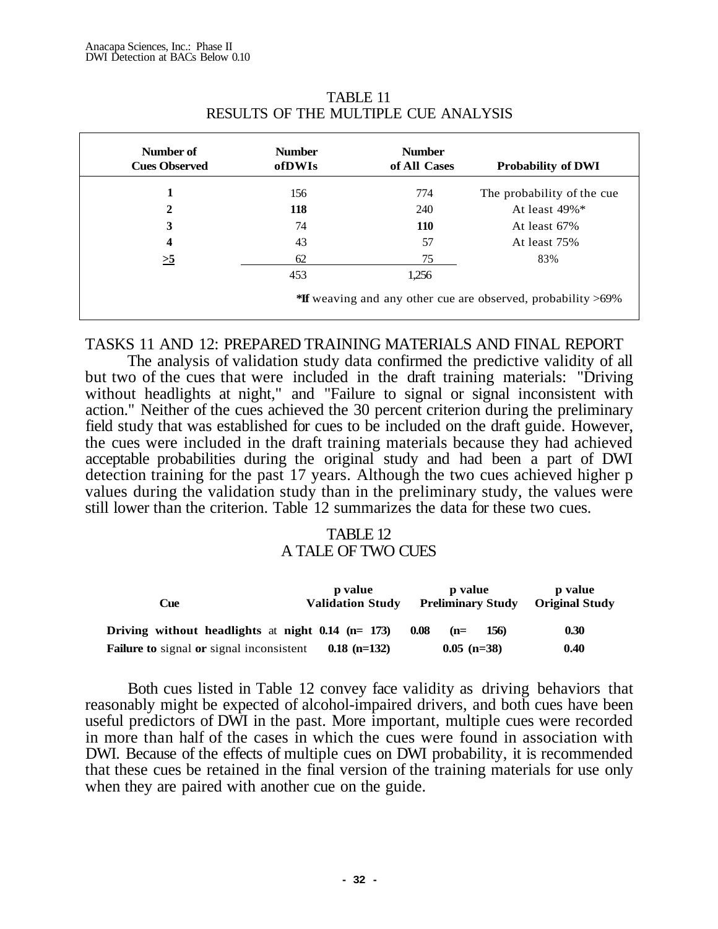| Number of<br><b>Cues Observed</b> | <b>Number</b><br>ofDWIs | <b>Number</b><br>of All Cases | <b>Probability of DWI</b>                                           |
|-----------------------------------|-------------------------|-------------------------------|---------------------------------------------------------------------|
|                                   | 156                     | 774                           | The probability of the cue                                          |
| 2                                 | 118                     | 240                           | At least $49\%$ *                                                   |
| 3                                 | 74                      | 110                           | At least 67%                                                        |
| 4                                 | 43                      | 57                            | At least 75%                                                        |
| $\geq 5$                          | 62                      | 75                            | 83%                                                                 |
|                                   | 453                     | 1,256                         |                                                                     |
|                                   |                         |                               | <b>*If</b> weaving and any other cue are observed, probability >69% |

### TABLE 11 RESULTS OF THE MULTIPLE CUE ANALYSIS

# TASKS 11 AND 12: PREPARED TRAINING MATERIALS AND FINAL REPORT

The analysis of validation study data confirmed the predictive validity of all but two of the cues that were included in the draft training materials: "Driving without headlights at night," and "Failure to signal or signal inconsistent with action." Neither of the cues achieved the 30 percent criterion during the preliminary field study that was established for cues to be included on the draft guide. However, the cues were included in the draft training materials because they had achieved acceptable probabilities during the original study and had been a part of DWI detection training for the past 17 years. Although the two cues achieved higher p values during the validation study than in the preliminary study, the values were still lower than the criterion. Table 12 summarizes the data for these two cues.

### TABLE 12 A TALE OF TWO CUES

| Cue                                                 | p value<br><b>Validation Study</b> | <b>p</b> value<br><b>Preliminary Study</b> | <b>p</b> value<br><b>Original Study</b> |
|-----------------------------------------------------|------------------------------------|--------------------------------------------|-----------------------------------------|
| Driving without headlights at night $0.14$ (n= 173) |                                    | 0.08<br><b>156)</b><br>$(n=$               | 0.30                                    |
| <b>Failure to</b> signal or signal inconsistent     | $0.18$ (n=132)                     | $0.05$ (n=38)                              | 0.40                                    |

Both cues listed in Table 12 convey face validity as driving behaviors that reasonably might be expected of alcohol-impaired drivers, and both cues have been useful predictors of DWI in the past. More important, multiple cues were recorded in more than half of the cases in which the cues were found in association with DWI. Because of the effects of multiple cues on DWI probability, it is recommended that these cues be retained in the final version of the training materials for use only when they are paired with another cue on the guide.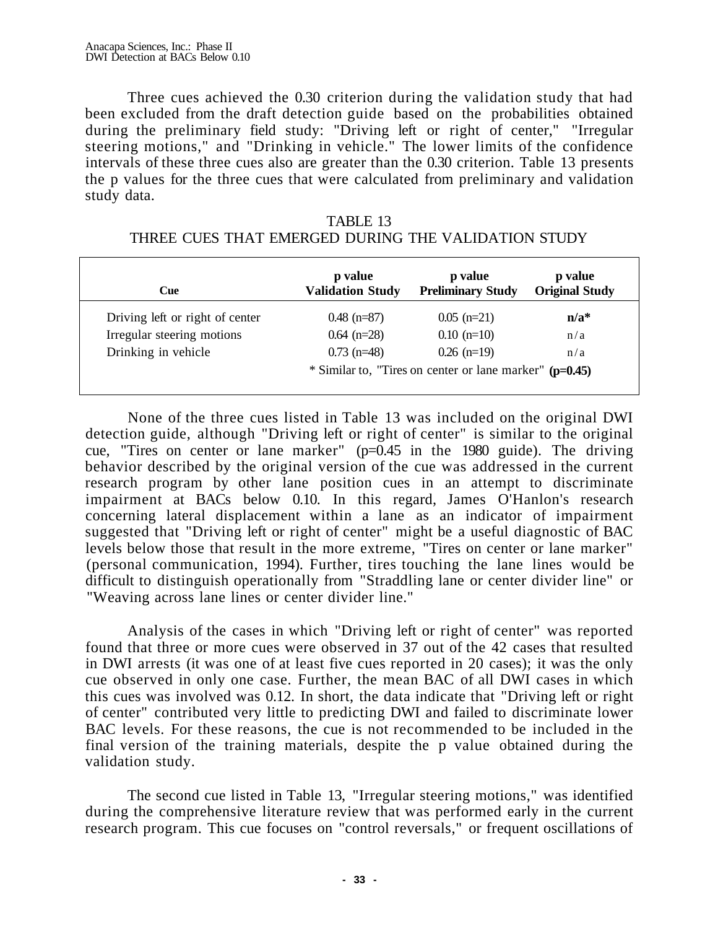Three cues achieved the 0.30 criterion during the validation study that had been excluded from the draft detection guide based on the probabilities obtained during the preliminary field study: "Driving left or right of center," "Irregular steering motions," and "Drinking in vehicle." The lower limits of the confidence intervals of these three cues also are greater than the 0.30 criterion. Table 13 presents the p values for the three cues that were calculated from preliminary and validation study data.

| <b>Cue</b>                      | p value<br><b>Validation Study</b> | p value<br><b>Preliminary Study</b>                     | p value<br><b>Original Study</b> |
|---------------------------------|------------------------------------|---------------------------------------------------------|----------------------------------|
| Driving left or right of center | $0.48$ (n=87)                      | $0.05$ (n=21)                                           | $n/a^*$                          |
| Irregular steering motions      | $0.64$ (n=28)                      | $0.10$ (n=10)                                           | n/a                              |
| Drinking in vehicle             | $0.73$ (n=48)                      | $0.26$ (n=19)                                           | n/a                              |
|                                 |                                    | * Similar to, "Tires on center or lane marker" (p=0.45) |                                  |

## TABLE 13 THREE CUES THAT EMERGED DURING THE VALIDATION STUDY

None of the three cues listed in Table 13 was included on the original DWI detection guide, although "Driving left or right of center" is similar to the original cue, "Tires on center or lane marker" (p=0.45 in the 1980 guide). The driving behavior described by the original version of the cue was addressed in the current research program by other lane position cues in an attempt to discriminate impairment at BACs below 0.10. In this regard, James O'Hanlon's research concerning lateral displacement within a lane as an indicator of impairment suggested that "Driving left or right of center" might be a useful diagnostic of BAC levels below those that result in the more extreme, "Tires on center or lane marker" (personal communication, 1994). Further, tires touching the lane lines would be difficult to distinguish operationally from "Straddling lane or center divider line" or "Weaving across lane lines or center divider line."

Analysis of the cases in which "Driving left or right of center" was reported found that three or more cues were observed in 37 out of the 42 cases that resulted in DWI arrests (it was one of at least five cues reported in 20 cases); it was the only cue observed in only one case. Further, the mean BAC of all DWI cases in which this cues was involved was 0.12. In short, the data indicate that "Driving left or right of center" contributed very little to predicting DWI and failed to discriminate lower BAC levels. For these reasons, the cue is not recommended to be included in the final version of the training materials, despite the p value obtained during the validation study.

The second cue listed in Table 13, "Irregular steering motions," was identified during the comprehensive literature review that was performed early in the current research program. This cue focuses on "control reversals," or frequent oscillations of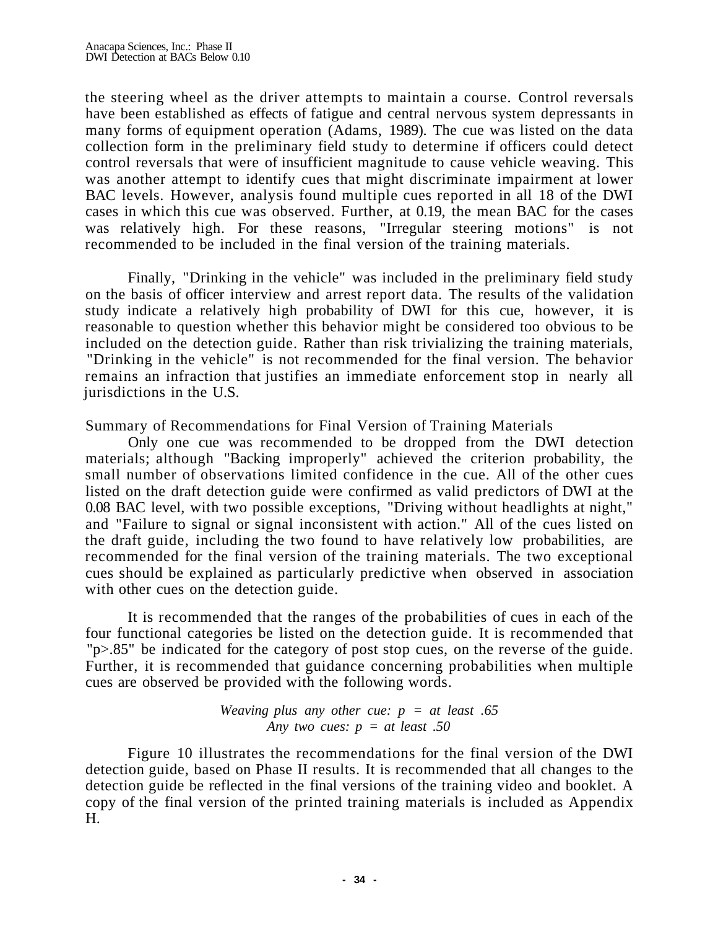the steering wheel as the driver attempts to maintain a course. Control reversals have been established as effects of fatigue and central nervous system depressants in many forms of equipment operation (Adams, 1989). The cue was listed on the data collection form in the preliminary field study to determine if officers could detect control reversals that were of insufficient magnitude to cause vehicle weaving. This was another attempt to identify cues that might discriminate impairment at lower BAC levels. However, analysis found multiple cues reported in all 18 of the DWI cases in which this cue was observed. Further, at 0.19, the mean BAC for the cases was relatively high. For these reasons, "Irregular steering motions" is not recommended to be included in the final version of the training materials.

Finally, "Drinking in the vehicle" was included in the preliminary field study on the basis of officer interview and arrest report data. The results of the validation study indicate a relatively high probability of DWI for this cue, however, it is reasonable to question whether this behavior might be considered too obvious to be included on the detection guide. Rather than risk trivializing the training materials, "Drinking in the vehicle" is not recommended for the final version. The behavior remains an infraction that justifies an immediate enforcement stop in nearly all jurisdictions in the U.S.

Summary of Recommendations for Final Version of Training Materials

Only one cue was recommended to be dropped from the DWI detection materials; although "Backing improperly" achieved the criterion probability, the small number of observations limited confidence in the cue. All of the other cues listed on the draft detection guide were confirmed as valid predictors of DWI at the 0.08 BAC level, with two possible exceptions, "Driving without headlights at night," and "Failure to signal or signal inconsistent with action." All of the cues listed on the draft guide, including the two found to have relatively low probabilities, are recommended for the final version of the training materials. The two exceptional cues should be explained as particularly predictive when observed in association with other cues on the detection guide.

It is recommended that the ranges of the probabilities of cues in each of the four functional categories be listed on the detection guide. It is recommended that "p>.85" be indicated for the category of post stop cues, on the reverse of the guide. Further, it is recommended that guidance concerning probabilities when multiple cues are observed be provided with the following words.

Weaving plus any other cue: 
$$
p = at least .65
$$
  
Any two cues:  $p = at least .50$ 

Figure 10 illustrates the recommendations for the final version of the DWI detection guide, based on Phase II results. It is recommended that all changes to the detection guide be reflected in the final versions of the training video and booklet. A copy of the final version of the printed training materials is included as Appendix H.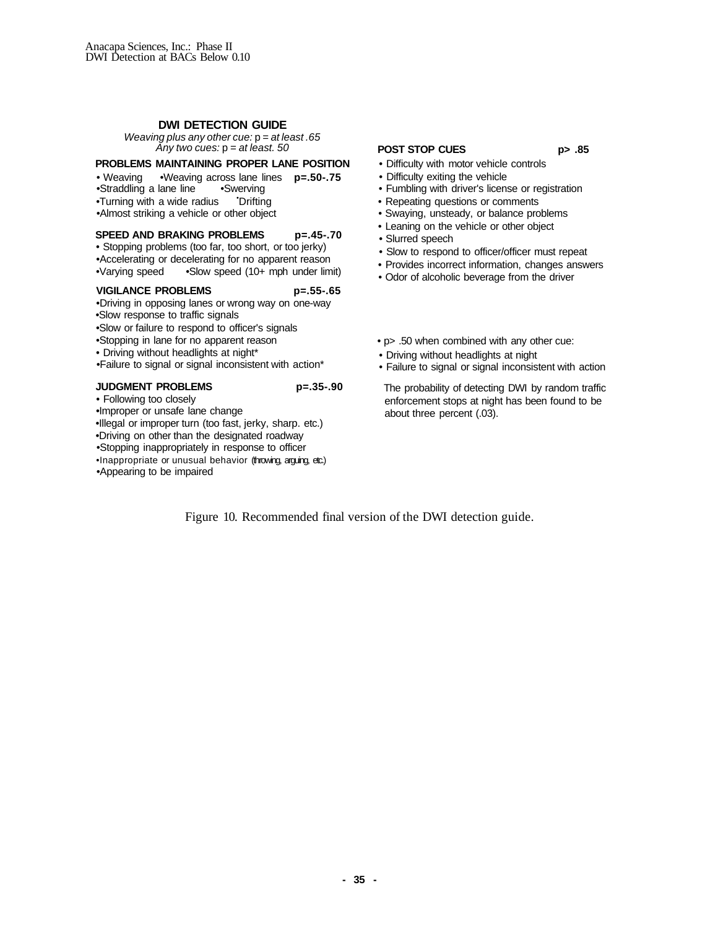#### **DWI DETECTION GUIDE**

Weaving plus any other cue:  $p = at least .65$ Any two cues:  $p = at least. 50$ 

#### **PROBLEMS MAINTAINING PROPER LANE POSITION**

• Weaving • Weaving across lane lines **p=.50-.75**<br>• Straddling a lane line • Swerving

•Straddling a lane line

•Turning with a wide radius •Drifting

•Almost striking a vehicle or other object

#### **SPEED AND BRAKING PROBLEMS p=.45-.70**

• Stopping problems (too far, too short, or too jerky) •Accelerating or decelerating for no apparent reason •Varying speed •Slow speed (10+ mph under limit)

#### **VIGILANCE PROBLEMS p=.55-.65**

•Driving in opposing lanes or wrong way on one-way •Slow response to traffic signals

•Slow or failure to respond to officer's signals

•Stopping in lane for no apparent reason

• Driving without headlights at night\*

•Failure to signal or signal inconsistent with action\*

#### **JUDGMENT PROBLEMS p=.35-.90**

• Following too closely •Improper or unsafe lane change •Illegal or improper turn (too fast, jerky, sharp. etc.) •Driving on other than the designated roadway •Stopping inappropriately in response to officer •Inappropriate or unusual behavior (throwing, arguing, etc.) •Appearing to be impaired

#### POST STOP CUES p> .85

- Difficulty with motor vehicle controls
- Difficulty exiting the vehicle
- Fumbling with driver's license or registration
- Repeating questions or comments
- Swaying, unsteady, or balance problems
- Leaning on the vehicle or other object
- Slurred speech
- Slow to respond to officer/officer must repeat
- Provides incorrect information, changes answers
- Odor of alcoholic beverage from the driver
- p> .50 when combined with any other cue:
- Driving without headlights at night
- Failure to signal or signal inconsistent with action

The probability of detecting DWI by random traffic enforcement stops at night has been found to be about three percent (.03).

Figure 10. Recommended final version of the DWI detection guide.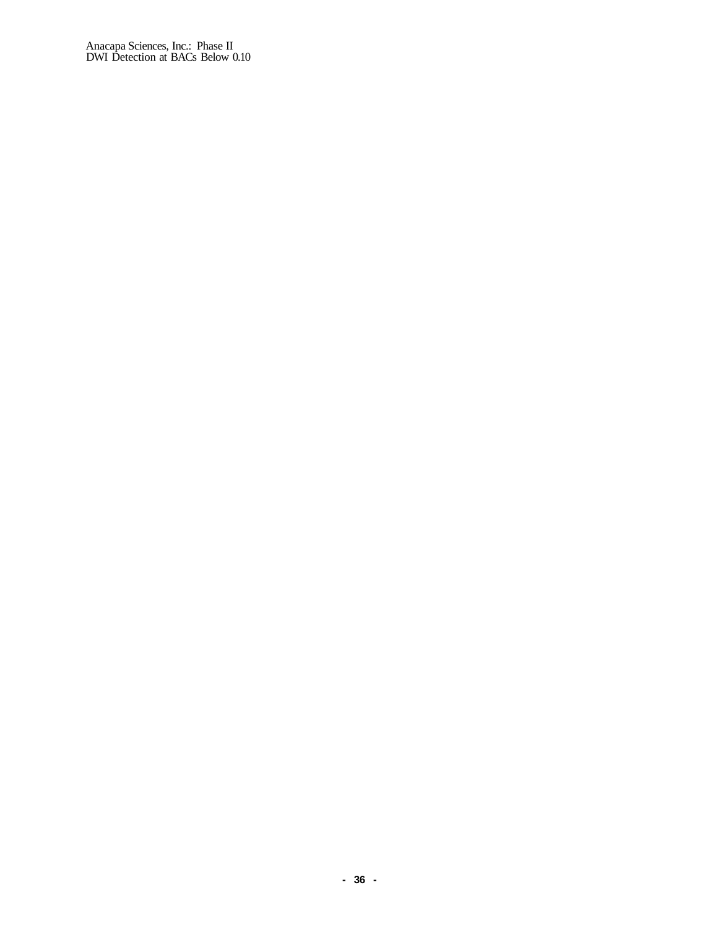Anacapa Sciences, Inc.: Phase II DWI Detection at BACs Below 0.10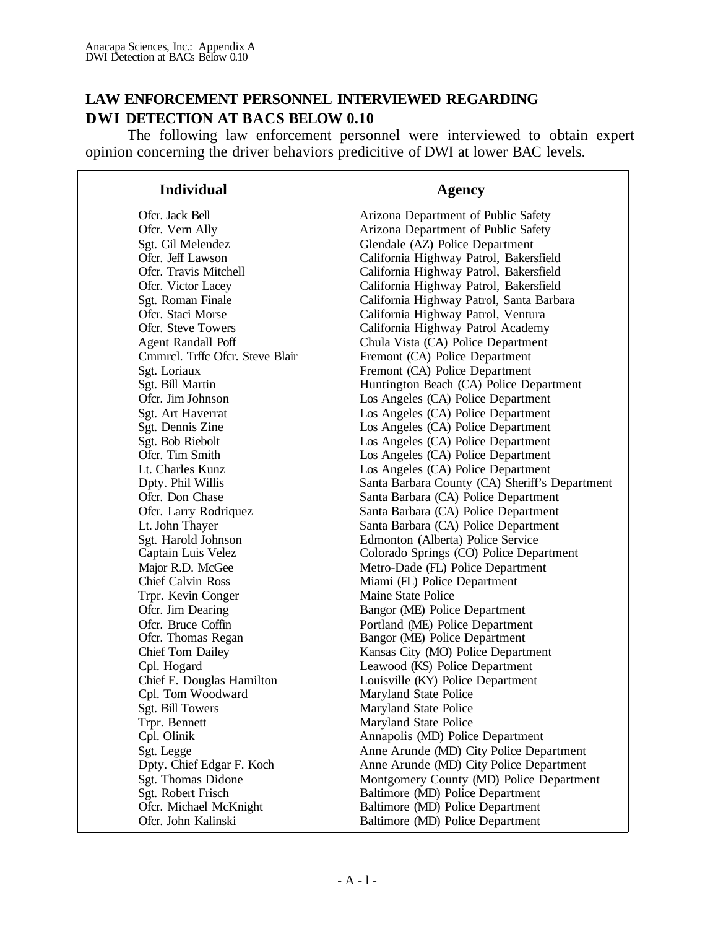## **LAW ENFORCEMENT PERSONNEL INTERVIEWED REGARDING DWI DETECTION AT BACS BELOW 0.10**

The following law enforcement personnel were interviewed to obtain expert opinion concerning the driver behaviors predicitive of DWI at lower BAC levels.

#### **Individual** Ofcr. Jack Bell Ofcr. Vern Ally Sgt. Gil Melendez Ofcr. Jeff Lawson Ofcr. Travis Mitchell Ofcr. Victor Lacev Sgt. Roman Finale Ofcr. Staci Morse Ofcr. Steve Towers Agent Randall Poff Cmmrcl. Trffc Ofcr. Steve Blair Sgt. Loriaux Sgt. Bill Martin Ofcr. Jim Johnson Sgt. Art Haverrat Sgt. Dennis Zine Sgt. Bob Riebolt Ofcr. Tim Smith Lt. Charles Kunz Dpty. Phil Willis Ofcr. Don Chase Ofcr. Larry Rodriquez Lt. John Thayer Sgt. Harold Johnson Captain Luis Velez Major R.D. McGee Chief Calvin Ross Trpr. Kevin Conger Ofcr. Jim Dearing Ofcr. Bruce Coffin Ofcr. Thomas Regan Chief Tom Dailey Cpl. Hogard Chief E. Douglas Hamilton Cpl. Tom Woodward Sgt. Bill Towers Trpr. Bennett Cpl. Olinik Sgt. Legge Dpty. Chief Edgar F. Koch Sgt. Thomas Didone Sgt. Robert Frisch Ofcr. Michael McKnight Ofcr. John Kalinski **Agency** Arizona Department of Public Safety Arizona Department of Public Safety Glendale (AZ) Police Department California Highway Patrol, Bakersfield California Highway Patrol, Bakersfield California Highway Patrol, Bakersfield California Highway Patrol, Santa Barbara California Highway Patrol, Ventura California Highway Patrol Academy Chula Vista (CA) Police Department Fremont (CA) Police Department Fremont (CA) Police Department Huntington Beach (CA) Police Department Los Angeles (CA) Police Department Los Angeles (CA) Police Department Los Angeles (CA) Police Department Los Angeles (CA) Police Department Los Angeles (CA) Police Department Los Angeles (CA) Police Department Santa Barbara County (CA) Sheriff's Department Santa Barbara (CA) Police Department Santa Barbara (CA) Police Department Santa Barbara (CA) Police Department Edmonton (Alberta) Police Service Colorado Springs (CO) Police Department Metro-Dade (FL) Police Department Miami (FL) Police Department Maine State Police Bangor (ME) Police Department Portland (ME) Police Department Bangor (ME) Police Department Kansas City (MO) Police Department Leawood (KS) Police Department Louisville (KY) Police Department Maryland State Police Maryland State Police Maryland State Police Annapolis (MD) Police Department Anne Arunde (MD) City Police Department Anne Arunde (MD) City Police Department Montgomery County (MD) Police Department Baltimore (MD) Police Department Baltimore (MD) Police Department Baltimore (MD) Police Department

### $- A - 1 -$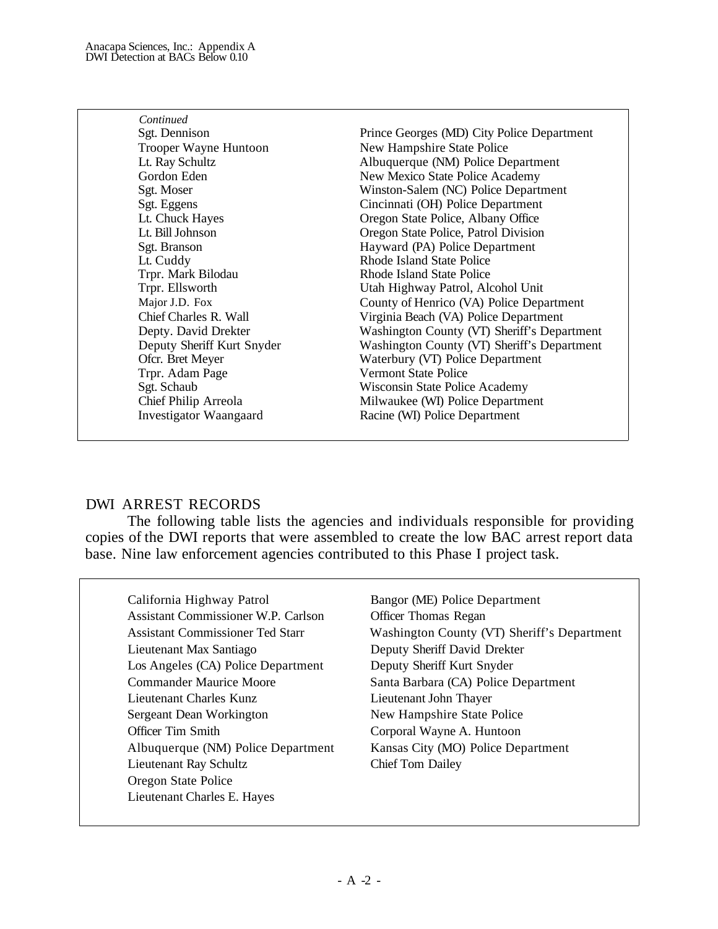*Continued* Sgt. Dennison Trooper Wayne Huntoon Lt. Ray Schultz Gordon Eden Sgt. Moser Sgt. Eggens Lt. Chuck Hayes Lt. Bill Johnson Sgt. Branson Lt. Cuddy Trpr. Mark Bilodau Trpr. Ellsworth Major J.D. Fox Chief Charles R. Wall Depty. David Drekter Deputy Sheriff Kurt Snyder Ofcr. Bret Meyer Trpr. Adam Page Sgt. Schaub Chief Philip Arreola Investigator Waangaard

Prince Georges (MD) City Police Department New Hampshire State Police Albuquerque (NM) Police Department New Mexico State Police Academy Winston-Salem (NC) Police Department Cincinnati (OH) Police Department Oregon State Police, Albany Office Oregon State Police, Patrol Division Hayward (PA) Police Department Rhode Island State Police Rhode Island State Police Utah Highway Patrol, Alcohol Unit County of Henrico (VA) Police Department Virginia Beach (VA) Police Department Washington County (VT) Sheriff's Department Washington County (VT) Sheriff's Department Waterbury (VT) Police Department Vermont State Police Wisconsin State Police Academy Milwaukee (WI) Police Department Racine (WI) Police Department

### DWI ARREST RECORDS

The following table lists the agencies and individuals responsible for providing copies of the DWI reports that were assembled to create the low BAC arrest report data base. Nine law enforcement agencies contributed to this Phase I project task.

| Bangor (ME) Police Department               |
|---------------------------------------------|
| <b>Officer Thomas Regan</b>                 |
| Washington County (VT) Sheriff's Department |
| Deputy Sheriff David Drekter                |
| Deputy Sheriff Kurt Snyder                  |
| Santa Barbara (CA) Police Department        |
| Lieutenant John Thayer                      |
| New Hampshire State Police                  |
| Corporal Wayne A. Huntoon                   |
| Kansas City (MO) Police Department          |
| <b>Chief Tom Dailey</b>                     |
|                                             |
|                                             |
|                                             |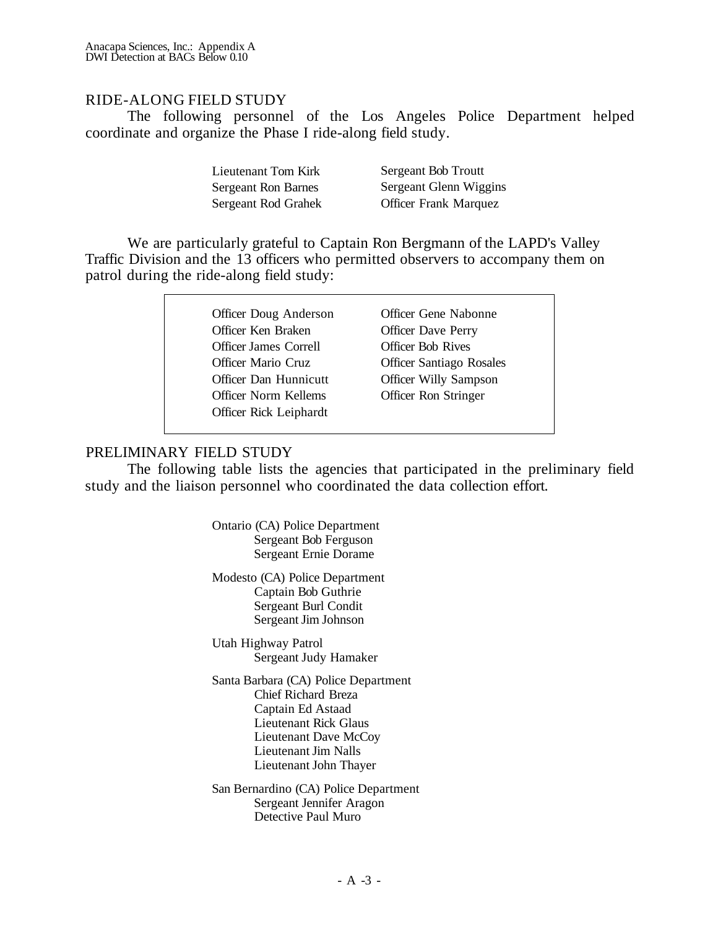### RIDE-ALONG FIELD STUDY

The following personnel of the Los Angeles Police Department helped coordinate and organize the Phase I ride-along field study.

> Lieutenant Tom Kirk Sergeant Ron Barnes Sergeant Rod Grahek Sergeant Bob Troutt Sergeant Glenn Wiggins Officer Frank Marquez

We are particularly grateful to Captain Ron Bergmann of the LAPD's Valley Traffic Division and the 13 officers who permitted observers to accompany them on patrol during the ride-along field study:

> Officer Doug Anderson Officer Ken Braken Officer James Correll Officer Mario Cruz Officer Dan Hunnicutt Officer Norm Kellems Officer Rick Leiphardt

Officer Gene Nabonne Officer Dave Perry Officer Bob Rives Officer Santiago Rosales Officer Willy Sampson Officer Ron Stringer

### PRELIMINARY FIELD STUDY

The following table lists the agencies that participated in the preliminary field study and the liaison personnel who coordinated the data collection effort.

> Ontario (CA) Police Department Sergeant Bob Ferguson Sergeant Ernie Dorame

Modesto (CA) Police Department Captain Bob Guthrie Sergeant Burl Condit Sergeant Jim Johnson

Utah Highway Patrol Sergeant Judy Hamaker

Santa Barbara (CA) Police Department Chief Richard Breza Captain Ed Astaad Lieutenant Rick Glaus Lieutenant Dave McCoy Lieutenant Jim Nalls Lieutenant John Thayer

San Bernardino (CA) Police Department Sergeant Jennifer Aragon Detective Paul Muro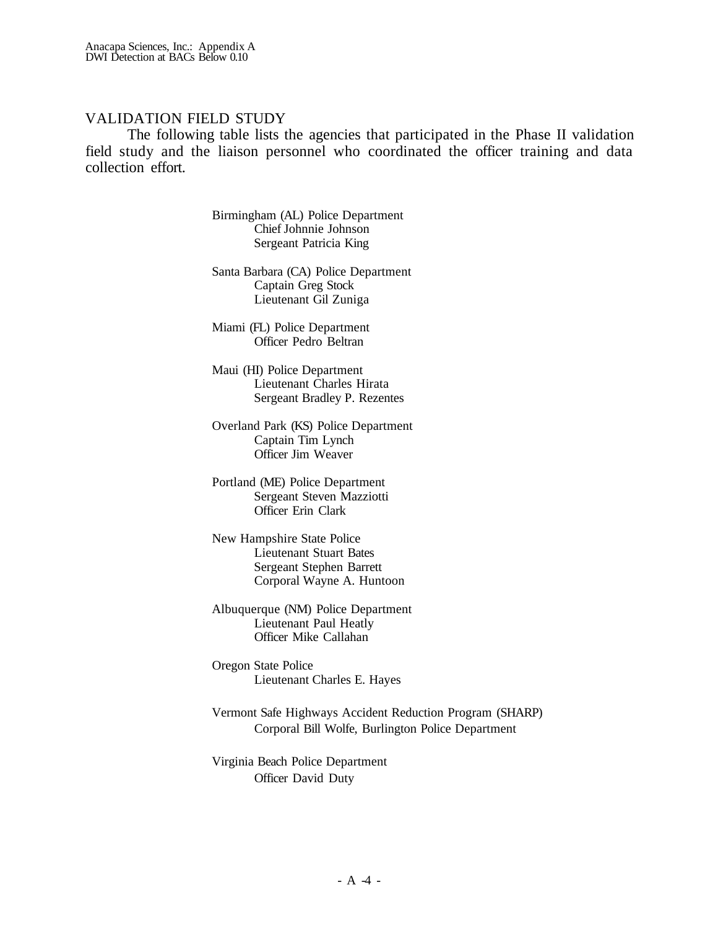### VALIDATION FIELD STUDY

The following table lists the agencies that participated in the Phase II validation field study and the liaison personnel who coordinated the officer training and data collection effort.

> Birmingham (AL) Police Department Chief Johnnie Johnson Sergeant Patricia King

Santa Barbara (CA) Police Department Captain Greg Stock Lieutenant Gil Zuniga

Miami (FL) Police Department Officer Pedro Beltran

Maui (HI) Police Department Lieutenant Charles Hirata Sergeant Bradley P. Rezentes

Overland Park (KS) Police Department Captain Tim Lynch Officer Jim Weaver

Portland (ME) Police Department Sergeant Steven Mazziotti Officer Erin Clark

New Hampshire State Police Lieutenant Stuart Bates Sergeant Stephen Barrett Corporal Wayne A. Huntoon

Albuquerque (NM) Police Department Lieutenant Paul Heatly Officer Mike Callahan

Oregon State Police Lieutenant Charles E. Hayes

Vermont Safe Highways Accident Reduction Program (SHARP) Corporal Bill Wolfe, Burlington Police Department

Virginia Beach Police Department Officer David Duty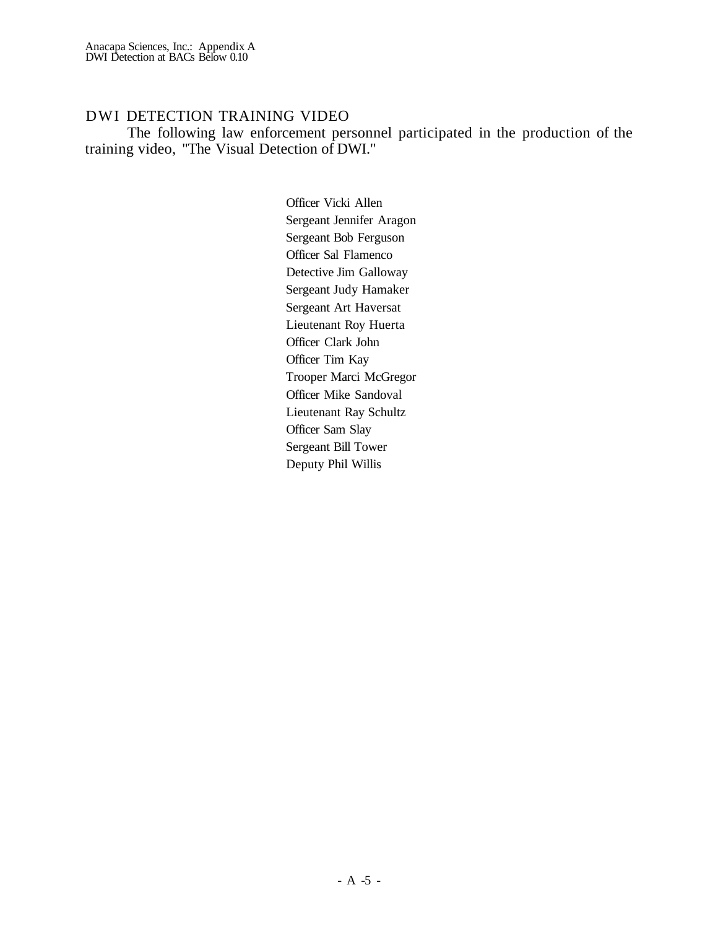### DWI DETECTION TRAINING VIDEO

The following law enforcement personnel participated in the production of the training video, "The Visual Detection of DWI."

> Officer Vicki Allen Sergeant Jennifer Aragon Sergeant Bob Ferguson Officer Sal Flamenco Detective Jim Galloway Sergeant Judy Hamaker Sergeant Art Haversat Lieutenant Roy Huerta Officer Clark John Officer Tim Kay Trooper Marci McGregor Officer Mike Sandoval Lieutenant Ray Schultz Officer Sam Slay Sergeant Bill Tower Deputy Phil Willis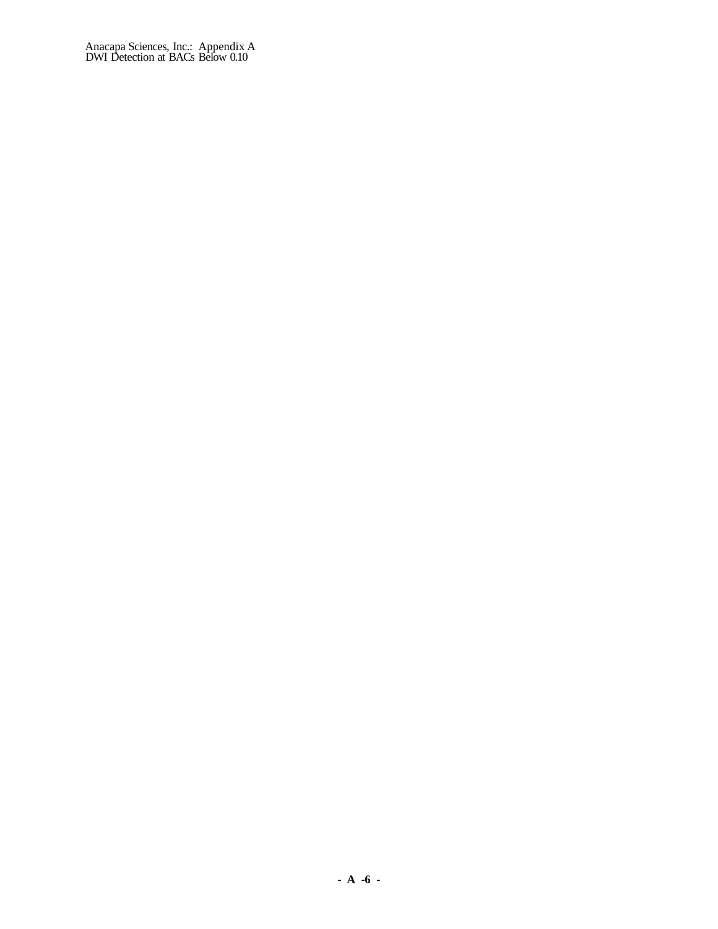Anacapa Sciences, Inc.: Appendix A DWI Detection at BACs Below 0.10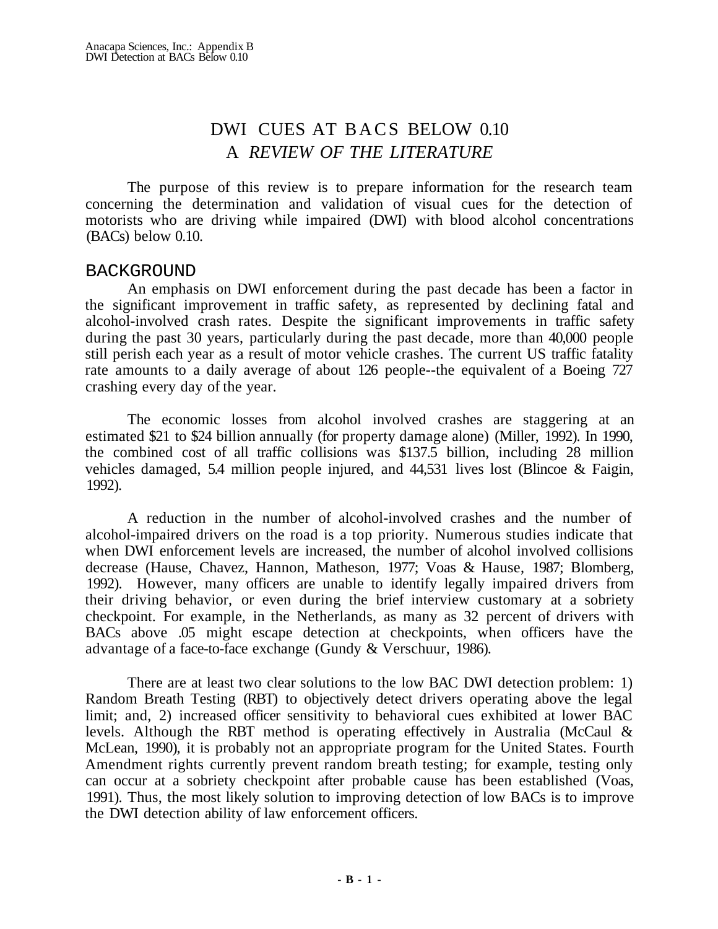# DWI CUES AT BACS BELOW 0.10 A *REVIEW OF THE LITERATURE*

The purpose of this review is to prepare information for the research team concerning the determination and validation of visual cues for the detection of motorists who are driving while impaired (DWI) with blood alcohol concentrations (BACs) below 0.10.

### BACKGROUND

An emphasis on DWI enforcement during the past decade has been a factor in the significant improvement in traffic safety, as represented by declining fatal and alcohol-involved crash rates. Despite the significant improvements in traffic safety during the past 30 years, particularly during the past decade, more than 40,000 people still perish each year as a result of motor vehicle crashes. The current US traffic fatality rate amounts to a daily average of about 126 people--the equivalent of a Boeing 727 crashing every day of the year.

The economic losses from alcohol involved crashes are staggering at an estimated \$21 to \$24 billion annually (for property damage alone) (Miller, 1992). In 1990, the combined cost of all traffic collisions was \$137.5 billion, including 28 million vehicles damaged, 5.4 million people injured, and 44,531 lives lost (Blincoe & Faigin, 1992).

A reduction in the number of alcohol-involved crashes and the number of alcohol-impaired drivers on the road is a top priority. Numerous studies indicate that when DWI enforcement levels are increased, the number of alcohol involved collisions decrease (Hause, Chavez, Hannon, Matheson, 1977; Voas & Hause, 1987; Blomberg, 1992). However, many officers are unable to identify legally impaired drivers from their driving behavior, or even during the brief interview customary at a sobriety checkpoint. For example, in the Netherlands, as many as 32 percent of drivers with BACs above .05 might escape detection at checkpoints, when officers have the advantage of a face-to-face exchange (Gundy & Verschuur, 1986).

There are at least two clear solutions to the low BAC DWI detection problem: 1) Random Breath Testing (RBT) to objectively detect drivers operating above the legal limit; and, 2) increased officer sensitivity to behavioral cues exhibited at lower BAC levels. Although the RBT method is operating effectively in Australia (McCaul & McLean, 1990), it is probably not an appropriate program for the United States. Fourth Amendment rights currently prevent random breath testing; for example, testing only can occur at a sobriety checkpoint after probable cause has been established (Voas, 1991). Thus, the most likely solution to improving detection of low BACs is to improve the DWI detection ability of law enforcement officers.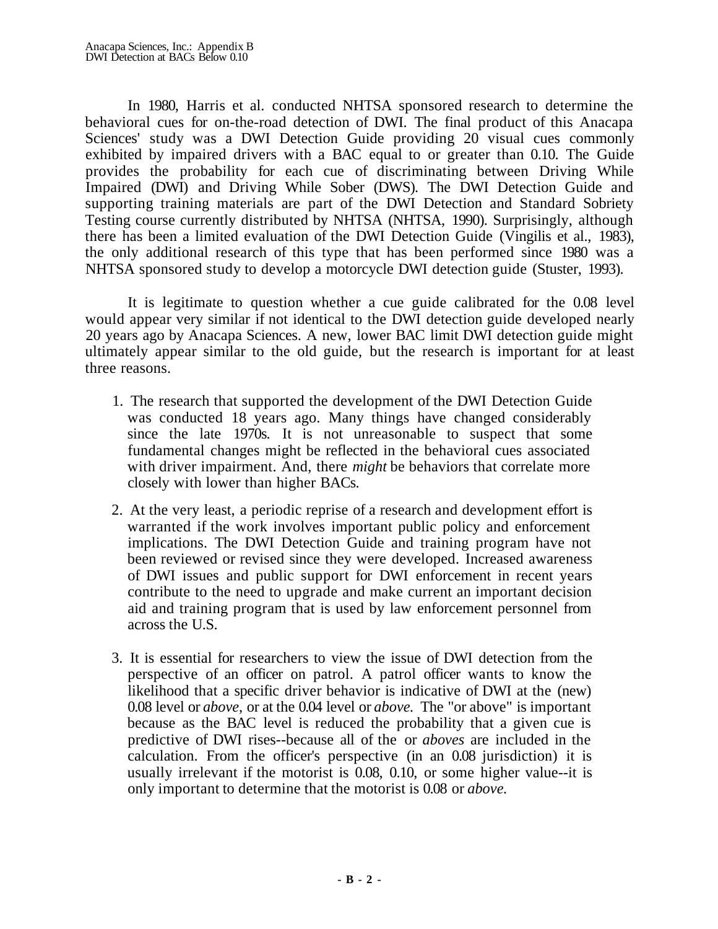In 1980, Harris et al. conducted NHTSA sponsored research to determine the behavioral cues for on-the-road detection of DWI. The final product of this Anacapa Sciences' study was a DWI Detection Guide providing 20 visual cues commonly exhibited by impaired drivers with a BAC equal to or greater than 0.10. The Guide provides the probability for each cue of discriminating between Driving While Impaired (DWI) and Driving While Sober (DWS). The DWI Detection Guide and supporting training materials are part of the DWI Detection and Standard Sobriety Testing course currently distributed by NHTSA (NHTSA, 1990). Surprisingly, although there has been a limited evaluation of the DWI Detection Guide (Vingilis et al., 1983), the only additional research of this type that has been performed since 1980 was a NHTSA sponsored study to develop a motorcycle DWI detection guide (Stuster, 1993).

It is legitimate to question whether a cue guide calibrated for the 0.08 level would appear very similar if not identical to the DWI detection guide developed nearly 20 years ago by Anacapa Sciences. A new, lower BAC limit DWI detection guide might ultimately appear similar to the old guide, but the research is important for at least three reasons.

- 1. The research that supported the development of the DWI Detection Guide was conducted 18 years ago. Many things have changed considerably since the late 1970s. It is not unreasonable to suspect that some fundamental changes might be reflected in the behavioral cues associated with driver impairment. And, there *might* be behaviors that correlate more closely with lower than higher BACs.
- 2. At the very least, a periodic reprise of a research and development effort is warranted if the work involves important public policy and enforcement implications. The DWI Detection Guide and training program have not been reviewed or revised since they were developed. Increased awareness of DWI issues and public support for DWI enforcement in recent years contribute to the need to upgrade and make current an important decision aid and training program that is used by law enforcement personnel from across the U.S.
- 3. It is essential for researchers to view the issue of DWI detection from the perspective of an officer on patrol. A patrol officer wants to know the likelihood that a specific driver behavior is indicative of DWI at the (new) 0.08 level or *above,* or at the 0.04 level or *above.* The "or above" is important because as the BAC level is reduced the probability that a given cue is predictive of DWI rises--because all of the or *aboves* are included in the calculation. From the officer's perspective (in an 0.08 jurisdiction) it is usually irrelevant if the motorist is 0.08, 0.10, or some higher value--it is only important to determine that the motorist is 0.08 or *above.*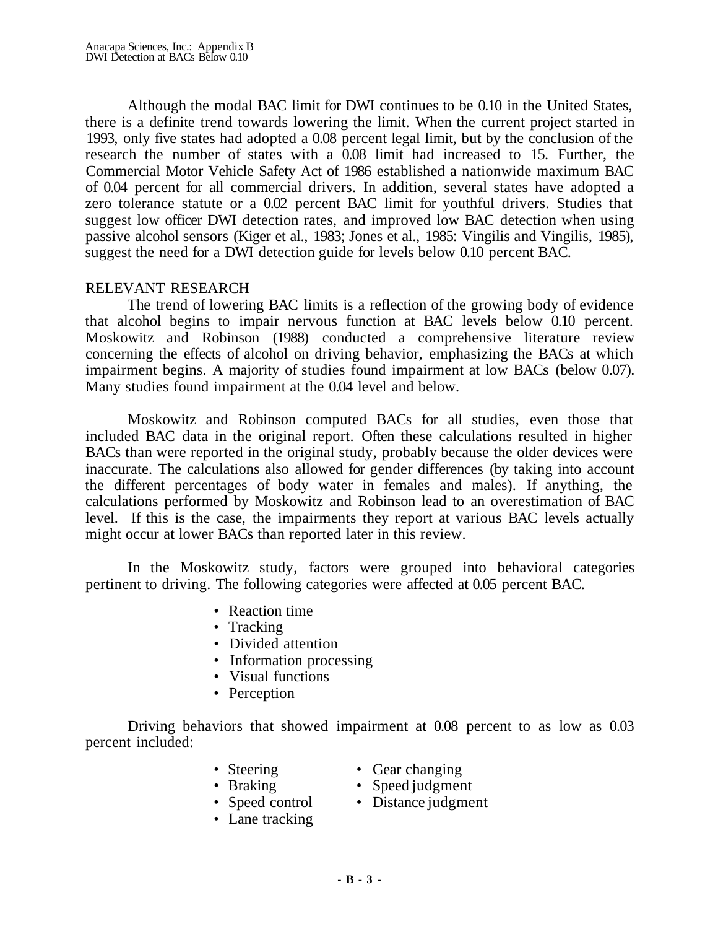Although the modal BAC limit for DWI continues to be 0.10 in the United States, there is a definite trend towards lowering the limit. When the current project started in 1993, only five states had adopted a 0.08 percent legal limit, but by the conclusion of the research the number of states with a 0.08 limit had increased to 15. Further, the Commercial Motor Vehicle Safety Act of 1986 established a nationwide maximum BAC of 0.04 percent for all commercial drivers. In addition, several states have adopted a zero tolerance statute or a 0.02 percent BAC limit for youthful drivers. Studies that suggest low officer DWI detection rates, and improved low BAC detection when using passive alcohol sensors (Kiger et al., 1983; Jones et al., 1985: Vingilis and Vingilis, 1985), suggest the need for a DWI detection guide for levels below 0.10 percent BAC.

### RELEVANT RESEARCH

The trend of lowering BAC limits is a reflection of the growing body of evidence that alcohol begins to impair nervous function at BAC levels below 0.10 percent. Moskowitz and Robinson (1988) conducted a comprehensive literature review concerning the effects of alcohol on driving behavior, emphasizing the BACs at which impairment begins. A majority of studies found impairment at low BACs (below 0.07). Many studies found impairment at the 0.04 level and below.

Moskowitz and Robinson computed BACs for all studies, even those that included BAC data in the original report. Often these calculations resulted in higher BACs than were reported in the original study, probably because the older devices were inaccurate. The calculations also allowed for gender differences (by taking into account the different percentages of body water in females and males). If anything, the calculations performed by Moskowitz and Robinson lead to an overestimation of BAC level. If this is the case, the impairments they report at various BAC levels actually might occur at lower BACs than reported later in this review.

In the Moskowitz study, factors were grouped into behavioral categories pertinent to driving. The following categories were affected at 0.05 percent BAC.

- Reaction time
- Tracking
- Divided attention
- Information processing
- Visual functions
- Perception

Driving behaviors that showed impairment at 0.08 percent to as low as 0.03 percent included:

- Steering Gear changing
	-
- Braking Speed judgment
	-
- Lane tracking
- Speed control Distance judgment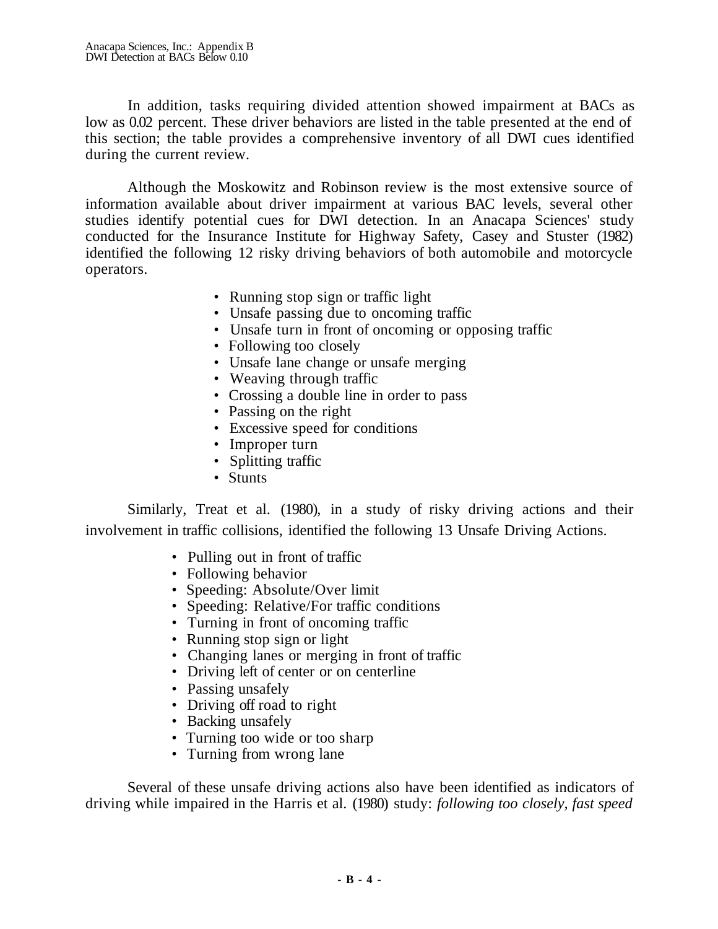In addition, tasks requiring divided attention showed impairment at BACs as low as 0.02 percent. These driver behaviors are listed in the table presented at the end of this section; the table provides a comprehensive inventory of all DWI cues identified during the current review.

Although the Moskowitz and Robinson review is the most extensive source of information available about driver impairment at various BAC levels, several other studies identify potential cues for DWI detection. In an Anacapa Sciences' study conducted for the Insurance Institute for Highway Safety, Casey and Stuster (1982) identified the following 12 risky driving behaviors of both automobile and motorcycle operators.

- Running stop sign or traffic light
- Unsafe passing due to oncoming traffic
- Unsafe turn in front of oncoming or opposing traffic
- Following too closely
- Unsafe lane change or unsafe merging
- Weaving through traffic
- Crossing a double line in order to pass
- Passing on the right
- Excessive speed for conditions
- Improper turn
- Splitting traffic
- Stunts

Similarly, Treat et al. (1980), in a study of risky driving actions and their involvement in traffic collisions, identified the following 13 Unsafe Driving Actions.

- Pulling out in front of traffic
- Following behavior
- Speeding: Absolute/Over limit
- Speeding: Relative/For traffic conditions
- Turning in front of oncoming traffic
- Running stop sign or light
- Changing lanes or merging in front of traffic
- Driving left of center or on centerline
- Passing unsafely
- Driving off road to right
- Backing unsafely
- Turning too wide or too sharp
- Turning from wrong lane

Several of these unsafe driving actions also have been identified as indicators of driving while impaired in the Harris et al. (1980) study: *following too closely, fast speed*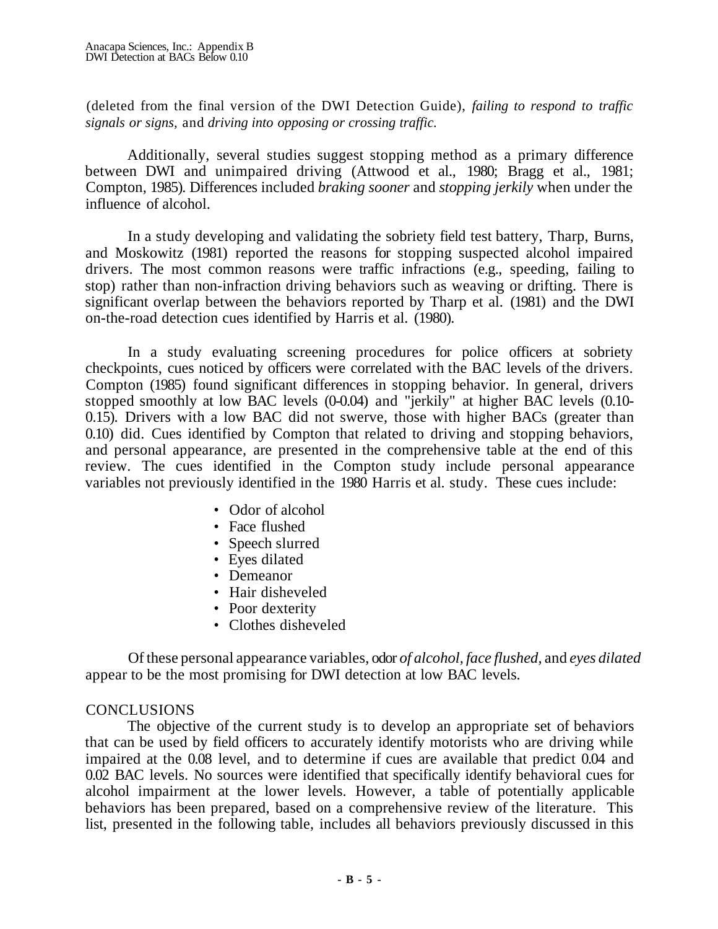(deleted from the final version of the DWI Detection Guide), *failing to respond to traffic signals or signs,* and *driving into opposing or crossing traffic.*

Additionally, several studies suggest stopping method as a primary difference between DWI and unimpaired driving (Attwood et al., 1980; Bragg et al., 1981; Compton, 1985). Differences included *braking sooner* and *stopping jerkily* when under the influence of alcohol.

In a study developing and validating the sobriety field test battery, Tharp, Burns, and Moskowitz (1981) reported the reasons for stopping suspected alcohol impaired drivers. The most common reasons were traffic infractions (e.g., speeding, failing to stop) rather than non-infraction driving behaviors such as weaving or drifting. There is significant overlap between the behaviors reported by Tharp et al. (1981) and the DWI on-the-road detection cues identified by Harris et al. (1980).

In a study evaluating screening procedures for police officers at sobriety checkpoints, cues noticed by officers were correlated with the BAC levels of the drivers. Compton (1985) found significant differences in stopping behavior. In general, drivers stopped smoothly at low BAC levels (0-0.04) and "jerkily" at higher BAC levels (0.10- 0.15). Drivers with a low BAC did not swerve, those with higher BACs (greater than 0.10) did. Cues identified by Compton that related to driving and stopping behaviors, and personal appearance, are presented in the comprehensive table at the end of this review. The cues identified in the Compton study include personal appearance variables not previously identified in the 1980 Harris et al. study. These cues include:

- Odor of alcohol
- Face flushed
- Speech slurred
- Eyes dilated
- Demeanor
- Hair disheveled
- Poor dexterity
- Clothes disheveled

Of these personal appearance variables, odor *of alcohol, face flushed,* and *eyes dilated* appear to be the most promising for DWI detection at low BAC levels.

### CONCLUSIONS

The objective of the current study is to develop an appropriate set of behaviors that can be used by field officers to accurately identify motorists who are driving while impaired at the 0.08 level, and to determine if cues are available that predict 0.04 and 0.02 BAC levels. No sources were identified that specifically identify behavioral cues for alcohol impairment at the lower levels. However, a table of potentially applicable behaviors has been prepared, based on a comprehensive review of the literature. This list, presented in the following table, includes all behaviors previously discussed in this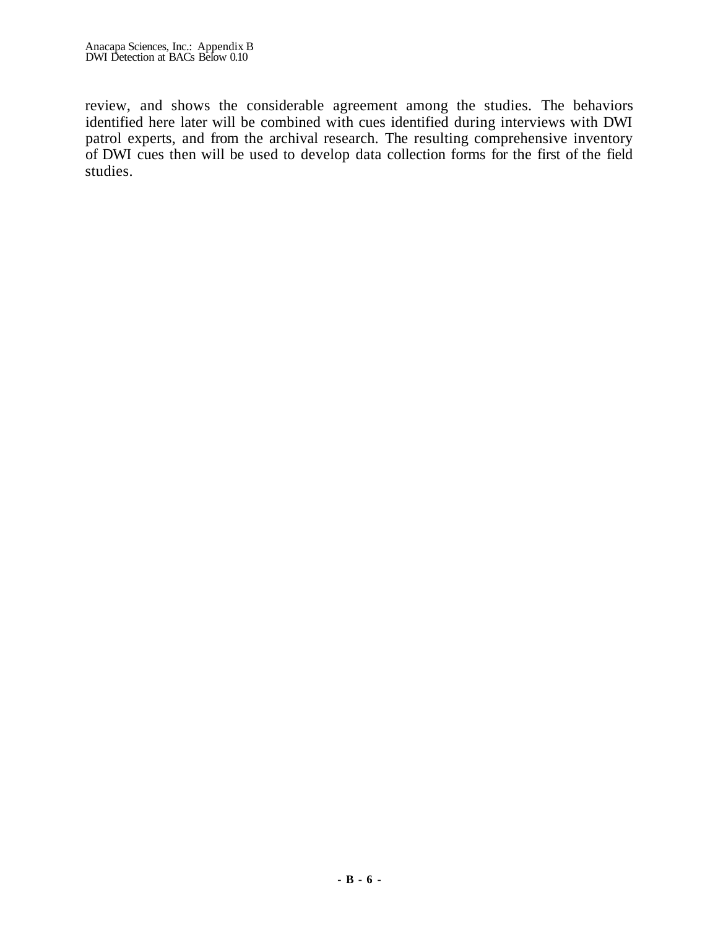review, and shows the considerable agreement among the studies. The behaviors identified here later will be combined with cues identified during interviews with DWI patrol experts, and from the archival research. The resulting comprehensive inventory of DWI cues then will be used to develop data collection forms for the first of the field studies.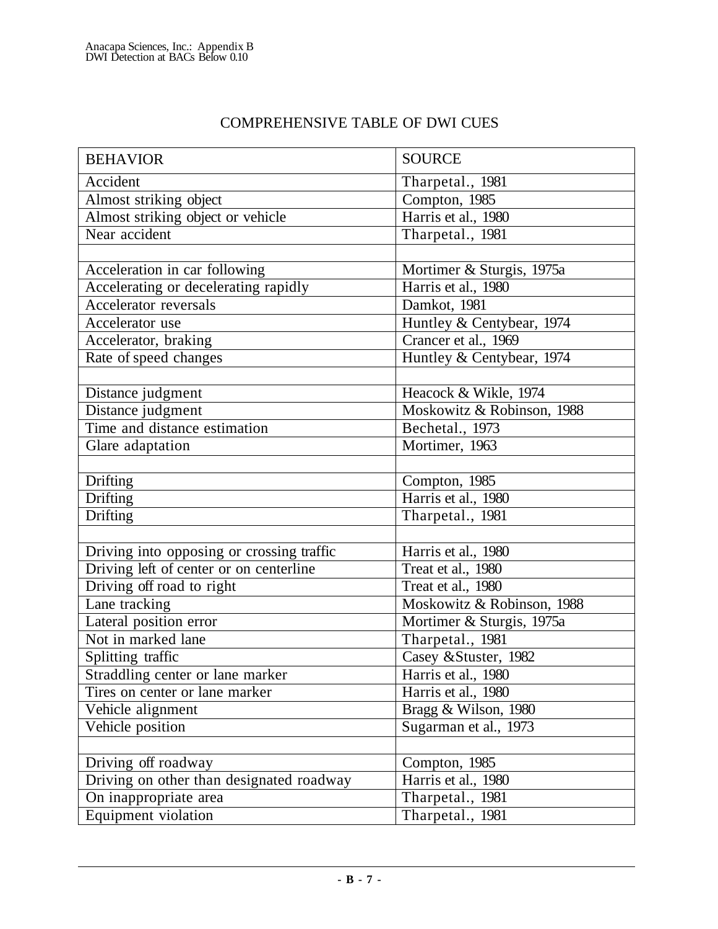| COMPREHENSIVE TABLE OF DWI CUES |  |
|---------------------------------|--|
|---------------------------------|--|

| <b>BEHAVIOR</b>                           | <b>SOURCE</b>              |
|-------------------------------------------|----------------------------|
| Accident                                  | Tharpetal., 1981           |
| Almost striking object                    | Compton, 1985              |
| Almost striking object or vehicle         | Harris et al., 1980        |
| Near accident                             | Tharpetal., 1981           |
|                                           |                            |
| Acceleration in car following             | Mortimer & Sturgis, 1975a  |
| Accelerating or decelerating rapidly      | Harris et al., 1980        |
| <b>Accelerator reversals</b>              | Damkot, 1981               |
| Accelerator use                           | Huntley & Centybear, 1974  |
| Accelerator, braking                      | Crancer et al., 1969       |
| Rate of speed changes                     | Huntley & Centybear, 1974  |
|                                           |                            |
| Distance judgment                         | Heacock & Wikle, 1974      |
| Distance judgment                         | Moskowitz & Robinson, 1988 |
| Time and distance estimation              | Bechetal., 1973            |
| Glare adaptation                          | Mortimer, 1963             |
|                                           |                            |
| Drifting                                  | Compton, 1985              |
| Drifting                                  | Harris et al., 1980        |
| Drifting                                  | Tharpetal., 1981           |
|                                           |                            |
| Driving into opposing or crossing traffic | Harris et al., 1980        |
| Driving left of center or on centerline   | Treat et al., 1980         |
| Driving off road to right                 | Treat et al., 1980         |
| Lane tracking                             | Moskowitz & Robinson, 1988 |
| Lateral position error                    | Mortimer & Sturgis, 1975a  |
| Not in marked lane                        | Tharpetal., 1981           |
| Splitting traffic                         | Casey & Stuster, 1982      |
| Straddling center or lane marker          | Harris et al., 1980        |
| Tires on center or lane marker            | Harris et al., 1980        |
| Vehicle alignment                         | Bragg & Wilson, 1980       |
| Vehicle position                          | Sugarman et al., 1973      |
|                                           |                            |
| Driving off roadway                       | Compton, 1985              |
| Driving on other than designated roadway  | Harris et al., 1980        |
| On inappropriate area                     | Tharpetal., 1981           |
| Equipment violation                       | Tharpetal., 1981           |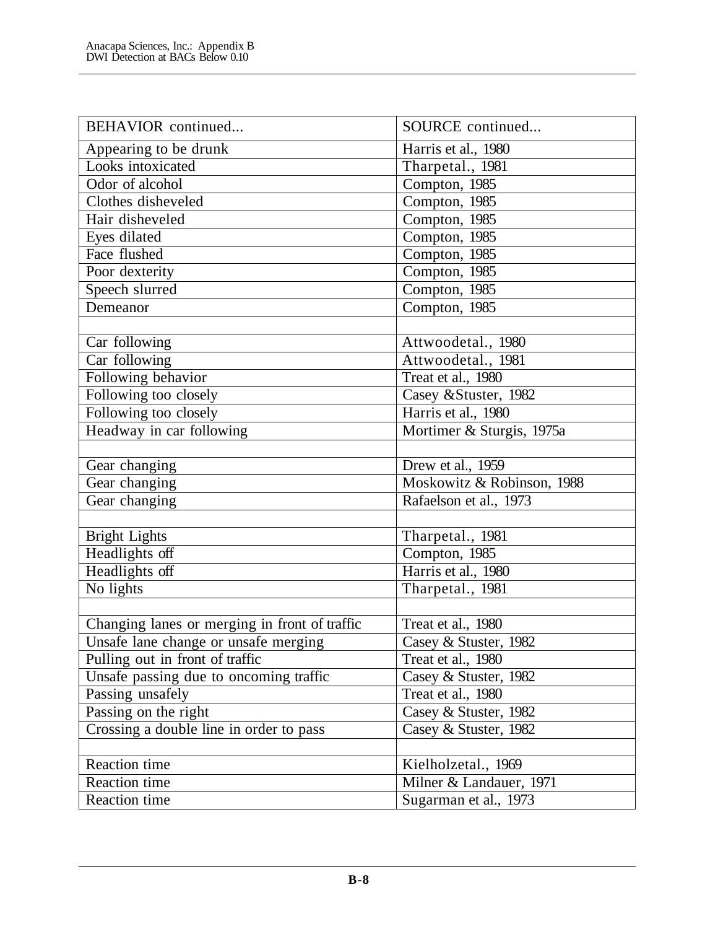| BEHAVIOR continued                            | SOURCE continued           |  |  |
|-----------------------------------------------|----------------------------|--|--|
| Appearing to be drunk                         | Harris et al., 1980        |  |  |
| Looks intoxicated                             | Tharpetal., 1981           |  |  |
| Odor of alcohol                               | Compton, 1985              |  |  |
| Clothes disheveled                            | Compton, 1985              |  |  |
| Hair disheveled                               | Compton, 1985              |  |  |
| Eyes dilated                                  | Compton, 1985              |  |  |
| Face flushed                                  | Compton, 1985              |  |  |
| Poor dexterity                                | Compton, 1985              |  |  |
| Speech slurred                                | Compton, 1985              |  |  |
| Demeanor                                      | Compton, 1985              |  |  |
|                                               |                            |  |  |
| Car following                                 | Attwoodetal., 1980         |  |  |
| Car following                                 | Attwoodetal., 1981         |  |  |
| Following behavior                            | Treat et al., 1980         |  |  |
| Following too closely                         | Casey & Stuster, 1982      |  |  |
| Following too closely                         | Harris et al., 1980        |  |  |
| Headway in car following                      | Mortimer & Sturgis, 1975a  |  |  |
|                                               |                            |  |  |
| Gear changing                                 | Drew et al., 1959          |  |  |
| Gear changing                                 | Moskowitz & Robinson, 1988 |  |  |
| Gear changing                                 | Rafaelson et al., 1973     |  |  |
|                                               |                            |  |  |
| <b>Bright Lights</b>                          | Tharpetal., 1981           |  |  |
| Headlights off                                | Compton, 1985              |  |  |
| Headlights off                                | Harris et al., 1980        |  |  |
| No lights                                     | Tharpetal., 1981           |  |  |
|                                               |                            |  |  |
| Changing lanes or merging in front of traffic | Treat et al., 1980         |  |  |
| Unsafe lane change or unsafe merging          | Casey & Stuster, 1982      |  |  |
| Pulling out in front of traffic               | Treat et al., 1980         |  |  |
| Unsafe passing due to oncoming traffic        | Casey & Stuster, 1982      |  |  |
| Passing unsafely                              | Treat et al., 1980         |  |  |
| Passing on the right                          | Casey & Stuster, 1982      |  |  |
| Crossing a double line in order to pass       | Casey & Stuster, 1982      |  |  |
|                                               |                            |  |  |
| Reaction time                                 | Kielholzetal., 1969        |  |  |
| Reaction time                                 | Milner & Landauer, 1971    |  |  |
| Reaction time                                 | Sugarman et al., 1973      |  |  |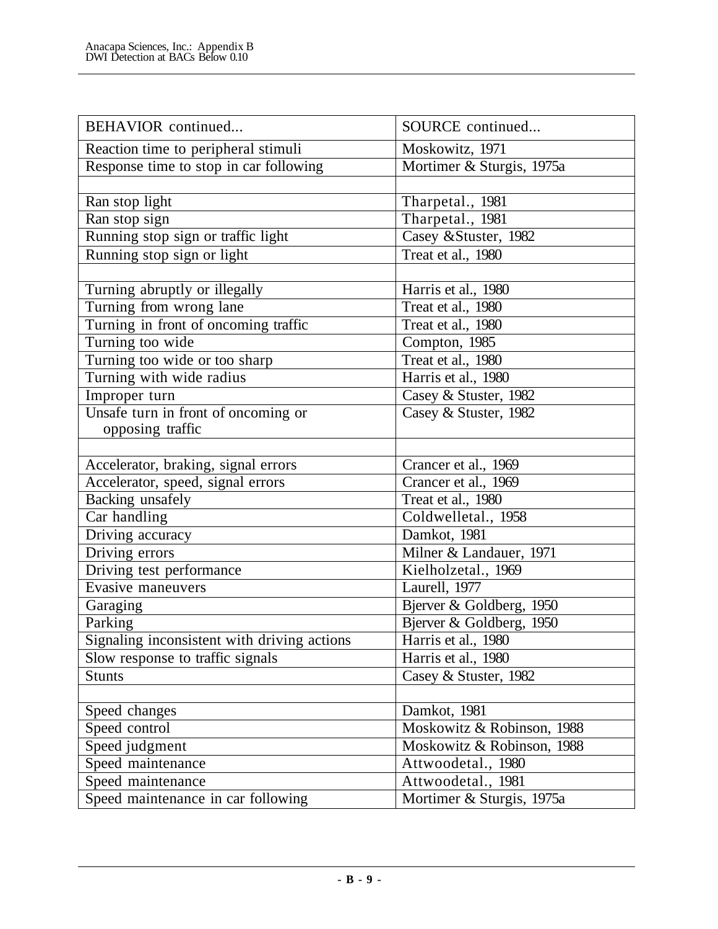| BEHAVIOR continued                          | SOURCE continued           |
|---------------------------------------------|----------------------------|
| Reaction time to peripheral stimuli         | Moskowitz, 1971            |
| Response time to stop in car following      | Mortimer & Sturgis, 1975a  |
|                                             |                            |
| Ran stop light                              | Tharpetal., 1981           |
| Ran stop sign                               | Tharpetal., 1981           |
| Running stop sign or traffic light          | Casey & Stuster, 1982      |
| Running stop sign or light                  | Treat et al., 1980         |
|                                             |                            |
| Turning abruptly or illegally               | Harris et al., 1980        |
| Turning from wrong lane                     | Treat et al., 1980         |
| Turning in front of oncoming traffic        | Treat et al., 1980         |
| Turning too wide                            | Compton, 1985              |
| Turning too wide or too sharp               | Treat et al., 1980         |
| Turning with wide radius                    | Harris et al., 1980        |
| Improper turn                               | Casey & Stuster, 1982      |
| Unsafe turn in front of oncoming or         | Casey & Stuster, 1982      |
| opposing traffic                            |                            |
|                                             |                            |
| Accelerator, braking, signal errors         | Crancer et al., 1969       |
| Accelerator, speed, signal errors           | Crancer et al., 1969       |
| Backing unsafely                            | Treat et al., 1980         |
| Car handling                                | Coldwelletal., 1958        |
| Driving accuracy                            | Damkot, 1981               |
| Driving errors                              | Milner & Landauer, 1971    |
| Driving test performance                    | Kielholzetal., 1969        |
| <b>Evasive maneuvers</b>                    | Laurell, 1977              |
| Garaging                                    | Bjerver & Goldberg, 1950   |
| Parking                                     | Bjerver & Goldberg, 1950   |
| Signaling inconsistent with driving actions | Harris et al., 1980        |
| Slow response to traffic signals            | Harris et al., 1980        |
| <b>Stunts</b>                               | Casey & Stuster, 1982      |
|                                             |                            |
| Speed changes                               | Damkot, 1981               |
| Speed control                               | Moskowitz & Robinson, 1988 |
| Speed judgment                              | Moskowitz & Robinson, 1988 |
| Speed maintenance                           | Attwoodetal., 1980         |
| Speed maintenance                           | Attwoodetal., 1981         |
| Speed maintenance in car following          | Mortimer & Sturgis, 1975a  |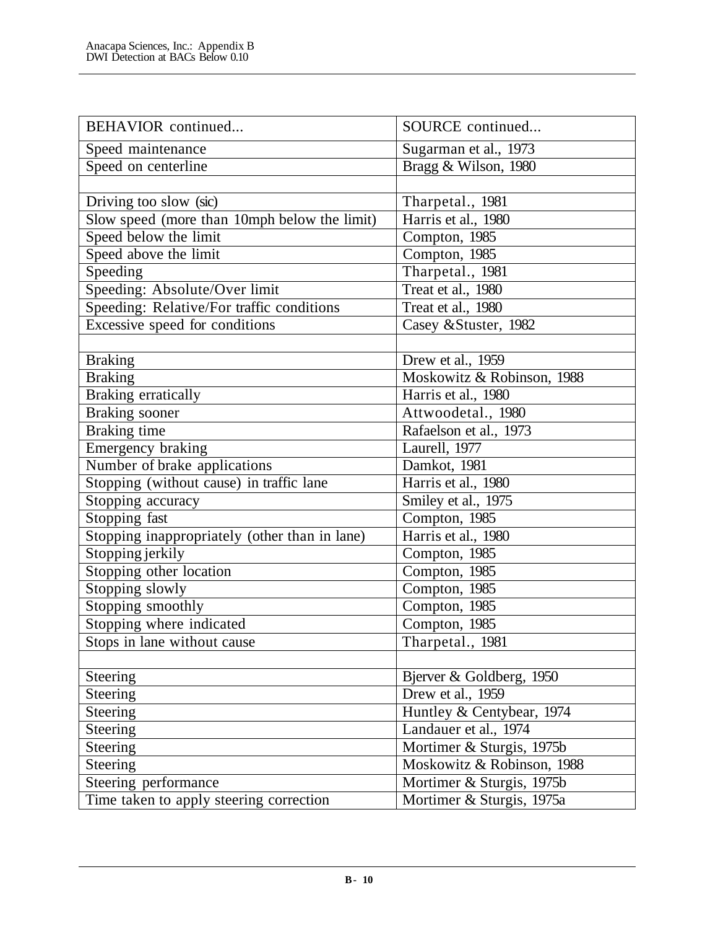| BEHAVIOR continued                            | SOURCE continued           |
|-----------------------------------------------|----------------------------|
| Speed maintenance                             | Sugarman et al., 1973      |
| Speed on centerline                           | Bragg & Wilson, 1980       |
|                                               |                            |
| Driving too slow (sic)                        | Tharpetal., 1981           |
| Slow speed (more than 10mph below the limit)  | Harris et al., 1980        |
| Speed below the limit                         | Compton, 1985              |
| Speed above the limit                         | Compton, 1985              |
| Speeding                                      | Tharpetal., 1981           |
| Speeding: Absolute/Over limit                 | Treat et al., 1980         |
| Speeding: Relative/For traffic conditions     | Treat et al., 1980         |
| Excessive speed for conditions                | Casey & Stuster, 1982      |
|                                               |                            |
| <b>Braking</b>                                | Drew et al., 1959          |
| <b>Braking</b>                                | Moskowitz & Robinson, 1988 |
| <b>Braking erratically</b>                    | Harris et al., 1980        |
| <b>Braking</b> sooner                         | Attwoodetal., 1980         |
| Braking time                                  | Rafaelson et al., 1973     |
| Emergency braking                             | Laurell, 1977              |
| Number of brake applications                  | Damkot, 1981               |
| Stopping (without cause) in traffic lane      | Harris et al., 1980        |
| Stopping accuracy                             | Smiley et al., 1975        |
| Stopping fast                                 | Compton, 1985              |
| Stopping inappropriately (other than in lane) | Harris et al., 1980        |
| Stopping jerkily                              | Compton, 1985              |
| Stopping other location                       | Compton, 1985              |
| Stopping slowly                               | Compton, 1985              |
| Stopping smoothly                             | Compton, 1985              |
| Stopping where indicated                      | Compton, 1985              |
| Stops in lane without cause                   | Tharpetal., 1981           |
|                                               |                            |
| Steering                                      | Bjerver & Goldberg, 1950   |
| Steering                                      | Drew et al., 1959          |
| Steering                                      | Huntley & Centybear, 1974  |
| Steering                                      | Landauer et al., 1974      |
| Steering                                      | Mortimer & Sturgis, 1975b  |
| Steering                                      | Moskowitz & Robinson, 1988 |
| Steering performance                          | Mortimer & Sturgis, 1975b  |
| Time taken to apply steering correction       | Mortimer & Sturgis, 1975a  |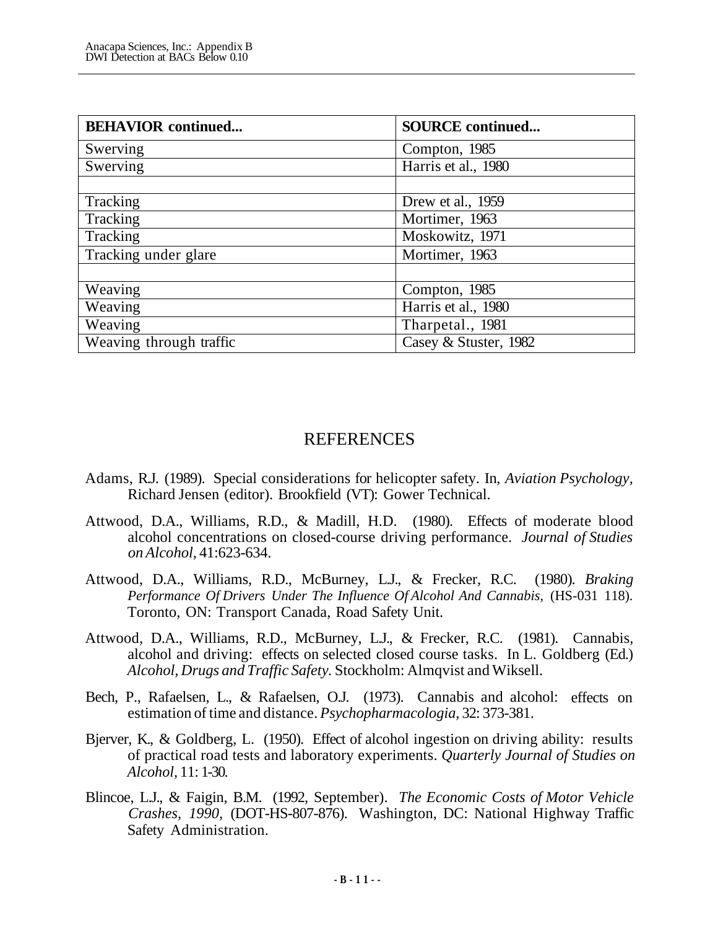| <b>BEHAVIOR</b> continued | <b>SOURCE</b> continued |
|---------------------------|-------------------------|
| Swerving                  | Compton, 1985           |
| Swerving                  | Harris et al., 1980     |
|                           |                         |
| Tracking                  | Drew et al., 1959       |
| Tracking                  | Mortimer, 1963          |
| Tracking                  | Moskowitz, 1971         |
| Tracking under glare      | Mortimer, 1963          |
|                           |                         |
| Weaving                   | Compton, 1985           |
| Weaving                   | Harris et al., 1980     |
| Weaving                   | Tharpetal., 1981        |
| Weaving through traffic   | Casey & Stuster, 1982   |

## REFERENCES

- Adams, R.J. (1989). Special considerations for helicopter safety. In, *Aviation Psychology,* Richard Jensen (editor). Brookfield (VT): Gower Technical.
- Attwood, D.A., Williams, R.D., & Madill, H.D. (1980). Effects of moderate blood alcohol concentrations on closed-course driving performance. *Journal of Studies on Alcohol,* 41:623-634.
- Attwood, D.A., Williams, R.D., McBurney, L.J., & Frecker, R.C. (1980). *Braking Performance Of Drivers Under The Influence Of Alcohol And Cannabis,* (HS-031 118). Toronto, ON: Transport Canada, Road Safety Unit.
- Attwood, D.A., Williams, R.D., McBurney, L.J., & Frecker, R.C. (1981). Cannabis, alcohol and driving: effects on selected closed course tasks. In L. Goldberg (Ed.) *Alcohol, Drugs and Traffic Safety.* Stockholm: Almqvist and Wiksell.
- Bech, P., Rafaelsen, L., & Rafaelsen, O.J. (1973). Cannabis and alcohol: effects on estimation of time and distance. *Psychopharmacologia,* 32: 373-381.
- Bjerver, K., & Goldberg, L. (1950). Effect of alcohol ingestion on driving ability: results of practical road tests and laboratory experiments. *Quarterly Journal of Studies on Alcohol,* 11: 1-30.
- Blincoe, L.J., & Faigin, B.M. (1992, September). *The Economic Costs of Motor Vehicle Crashes, 1990,* (DOT-HS-807-876). Washington, DC: National Highway Traffic Safety Administration.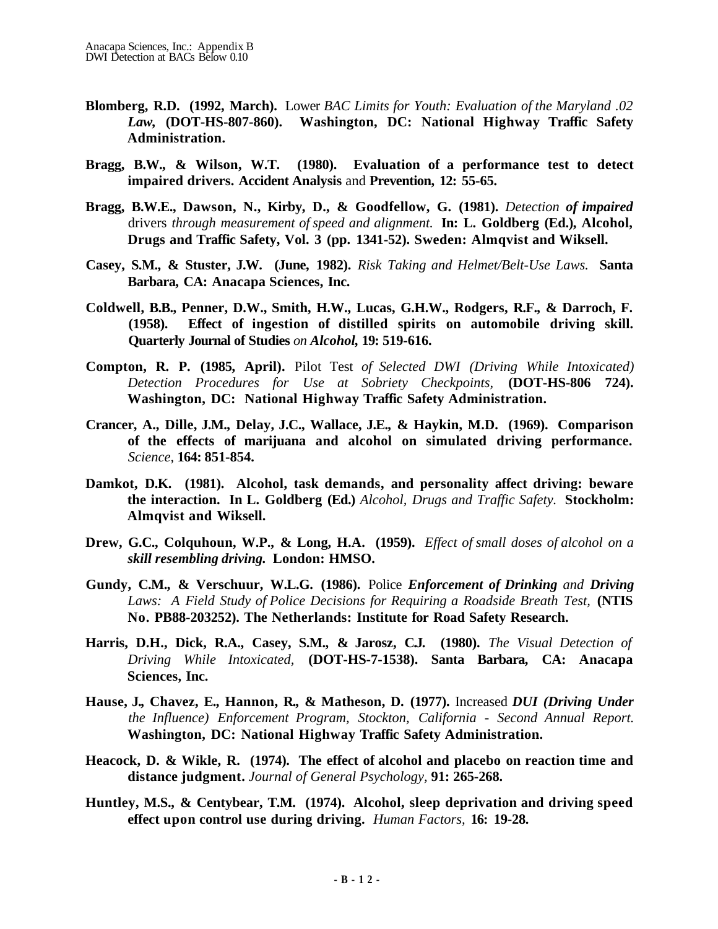- **Blomberg, R.D. (1992, March).** Lower *BAC Limits for Youth: Evaluation of the Maryland .02 Law,* **(DOT-HS-807-860). Washington, DC: National Highway Traffic Safety Administration.**
- **Bragg, B.W., & Wilson, W.T. (1980). Evaluation of a performance test to detect impaired drivers. Accident Analysis** and **Prevention, 12: 55-65.**
- **Bragg, B.W.E., Dawson, N., Kirby, D., & Goodfellow, G. (1981).** *Detection of impaired* drivers *through measurement of speed and alignment.* **In: L. Goldberg (Ed.), Alcohol, Drugs and Traffic Safety, Vol. 3 (pp. 1341-52). Sweden: Almqvist and Wiksell.**
- **Casey, S.M., & Stuster, J.W. (June, 1982).** *Risk Taking and Helmet/Belt-Use Laws.* **Santa Barbara, CA: Anacapa Sciences, Inc.**
- **Coldwell, B.B., Penner, D.W., Smith, H.W., Lucas, G.H.W., Rodgers, R.F., & Darroch, F. (1958). Effect of ingestion of distilled spirits on automobile driving skill. Quarterly Journal of Studies** *on Alcohol,* **19: 519-616.**
- **Compton, R. P. (1985, April).** Pilot Test *of Selected DWI (Driving While Intoxicated) Detection Procedures for Use at Sobriety Checkpoints,* **(DOT-HS-806 724). Washington, DC: National Highway Traffic Safety Administration.**
- **Crancer, A., Dille, J.M., Delay, J.C., Wallace, J.E., & Haykin, M.D. (1969). Comparison of the effects of marijuana and alcohol on simulated driving performance.** *Science,* **164: 851-854.**
- **Damkot, D.K. (1981). Alcohol, task demands, and personality affect driving: beware the interaction. In L. Goldberg (Ed.)** *Alcohol, Drugs and Traffic Safety.* **Stockholm: Almqvist and Wiksell.**
- **Drew, G.C., Colquhoun, W.P., & Long, H.A. (1959).** *Effect of small doses of alcohol on a skill resembling driving.* **London: HMSO.**
- **Gundy, C.M., & Verschuur, W.L.G. (1986).** Police *Enforcement of Drinking and Driving Laws: A Field Study of Police Decisions for Requiring a Roadside Breath Test,* **(NTIS No. PB88-203252). The Netherlands: Institute for Road Safety Research.**
- **Harris, D.H., Dick, R.A., Casey, S.M., & Jarosz, C.J. (1980).** *The Visual Detection of Driving While Intoxicated,* **(DOT-HS-7-1538). Santa Barbara, CA: Anacapa Sciences, Inc.**
- **Hause, J., Chavez, E., Hannon, R., & Matheson, D. (1977).** Increased *DUI (Driving Under the Influence) Enforcement Program, Stockton, California - Second Annual Report.* **Washington, DC: National Highway Traffic Safety Administration.**
- **Heacock, D. & Wikle, R. (1974). The effect of alcohol and placebo on reaction time and distance judgment.** *Journal of General Psychology,* **91: 265-268.**
- **Huntley, M.S., & Centybear, T.M. (1974). Alcohol, sleep deprivation and driving speed effect upon control use during driving.** *Human Factors,* **16: 19-28.**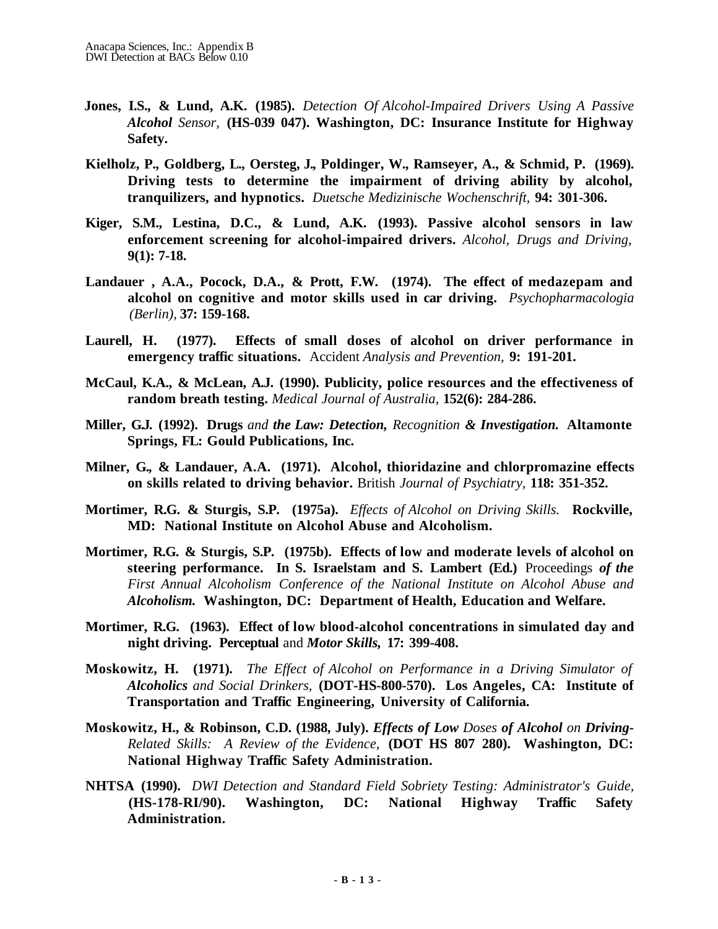- **Jones, I.S., & Lund, A.K. (1985).** *Detection Of Alcohol-Impaired Drivers Using A Passive Alcohol Sensor,* **(HS-039 047). Washington, DC: Insurance Institute for Highway Safety.**
- **Kielholz, P., Goldberg, L., Oersteg, J., Poldinger, W., Ramseyer, A., & Schmid, P. (1969). Driving tests to determine the impairment of driving ability by alcohol, tranquilizers, and hypnotics.** *Duetsche Medizinische Wochenschrift,* **94: 301-306.**
- **Kiger, S.M., Lestina, D.C., & Lund, A.K. (1993). Passive alcohol sensors in law enforcement screening for alcohol-impaired drivers.** *Alcohol, Drugs and Driving*, **9(1): 7-18.**
- **Landauer , A.A., Pocock, D.A., & Prott, F.W. (1974). The effect of medazepam and alcohol on cognitive and motor skills used in car driving.** *Psychopharmacologia (Berlin),* **37: 159-168.**
- **Laurell, H. (1977). Effects of small doses of alcohol on driver performance in emergency traffic situations.** Accident *Analysis and Prevention,* **9: 191-201.**
- **McCaul, K.A., & McLean, A.J. (1990). Publicity, police resources and the effectiveness of random breath testing.** *Medical Journal of Australia,* **152(6): 284-286.**
- **Miller, G.J. (1992). Drugs** *and the Law: Detection, Recognition & Investigation.* **Altamonte Springs, FL: Gould Publications, Inc.**
- **Milner, G., & Landauer, A.A. (1971). Alcohol, thioridazine and chlorpromazine effects on skills related to driving behavior.** British *Journal of Psychiatry,* **118: 351-352.**
- **Mortimer, R.G. & Sturgis, S.P. (1975a).** *Effects of Alcohol on Driving Skills.* **Rockville, MD: National Institute on Alcohol Abuse and Alcoholism.**
- **Mortimer, R.G. & Sturgis, S.P. (1975b). Effects of low and moderate levels of alcohol on steering performance. In S. Israelstam and S. Lambert (Ed.)** Proceedings *of the First Annual Alcoholism Conference of the National Institute on Alcohol Abuse and Alcoholism.* **Washington, DC: Department of Health, Education and Welfare.**
- **Mortimer, R.G. (1963). Effect of low blood-alcohol concentrations in simulated day and night driving. Perceptual** and *Motor Skills,* **17: 399-408.**
- **Moskowitz, H. (1971).** *The Effect of Alcohol on Performance in a Driving Simulator of Alcoholics and Social Drinkers,* **(DOT-HS-800-570). Los Angeles, CA: Institute of Transportation and Traffic Engineering, University of California.**
- **Moskowitz, H., & Robinson, C.D. (1988, July).** *Effects of Low Doses of Alcohol on Driving-Related Skills: A Review of the Evidence,* **(DOT HS 807 280). Washington, DC: National Highway Traffic Safety Administration.**
- **NHTSA (1990).** *DWI Detection and Standard Field Sobriety Testing: Administrator's Guide,* **(HS-178-RI/90). Washington, DC: National Highway Traffic Safety Administration.**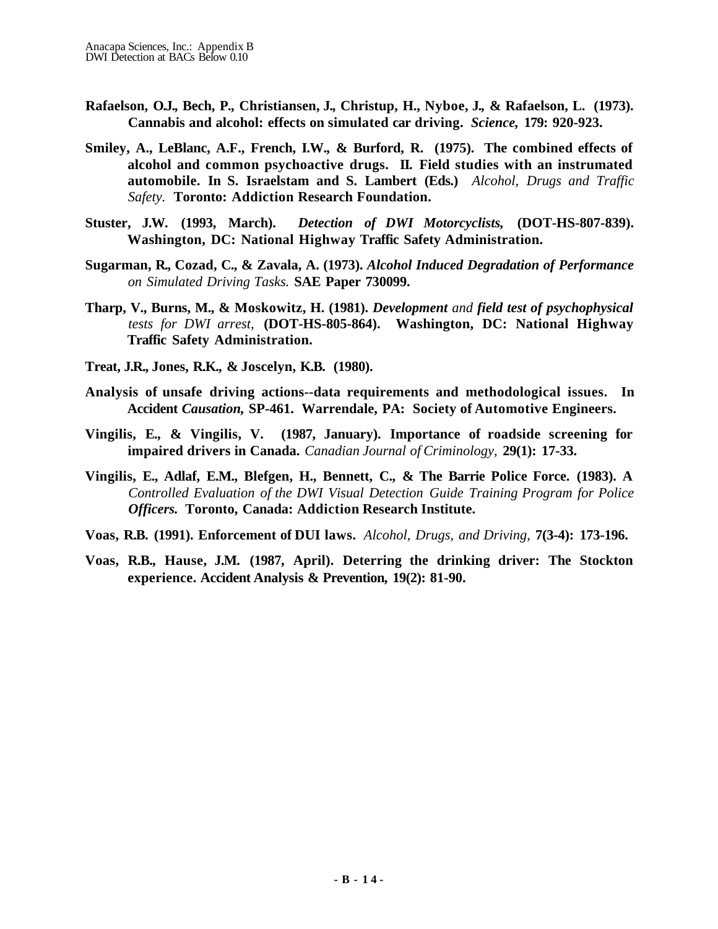- **Rafaelson, O.J., Bech, P., Christiansen, J., Christup, H., Nyboe, J., & Rafaelson, L. (1973). Cannabis and alcohol: effects on simulated car driving.** *Science,* **179: 920-923.**
- **Smiley, A., LeBlanc, A.F., French, I.W., & Burford, R. (1975). The combined effects of alcohol and common psychoactive drugs. II. Field studies with an instrumated automobile. In S. Israelstam and S. Lambert (Eds.)** *Alcohol, Drugs and Traffic Safety.* **Toronto: Addiction Research Foundation.**
- **Stuster, J.W. (1993, March).** *Detection of DWI Motorcyclists,* **(DOT-HS-807-839). Washington, DC: National Highway Traffic Safety Administration.**
- **Sugarman, R., Cozad, C., & Zavala, A. (1973).** *Alcohol Induced Degradation of Performance on Simulated Driving Tasks.* **SAE Paper 730099.**
- **Tharp, V., Burns, M., & Moskowitz, H. (1981).** *Development and field test of psychophysical tests for DWI arrest,* **(DOT-HS-805-864). Washington, DC: National Highway Traffic Safety Administration.**
- **Treat, J.R., Jones, R.K., & Joscelyn, K.B. (1980).**
- **Analysis of unsafe driving actions--data requirements and methodological issues. In Accident** *Causation,* **SP-461. Warrendale, PA: Society of Automotive Engineers.**
- **Vingilis, E., & Vingilis, V. (1987, January). Importance of roadside screening for impaired drivers in Canada.** *Canadian Journal of Criminology,* **29(1): 17-33.**
- **Vingilis, E., Adlaf, E.M., Blefgen, H., Bennett, C., & The Barrie Police Force. (1983). A** *Controlled Evaluation of the DWI Visual Detection Guide Training Program for Police Officers.* **Toronto, Canada: Addiction Research Institute.**
- **Voas, R.B. (1991). Enforcement of DUI laws.** *Alcohol, Drugs, and Driving,* **7(3-4): 173-196.**
- **Voas, R.B., Hause, J.M. (1987, April). Deterring the drinking driver: The Stockton experience. Accident Analysis & Prevention, 19(2): 81-90.**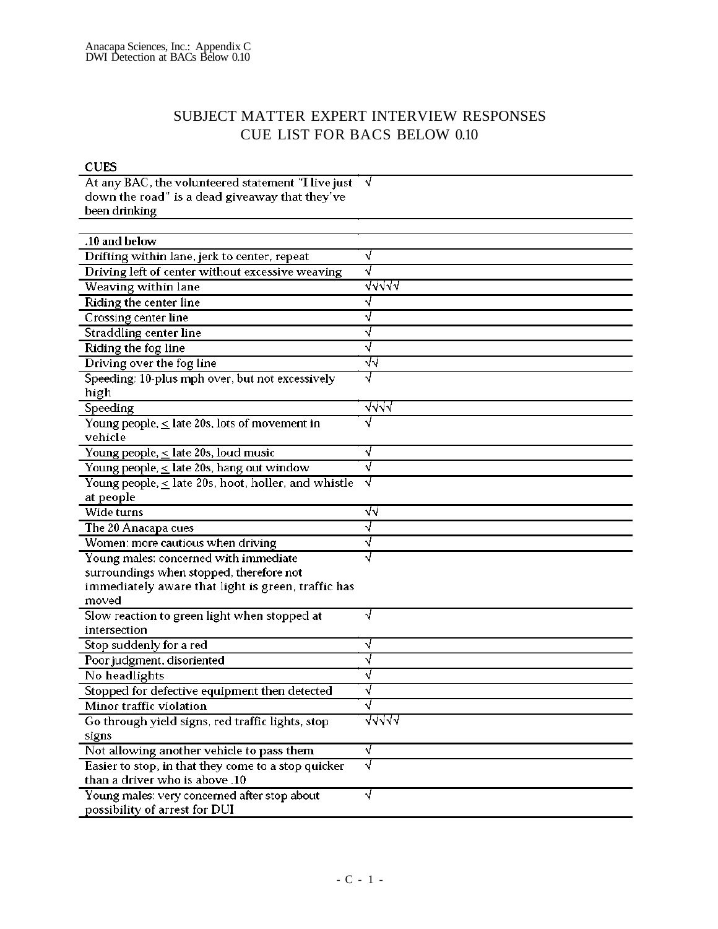# SUBJECT MATTER EXPERT INTERVIEW RESPONSES CUE LIST FOR BACS BELOW 0.10

**CUES** 

| At any BAC, the volunteered statement "I live just       | V           |
|----------------------------------------------------------|-------------|
| down the road" is a dead giveaway that they've           |             |
| been drinking                                            |             |
|                                                          |             |
| .10 and below                                            |             |
| Drifting within lane, jerk to center, repeat             | √           |
| Driving left of center without excessive weaving         | √           |
| Weaving within lane                                      | <b>AAAA</b> |
| Riding the center line                                   |             |
| Crossing center line                                     | √           |
| Straddling center line                                   | V           |
| Riding the fog line                                      | √           |
| Driving over the fog line                                | √√          |
| Speeding: 10-plus mph over, but not excessively          |             |
| high                                                     |             |
| Speeding                                                 | 1111        |
| Young people, $\leq$ late 20s, lots of movement in       |             |
| vehicle                                                  |             |
| Young people, < late 20s, loud music                     | V           |
| Young people, $\leq$ late 20s, hang out window           |             |
| Young people, $\leq$ late 20s, hoot, holler, and whistle | √           |
| at people                                                |             |
| Wide turns                                               | √√          |
| The 20 Anacapa cues                                      |             |
| Women: more cautious when driving                        | √           |
| Young males: concerned with immediate                    | J           |
| surroundings when stopped, therefore not                 |             |
| immediately aware that light is green, traffic has       |             |
| moved                                                    |             |
| Slow reaction to green light when stopped at             |             |
| intersection                                             |             |
| Stop suddenly for a red                                  | ٧           |
| Poor judgment, disoriented                               | √           |
| No headlights                                            |             |
| Stopped for defective equipment then detected            | √           |
| Minor traffic violation                                  | √           |
| Go through yield signs, red traffic lights, stop         | √√√√        |
| signs                                                    |             |
| Not allowing another vehicle to pass them                | √           |
| Easier to stop, in that they come to a stop quicker      | √           |
| than a driver who is above .10                           |             |
| Young males: very concerned after stop about             | √           |
| possibility of arrest for DUI                            |             |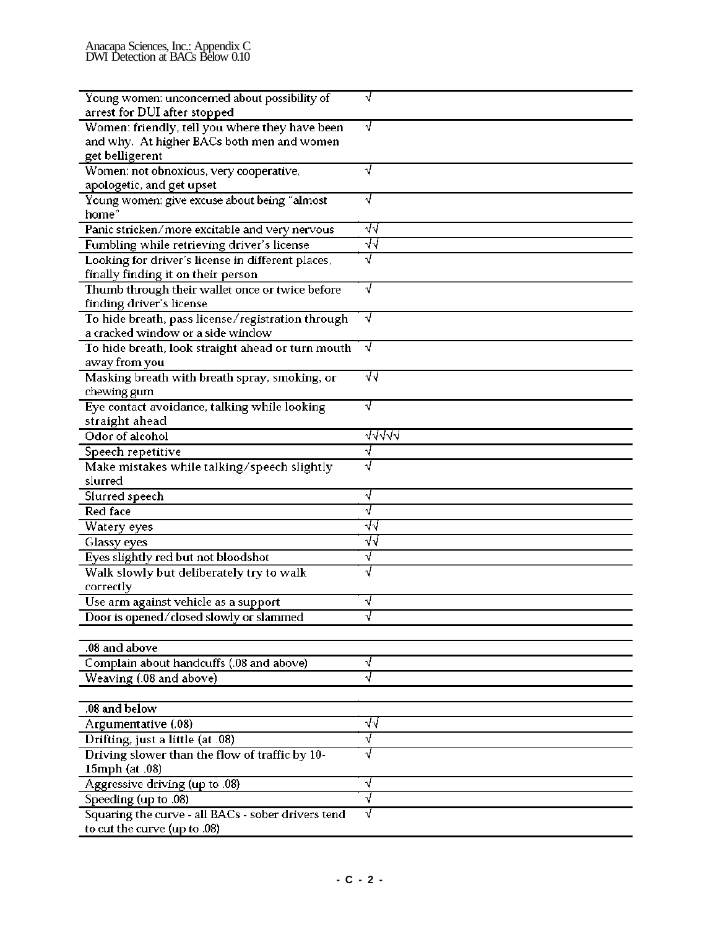| Young women: unconcerned about possibility of<br>arrest for DUI after stopped      | √     |
|------------------------------------------------------------------------------------|-------|
| Women: friendly, tell you where they have been                                     | √     |
| and why. At higher BACs both men and women                                         |       |
| get belligerent                                                                    |       |
| Women: not obnoxious, very cooperative,                                            | √     |
| apologetic, and get upset                                                          |       |
| Young women: give excuse about being "almost                                       | √     |
| home"                                                                              |       |
| Panic stricken/more excitable and very nervous                                     | √√    |
| Fumbling while retrieving driver's license                                         | ₩     |
| Looking for driver's license in different places,                                  | √     |
| finally finding it on their person                                                 |       |
| Thumb through their wallet once or twice before                                    | √     |
| finding driver's license                                                           |       |
| To hide breath, pass license/registration through                                  | √     |
| a cracked window or a side window                                                  |       |
| To hide breath, look straight ahead or turn mouth                                  | √     |
| away from you                                                                      |       |
| Masking breath with breath spray, smoking, or                                      | ₩     |
| chewing gum                                                                        |       |
| Eye contact avoidance, talking while looking                                       | √     |
| straight ahead                                                                     |       |
| Odor of alcohol                                                                    | 11111 |
| Speech repetitive                                                                  | √     |
| Make mistakes while talking/speech slightly                                        |       |
|                                                                                    |       |
| slurred                                                                            |       |
| Slurred speech                                                                     | √     |
| <b>Red face</b>                                                                    | √     |
| Watery eyes                                                                        | √√    |
| Glassy eyes                                                                        | ₩     |
| Eyes slightly red but not bloodshot                                                | √     |
| Walk slowly but deliberately try to walk                                           |       |
| correctly                                                                          |       |
| Use arm against vehicle as a support                                               | ٦Į    |
| Door is opened/closed slowly or slammed                                            | √     |
|                                                                                    |       |
| .08 and above                                                                      |       |
| Complain about handcuffs (.08 and above)                                           | ٧     |
| Weaving (.08 and above)                                                            | √     |
|                                                                                    |       |
| .08 and below                                                                      |       |
| Argumentative (.08)                                                                | √√    |
| Drifting, just a little (at .08)                                                   | √     |
| Driving slower than the flow of traffic by 10-                                     |       |
| 15mph (at .08)                                                                     |       |
| Aggressive driving (up to .08)                                                     | ٦I    |
| Speeding (up to .08)                                                               | √     |
| Squaring the curve - all BACs - sober drivers tend<br>to cut the curve (up to .08) | √     |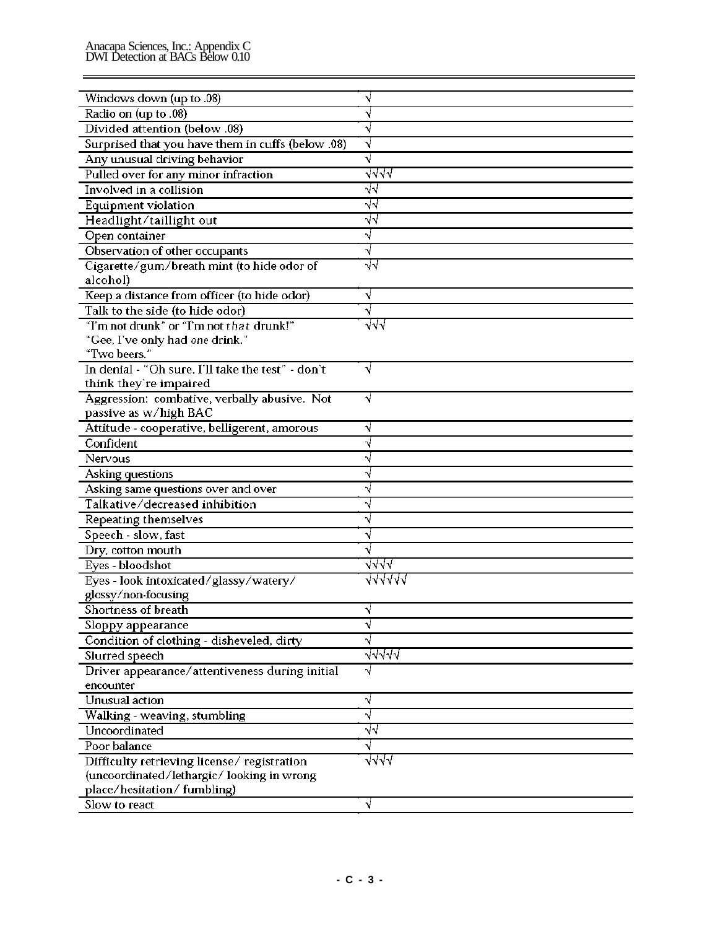| Windows down (up to .08)                          | ۷      |
|---------------------------------------------------|--------|
| Radio on (up to .08)                              | √      |
| Divided attention (below .08)                     | √      |
| Surprised that you have them in cuffs (below .08) | √      |
| Any unusual driving behavior                      | √      |
| Pulled over for any minor infraction              | ৰৰৰ    |
| Involved in a collision                           | √√     |
| <b>Equipment violation</b>                        | √√     |
| Headlight/taillight out                           | √√     |
| Open container                                    |        |
| Observation of other occupants                    |        |
| Cigarette/gum/breath mint (to hide odor of        | √√     |
| alcohol)                                          |        |
| Keep a distance from officer (to hide odor)       | ٧      |
| Talk to the side (to hide odor)                   | √      |
| "I'm not drunk" or "I'm not that drunk!"          | ₩√     |
| "Gee, I've only had one drink."                   |        |
| "Two beers."                                      |        |
| In denial - "Oh sure, I'll take the test" - don't | √      |
| think they're impaired                            | √      |
| Aggression: combative, verbally abusive. Not      |        |
| passive as w/high BAC                             | V      |
| Attitude - cooperative, belligerent, amorous      |        |
| Confident                                         | V      |
| Nervous                                           |        |
| Asking questions                                  |        |
| Asking same questions over and over               |        |
| Talkative/decreased inhibition                    |        |
| Repeating themselves                              |        |
| Speech - slow, fast                               |        |
| Dry, cotton mouth                                 |        |
| Eyes - bloodshot                                  | ৰৰৰ    |
| Eyes - look intoxicated/glassy/watery/            | 111111 |
| glossy/non-focusing                               |        |
| Shortness of breath                               | √      |
| Sloppy appearance                                 |        |
| Condition of clothing - disheveled, dirty         | √      |
| Slurred speech                                    | 11111  |
| Driver appearance/attentiveness during initial    | √      |
| encounter                                         |        |
| Unusual action                                    | Λ      |
| Walking - weaving, stumbling                      | √      |
| Uncoordinated                                     | √√     |
| Poor balance                                      |        |
| Difficulty retrieving license/registration        | √√√√   |
| (uncoordinated/lethargic/looking in wrong         |        |
| place/hesitation/fumbling)                        |        |
| Slow to react                                     | V      |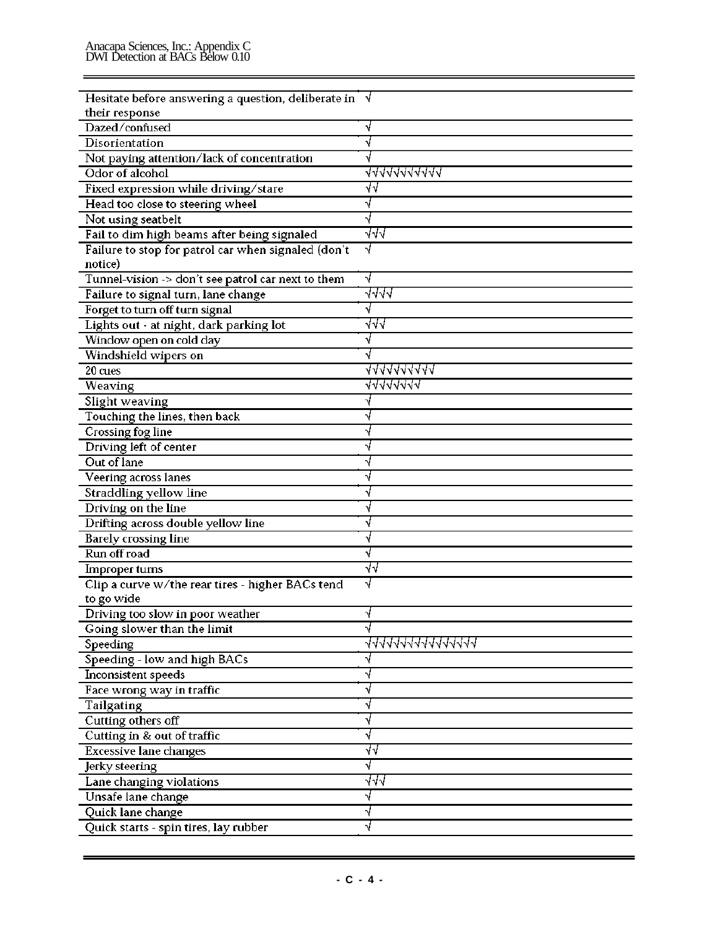| Hesitate before answering a question, deliberate in $\sqrt{ }$ |                         |
|----------------------------------------------------------------|-------------------------|
| their response                                                 |                         |
| Dazed/confused                                                 | ٧                       |
| Disorientation                                                 |                         |
| Not paying attention/lack of concentration                     |                         |
| Odor of alcohol                                                | <b>111111111111</b>     |
| Fixed expression while driving/stare                           | ₩                       |
| Head too close to steering wheel                               |                         |
| Not using seatbelt                                             |                         |
| Fail to dim high beams after being signaled                    | ररा                     |
| Failure to stop for patrol car when signaled (don't            | √                       |
| notice)                                                        |                         |
| Tunnel-vision -> don't see patrol car next to them             | √                       |
| Failure to signal turn, lane change                            | 1111                    |
| Forget to turn off turn signal                                 |                         |
| Lights out - at night, dark parking lot                        | √√√                     |
| Window open on cold day                                        |                         |
| Windshield wipers on                                           |                         |
| 20 cues                                                        | <u>YYYYYYYYY</u>        |
| Weaving                                                        | <u> 11111111</u>        |
| Slight weaving                                                 |                         |
| Touching the lines, then back                                  |                         |
| <b>Crossing fog line</b>                                       |                         |
| Driving left of center                                         |                         |
| Out of lane                                                    |                         |
| Veering across lanes                                           |                         |
| Straddling yellow line                                         |                         |
| Driving on the line                                            |                         |
| Drifting across double yellow line                             |                         |
| <b>Barely crossing line</b>                                    |                         |
| Run off road                                                   | √                       |
| <b>Improper turns</b>                                          | ₩                       |
| Clip a curve w/the rear tires - higher BACs tend               |                         |
| to go wide                                                     |                         |
| Driving too slow in poor weather                               | Ν                       |
| Going slower than the limit                                    | Λ                       |
| Speeding                                                       | <u>1111111111111111</u> |
| Speeding - low and high BACs                                   |                         |
| Inconsistent speeds                                            | Λ                       |
| Face wrong way in traffic                                      | ٧                       |
| Tailgating                                                     | ٧                       |
| Cutting others off                                             | V                       |
| Cutting in & out of traffic                                    | √                       |
| <b>Excessive lane changes</b>                                  | ₩                       |
| Jerky steering                                                 | 4.                      |
| Lane changing violations                                       | 111                     |
| Unsafe lane change                                             |                         |
| Quick lane change                                              |                         |
| Quick starts - spin tires, lay rubber                          | √                       |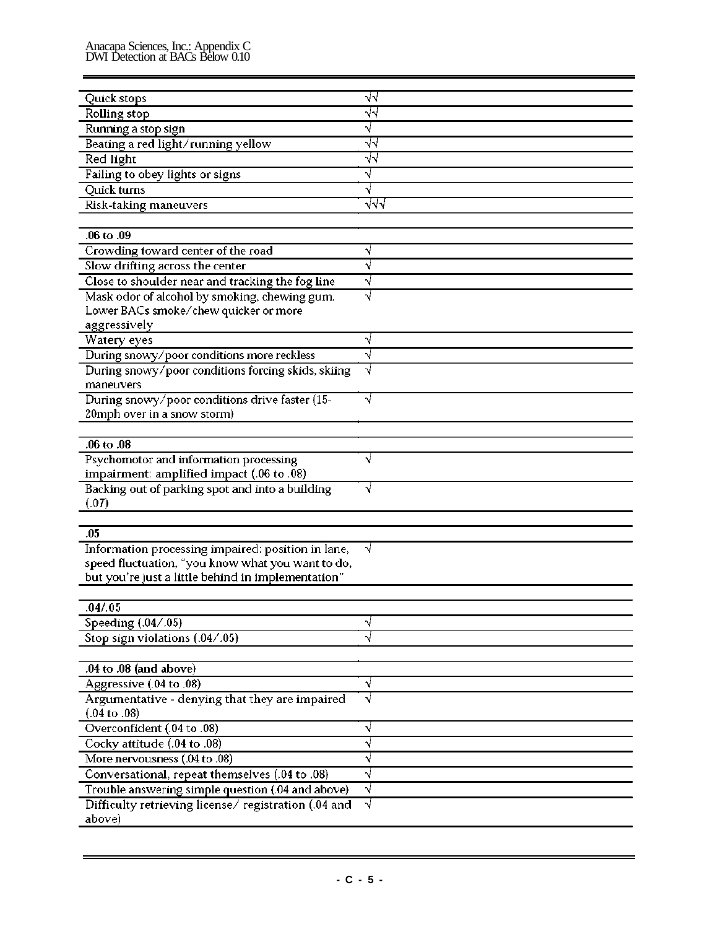| Quick stops                                          | √√  |
|------------------------------------------------------|-----|
| Rolling stop                                         | √√  |
| Running a stop sign                                  | √   |
| Beating a red light/running yellow                   | √√  |
| Red light                                            | √√  |
| Failing to obey lights or signs                      | √   |
| Quick turns                                          | √   |
| <b>Risk-taking maneuvers</b>                         | √√√ |
|                                                      |     |
| .06 to .09                                           |     |
| Crowding toward center of the road                   | ٧   |
| Slow drifting across the center                      | √   |
| Close to shoulder near and tracking the fog line     | Λ   |
| Mask odor of alcohol by smoking, chewing gum.        | √   |
| Lower BACs smoke/chew quicker or more                |     |
| aggressively                                         |     |
| Watery eyes                                          | √   |
| During snowy/poor conditions more reckless           | √   |
| During snowy/poor conditions forcing skids, skiing   |     |
| maneuvers                                            |     |
| During snowy/poor conditions drive faster (15-       | √   |
| 20mph over in a snow storm)                          |     |
|                                                      |     |
| .06 to .08                                           |     |
| Psychomotor and information processing               | V   |
| impairment: amplified impact (.06 to .08)            |     |
| Backing out of parking spot and into a building      | V   |
| (.07)                                                |     |
|                                                      |     |
| .05                                                  |     |
| Information processing impaired: position in lane,   | N.  |
| speed fluctuation, "you know what you want to do,    |     |
| but you're just a little behind in implementation"   |     |
|                                                      |     |
| .04/.05                                              |     |
| Speeding (.04/.05)                                   |     |
| Stop sign violations (.04/.05)                       |     |
|                                                      |     |
| .04 to .08 (and above)                               |     |
| Aggressive (.04 to .08)                              | V   |
| Argumentative - denying that they are impaired       | √   |
| $(.04 \text{ to } .08)$                              |     |
| Overconfident (.04 to .08)                           | √   |
| Cocky attitude (.04 to .08)                          | √   |
| More nervousness (.04 to .08)                        |     |
| Conversational, repeat themselves (.04 to .08)       |     |
| Trouble answering simple question (.04 and above)    | √   |
| Difficulty retrieving license/ registration (.04 and | √   |
| above)                                               |     |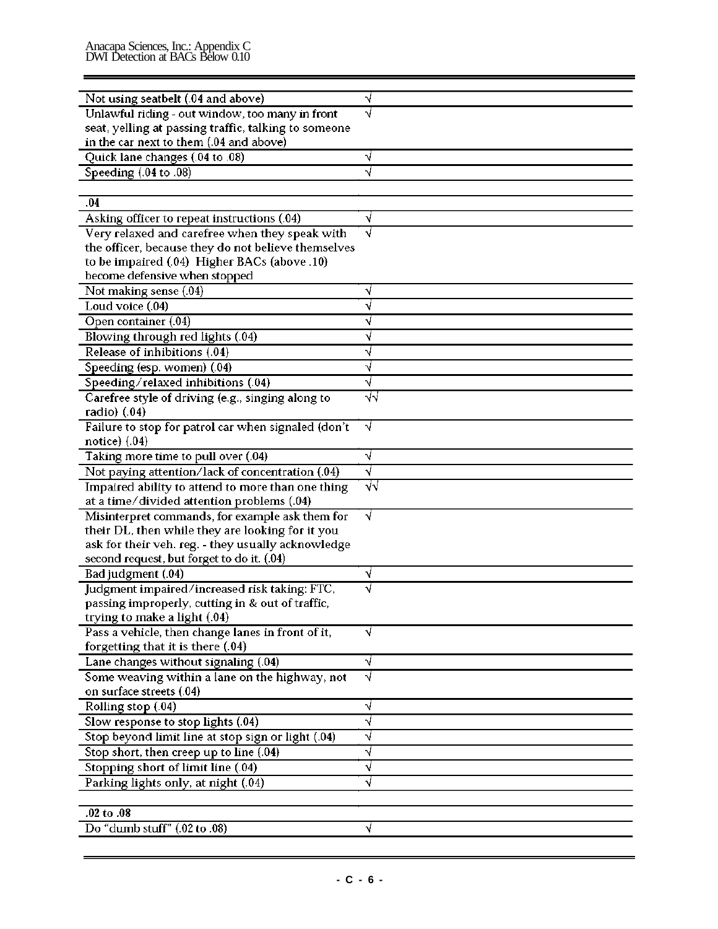| Not using seatbelt (.04 and above)                   | Λ  |
|------------------------------------------------------|----|
| Unlawful riding - out window, too many in front      |    |
| seat, yelling at passing traffic, talking to someone |    |
| in the car next to them (.04 and above)              |    |
| Quick lane changes (.04 to .08)                      | √  |
| Speeding (.04 to .08)                                | √  |
|                                                      |    |
| .04                                                  |    |
| Asking officer to repeat instructions (.04)          | V  |
| Very relaxed and carefree when they speak with       | V  |
| the officer, because they do not believe themselves  |    |
| to be impaired (.04) Higher BACs (above .10)         |    |
| become defensive when stopped                        |    |
| Not making sense $(0.04)$                            | V  |
| Loud voice $(0.04)$                                  | √  |
| Open container (.04)                                 | V  |
| Blowing through red lights (.04)                     | V  |
| Release of inhibitions (.04)                         | √  |
| Speeding (esp. women) (.04)                          | √  |
| Speeding/relaxed inhibitions (.04)                   | √  |
| Carefree style of driving (e.g., singing along to    | √√ |
| radio) (.04)                                         |    |
| Failure to stop for patrol car when signaled (don't  | √  |
| notice) $(.04)$                                      |    |
| Taking more time to pull over (.04)                  | Λ  |
| Not paying attention/lack of concentration (.04)     | √  |
| Impaired ability to attend to more than one thing    | √√ |
| at a time/divided attention problems (.04)           |    |
| Misinterpret commands, for example ask them for      | √  |
| their DL, then while they are looking for it you     |    |
| ask for their veh. reg. - they usually acknowledge   |    |
| second request, but forget to do it. (.04)           |    |
| Bad judgment (.04)                                   | √  |
| Judgment impaired/increased risk taking: FTC,        |    |
| passing improperly, cutting in & out of traffic,     |    |
| trying to make a light (.04)                         |    |
| Pass a vehicle, then change lanes in front of it,    | √  |
| forgetting that it is there (.04)                    |    |
| Lane changes without signaling (.04)                 | ν  |
| Some weaving within a lane on the highway, not       | √  |
| on surface streets (.04)                             |    |
| Rolling stop (.04)                                   | ν  |
| Slow response to stop lights (.04)                   | √  |
| Stop beyond limit line at stop sign or light (.04)   | Λ  |
| Stop short, then creep up to line (.04)              | Λ  |
| Stopping short of limit line (.04)                   | V  |
| Parking lights only, at night (.04)                  |    |
|                                                      |    |
| .02 to .08                                           |    |
| Do "dumb stuff" (.02 to .08)                         | V  |
|                                                      |    |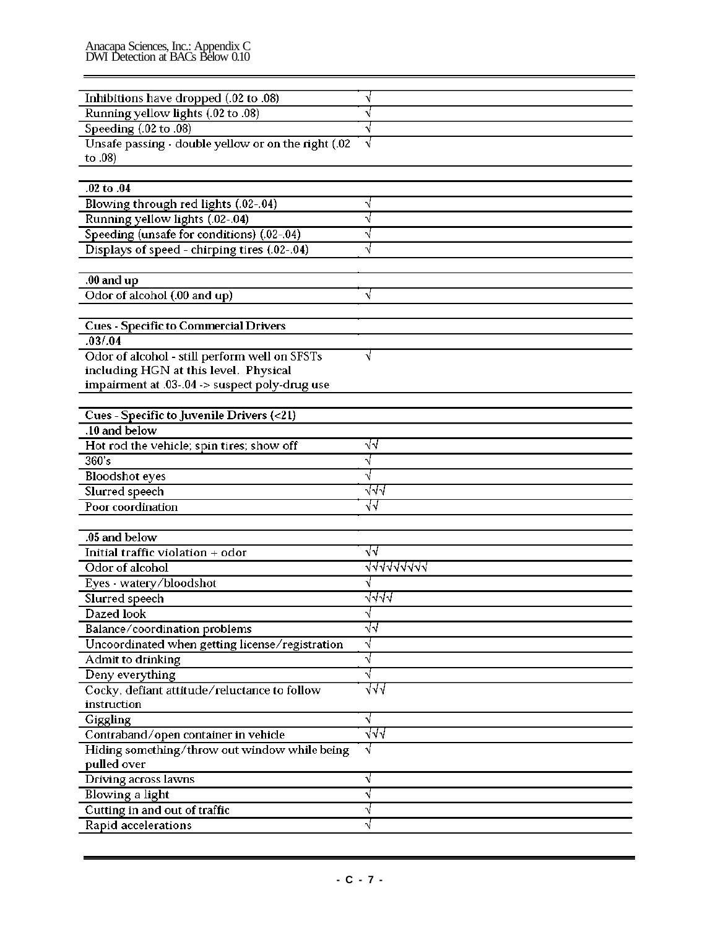| Inhibitions have dropped (.02 to .08)               | ٧               |
|-----------------------------------------------------|-----------------|
| Running yellow lights (.02 to .08)                  | ٧               |
| Speeding (.02 to .08)                               |                 |
| Unsafe passing - double yellow or on the right (.02 | √               |
| to .08)                                             |                 |
|                                                     |                 |
| .02 to .04                                          |                 |
| Blowing through red lights (.02-.04)                | Λ               |
| Running yellow lights (.02-.04)                     |                 |
| Speeding (unsafe for conditions) (.02-.04)          |                 |
| Displays of speed - chirping tires (.02-.04)        |                 |
|                                                     |                 |
| .00 and up                                          |                 |
| Odor of alcohol (.00 and up)                        | V               |
|                                                     |                 |
| <b>Cues - Specific to Commercial Drivers</b>        |                 |
| .03/.04                                             |                 |
| Odor of alcohol - still perform well on SFSTs       | V               |
| including HGN at this level. Physical               |                 |
| impairment at .03-.04 -> suspect poly-drug use      |                 |
|                                                     |                 |
| Cues - Specific to Juvenile Drivers (<21)           |                 |
| .10 and below                                       |                 |
| Hot rod the vehicle; spin tires; show off           | √√              |
| 360's                                               | √               |
| Bloodshot eyes                                      | √               |
| Slurred speech                                      | ৰৰ              |
| Poor coordination                                   | √√              |
|                                                     |                 |
| .05 and below                                       |                 |
| Initial traffic violation + odor                    | √√<br>111111111 |
| Odor of alcohol                                     |                 |
| Eyes - watery/bloodshot                             | V               |
| Slurred speech                                      | 1111            |
| Dazed look                                          | ν<br>√√         |
| Balance/coordination problems                       | √               |
| Uncoordinated when getting license/registration     | √               |
| Admit to drinking<br>Deny everything                | √               |
| Cocky, defiant attitude/reluctance to follow        | √√√             |
| instruction                                         |                 |
|                                                     | ۷               |
| Giggling<br>Contraband/open container in vehicle    | √√√             |
| Hiding something/throw out window while being       | √               |
| pulled over                                         |                 |
| Driving across lawns                                | V               |
| Blowing a light                                     | √               |
| Cutting in and out of traffic                       | ν               |
| Rapid accelerations                                 |                 |
|                                                     |                 |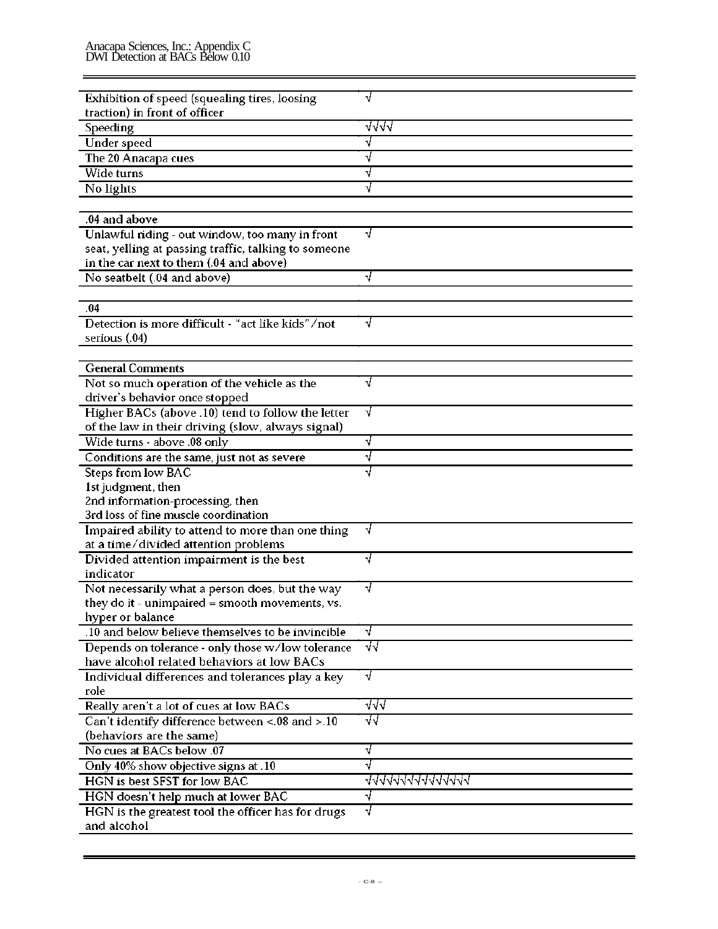| traction) in front of officer<br>√√√√<br>Speeding<br>√<br>Under speed<br>√<br>The 20 Anacapa cues<br>√<br>Wide turns<br>√<br>No lights<br>.04 and above<br>Unlawful riding - out window, too many in front<br>√<br>seat, yelling at passing traffic, talking to someone<br>in the car next to them (.04 and above)<br>√<br>No seatbelt (.04 and above)<br>.04<br>Detection is more difficult - "act like kids"/not<br>√<br>serious (.04)<br><b>General Comments</b><br>Not so much operation of the vehicle as the<br>√<br>driver's behavior once stopped<br>Higher BACs (above .10) tend to follow the letter<br>√<br>of the law in their driving (slow, always signal)<br>Wide turns - above .08 only<br>√<br>√<br>Conditions are the same, just not as severe<br>Steps from low BAC<br>1st judgment, then<br>2nd information-processing, then<br>3rd loss of fine muscle coordination<br>√<br>Impaired ability to attend to more than one thing<br>at a time/divided attention problems<br>√<br>Divided attention impairment is the best<br>indicator<br>Not necessarily what a person does, but the way<br>√<br>they do it - unimpaired = smooth movements, vs.<br>hyper or balance<br>.10 and below believe themselves to be invincible.<br>√<br>₩<br>Depends on tolerance - only those w/low tolerance<br>have alcohol related behaviors at low BACs<br>√<br>Individual differences and tolerances play a key<br>role<br>√√√<br>Really aren't a lot of cues at low BACs<br>₩<br>Can't identify difference between <.08 and >.10<br>(behaviors are the same)<br>No cues at BACs below .07<br>V<br>√<br>Only 40% show objective signs at .10<br>1111111111111111<br>HGN is best SFST for low BAC<br>HGN doesn't help much at lower BAC<br>٧<br>√<br>HGN is the greatest tool the officer has for drugs | Exhibition of speed (squealing tires, loosing | √ |
|------------------------------------------------------------------------------------------------------------------------------------------------------------------------------------------------------------------------------------------------------------------------------------------------------------------------------------------------------------------------------------------------------------------------------------------------------------------------------------------------------------------------------------------------------------------------------------------------------------------------------------------------------------------------------------------------------------------------------------------------------------------------------------------------------------------------------------------------------------------------------------------------------------------------------------------------------------------------------------------------------------------------------------------------------------------------------------------------------------------------------------------------------------------------------------------------------------------------------------------------------------------------------------------------------------------------------------------------------------------------------------------------------------------------------------------------------------------------------------------------------------------------------------------------------------------------------------------------------------------------------------------------------------------------------------------------------------------------------------------------------------------------------------------------------------|-----------------------------------------------|---|
|                                                                                                                                                                                                                                                                                                                                                                                                                                                                                                                                                                                                                                                                                                                                                                                                                                                                                                                                                                                                                                                                                                                                                                                                                                                                                                                                                                                                                                                                                                                                                                                                                                                                                                                                                                                                            |                                               |   |
|                                                                                                                                                                                                                                                                                                                                                                                                                                                                                                                                                                                                                                                                                                                                                                                                                                                                                                                                                                                                                                                                                                                                                                                                                                                                                                                                                                                                                                                                                                                                                                                                                                                                                                                                                                                                            |                                               |   |
|                                                                                                                                                                                                                                                                                                                                                                                                                                                                                                                                                                                                                                                                                                                                                                                                                                                                                                                                                                                                                                                                                                                                                                                                                                                                                                                                                                                                                                                                                                                                                                                                                                                                                                                                                                                                            |                                               |   |
|                                                                                                                                                                                                                                                                                                                                                                                                                                                                                                                                                                                                                                                                                                                                                                                                                                                                                                                                                                                                                                                                                                                                                                                                                                                                                                                                                                                                                                                                                                                                                                                                                                                                                                                                                                                                            |                                               |   |
|                                                                                                                                                                                                                                                                                                                                                                                                                                                                                                                                                                                                                                                                                                                                                                                                                                                                                                                                                                                                                                                                                                                                                                                                                                                                                                                                                                                                                                                                                                                                                                                                                                                                                                                                                                                                            |                                               |   |
|                                                                                                                                                                                                                                                                                                                                                                                                                                                                                                                                                                                                                                                                                                                                                                                                                                                                                                                                                                                                                                                                                                                                                                                                                                                                                                                                                                                                                                                                                                                                                                                                                                                                                                                                                                                                            |                                               |   |
|                                                                                                                                                                                                                                                                                                                                                                                                                                                                                                                                                                                                                                                                                                                                                                                                                                                                                                                                                                                                                                                                                                                                                                                                                                                                                                                                                                                                                                                                                                                                                                                                                                                                                                                                                                                                            |                                               |   |
|                                                                                                                                                                                                                                                                                                                                                                                                                                                                                                                                                                                                                                                                                                                                                                                                                                                                                                                                                                                                                                                                                                                                                                                                                                                                                                                                                                                                                                                                                                                                                                                                                                                                                                                                                                                                            |                                               |   |
|                                                                                                                                                                                                                                                                                                                                                                                                                                                                                                                                                                                                                                                                                                                                                                                                                                                                                                                                                                                                                                                                                                                                                                                                                                                                                                                                                                                                                                                                                                                                                                                                                                                                                                                                                                                                            |                                               |   |
|                                                                                                                                                                                                                                                                                                                                                                                                                                                                                                                                                                                                                                                                                                                                                                                                                                                                                                                                                                                                                                                                                                                                                                                                                                                                                                                                                                                                                                                                                                                                                                                                                                                                                                                                                                                                            |                                               |   |
|                                                                                                                                                                                                                                                                                                                                                                                                                                                                                                                                                                                                                                                                                                                                                                                                                                                                                                                                                                                                                                                                                                                                                                                                                                                                                                                                                                                                                                                                                                                                                                                                                                                                                                                                                                                                            |                                               |   |
|                                                                                                                                                                                                                                                                                                                                                                                                                                                                                                                                                                                                                                                                                                                                                                                                                                                                                                                                                                                                                                                                                                                                                                                                                                                                                                                                                                                                                                                                                                                                                                                                                                                                                                                                                                                                            |                                               |   |
|                                                                                                                                                                                                                                                                                                                                                                                                                                                                                                                                                                                                                                                                                                                                                                                                                                                                                                                                                                                                                                                                                                                                                                                                                                                                                                                                                                                                                                                                                                                                                                                                                                                                                                                                                                                                            |                                               |   |
|                                                                                                                                                                                                                                                                                                                                                                                                                                                                                                                                                                                                                                                                                                                                                                                                                                                                                                                                                                                                                                                                                                                                                                                                                                                                                                                                                                                                                                                                                                                                                                                                                                                                                                                                                                                                            |                                               |   |
|                                                                                                                                                                                                                                                                                                                                                                                                                                                                                                                                                                                                                                                                                                                                                                                                                                                                                                                                                                                                                                                                                                                                                                                                                                                                                                                                                                                                                                                                                                                                                                                                                                                                                                                                                                                                            |                                               |   |
|                                                                                                                                                                                                                                                                                                                                                                                                                                                                                                                                                                                                                                                                                                                                                                                                                                                                                                                                                                                                                                                                                                                                                                                                                                                                                                                                                                                                                                                                                                                                                                                                                                                                                                                                                                                                            |                                               |   |
|                                                                                                                                                                                                                                                                                                                                                                                                                                                                                                                                                                                                                                                                                                                                                                                                                                                                                                                                                                                                                                                                                                                                                                                                                                                                                                                                                                                                                                                                                                                                                                                                                                                                                                                                                                                                            |                                               |   |
|                                                                                                                                                                                                                                                                                                                                                                                                                                                                                                                                                                                                                                                                                                                                                                                                                                                                                                                                                                                                                                                                                                                                                                                                                                                                                                                                                                                                                                                                                                                                                                                                                                                                                                                                                                                                            |                                               |   |
|                                                                                                                                                                                                                                                                                                                                                                                                                                                                                                                                                                                                                                                                                                                                                                                                                                                                                                                                                                                                                                                                                                                                                                                                                                                                                                                                                                                                                                                                                                                                                                                                                                                                                                                                                                                                            |                                               |   |
|                                                                                                                                                                                                                                                                                                                                                                                                                                                                                                                                                                                                                                                                                                                                                                                                                                                                                                                                                                                                                                                                                                                                                                                                                                                                                                                                                                                                                                                                                                                                                                                                                                                                                                                                                                                                            |                                               |   |
|                                                                                                                                                                                                                                                                                                                                                                                                                                                                                                                                                                                                                                                                                                                                                                                                                                                                                                                                                                                                                                                                                                                                                                                                                                                                                                                                                                                                                                                                                                                                                                                                                                                                                                                                                                                                            |                                               |   |
|                                                                                                                                                                                                                                                                                                                                                                                                                                                                                                                                                                                                                                                                                                                                                                                                                                                                                                                                                                                                                                                                                                                                                                                                                                                                                                                                                                                                                                                                                                                                                                                                                                                                                                                                                                                                            |                                               |   |
|                                                                                                                                                                                                                                                                                                                                                                                                                                                                                                                                                                                                                                                                                                                                                                                                                                                                                                                                                                                                                                                                                                                                                                                                                                                                                                                                                                                                                                                                                                                                                                                                                                                                                                                                                                                                            |                                               |   |
|                                                                                                                                                                                                                                                                                                                                                                                                                                                                                                                                                                                                                                                                                                                                                                                                                                                                                                                                                                                                                                                                                                                                                                                                                                                                                                                                                                                                                                                                                                                                                                                                                                                                                                                                                                                                            |                                               |   |
|                                                                                                                                                                                                                                                                                                                                                                                                                                                                                                                                                                                                                                                                                                                                                                                                                                                                                                                                                                                                                                                                                                                                                                                                                                                                                                                                                                                                                                                                                                                                                                                                                                                                                                                                                                                                            |                                               |   |
|                                                                                                                                                                                                                                                                                                                                                                                                                                                                                                                                                                                                                                                                                                                                                                                                                                                                                                                                                                                                                                                                                                                                                                                                                                                                                                                                                                                                                                                                                                                                                                                                                                                                                                                                                                                                            |                                               |   |
|                                                                                                                                                                                                                                                                                                                                                                                                                                                                                                                                                                                                                                                                                                                                                                                                                                                                                                                                                                                                                                                                                                                                                                                                                                                                                                                                                                                                                                                                                                                                                                                                                                                                                                                                                                                                            |                                               |   |
|                                                                                                                                                                                                                                                                                                                                                                                                                                                                                                                                                                                                                                                                                                                                                                                                                                                                                                                                                                                                                                                                                                                                                                                                                                                                                                                                                                                                                                                                                                                                                                                                                                                                                                                                                                                                            |                                               |   |
|                                                                                                                                                                                                                                                                                                                                                                                                                                                                                                                                                                                                                                                                                                                                                                                                                                                                                                                                                                                                                                                                                                                                                                                                                                                                                                                                                                                                                                                                                                                                                                                                                                                                                                                                                                                                            |                                               |   |
|                                                                                                                                                                                                                                                                                                                                                                                                                                                                                                                                                                                                                                                                                                                                                                                                                                                                                                                                                                                                                                                                                                                                                                                                                                                                                                                                                                                                                                                                                                                                                                                                                                                                                                                                                                                                            |                                               |   |
|                                                                                                                                                                                                                                                                                                                                                                                                                                                                                                                                                                                                                                                                                                                                                                                                                                                                                                                                                                                                                                                                                                                                                                                                                                                                                                                                                                                                                                                                                                                                                                                                                                                                                                                                                                                                            |                                               |   |
|                                                                                                                                                                                                                                                                                                                                                                                                                                                                                                                                                                                                                                                                                                                                                                                                                                                                                                                                                                                                                                                                                                                                                                                                                                                                                                                                                                                                                                                                                                                                                                                                                                                                                                                                                                                                            |                                               |   |
|                                                                                                                                                                                                                                                                                                                                                                                                                                                                                                                                                                                                                                                                                                                                                                                                                                                                                                                                                                                                                                                                                                                                                                                                                                                                                                                                                                                                                                                                                                                                                                                                                                                                                                                                                                                                            |                                               |   |
|                                                                                                                                                                                                                                                                                                                                                                                                                                                                                                                                                                                                                                                                                                                                                                                                                                                                                                                                                                                                                                                                                                                                                                                                                                                                                                                                                                                                                                                                                                                                                                                                                                                                                                                                                                                                            |                                               |   |
|                                                                                                                                                                                                                                                                                                                                                                                                                                                                                                                                                                                                                                                                                                                                                                                                                                                                                                                                                                                                                                                                                                                                                                                                                                                                                                                                                                                                                                                                                                                                                                                                                                                                                                                                                                                                            |                                               |   |
|                                                                                                                                                                                                                                                                                                                                                                                                                                                                                                                                                                                                                                                                                                                                                                                                                                                                                                                                                                                                                                                                                                                                                                                                                                                                                                                                                                                                                                                                                                                                                                                                                                                                                                                                                                                                            |                                               |   |
|                                                                                                                                                                                                                                                                                                                                                                                                                                                                                                                                                                                                                                                                                                                                                                                                                                                                                                                                                                                                                                                                                                                                                                                                                                                                                                                                                                                                                                                                                                                                                                                                                                                                                                                                                                                                            |                                               |   |
|                                                                                                                                                                                                                                                                                                                                                                                                                                                                                                                                                                                                                                                                                                                                                                                                                                                                                                                                                                                                                                                                                                                                                                                                                                                                                                                                                                                                                                                                                                                                                                                                                                                                                                                                                                                                            |                                               |   |
|                                                                                                                                                                                                                                                                                                                                                                                                                                                                                                                                                                                                                                                                                                                                                                                                                                                                                                                                                                                                                                                                                                                                                                                                                                                                                                                                                                                                                                                                                                                                                                                                                                                                                                                                                                                                            |                                               |   |
|                                                                                                                                                                                                                                                                                                                                                                                                                                                                                                                                                                                                                                                                                                                                                                                                                                                                                                                                                                                                                                                                                                                                                                                                                                                                                                                                                                                                                                                                                                                                                                                                                                                                                                                                                                                                            |                                               |   |
|                                                                                                                                                                                                                                                                                                                                                                                                                                                                                                                                                                                                                                                                                                                                                                                                                                                                                                                                                                                                                                                                                                                                                                                                                                                                                                                                                                                                                                                                                                                                                                                                                                                                                                                                                                                                            |                                               |   |
|                                                                                                                                                                                                                                                                                                                                                                                                                                                                                                                                                                                                                                                                                                                                                                                                                                                                                                                                                                                                                                                                                                                                                                                                                                                                                                                                                                                                                                                                                                                                                                                                                                                                                                                                                                                                            |                                               |   |
|                                                                                                                                                                                                                                                                                                                                                                                                                                                                                                                                                                                                                                                                                                                                                                                                                                                                                                                                                                                                                                                                                                                                                                                                                                                                                                                                                                                                                                                                                                                                                                                                                                                                                                                                                                                                            |                                               |   |
|                                                                                                                                                                                                                                                                                                                                                                                                                                                                                                                                                                                                                                                                                                                                                                                                                                                                                                                                                                                                                                                                                                                                                                                                                                                                                                                                                                                                                                                                                                                                                                                                                                                                                                                                                                                                            |                                               |   |
|                                                                                                                                                                                                                                                                                                                                                                                                                                                                                                                                                                                                                                                                                                                                                                                                                                                                                                                                                                                                                                                                                                                                                                                                                                                                                                                                                                                                                                                                                                                                                                                                                                                                                                                                                                                                            |                                               |   |
|                                                                                                                                                                                                                                                                                                                                                                                                                                                                                                                                                                                                                                                                                                                                                                                                                                                                                                                                                                                                                                                                                                                                                                                                                                                                                                                                                                                                                                                                                                                                                                                                                                                                                                                                                                                                            |                                               |   |
|                                                                                                                                                                                                                                                                                                                                                                                                                                                                                                                                                                                                                                                                                                                                                                                                                                                                                                                                                                                                                                                                                                                                                                                                                                                                                                                                                                                                                                                                                                                                                                                                                                                                                                                                                                                                            |                                               |   |
|                                                                                                                                                                                                                                                                                                                                                                                                                                                                                                                                                                                                                                                                                                                                                                                                                                                                                                                                                                                                                                                                                                                                                                                                                                                                                                                                                                                                                                                                                                                                                                                                                                                                                                                                                                                                            | and alcohol                                   |   |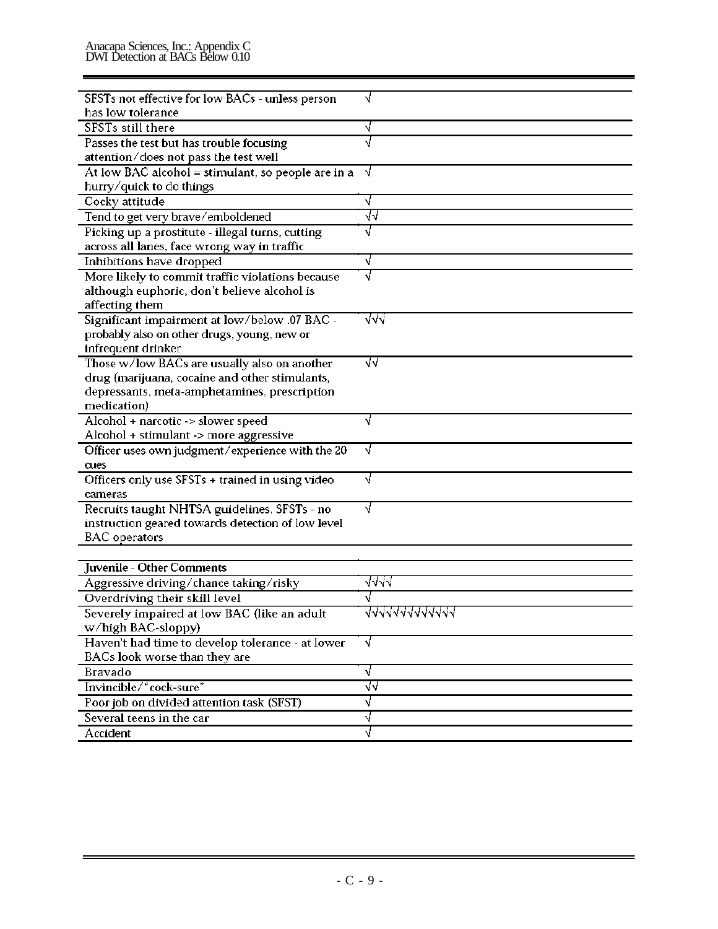| SFSTs not effective for low BACs - unless person                          | √                    |
|---------------------------------------------------------------------------|----------------------|
| has low tolerance                                                         |                      |
| SFSTs still there                                                         | Λ                    |
| Passes the test but has trouble focusing                                  |                      |
| attention/does not pass the test well                                     |                      |
| At low BAC alcohol = stimulant, so people are in a                        | N.                   |
| hurry/quick to do things                                                  |                      |
| Cocky attitude                                                            | √                    |
| Tend to get very brave/emboldened                                         | √√                   |
| Picking up a prostitute - illegal turns, cutting                          |                      |
| across all lanes, face wrong way in traffic                               |                      |
| Inhibitions have dropped                                                  | V                    |
| More likely to commit traffic violations because                          | √                    |
| although euphoric, don't believe alcohol is                               |                      |
| affecting them                                                            |                      |
| Significant impairment at low/below .07 BAC -                             | √√√                  |
| probably also on other drugs, young, new or                               |                      |
| infrequent drinker                                                        |                      |
| Those w/low BACs are usually also on another                              | ₩                    |
| drug (marijuana, cocaine and other stimulants,                            |                      |
| depressants, meta-amphetamines, prescription                              |                      |
| medication)                                                               |                      |
| Alcohol + narcotic -> slower speed                                        | V                    |
| Alcohol + stimulant -> more aggressive                                    |                      |
| Officer uses own judgment/experience with the 20                          | √                    |
| cues                                                                      |                      |
| Officers only use SFSTs + trained in using video                          | √                    |
| cameras                                                                   |                      |
| Recruits taught NHTSA guidelines, SFSTs - no                              | V                    |
| instruction geared towards detection of low level<br><b>BAC</b> operators |                      |
|                                                                           |                      |
| <b>Juvenile - Other Comments</b>                                          |                      |
| Aggressive driving/chance taking/risky                                    | 1111                 |
| Overdriving their skill level                                             |                      |
| Severely impaired at low BAC (like an adult                               | <u>1111111111111</u> |
| w/high BAC-sloppy)                                                        |                      |
| Haven't had time to develop tolerance - at lower                          | √                    |
| BACs look worse than they are                                             |                      |
| Bravado                                                                   | V                    |
| Invincible/"cock-sure"                                                    | ₩                    |
| Poor job on divided attention task (SFST)                                 | √                    |
|                                                                           |                      |
| Several teens in the car                                                  |                      |
| Accident                                                                  |                      |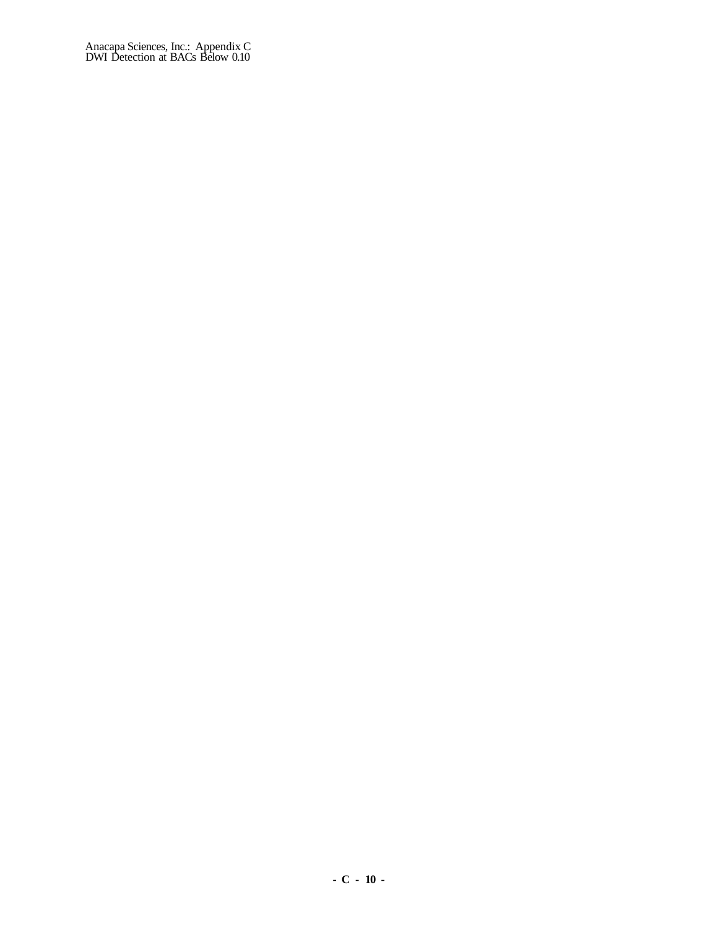Anacapa Sciences, Inc.: Appendix C DWI Detection at BACs Below 0.10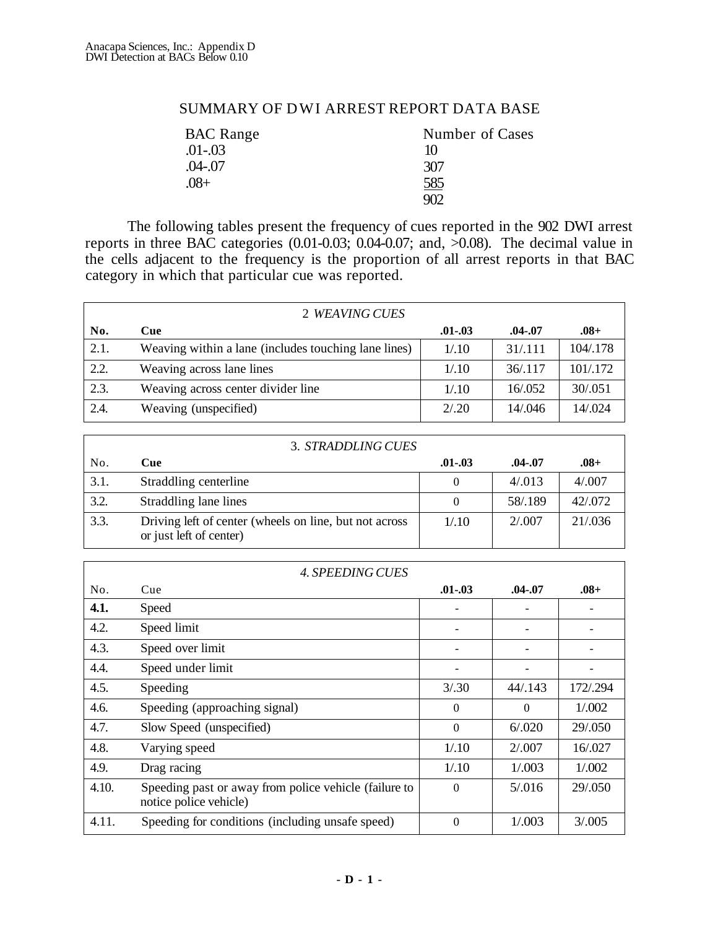### SUMMARY OF DWI ARREST REPORT DATA BASE

| <b>BAC Range</b> | Number of Cases |
|------------------|-----------------|
| $.01 - .03$      | 10              |
| .04-.07          | 307             |
| $.08 +$          | 585             |
|                  |                 |

The following tables present the frequency of cues reported in the 902 DWI arrest reports in three BAC categories (0.01-0.03; 0.04-0.07; and, >0.08). The decimal value in the cells adjacent to the frequency is the proportion of all arrest reports in that BAC category in which that particular cue was reported.

| 2 WEAVING CUES |                                                      |             |             |          |
|----------------|------------------------------------------------------|-------------|-------------|----------|
| No.            | Cue                                                  | $.01 - .03$ | $.04 - .07$ | $.08+$   |
| 2.1.           | Weaving within a lane (includes touching lane lines) | 1/0.10      | 31/111      | 104/.178 |
| 2.2.           | Weaving across lane lines                            | 1/0.10      | 36/117      | 101/172  |
| 2.3.           | Weaving across center divider line                   | 1/0.10      | 16/052      | 30/.051  |
| 2.4.           | Weaving (unspecified)                                | 2/0.20      | 14/.046     | 14/.024  |

|      | 3. STRADDLING CUES                                                                |             |             |         |  |
|------|-----------------------------------------------------------------------------------|-------------|-------------|---------|--|
| No.  | Cue                                                                               | $.01 - .03$ | $.04 - .07$ | $.08+$  |  |
| 3.1. | Straddling centerline                                                             | $\left($    | 4/0.013     | 4/007   |  |
| 3.2. | Straddling lane lines                                                             | $\theta$    | 58/.189     | 42/.072 |  |
| 3.3. | Driving left of center (wheels on line, but not across<br>or just left of center) | 1/0.10      | 2/0.007     | 21/.036 |  |

| <b>4. SPEEDING CUES</b> |                                                                                 |          |          |          |
|-------------------------|---------------------------------------------------------------------------------|----------|----------|----------|
| No.                     | Cue                                                                             | .01-.03  | .04-.07  | $.08+$   |
| 4.1.                    | Speed                                                                           |          |          |          |
| 4.2.                    | Speed limit                                                                     |          |          |          |
| 4.3.                    | Speed over limit                                                                |          |          |          |
| 4.4.                    | Speed under limit                                                               |          |          |          |
| 4.5.                    | Speeding                                                                        | 3/30     | 44/.143  | 172/.294 |
| 4.6.                    | Speeding (approaching signal)                                                   | $\Omega$ | $\Omega$ | 1/002    |
| 4.7.                    | Slow Speed (unspecified)                                                        | $\Omega$ | 6/0.020  | 29/.050  |
| 4.8.                    | Varying speed                                                                   | 1/0.10   | 2/0.007  | 16/.027  |
| 4.9.                    | Drag racing                                                                     | 1/0.10   | 1/0.003  | 1/002    |
| 4.10.                   | Speeding past or away from police vehicle (failure to<br>notice police vehicle) | $\Omega$ | 5/0.016  | 29/.050  |
| 4.11.                   | Speeding for conditions (including unsafe speed)                                | $\theta$ | 1/0.003  | 3/0.005  |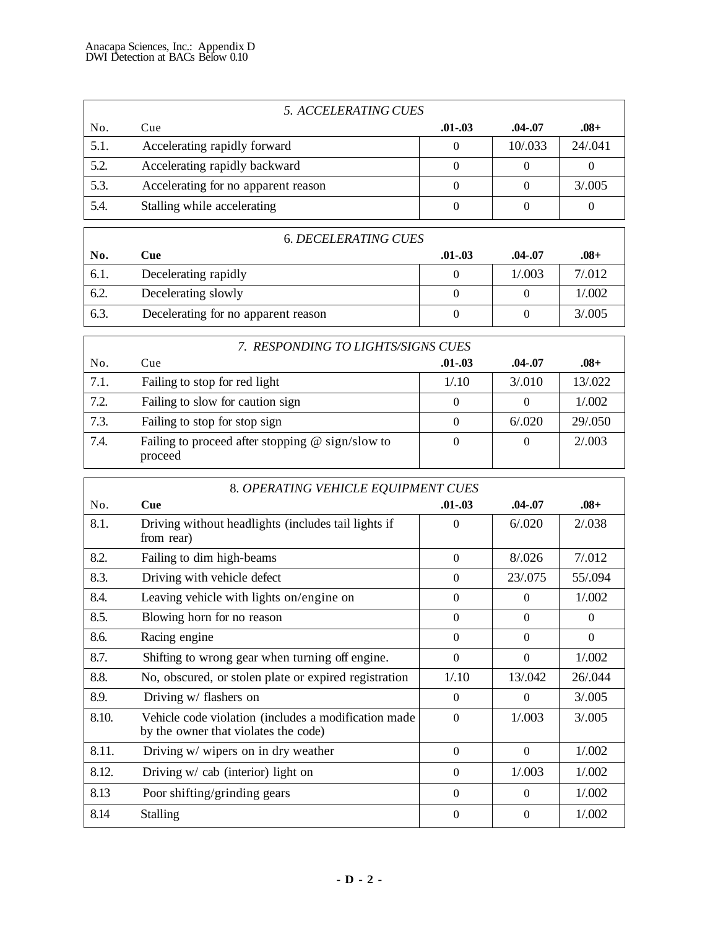|      | 5. ACCELERATING CUES                |             |             |          |  |
|------|-------------------------------------|-------------|-------------|----------|--|
| No.  | Cue                                 | $.01 - .03$ | $.04 - .07$ | $.08+$   |  |
| 5.1. | Accelerating rapidly forward        | $\theta$    | 10/033      | 24/.041  |  |
| 5.2. | Accelerating rapidly backward       |             |             | $\theta$ |  |
| 5.3. | Accelerating for no apparent reason |             |             | 3/0.005  |  |
| 5.4. | Stalling while accelerating         |             |             |          |  |

|      | <b>6. DECELERATING CUES</b>         |             |         |         |  |
|------|-------------------------------------|-------------|---------|---------|--|
| No.  | Cue                                 | $.01 - .03$ | .04-.07 | $.08+$  |  |
| 6.1. | Decelerating rapidly                |             | 1/0.003 | 7/0.012 |  |
| 6.2. | Decelerating slowly                 |             |         | 1/0.002 |  |
| 6.3. | Decelerating for no apparent reason |             |         | 3/0.005 |  |

|      | 7. RESPONDING TO LIGHTS/SIGNS CUES                            |             |             |         |  |
|------|---------------------------------------------------------------|-------------|-------------|---------|--|
| No.  | Cue                                                           | $.01 - .03$ | $.04 - .07$ | $.08+$  |  |
| 7.1. | Failing to stop for red light                                 | 1/0.10      | 3/0.010     | 13/.022 |  |
| 7.2. | Failing to slow for caution sign                              | 0           | $\Omega$    | 1/002   |  |
| 7.3. | Failing to stop for stop sign                                 | 0           | 6/0.020     | 29/.050 |  |
| 7.4. | Failing to proceed after stopping $@$ sign/slow to<br>proceed | 0           | 0           | 2/0.003 |  |

| 8. OPERATING VEHICLE EQUIPMENT CUES |                                                                                              |             |           |          |
|-------------------------------------|----------------------------------------------------------------------------------------------|-------------|-----------|----------|
| No.                                 | Cue                                                                                          | $.01 - .03$ | $.04-.07$ | $.08+$   |
| 8.1.                                | Driving without headlights (includes tail lights if<br>from rear)                            | $\Omega$    | 6/0.020   | 2/.038   |
| 8.2.                                | Failing to dim high-beams                                                                    | $\Omega$    | 8/0.026   | 7/0.012  |
| 8.3.                                | Driving with vehicle defect                                                                  | $\Omega$    | 23/.075   | 55/.094  |
| 8.4.                                | Leaving vehicle with lights on/engine on                                                     | $\Omega$    | $\Omega$  | 1/002    |
| 8.5.                                | Blowing horn for no reason                                                                   | $\Omega$    | $\Omega$  | $\theta$ |
| 8.6.                                | Racing engine                                                                                | $\Omega$    | $\Omega$  | $\theta$ |
| 8.7.                                | Shifting to wrong gear when turning off engine.                                              | $\Omega$    | $\Omega$  | 1/002    |
| 8.8.                                | No, obscured, or stolen plate or expired registration                                        | 1/0.10      | 13/042    | 26/.044  |
| 8.9.                                | Driving w/ flashers on                                                                       | $\Omega$    | $\Omega$  | 3/0.005  |
| 8.10.                               | Vehicle code violation (includes a modification made<br>by the owner that violates the code) | $\Omega$    | 1/0.003   | 3/0.005  |
| 8.11.                               | Driving w/ wipers on in dry weather                                                          | $\Omega$    | $\Omega$  | 1/002    |
| 8.12.                               | Driving $w / cab$ (interior) light on                                                        | $\Omega$    | 1/0.003   | 1/002    |
| 8.13                                | Poor shifting/grinding gears                                                                 | $\Omega$    | $\Omega$  | 1/002    |
| 8.14                                | <b>Stalling</b>                                                                              | $\Omega$    | $\Omega$  | 1/002    |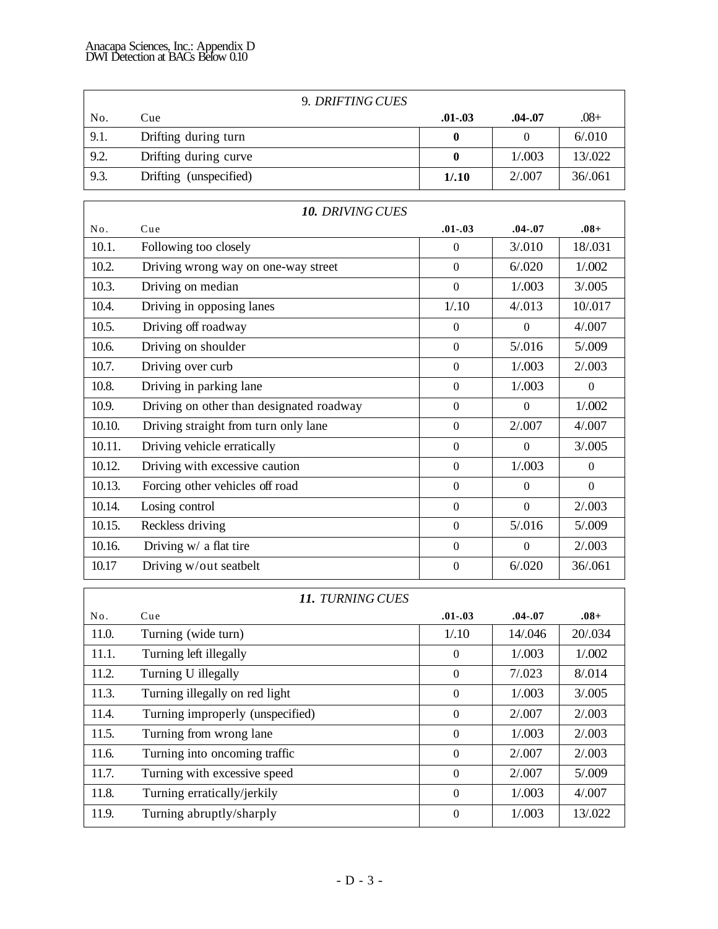#### Anacapa Sciences, Inc.: Appendix D DWI Detection at BACs Below 0.10

 $\overline{\phantom{a}}$ 

|      | 9. DRIFTING CUES       |             |             |         |
|------|------------------------|-------------|-------------|---------|
| No.  | Cue                    | $.01 - .03$ | $.04 - .07$ | $.08 +$ |
| 9.1. | Drifting during turn   | 0           |             | 6/0.010 |
| 9.2. | Drifting during curve  |             | 1/0.003     | 13/.022 |
| 9.3. | Drifting (unspecified) | 1/10        | 2/0.007     | 36/.061 |

| <b>10. DRIVING CUES</b> |                                          |             |             |          |  |
|-------------------------|------------------------------------------|-------------|-------------|----------|--|
| No.                     | Cue                                      | $.01 - .03$ | $.04 - .07$ | $.08+$   |  |
| 10.1.                   | Following too closely                    | $\theta$    | 3/0.010     | 18/.031  |  |
| 10.2.                   | Driving wrong way on one-way street      | $\Omega$    | 6/0.020     | 1/002    |  |
| 10.3.                   | Driving on median                        | $\Omega$    | 1/0.003     | 3/0.005  |  |
| 10.4.                   | Driving in opposing lanes                | 1/0.10      | 4/0.013     | 10/.017  |  |
| 10.5.                   | Driving off roadway                      | $\theta$    | $\Omega$    | 4/007    |  |
| 10.6.                   | Driving on shoulder                      | $\theta$    | 5/0.016     | 5/0.009  |  |
| 10.7.                   | Driving over curb                        | $\Omega$    | 1/0.003     | 2/0.003  |  |
| 10.8.                   | Driving in parking lane                  | $\theta$    | 1/0.003     | $\Omega$ |  |
| 10.9.                   | Driving on other than designated roadway | $\theta$    | $\Omega$    | 1/002    |  |
| 10.10.                  | Driving straight from turn only lane     | $\theta$    | 2/.007      | 4/007    |  |
| 10.11.                  | Driving vehicle erratically              | $\theta$    | $\Omega$    | 3/0.005  |  |
| 10.12.                  | Driving with excessive caution           | $\Omega$    | 1/0.003     | $\Omega$ |  |
| 10.13.                  | Forcing other vehicles off road          | $\theta$    | $\Omega$    | $\Omega$ |  |
| 10.14.                  | Losing control                           | $\Omega$    | $\Omega$    | 2/.003   |  |
| 10.15.                  | Reckless driving                         | $\Omega$    | 5/0.016     | 5/0.009  |  |
| 10.16.                  | Driving $w/$ a flat tire                 | $\Omega$    | $\Omega$    | 2/0.003  |  |
| 10.17                   | Driving w/out seatbelt                   | $\theta$    | 6/0.020     | 36/.061  |  |

| 11. TURNING CUES |                                  |           |           |         |  |
|------------------|----------------------------------|-----------|-----------|---------|--|
| No.              | Cue                              | $.01-.03$ | $.04-.07$ | $.08+$  |  |
| 11.0.            | Turning (wide turn)              | 1/0.10    | 14/.046   | 20/.034 |  |
| 11.1.            | Turning left illegally           | $\Omega$  | 1/0.003   | 1/002   |  |
| 11.2.            | Turning U illegally              | $\Omega$  | 7/0.023   | 8/0.014 |  |
| 11.3.            | Turning illegally on red light   | $\Omega$  | 1/0.003   | 3/0.005 |  |
| 11.4.            | Turning improperly (unspecified) | $\Omega$  | 2/0.007   | 2/.003  |  |
| 11.5.            | Turning from wrong lane          | $\Omega$  | 1/0.003   | 2/0.003 |  |
| 11.6.            | Turning into oncoming traffic    | $\Omega$  | 2/0.007   | 2/.003  |  |
| 11.7.            | Turning with excessive speed     | $\Omega$  | 2/0.007   | 5/0.009 |  |
| 11.8.            | Turning erratically/jerkily      | $\Omega$  | 1/0.003   | 4/0.007 |  |
| 11.9.            | Turning abruptly/sharply         | $\Omega$  | 1/0.003   | 13/.022 |  |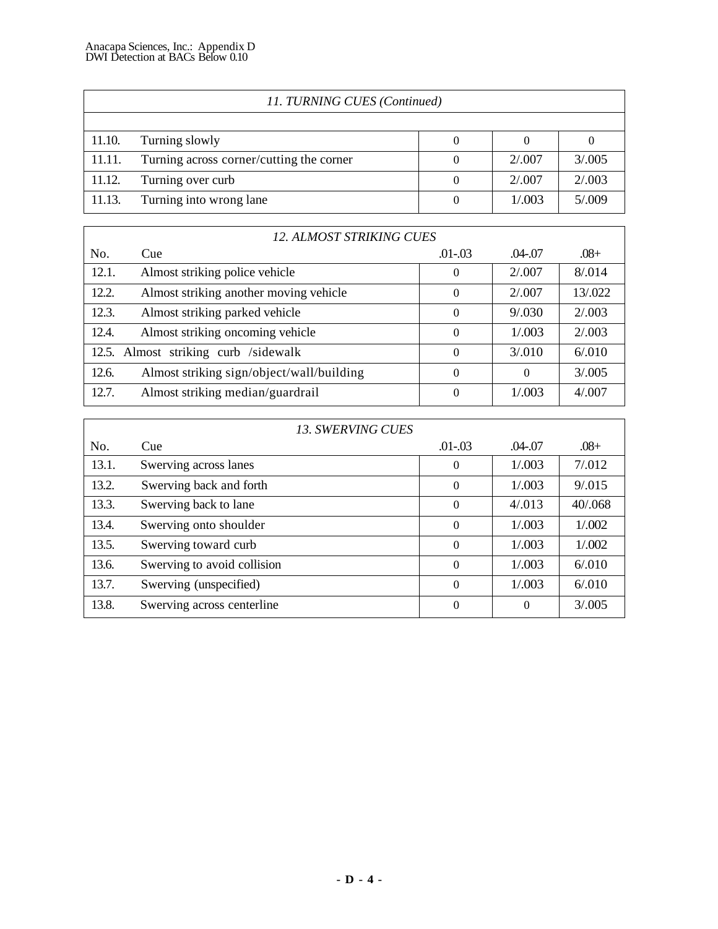| 11. TURNING CUES (Continued) |                                          |  |         |         |
|------------------------------|------------------------------------------|--|---------|---------|
|                              |                                          |  |         |         |
| 11.10.                       | Turning slowly                           |  |         |         |
| 11.11.                       | Turning across corner/cutting the corner |  | 2/0.007 | 3/0.005 |
| 11.12.                       | Turning over curb                        |  | 2/0.007 | 2/0.003 |
| 11.13.                       | Turning into wrong lane                  |  | 1/0.003 | 5/0.009 |

| <b>12. ALMOST STRIKING CUES</b> |                                           |             |             |         |
|---------------------------------|-------------------------------------------|-------------|-------------|---------|
| No.                             | Cue                                       | $.01 - .03$ | $.04 - .07$ | $.08+$  |
| 12.1.                           | Almost striking police vehicle            | $\Omega$    | 2/0.007     | 8/.014  |
| 12.2.                           | Almost striking another moving vehicle    | $\Omega$    | 2/0.007     | 13/.022 |
| 12.3.                           | Almost striking parked vehicle            | $\Omega$    | 9/030       | 2/0.003 |
| 12.4.                           | Almost striking oncoming vehicle          | $\Omega$    | 1/0.003     | 2/0.003 |
|                                 | 12.5. Almost striking curb /sidewalk      | $\Omega$    | 3/0.010     | 6/0.010 |
| 12.6.                           | Almost striking sign/object/wall/building | $\Omega$    | 0           | 3/0.005 |
| 12.7.                           | Almost striking median/guardrail          | $\Omega$    | 1/0.003     | 4/007   |

| 13. SWERVING CUES |                             |              |             |         |  |
|-------------------|-----------------------------|--------------|-------------|---------|--|
| No.               | Cue                         | $.01 - .03$  | $.04 - .07$ | $.08 +$ |  |
| 13.1.             | Swerving across lanes       | $\theta$     | 1/0.003     | 7/0.012 |  |
| 13.2.             | Swerving back and forth     | $\Omega$     | 1/0.003     | 9/0.015 |  |
| 13.3.             | Swerving back to lane       | $\Omega$     | 4/0.013     | 40/.068 |  |
| 13.4.             | Swerving onto shoulder      | $\Omega$     | 1/0.003     | 1/002   |  |
| 13.5.             | Swerving toward curb        | $\Omega$     | 1/0.003     | 1/002   |  |
| 13.6.             | Swerving to avoid collision | $\Omega$     | 1/0.003     | 6/0.010 |  |
| 13.7.             | Swerving (unspecified)      | $\Omega$     | 1/0.003     | 6/0.010 |  |
| 13.8.             | Swerving across centerline  | $\mathbf{0}$ | $\Omega$    | 3/0.005 |  |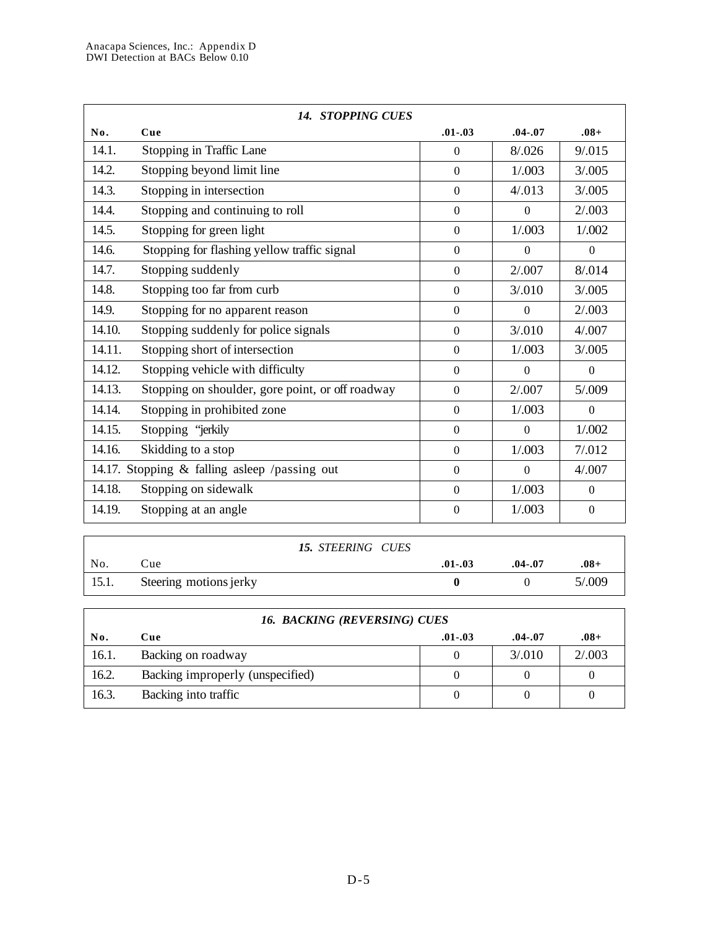| <b>14. STOPPING CUES</b> |                                                  |             |             |          |
|--------------------------|--------------------------------------------------|-------------|-------------|----------|
| No.                      | Cue                                              | $.01 - .03$ | $.04 - .07$ | $.08+$   |
| 14.1.                    | Stopping in Traffic Lane                         | $\Omega$    | 8/0.026     | 9/0.015  |
| 14.2.                    | Stopping beyond limit line                       | $\Omega$    | 1/0.003     | 3/0.005  |
| 14.3.                    | Stopping in intersection                         | $\Omega$    | 4/0.013     | 3/0.005  |
| 14.4.                    | Stopping and continuing to roll                  | $\Omega$    | $\Omega$    | 2/0.003  |
| 14.5.                    | Stopping for green light                         | $\Omega$    | 1/0.003     | 1/002    |
| 14.6.                    | Stopping for flashing yellow traffic signal      | $\Omega$    | $\Omega$    | $\Omega$ |
| 14.7.                    | Stopping suddenly                                | $\theta$    | 2/0.007     | 8/0.014  |
| 14.8.                    | Stopping too far from curb                       | $\Omega$    | 3/0.010     | 3/0.005  |
| 14.9.                    | Stopping for no apparent reason                  | $\Omega$    | $\Omega$    | 2/0.003  |
| 14.10.                   | Stopping suddenly for police signals             | $\theta$    | 3/0.010     | 4/0.007  |
| 14.11.                   | Stopping short of intersection                   | $\Omega$    | 1/0.003     | 3/0.005  |
| 14.12.                   | Stopping vehicle with difficulty                 | $\Omega$    | $\Omega$    | $\Omega$ |
| 14.13.                   | Stopping on shoulder, gore point, or off roadway | $\Omega$    | 2/.007      | 5/0.009  |
| 14.14.                   | Stopping in prohibited zone                      | $\Omega$    | 1/0.003     | $\Omega$ |
| 14.15.                   | Stopping "jerkily                                | $\Omega$    | $\Omega$    | 1/002    |
| 14.16.                   | Skidding to a stop                               | $\Omega$    | 1/0.003     | 7/0.012  |
|                          | 14.17. Stopping $\&$ falling asleep /passing out | $\Omega$    | $\Omega$    | 4/007    |
| 14.18.                   | Stopping on sidewalk                             | $\Omega$    | 1/0.003     | $\Omega$ |
| 14.19.                   | Stopping at an angle                             | $\Omega$    | 1/0.003     | $\theta$ |

|       |                        | 15. STEERING CUES |           |         |         |
|-------|------------------------|-------------------|-----------|---------|---------|
| No.   | 'ue                    |                   | $.01-.03$ | .04-.07 | .08+    |
| 15.1. | Steering motions jerky |                   |           |         | 5/0.009 |

| <b>16. BACKING (REVERSING) CUES</b> |                                  |           |             |         |  |
|-------------------------------------|----------------------------------|-----------|-------------|---------|--|
| No.                                 | Cue                              | $.01-.03$ | $.04 - .07$ | $.08+$  |  |
| 16.1.                               | Backing on roadway               |           | 3/0.010     | 2/0.003 |  |
| 16.2.                               | Backing improperly (unspecified) |           |             |         |  |
| 16.3.                               | Backing into traffic             |           |             |         |  |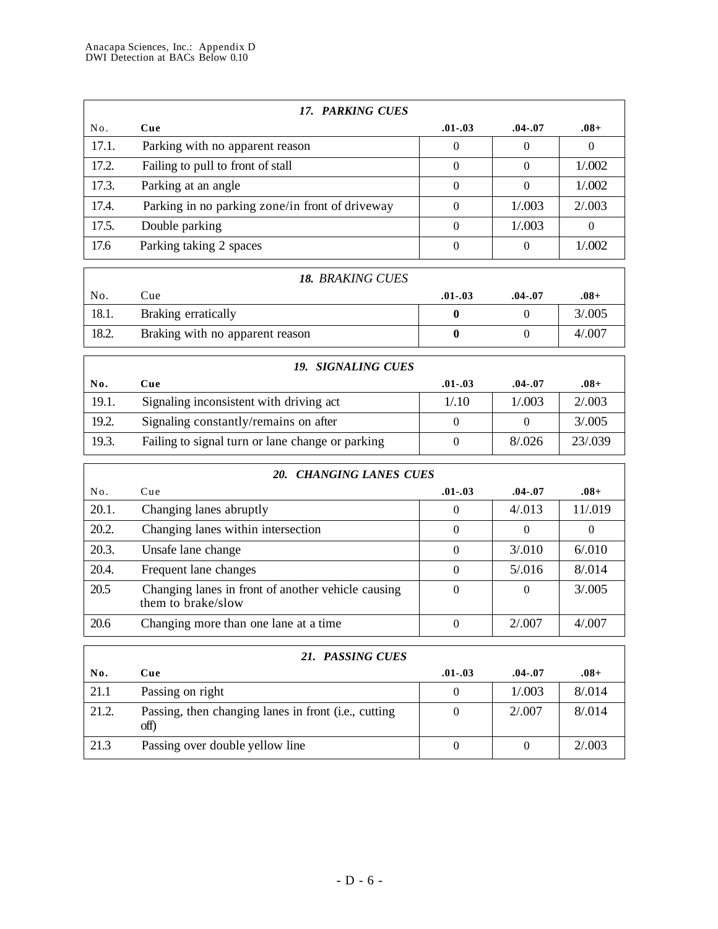| 17. PARKING CUES |                                                                          |                  |                |          |  |
|------------------|--------------------------------------------------------------------------|------------------|----------------|----------|--|
| No.              | Cue                                                                      | $.01 - .03$      | $.04 - .07$    | $.08+$   |  |
| 17.1.            | Parking with no apparent reason                                          | $\Omega$         | $\Omega$       | $\Omega$ |  |
| 17.2.            | Failing to pull to front of stall                                        | $\theta$         | $\Omega$       | 1/002    |  |
| 17.3.            | Parking at an angle                                                      | $\Omega$         | $\Omega$       | 1/002    |  |
| 17.4.            | Parking in no parking zone/in front of driveway                          | $\Omega$         | 1/0.003        | 2/.003   |  |
| 17.5.            | Double parking                                                           | $\theta$         | 1/0.003        | $\Omega$ |  |
| 17.6             | Parking taking 2 spaces                                                  | $\Omega$         | $\Omega$       | 1/002    |  |
|                  | <b>18. BRAKING CUES</b>                                                  |                  |                |          |  |
| No.              | Cue                                                                      | $.01 - .03$      | $.04 - .07$    | $.08+$   |  |
| 18.1.            | Braking erratically                                                      | $\bf{0}$         | $\Omega$       | 3/0.005  |  |
| 18.2.            | Braking with no apparent reason                                          | $\mathbf{0}$     | $\Omega$       | 4/0.007  |  |
|                  | <b>19. SIGNALING CUES</b>                                                |                  |                |          |  |
| No.              | Cue                                                                      | $.01 - .03$      | $.04-.07$      | $.08+$   |  |
| 19.1.            | Signaling inconsistent with driving act                                  | 1/0.10           | 1/0.003        | 2/.003   |  |
| 19.2.            | Signaling constantly/remains on after                                    | $\theta$         | $\Omega$       | 3/0.005  |  |
| 19.3.            | Failing to signal turn or lane change or parking                         | $\Omega$         | 8/0.026        | 23/.039  |  |
|                  | 20. CHANGING LANES CUES                                                  |                  |                |          |  |
| No.              | Cue                                                                      | $.01 - .03$      | $.04 - .07$    | $.08+$   |  |
| 20.1.            | Changing lanes abruptly                                                  | $\Omega$         | 4/0.013        | 11/.019  |  |
| 20.2.            | Changing lanes within intersection                                       | $\Omega$         | $\Omega$       | $\Omega$ |  |
| 20.3.            | Unsafe lane change                                                       | $\theta$         | 3/0.010        | 6/0.010  |  |
| 20.4.            | Frequent lane changes                                                    | $\Omega$         | 5/0.016        | 8/0.014  |  |
| 20.5             | Changing lanes in front of another vehicle causing<br>them to brake/slow | $\Omega$         | $\Omega$       | 3/0.005  |  |
| 20.6             | Changing more than one lane at a time                                    | $\boldsymbol{0}$ | 2/.007         | 4/007    |  |
|                  | 21. PASSING CUES                                                         |                  |                |          |  |
| No.              | Cue                                                                      | $.01 - .03$      | $.04 - .07$    | $.08+$   |  |
| 21.1             | Passing on right                                                         | $\boldsymbol{0}$ | 1/0.003        | 8/.014   |  |
| 21.2.            | Passing, then changing lanes in front (i.e., cutting<br>off)             | $\mathbf{0}$     | 2/.007         | 8/.014   |  |
| 21.3             | Passing over double yellow line                                          | $\boldsymbol{0}$ | $\overline{0}$ | 2/.003   |  |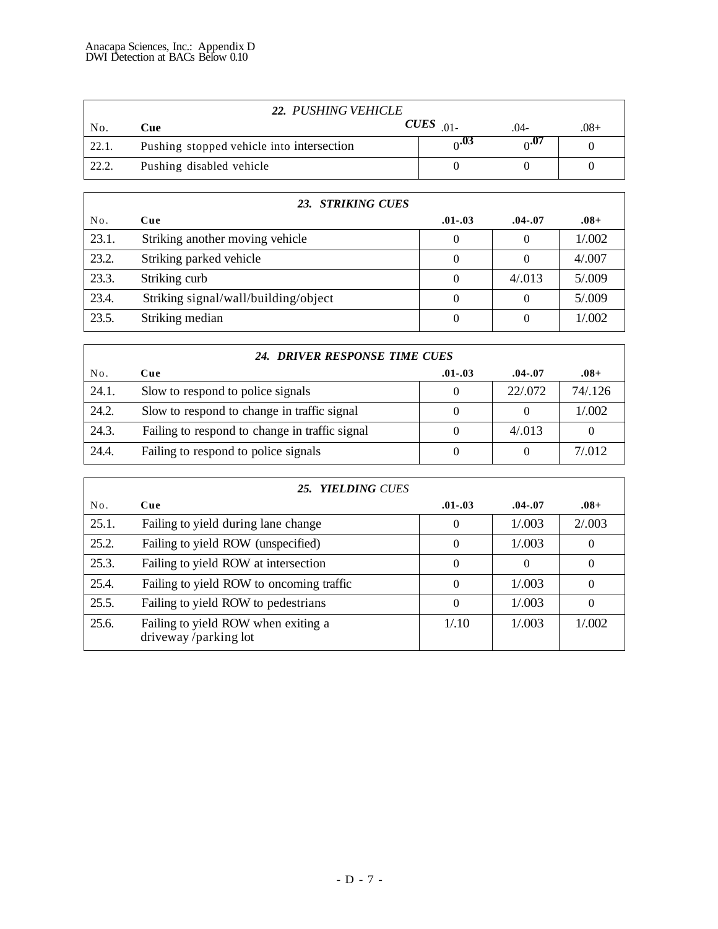| <i><b>22. PUSHING VEHICLE</b></i> |                                           |      |                 |  |
|-----------------------------------|-------------------------------------------|------|-----------------|--|
| No.                               | $CUES_{01}$<br>.04-<br>∴ue                |      |                 |  |
| 22.1.                             | Pushing stopped vehicle into intersection | 0.03 | $\mathbf{a}$ .U |  |
| 22.2.                             | Pushing disabled vehicle                  |      |                 |  |

| 23. STRIKING CUES |                                      |           |           |         |  |
|-------------------|--------------------------------------|-----------|-----------|---------|--|
| No.               | Cue                                  | $.01-.03$ | $.04-.07$ | $.08+$  |  |
| 23.1.             | Striking another moving vehicle      | 0         | 0         | 1/002   |  |
| 23.2.             | Striking parked vehicle              | $\theta$  | 0         | 4/007   |  |
| 23.3.             | Striking curb                        | 0         | 4/0.013   | 5/0.009 |  |
| 23.4.             | Striking signal/wall/building/object | $\theta$  | 0         | 5/0.009 |  |
| 23.5.             | Striking median                      | $\theta$  | 0         | 1/002   |  |

| 24. DRIVER RESPONSE TIME CUES |                                                |           |          |         |  |
|-------------------------------|------------------------------------------------|-----------|----------|---------|--|
| No.                           | Cue                                            | $.01-.03$ | .04-.07  | $.08+$  |  |
| 24.1.                         | Slow to respond to police signals              |           | 22/.072  | 74/.126 |  |
| 24.2.                         | Slow to respond to change in traffic signal    |           |          | 1/0.002 |  |
| 24.3.                         | Failing to respond to change in traffic signal |           | 4/0.013  |         |  |
| 24.4.                         | Failing to respond to police signals           |           | $\theta$ | 7/0.012 |  |

| 25. YIELDING CUES |                                                              |           |           |          |  |
|-------------------|--------------------------------------------------------------|-----------|-----------|----------|--|
| No.               | Cue                                                          | $.01-.03$ | $.04-.07$ | $.08+$   |  |
| 25.1.             | Failing to yield during lane change                          | $\theta$  | 1/0.003   | 2/0.003  |  |
| 25.2.             | Failing to yield ROW (unspecified)                           | $\theta$  | 1/0.003   | $\theta$ |  |
| 25.3.             | Failing to yield ROW at intersection                         | $\Omega$  | 0         | $\theta$ |  |
| 25.4.             | Failing to yield ROW to oncoming traffic                     | 0         | 1/0.003   | $\theta$ |  |
| 25.5.             | Failing to yield ROW to pedestrians                          | $\Omega$  | 1/0.003   | $\Omega$ |  |
| 25.6.             | Failing to yield ROW when exiting a<br>driveway /parking lot | 1/0.10    | 1/0.003   | 1/002    |  |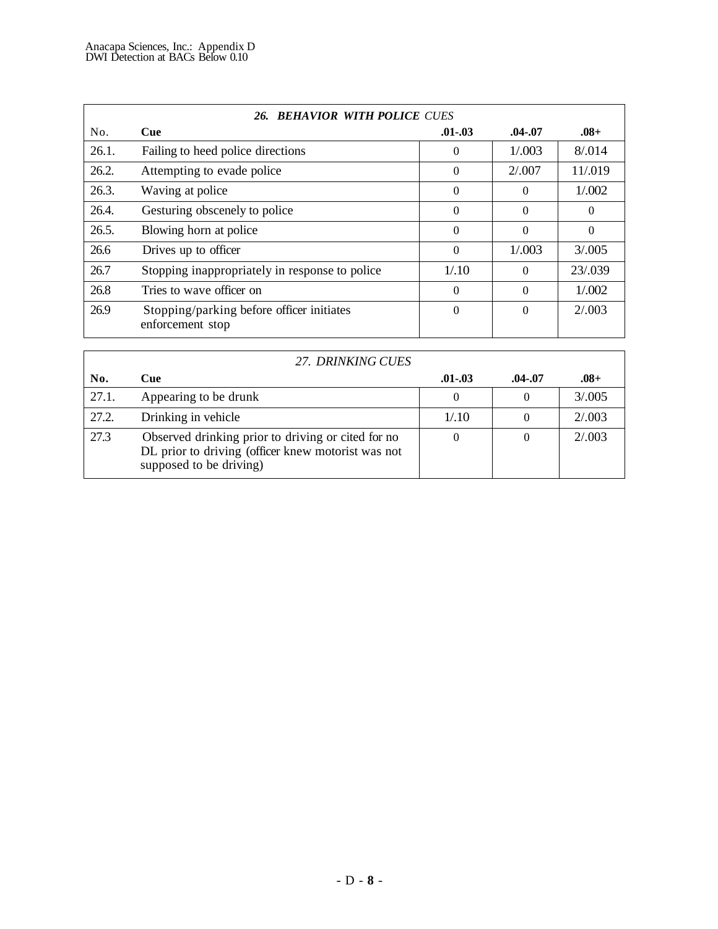| 26. BEHAVIOR WITH POLICE CUES |                                                               |             |           |          |  |
|-------------------------------|---------------------------------------------------------------|-------------|-----------|----------|--|
| No.                           | Cue                                                           | $.01 - .03$ | $.04-.07$ | $.08+$   |  |
| 26.1.                         | Failing to heed police directions                             | $\Omega$    | 1/0.003   | 8/0.014  |  |
| 26.2.                         | Attempting to evade police.                                   | $\Omega$    | 2/0.007   | 11/.019  |  |
| 26.3.                         | Waving at police                                              | $\Omega$    | 0         | 1/002    |  |
| 26.4.                         | Gesturing obscenely to police                                 | $\Omega$    | $\Omega$  | $\Omega$ |  |
| 26.5.                         | Blowing horn at police                                        | $\Omega$    | 0         | $\Omega$ |  |
| 26.6                          | Drives up to officer                                          | $\Omega$    | 1/0.003   | 3/0.005  |  |
| 26.7                          | Stopping inappropriately in response to police                | 1/0.10      | 0         | 23/.039  |  |
| 26.8                          | Tries to wave officer on                                      | $\Omega$    | $\Omega$  | 1/002    |  |
| 26.9                          | Stopping/parking before officer initiates<br>enforcement stop | $\theta$    | $\Omega$  | 2/0.003  |  |

|       | <i>27. DRINKING CUES</i>                                                                                                            |             |             |         |
|-------|-------------------------------------------------------------------------------------------------------------------------------------|-------------|-------------|---------|
| No.   | Cue                                                                                                                                 | $.01 - .03$ | $.04 - .07$ | $.08+$  |
| 27.1. | Appearing to be drunk                                                                                                               | $\Omega$    |             | 3/0.005 |
| 27.2. | Drinking in vehicle                                                                                                                 | 1/0.10      |             | 2/0.003 |
| 27.3  | Observed drinking prior to driving or cited for no<br>DL prior to driving (officer knew motorist was not<br>supposed to be driving) |             | $\theta$    | 2/0.003 |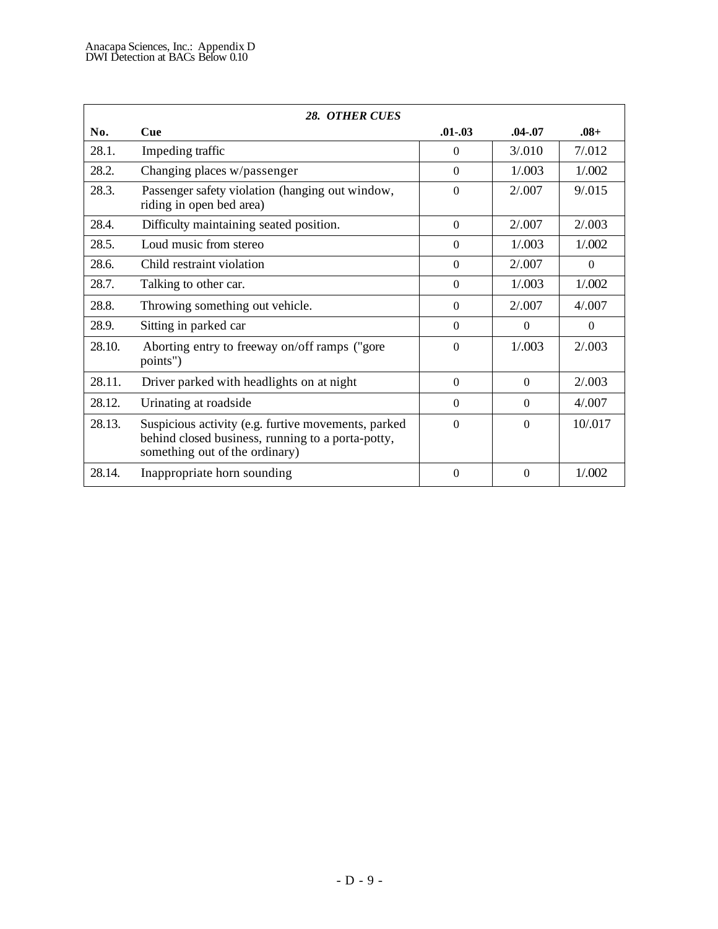| 28. OTHER CUES |                                                                                                                                            |             |             |                |  |
|----------------|--------------------------------------------------------------------------------------------------------------------------------------------|-------------|-------------|----------------|--|
| No.            | Cue                                                                                                                                        | $.01 - .03$ | $.04 - .07$ | $.08+$         |  |
| 28.1.          | Impeding traffic                                                                                                                           | $\Omega$    | 3/0.010     | 7/0.012        |  |
| 28.2.          | Changing places w/passenger                                                                                                                | $\Omega$    | 1/0.003     | 1/002          |  |
| 28.3.          | Passenger safety violation (hanging out window,<br>riding in open bed area)                                                                | $\theta$    | 2/0.007     | 9/0.015        |  |
| 28.4.          | Difficulty maintaining seated position.                                                                                                    | $\Omega$    | 2/0.007     | 2/0.003        |  |
| 28.5.          | Loud music from stereo                                                                                                                     | $\Omega$    | 1/0.003     | 1/002          |  |
| 28.6.          | Child restraint violation                                                                                                                  | $\Omega$    | 2/0.007     | $\Omega$       |  |
| 28.7.          | Talking to other car.                                                                                                                      | $\Omega$    | 1/0.003     | 1/002          |  |
| 28.8.          | Throwing something out vehicle.                                                                                                            | $\Omega$    | 2/.007      | 4/007          |  |
| 28.9.          | Sitting in parked car                                                                                                                      | $\Omega$    | $\theta$    | $\overline{0}$ |  |
| 28.10.         | Aborting entry to freeway on/off ramps ("gore<br>points")                                                                                  | $\theta$    | 1/0.003     | 2/0.003        |  |
| 28.11.         | Driver parked with headlights on at night                                                                                                  | $\Omega$    | $\Omega$    | 2/0.003        |  |
| 28.12.         | Urinating at roadside                                                                                                                      | $\Omega$    | $\Omega$    | 4/0.007        |  |
| 28.13.         | Suspicious activity (e.g. furtive movements, parked<br>behind closed business, running to a porta-potty,<br>something out of the ordinary) | $\Omega$    | $\Omega$    | 10/.017        |  |
| 28.14.         | Inappropriate horn sounding                                                                                                                | $\theta$    | $\theta$    | 1/002          |  |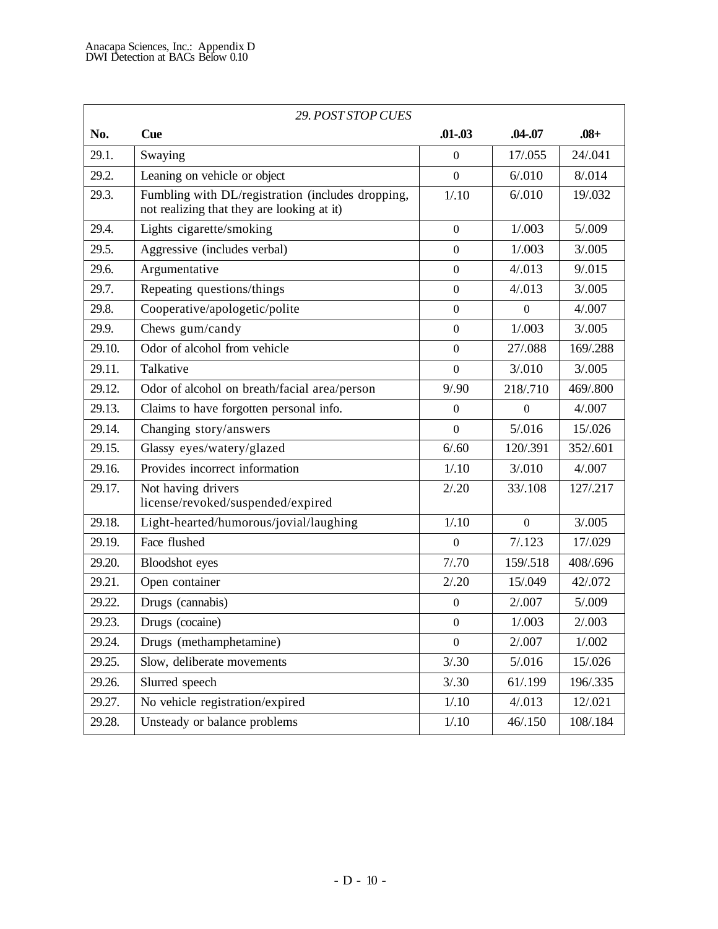|        | 29. POST STOP CUES                                                                              |                  |                  |          |  |  |
|--------|-------------------------------------------------------------------------------------------------|------------------|------------------|----------|--|--|
| No.    | <b>Cue</b>                                                                                      | $.01 - .03$      | .04-.07          | $.08 +$  |  |  |
| 29.1.  | Swaying                                                                                         | $\Omega$         | 17/.055          | 24/.041  |  |  |
| 29.2.  | Leaning on vehicle or object                                                                    | $\overline{0}$   | 6/0.010          | 8/0.014  |  |  |
| 29.3.  | Fumbling with DL/registration (includes dropping,<br>not realizing that they are looking at it) | 1/0.10           | 6/0.010          | 19/.032  |  |  |
| 29.4.  | Lights cigarette/smoking                                                                        | $\boldsymbol{0}$ | 1/0.003          | 5/0.009  |  |  |
| 29.5.  | Aggressive (includes verbal)                                                                    | $\boldsymbol{0}$ | 1/0.003          | 3/0.005  |  |  |
| 29.6.  | Argumentative                                                                                   | $\mathbf{0}$     | 4/0.013          | 9/0.015  |  |  |
| 29.7.  | Repeating questions/things                                                                      | $\Omega$         | 4/0.013          | 3/0.005  |  |  |
| 29.8.  | Cooperative/apologetic/polite                                                                   | $\boldsymbol{0}$ | $\Omega$         | 4/007    |  |  |
| 29.9.  | Chews gum/candy                                                                                 | $\boldsymbol{0}$ | 1/0.003          | 3/0.005  |  |  |
| 29.10. | Odor of alcohol from vehicle                                                                    | $\overline{0}$   | 27/.088          | 169/.288 |  |  |
| 29.11. | Talkative                                                                                       | $\boldsymbol{0}$ | 3/0.010          | 3/0.005  |  |  |
| 29.12. | Odor of alcohol on breath/facial area/person                                                    | 9/0.90           | 218/.710         | 469/.800 |  |  |
| 29.13. | Claims to have forgotten personal info.                                                         | $\Omega$         | $\boldsymbol{0}$ | 4/007    |  |  |
| 29.14. | Changing story/answers                                                                          | $\overline{0}$   | 5/0.016          | 15/.026  |  |  |
| 29.15. | Glassy eyes/watery/glazed                                                                       | 6/0.60           | 120/.391         | 352/.601 |  |  |
| 29.16. | Provides incorrect information                                                                  | 1/0.10           | 3/0.010          | 4/007    |  |  |
| 29.17. | Not having drivers<br>license/revoked/suspended/expired                                         | 2/.20            | 33/.108          | 127/.217 |  |  |
| 29.18. | Light-hearted/humorous/jovial/laughing                                                          | 1/0.10           | $\mathbf{0}$     | 3/0.005  |  |  |
| 29.19. | Face flushed                                                                                    | $\Omega$         | 7/123            | 17/.029  |  |  |
| 29.20. | <b>Bloodshot</b> eyes                                                                           | 7/0.70           | 159/.518         | 408/.696 |  |  |
| 29.21. | Open container                                                                                  | 2/0.20           | 15/.049          | 42/.072  |  |  |
| 29.22. | Drugs (cannabis)                                                                                | $\mathbf{0}$     | 2/.007           | 5/0.009  |  |  |
| 29.23. | Drugs (cocaine)                                                                                 | $\boldsymbol{0}$ | 1/0.003          | 2/0.003  |  |  |
| 29.24. | Drugs (methamphetamine)                                                                         | $\boldsymbol{0}$ | 2/.007           | 1/002    |  |  |
| 29.25. | Slow, deliberate movements                                                                      | 3/0.30           | 5/0.016          | 15/.026  |  |  |
| 29.26. | Slurred speech                                                                                  | 3/0.30           | 61/.199          | 196/.335 |  |  |
| 29.27. | No vehicle registration/expired                                                                 | 1/0.10           | 4/0.013          | 12/.021  |  |  |
| 29.28. | Unsteady or balance problems                                                                    | 1/0.10           | 46/.150          | 108/.184 |  |  |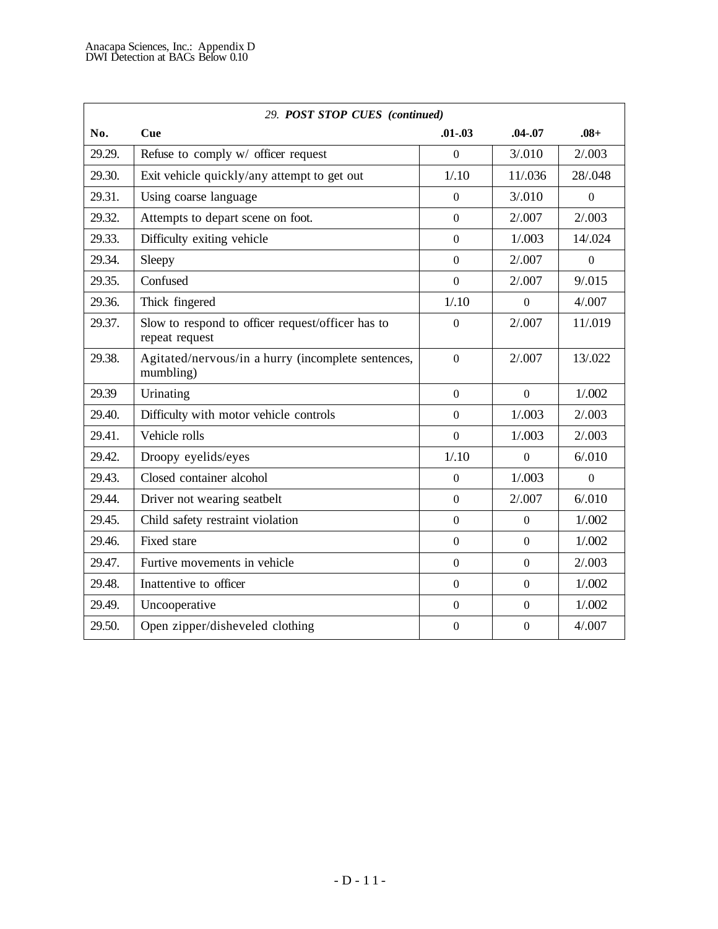|        | 29. POST STOP CUES (continued)                                      |                  |                  |                |  |  |
|--------|---------------------------------------------------------------------|------------------|------------------|----------------|--|--|
| No.    | Cue                                                                 | $.01 - .03$      | $.04 - .07$      | $.08+$         |  |  |
| 29.29. | Refuse to comply w/ officer request                                 | $\Omega$         | 3/0.010          | 2/0.003        |  |  |
| 29.30. | Exit vehicle quickly/any attempt to get out                         | 1/0.10           | 11/.036          | 28/.048        |  |  |
| 29.31. | Using coarse language                                               | $\Omega$         | 3/0.010          | $\Omega$       |  |  |
| 29.32. | Attempts to depart scene on foot.                                   | $\overline{0}$   | 2/0.007          | 2/0.003        |  |  |
| 29.33. | Difficulty exiting vehicle                                          | $\overline{0}$   | 1/0.003          | 14/.024        |  |  |
| 29.34. | Sleepy                                                              | $\overline{0}$   | 2/0.007          | $\overline{0}$ |  |  |
| 29.35. | Confused                                                            | $\theta$         | 2/0.007          | 9/0.015        |  |  |
| 29.36. | Thick fingered                                                      | 1/0.10           | $\overline{0}$   | 4/007          |  |  |
| 29.37. | Slow to respond to officer request/officer has to<br>repeat request | $\Omega$         | 2/0.007          | 11/.019        |  |  |
| 29.38. | Agitated/nervous/in a hurry (incomplete sentences,<br>mumbling)     | $\overline{0}$   | 2/0.007          | 13/.022        |  |  |
| 29.39  | Urinating                                                           | $\overline{0}$   | $\mathbf{0}$     | 1/002          |  |  |
| 29.40. | Difficulty with motor vehicle controls                              | $\overline{0}$   | 1/0.003          | 2/.003         |  |  |
| 29.41. | Vehicle rolls                                                       | $\overline{0}$   | 1/0.003          | 2/.003         |  |  |
| 29.42. | Droopy eyelids/eyes                                                 | 1/0.10           | $\overline{0}$   | 6/0.010        |  |  |
| 29.43. | Closed container alcohol                                            | $\theta$         | 1/0.003          | $\Omega$       |  |  |
| 29.44. | Driver not wearing seatbelt                                         | $\Omega$         | 2/.007           | 6/0.010        |  |  |
| 29.45. | Child safety restraint violation                                    | $\overline{0}$   | $\boldsymbol{0}$ | 1/002          |  |  |
| 29.46. | Fixed stare                                                         | $\Omega$         | $\Omega$         | 1/002          |  |  |
| 29.47. | Furtive movements in vehicle                                        | $\Omega$         | $\Omega$         | 2/0.003        |  |  |
| 29.48. | Inattentive to officer                                              | $\Omega$         | $\overline{0}$   | 1/002          |  |  |
| 29.49. | Uncooperative                                                       | $\boldsymbol{0}$ | $\boldsymbol{0}$ | 1/002          |  |  |
| 29.50. | Open zipper/disheveled clothing                                     | $\mathbf{0}$     | $\overline{0}$   | 4/007          |  |  |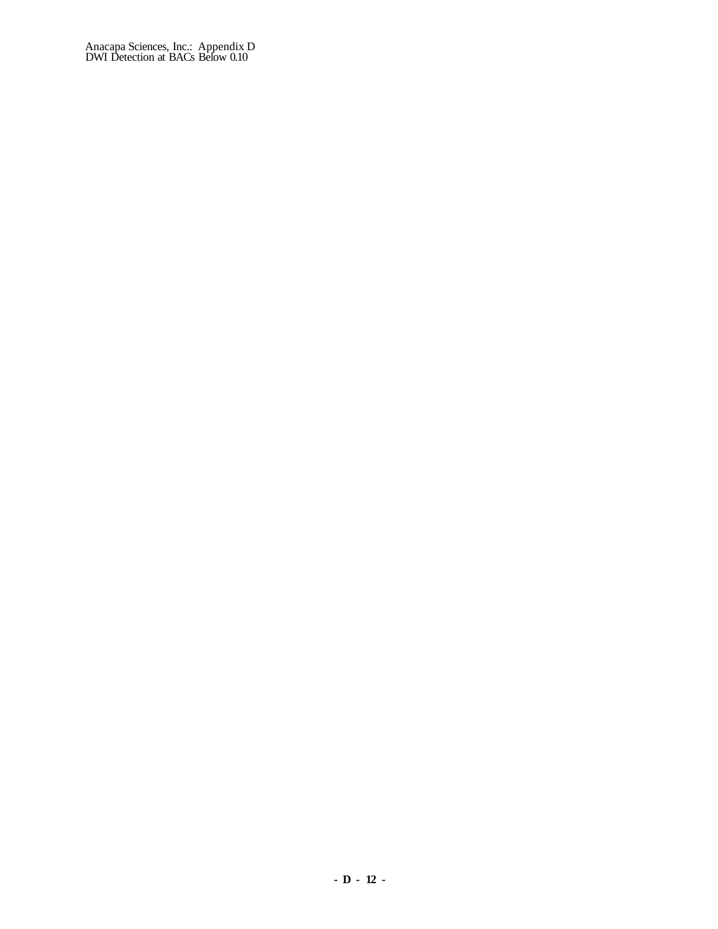Anacapa Sciences, Inc.: Appendix D DWI Detection at BACs Below 0.10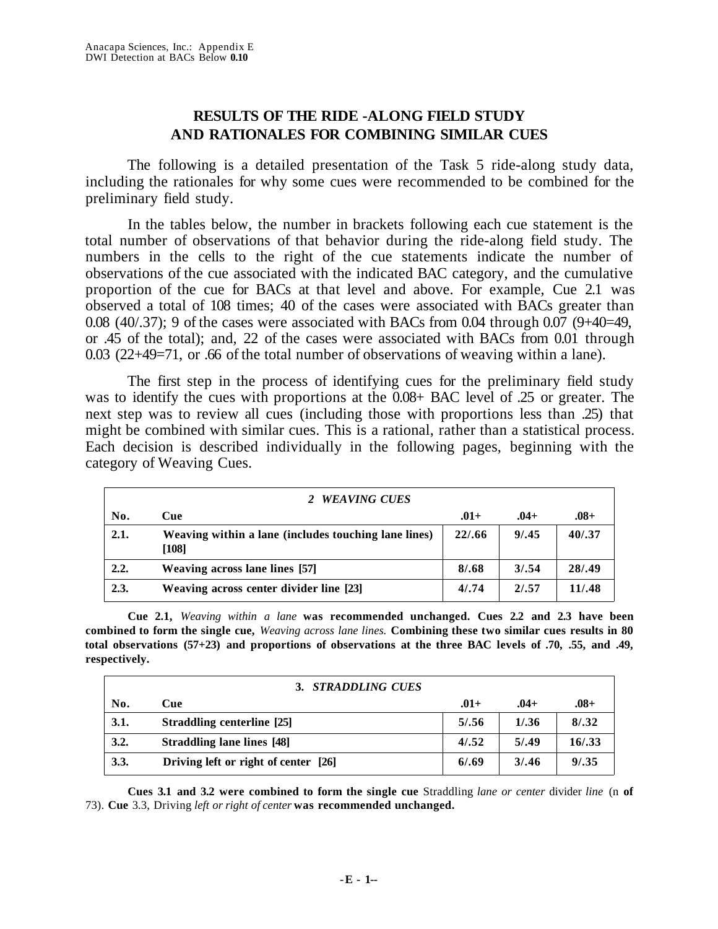# **RESULTS OF THE RIDE -ALONG FIELD STUDY AND RATIONALES FOR COMBINING SIMILAR CUES**

The following is a detailed presentation of the Task 5 ride-along study data, including the rationales for why some cues were recommended to be combined for the preliminary field study.

In the tables below, the number in brackets following each cue statement is the total number of observations of that behavior during the ride-along field study. The numbers in the cells to the right of the cue statements indicate the number of observations of the cue associated with the indicated BAC category, and the cumulative proportion of the cue for BACs at that level and above. For example, Cue 2.1 was observed a total of 108 times; 40 of the cases were associated with BACs greater than 0.08 (40/.37); 9 of the cases were associated with BACs from 0.04 through 0.07 (9+40=49, or .45 of the total); and, 22 of the cases were associated with BACs from 0.01 through 0.03 (22+49=71, or .66 of the total number of observations of weaving within a lane).

The first step in the process of identifying cues for the preliminary field study was to identify the cues with proportions at the 0.08+ BAC level of .25 or greater. The next step was to review all cues (including those with proportions less than .25) that might be combined with similar cues. This is a rational, rather than a statistical process. Each decision is described individually in the following pages, beginning with the category of Weaving Cues.

|      | <i>WEAVING CUES</i>                                             |         |        |         |  |  |
|------|-----------------------------------------------------------------|---------|--------|---------|--|--|
| No.  | Cue                                                             | $.01 +$ | $.04+$ | -08.    |  |  |
| 2.1. | Weaving within a lane (includes touching lane lines)<br>$[108]$ | 22/.66  | 9/0.45 | 40/0.37 |  |  |
| 2.2. | Weaving across lane lines [57]                                  | 8/0.68  | 3/0.54 | 28/.49  |  |  |
| 2.3. | Weaving across center divider line [23]                         | 4/0.74  | 21.57  | 11/.48  |  |  |

**Cue 2.1,** *Weaving within a lane* **was recommended unchanged. Cues 2.2 and 2.3 have been combined to form the single cue,** *Weaving across lane lines.* **Combining these two similar cues results in 80 total observations (57+23) and proportions of observations at the three BAC levels of .70, .55, and .49, respectively.**

|      | 3. STRADDLING CUES                   |         |        |        |
|------|--------------------------------------|---------|--------|--------|
| No.  | Cue                                  | $.01 +$ | .04+   | $.08+$ |
| 3.1. | <b>Straddling centerline [25]</b>    | 5/0.56  | 1/36   | 8/0.32 |
| 3.2. | <b>Straddling lane lines</b> [48]    | 4/0.52  | 5/0.49 | 16/33  |
| 3.3. | Driving left or right of center [26] | 6/0.69  | 3/0.46 | 9/0.35 |

**Cues 3.1 and 3.2 were combined to form the single cue** Straddling *lane or center* divider *line* (n **of** 73). **Cue** 3.3, Driving *left or right of center* **was recommended unchanged.**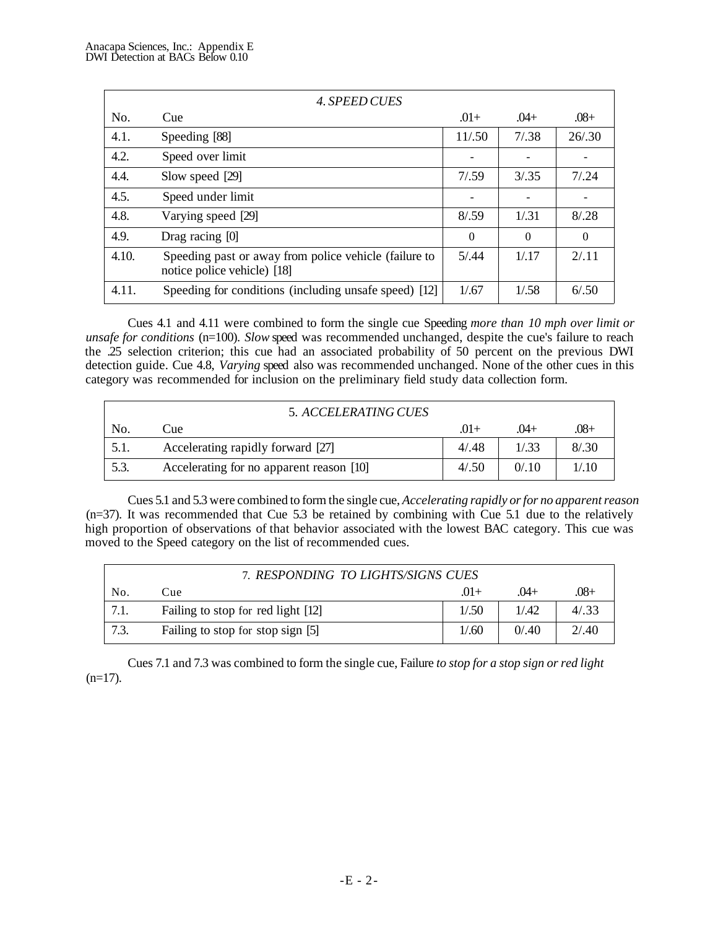| 4. SPEED CUES |                                                                                      |          |          |          |  |
|---------------|--------------------------------------------------------------------------------------|----------|----------|----------|--|
| No.           | Cue                                                                                  | $.01+$   | $.04+$   | $.08+$   |  |
| 4.1.          | Speeding [88]                                                                        | 11/.50   | 7/38     | 26/0.30  |  |
| 4.2.          | Speed over limit                                                                     |          |          |          |  |
| 4.4.          | Slow speed [29]                                                                      | 7/0.59   | 3/0.35   | 7/0.24   |  |
| 4.5.          | Speed under limit                                                                    |          |          |          |  |
| 4.8.          | Varying speed [29]                                                                   | 8/0.59   | 1/31     | 8/0.28   |  |
| 4.9.          | Drag racing [0]                                                                      | $\Omega$ | $\Omega$ | $\theta$ |  |
| 4.10.         | Speeding past or away from police vehicle (failure to<br>notice police vehicle) [18] | 5/0.44   | 1/17     | 2/11     |  |
| 4.11.         | Speeding for conditions (including unsafe speed) [12]                                | 1/67     | 1/0.58   | 6/0.50   |  |

Cues 4.1 and 4.11 were combined to form the single cue Speeding *more than 10 mph over limit or unsafe for conditions* (n=100). *Slow* speed was recommended unchanged, despite the cue's failure to reach the .25 selection criterion; this cue had an associated probability of 50 percent on the previous DWI detection guide. Cue 4.8, *Varying* speed also was recommended unchanged. None of the other cues in this category was recommended for inclusion on the preliminary field study data collection form.

|      | 5. ACCELERATING CUES                     |        |        |        |
|------|------------------------------------------|--------|--------|--------|
| No.  | Cue                                      | $.01+$ | .04+   | .08+   |
| 5.1. | Accelerating rapidly forward [27]        | 4/0.48 | 1/33   | 8/0.30 |
| 5.3. | Accelerating for no apparent reason [10] | 4/.50  | 0/0.10 | 1/0.10 |

Cues 5.1 and 5.3 were combined to form the single cue, *Accelerating rapidly or for no apparent reason* (n=37). It was recommended that Cue 5.3 be retained by combining with Cue 5.1 due to the relatively high proportion of observations of that behavior associated with the lowest BAC category. This cue was moved to the Speed category on the list of recommended cues.

| 7. RESPONDING TO LIGHTS/SIGNS CUES |                                    |        |        |        |
|------------------------------------|------------------------------------|--------|--------|--------|
| No.                                | Cue                                | $.01+$ | $.04+$ | .08+   |
| 7.1.                               | Failing to stop for red light [12] | 1/0.50 | 1/42   | 4/0.33 |
| 7.3.                               | Failing to stop for stop sign [5]  | 1/60   | 0/0.40 | 2/0.40 |

 $(n=17)$ . Cues 7.1 and 7.3 was combined to form the single cue, Failure *to stop for a stop sign or red light*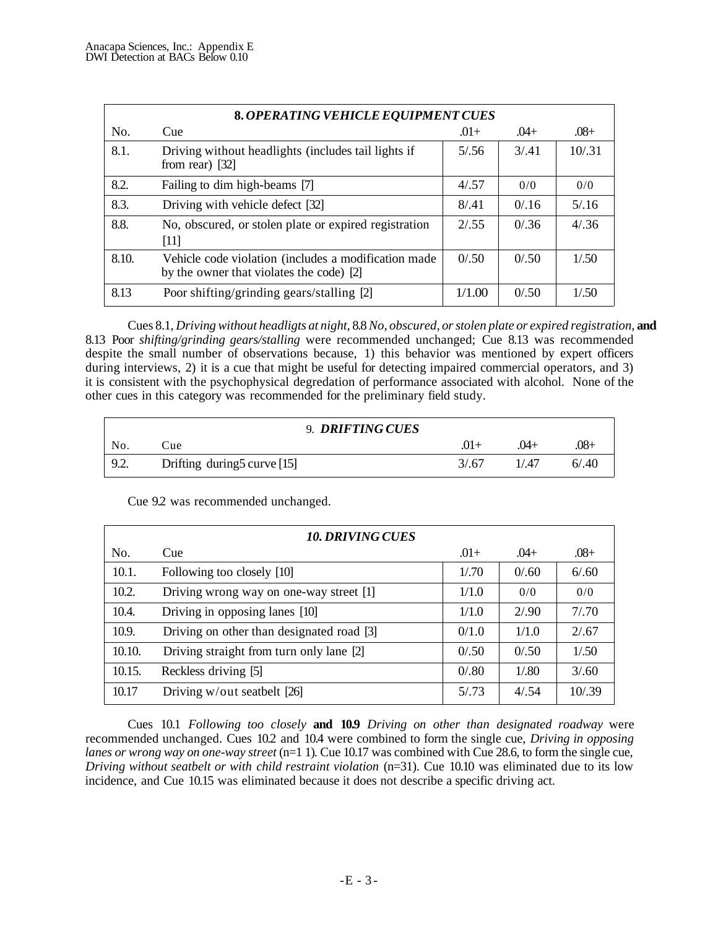| <b>8. OPERATING VEHICLE EQUIPMENT CUES</b> |                                                                                                  |        |        |         |
|--------------------------------------------|--------------------------------------------------------------------------------------------------|--------|--------|---------|
| No.                                        | Cue                                                                                              | $.01+$ | $.04+$ | $.08+$  |
| 8.1.                                       | Driving without headlights (includes tail lights if<br>from rear) $[32]$                         | 5/0.56 | 3/0.41 | 10/0.31 |
| 8.2.                                       | Failing to dim high-beams [7]                                                                    | 4/0.57 | 0/0    | 0/0     |
| 8.3.                                       | Driving with vehicle defect [32]                                                                 | 8/0.41 | 0/0.16 | 5/16    |
| 8.8.                                       | No, obscured, or stolen plate or expired registration<br>$[11]$                                  | 2/0.55 | 0/0.36 | 4/0.36  |
| 8.10.                                      | Vehicle code violation (includes a modification made<br>by the owner that violates the code) [2] | 0/0.50 | 0/0.50 | 1/0.50  |
| 8.13                                       | Poor shifting/grinding gears/stalling [2]                                                        | 1/1.00 | 0/0.50 | 1/50    |

Cues 8.1, *Driving without headligts at night,* 8.8 *No, obscured, or stolen plate or expired registration,* **and** 8.13 Poor *shifting/grinding gears/stalling* were recommended unchanged; Cue 8.13 was recommended despite the small number of observations because, 1) this behavior was mentioned by expert officers during interviews, 2) it is a cue that might be useful for detecting impaired commercial operators, and 3) it is consistent with the psychophysical degredation of performance associated with alcohol. None of the other cues in this category was recommended for the preliminary field study.

|      | 9. DRIFTING CUES             |        |      |        |
|------|------------------------------|--------|------|--------|
| No.  | Cue                          | $.01+$ | .04+ | $08+$  |
| 9.2. | Drifting during 5 curve [15] | 3/0.67 | 1/47 | 6/0.40 |

Cue 9.2 was recommended unchanged.

| <b>10. DRIVING CUES</b> |                                           |        |        |         |  |
|-------------------------|-------------------------------------------|--------|--------|---------|--|
| No.                     | Cue                                       | $.01+$ | $.04+$ | $.08+$  |  |
| 10.1.                   | Following too closely [10]                | 1/70   | 0/0.60 | 6/0.60  |  |
| 10.2.                   | Driving wrong way on one-way street [1]   | 1/1.0  | 0/0    | 0/0     |  |
| 10.4.                   | Driving in opposing lanes [10]            | 1/1.0  | 2/0.90 | 7/0.70  |  |
| 10.9.                   | Driving on other than designated road [3] | 0/1.0  | 1/1.0  | 2/.67   |  |
| 10.10.                  | Driving straight from turn only lane [2]  | 0/0.50 | 0/0.50 | 1/0.50  |  |
| 10.15.                  | Reckless driving [5]                      | 0/0.80 | 1/0.80 | 3/0.60  |  |
| 10.17                   | Driving $w/$ out seatbelt [26]            | 5/0.73 | 4/0.54 | 10/0.39 |  |

Cues 10.1 *Following too closely* **and 10.9** *Driving on other than designated roadway* were recommended unchanged. Cues 10.2 and 10.4 were combined to form the single cue, *Driving in opposing lanes or wrong way on one-way street* (n=1 1). Cue 10.17 was combined with Cue 28.6, to form the single cue, *Driving without seatbelt or with child restraint violation* (n=31). Cue 10.10 was eliminated due to its low incidence, and Cue 10.15 was eliminated because it does not describe a specific driving act.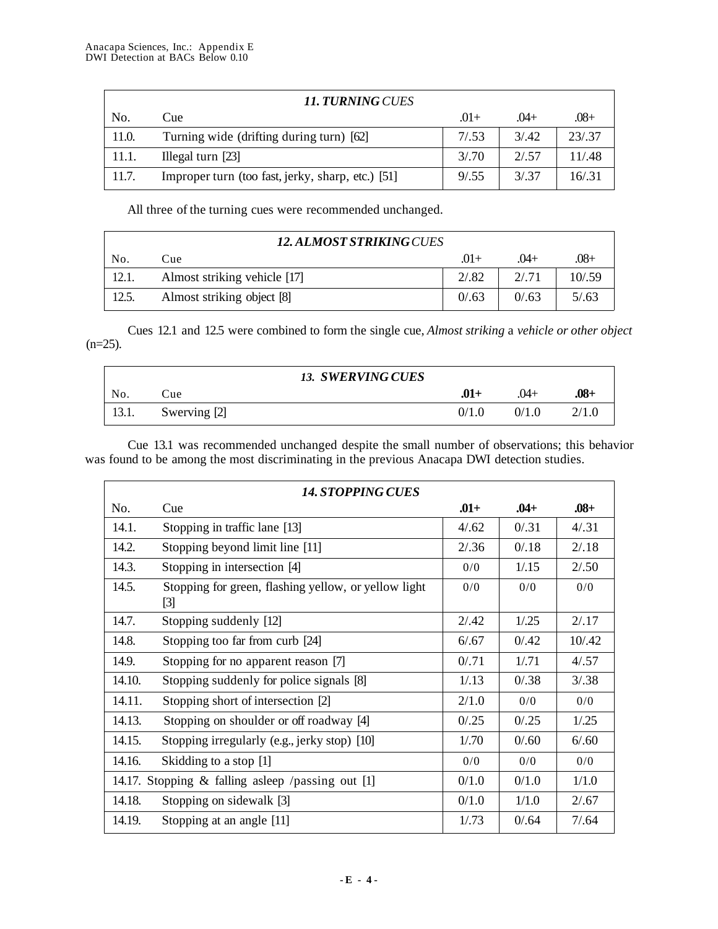|       | <b>11. TURNING CUES</b>                           |        |        |       |  |
|-------|---------------------------------------------------|--------|--------|-------|--|
| No.   | Cue                                               | $.01+$ | $.04+$ | .08+  |  |
| 11.0. | Turning wide (drifting during turn) [62]          | 7/0.53 | 3/0.42 | 23/37 |  |
| 11.1. | Illegal turn [23]                                 | 3/0.70 | 2/0.57 | 11/48 |  |
| 11.7. | Improper turn (too fast, jerky, sharp, etc.) [51] | 9/0.55 | 3/0.37 | 16/31 |  |

All three of the turning cues were recommended unchanged.

| <b>12. ALMOST STRIKING CUES</b> |                              |        |        |         |  |
|---------------------------------|------------------------------|--------|--------|---------|--|
| No.                             | Cue                          | $.01+$ | $.04+$ | .08+    |  |
| 12.1.                           | Almost striking vehicle [17] | 2/.82  | 2/71   | 10/0.59 |  |
| 12.5.                           | Almost striking object [8]   | 0/0.63 | 0/0.63 | 5/0.63  |  |

 $(n=25)$ . Cues 12.1 and 12.5 were combined to form the single cue, *Almost striking* a *vehicle or other object*

|       |              | 13. SWERVING CUES |       |       |        |
|-------|--------------|-------------------|-------|-------|--------|
| No.   | Cue          |                   | .01+  | .04+  | $.08+$ |
| 13.1. | Swerving [2] |                   | 0/1.0 | 0/1.0 | 2/1.0  |

Cue 13.1 was recommended unchanged despite the small number of observations; this behavior was found to be among the most discriminating in the previous Anacapa DWI detection studies.

|        | <b>14. STOPPING CUES</b>                                      |         |         |         |  |
|--------|---------------------------------------------------------------|---------|---------|---------|--|
| No.    | Cue                                                           | $.01 +$ | $.04 +$ | $.08+$  |  |
| 14.1.  | Stopping in traffic lane [13]                                 | 4/.62   | 0/0.31  | 4/0.31  |  |
| 14.2.  | Stopping beyond limit line [11]                               | 2/0.36  | 0/0.18  | 2/18    |  |
| 14.3.  | Stopping in intersection [4]                                  | 0/0     | 1/0.15  | 2/.50   |  |
| 14.5.  | Stopping for green, flashing yellow, or yellow light<br>$[3]$ | 0/0     | 0/0     | 0/0     |  |
| 14.7.  | Stopping suddenly [12]                                        | 2/0.42  | 1/25    | 2/17    |  |
| 14.8.  | Stopping too far from curb [24]                               | 6/0.67  | 0/0.42  | 10/0.42 |  |
| 14.9.  | Stopping for no apparent reason [7]                           | 0/0.71  | 1/0.71  | 4/.57   |  |
| 14.10. | Stopping suddenly for police signals [8]                      | 1/13    | 0/0.38  | 3/0.38  |  |
| 14.11. | Stopping short of intersection [2]                            | 2/1.0   | 0/0     | 0/0     |  |
| 14.13. | Stopping on shoulder or off roadway [4]                       | 0/0.25  | 0/0.25  | 1/25    |  |
| 14.15. | Stopping irregularly (e.g., jerky stop) [10]                  | 1/0.70  | 0/0.60  | 6/0.60  |  |
| 14.16. | Skidding to a stop [1]                                        | 0/0     | 0/0     | 0/0     |  |
|        | 14.17. Stopping & falling asleep /passing out [1]             | 0/1.0   | 0/1.0   | 1/1.0   |  |
| 14.18. | Stopping on sidewalk [3]                                      | 0/1.0   | 1/1.0   | 2/.67   |  |
| 14.19. | Stopping at an angle [11]                                     | 1/0.73  | 0/0.64  | 7/0.64  |  |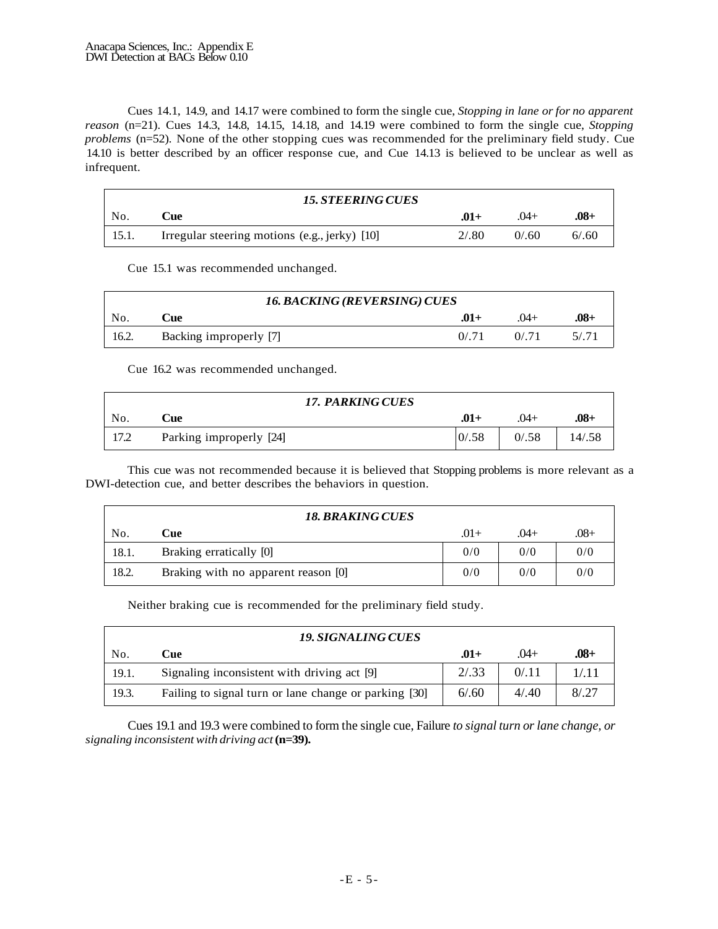Cues 14.1, 14.9, and 14.17 were combined to form the single cue, *Stopping in lane or for no apparent reason* (n=21). Cues 14.3, 14.8, 14.15, 14.18, and 14.19 were combined to form the single cue, *Stopping problems* (n=52). None of the other stopping cues was recommended for the preliminary field study. Cue 14.10 is better described by an officer response cue, and Cue 14.13 is believed to be unclear as well as infrequent.

|       | <i><b>15. STEERING CUES</b></i>               |       |        |        |
|-------|-----------------------------------------------|-------|--------|--------|
| No.   | Cue                                           | .01+  | .04+   | $.08+$ |
| 15.1. | Irregular steering motions (e.g., jerky) [10] | 2/.80 | 0/0.60 | 6/0.60 |

Cue 15.1 was recommended unchanged.

|       | 16. BACKING (REVERSING) CUES |        |      |        |  |
|-------|------------------------------|--------|------|--------|--|
| No.   | Uue -                        | $.01+$ | .04+ | -08.   |  |
| 16.2. | Backing improperly [7]       | 0/71   | 0/71 | 5/0.71 |  |

Cue 16.2 was recommended unchanged.

|      | <b>17. PARKING CUES</b> |         |        |        |
|------|-------------------------|---------|--------|--------|
| No.  | Cue                     | $.01 +$ | .04+   | .08+   |
| 17.2 | Parking improperly [24] | 0/0.58  | 0/0.58 | 14/.58 |

This cue was not recommended because it is believed that Stopping problems is more relevant as a DWI-detection cue, and better describes the behaviors in question.

|       | <b>18. BRAKING CUES</b>             |        |      |      |
|-------|-------------------------------------|--------|------|------|
| No.   | Cue                                 | $.01+$ | .04+ | .08+ |
| 18.1. | Braking erratically [0]             | 0/0    | 0/0  | 0/0  |
| 18.2. | Braking with no apparent reason [0] | 0/0    | 0/0  | 0/0  |

Neither braking cue is recommended for the preliminary field study.

|       | <i><b>19. SIGNALING CUES</b></i>                      |         |        |        |  |
|-------|-------------------------------------------------------|---------|--------|--------|--|
| No.   | Cue                                                   | $.01 +$ | .04+   | .08+   |  |
| 19.1. | Signaling inconsistent with driving act [9]           | 2/33    | 0/0.11 | 1/11   |  |
| 19.3. | Failing to signal turn or lane change or parking [30] | 6/0.60  | 4/0.40 | 8/0.27 |  |

Cues 19.1 and 19.3 were combined to form the single cue, Failure *to signal turn or lane change, or signaling inconsistent with driving act* **(n=39).**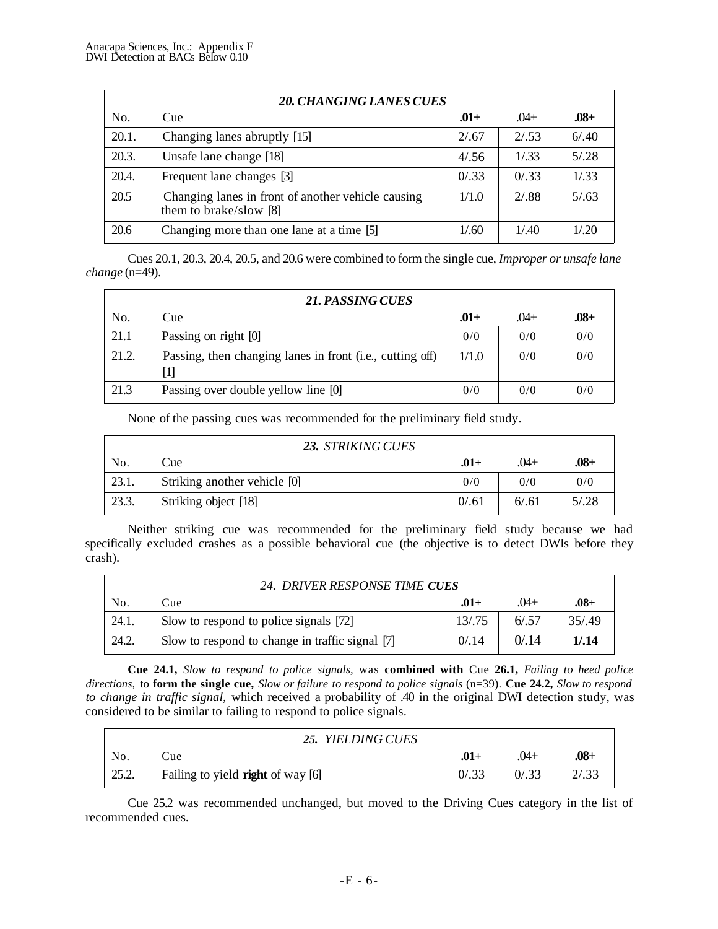| <b>20. CHANGING LANES CUES</b> |                                                                              |         |        |         |  |
|--------------------------------|------------------------------------------------------------------------------|---------|--------|---------|--|
| No.                            | Cue                                                                          | $.01 +$ | $.04+$ | $.08 +$ |  |
| 20.1.                          | Changing lanes abruptly [15]                                                 | 2/0.67  | 2/0.53 | 6/0.40  |  |
| 20.3.                          | Unsafe lane change [18]                                                      | 4/0.56  | 1/33   | 5/0.28  |  |
| 20.4.                          | Frequent lane changes [3]                                                    | 0/0.33  | 0/0.33 | 1/33    |  |
| 20.5                           | Changing lanes in front of another vehicle causing<br>them to brake/slow [8] | 1/1.0   | 2/0.88 | 5/0.63  |  |
| 20.6                           | Changing more than one lane at a time [5]                                    | 1/60    | 1/40   | 1/20    |  |

Cues 20.1, 20.3, 20.4, 20.5, and 20.6 were combined to form the single cue, *Improper or unsafe lane change* (n=49).

|       | 21. PASSING CUES                                               |         |        |      |  |  |
|-------|----------------------------------------------------------------|---------|--------|------|--|--|
| No.   | Cue                                                            | $.01 +$ | $.04+$ | -08. |  |  |
| 21.1  | Passing on right [0]                                           | 0/0     | 0/0    | 0/0  |  |  |
| 21.2. | Passing, then changing lanes in front (i.e., cutting off)<br>Ш | 1/1.0   | 0/0    | 0/0  |  |  |
| 21.3  | Passing over double yellow line [0]                            | 0/0     | 0/0    | 0/0  |  |  |

None of the passing cues was recommended for the preliminary field study.

|       | <b>23. STRIKING CUES</b>     |        |        |        |
|-------|------------------------------|--------|--------|--------|
| No.   | Cue                          | .01+   | $.04+$ | .08+   |
| 23.1. | Striking another vehicle [0] | 0/0    | 0/0    | 0/0    |
| 23.3. | Striking object [18]         | 0/0.61 | 6/0.61 | 5/0.28 |

Neither striking cue was recommended for the preliminary field study because we had specifically excluded crashes as a possible behavioral cue (the objective is to detect DWIs before they crash).

| 24. DRIVER RESPONSE TIME CUES |                                                 |         |         |       |  |
|-------------------------------|-------------------------------------------------|---------|---------|-------|--|
| No.                           | Cue                                             | $.01 +$ | $(14 +$ | .08+  |  |
| 24.1.                         | Slow to respond to police signals [72]          | 13/0.75 | 6/0.57  | 35/49 |  |
| 24.2.                         | Slow to respond to change in traffic signal [7] | 0/14    | 0/14    | 1/14  |  |

**Cue 24.1,** *Slow to respond to police signals,* was **combined with** Cue **26.1,** *Failing to heed police directions,* to **form the single cue,** *Slow or failure to respond to police signals* (n=39). **Cue 24.2,** *Slow to respond to change in traffic signal,* which received a probability of .40 in the original DWI detection study, was considered to be similar to failing to respond to police signals.

|                    | 25. YIELDING CUES                        |        |         |       |
|--------------------|------------------------------------------|--------|---------|-------|
| No.                | Cue.                                     | .01+   | $(14 +$ | -80.  |
| $\frac{1}{25.2}$ . | Failing to yield <b>right</b> of way [6] | 0/0.33 | 0/0.33  | 2/333 |

Cue 25.2 was recommended unchanged, but moved to the Driving Cues category in the list of recommended cues.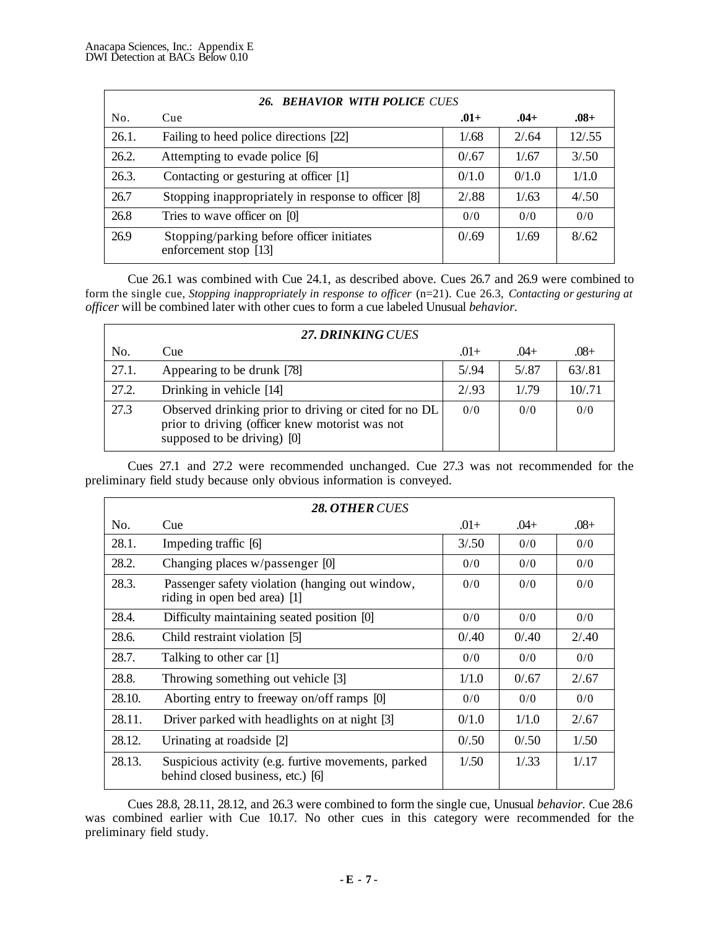| 26. BEHAVIOR WITH POLICE CUES |                                                                    |        |        |        |  |
|-------------------------------|--------------------------------------------------------------------|--------|--------|--------|--|
| No.                           | Cue                                                                | $.01+$ | $.04+$ | $.08+$ |  |
| 26.1.                         | Failing to heed police directions [22]                             | 1/0.68 | 2/0.64 | 12/.55 |  |
| 26.2.                         | Attempting to evade police [6]                                     | 0/0.67 | 1/67   | 3/0.50 |  |
| 26.3.                         | Contacting or gesturing at officer [1]                             | 0/1.0  | 0/1.0  | 1/1.0  |  |
| 26.7                          | Stopping inappropriately in response to officer [8]                | 2/0.88 | 1/63   | 4/0.50 |  |
| 26.8                          | Tries to wave officer on [0]                                       | 0/0    | 0/0    | 0/0    |  |
| 26.9                          | Stopping/parking before officer initiates<br>enforcement stop [13] | 0/0.69 | 1/69   | 8/0.62 |  |

Cue 26.1 was combined with Cue 24.1, as described above. Cues 26.7 and 26.9 were combined to form the single cue, *Stopping inappropriately in response to officer* (n=21). Cue 26.3, *Contacting or gesturing at officer* will be combined later with other cues to form a cue labeled Unusual *behavior.*

|       | <b>27. DRINKING CUES</b>                                                                                                                |        |       |         |  |  |  |
|-------|-----------------------------------------------------------------------------------------------------------------------------------------|--------|-------|---------|--|--|--|
| No.   | Cue                                                                                                                                     | $.01+$ | .04+  | .08+    |  |  |  |
| 27.1. | Appearing to be drunk [78]                                                                                                              | 5/0.94 | 5/.87 | 63/0.81 |  |  |  |
| 27.2. | Drinking in vehicle [14]                                                                                                                | 2/0.93 | 1/79  | 10/0.71 |  |  |  |
| 27.3  | Observed drinking prior to driving or cited for no DL<br>prior to driving (officer knew motorist was not<br>supposed to be driving) [0] | 0/0    | 0/0   | 0/0     |  |  |  |

Cues 27.1 and 27.2 were recommended unchanged. Cue 27.3 was not recommended for the preliminary field study because only obvious information is conveyed.

|        | <b>28. OTHER CUES</b>                                                                    |        |        |        |  |  |  |
|--------|------------------------------------------------------------------------------------------|--------|--------|--------|--|--|--|
| No.    | Cue                                                                                      | $.01+$ | $.04+$ | $.08+$ |  |  |  |
| 28.1.  | Impeding traffic [6]                                                                     | 3/0.50 | 0/0    | 0/0    |  |  |  |
| 28.2.  | Changing places w/passenger [0]                                                          | 0/0    | 0/0    | 0/0    |  |  |  |
| 28.3.  | Passenger safety violation (hanging out window,<br>riding in open bed area) [1]          | 0/0    | 0/0    | 0/0    |  |  |  |
| 28.4.  | Difficulty maintaining seated position [0]                                               | 0/0    | 0/0    | 0/0    |  |  |  |
| 28.6.  | Child restraint violation [5]                                                            | 0/0.40 | 0/0.40 | 2/0.40 |  |  |  |
| 28.7.  | Talking to other car [1]                                                                 | 0/0    | 0/0    | 0/0    |  |  |  |
| 28.8.  | Throwing something out vehicle [3]                                                       |        | 0/0.67 | 2/0.67 |  |  |  |
| 28.10. | Aborting entry to freeway on/off ramps [0]                                               | 0/0    | 0/0    | 0/0    |  |  |  |
| 28.11. | Driver parked with headlights on at night [3]                                            | 0/1.0  | 1/1.0  | 2/0.67 |  |  |  |
| 28.12. | Urinating at roadside [2]                                                                | 0/0.50 | 0/0.50 | 1/0.50 |  |  |  |
| 28.13. | Suspicious activity (e.g. furtive movements, parked<br>behind closed business, etc.) [6] | 1/50   | 1/33   | 1/17   |  |  |  |

Cues 28.8, 28.11, 28.12, and 26.3 were combined to form the single cue, Unusual *behavior.* Cue 28.6 was combined earlier with Cue 10.17. No other cues in this category were recommended for the preliminary field study.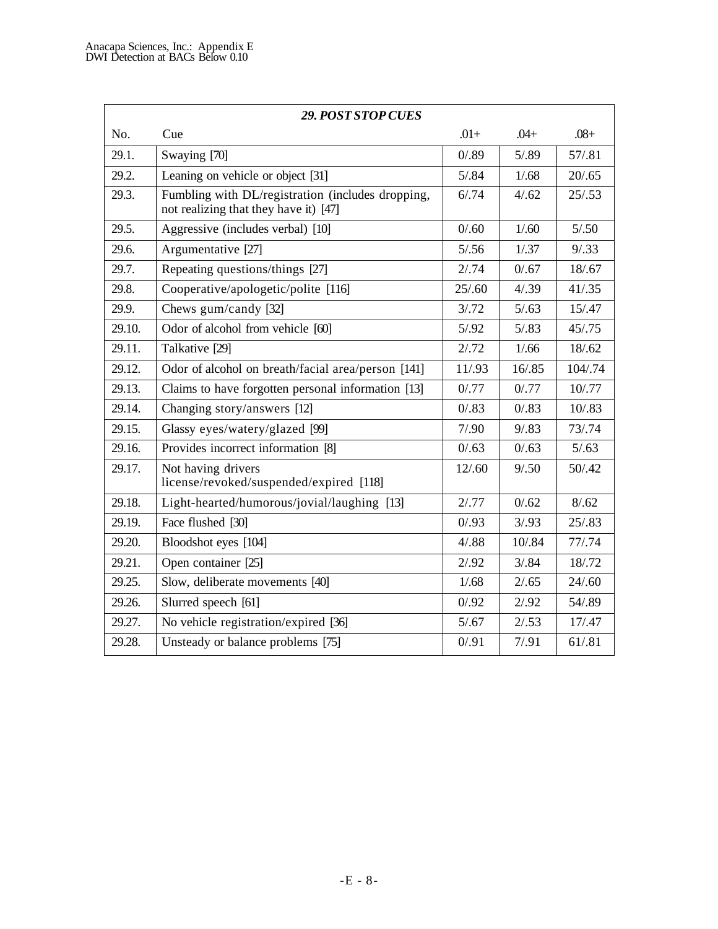| <b>29. POST STOP CUES</b> |                                                                                            |         |         |         |  |
|---------------------------|--------------------------------------------------------------------------------------------|---------|---------|---------|--|
| No.                       | Cue                                                                                        | $.01+$  | $.04+$  | $.08 +$ |  |
| 29.1.                     | Swaying [70]                                                                               | 0/0.89  | 5/0.89  | 57/.81  |  |
| 29.2.                     | Leaning on vehicle or object [31]                                                          | 5/0.84  | 1/0.68  | 20/0.65 |  |
| 29.3.                     | Fumbling with DL/registration (includes dropping,<br>not realizing that they have it) [47] | 6/0.74  | 4/0.62  | 25/0.53 |  |
| 29.5.                     | Aggressive (includes verbal) [10]                                                          | 0/0.60  | 1/60    | 5/.50   |  |
| 29.6.                     | Argumentative [27]                                                                         | 5/0.56  | 1/37    | 9/0.33  |  |
| 29.7.                     | Repeating questions/things [27]                                                            | 2/0.74  | 0/0.67  | 18/.67  |  |
| 29.8.                     | Cooperative/apologetic/polite [116]                                                        | 25/0.60 | 4/0.39  | 41/.35  |  |
| 29.9.                     | Chews gum/candy [32]                                                                       | 3/0.72  | 5/.63   | 15/.47  |  |
| 29.10.                    | Odor of alcohol from vehicle [60]                                                          | 5/0.92  | 5/0.83  | 45/0.75 |  |
| 29.11.                    | Talkative [29]                                                                             | 2/0.72  | 1/0.66  | 18/.62  |  |
| 29.12.                    | Odor of alcohol on breath/facial area/person [141]                                         |         | 16/0.85 | 104/.74 |  |
| 29.13.                    | Claims to have forgotten personal information [13]                                         | 0/0.77  | 0/0.77  | 10/.77  |  |
| 29.14.                    | Changing story/answers [12]                                                                | 0/0.83  | 0/0.83  | 10/.83  |  |
| 29.15.                    | Glassy eyes/watery/glazed [99]                                                             | 7/0.90  | 9/0.83  | 73/.74  |  |
| 29.16.                    | Provides incorrect information [8]                                                         | 0/0.63  | 0/0.63  | 5/0.63  |  |
| 29.17.                    | Not having drivers<br>license/revoked/suspended/expired [118]                              | 12/0.60 | 9/0.50  | 50/0.42 |  |
| 29.18.                    | Light-hearted/humorous/jovial/laughing [13]                                                | 2/0.77  | 0/0.62  | 8/.62   |  |
| 29.19.                    | Face flushed [30]                                                                          | 0/0.93  | 3/0.93  | 25/0.83 |  |
| 29.20.                    | Bloodshot eyes [104]                                                                       | 4/0.88  | 10/.84  | 77/0.74 |  |
| 29.21.                    | Open container [25]                                                                        | 2/0.92  | 3/0.84  | 18/.72  |  |
| 29.25.                    | Slow, deliberate movements [40]                                                            | 1/0.68  | 2/.65   | 24/0.60 |  |
| 29.26.                    | Slurred speech [61]                                                                        | 0/0.92  | 2/0.92  | 54/.89  |  |
| 29.27.                    | No vehicle registration/expired [36]                                                       | 5/0.67  | 2/.53   | 17/0.47 |  |
| 29.28.                    | Unsteady or balance problems [75]                                                          | 0/0.91  | 7/0.91  | 61/.81  |  |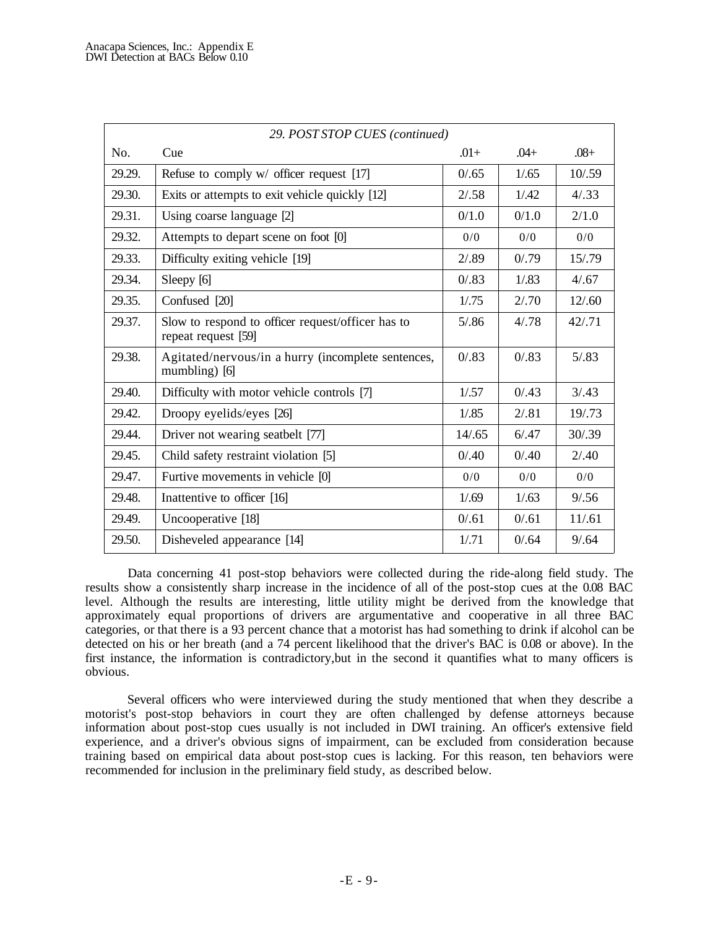| 29. POST STOP CUES (continued) |                                                                          |         |        |         |  |
|--------------------------------|--------------------------------------------------------------------------|---------|--------|---------|--|
| No.                            | Cue                                                                      | $.01+$  | $.04+$ | $.08 +$ |  |
| 29.29.                         | Refuse to comply $w/$ officer request [17]                               | 0/0.65  | 1/0.65 | 10/.59  |  |
| 29.30.                         | Exits or attempts to exit vehicle quickly [12]                           | 2/.58   | 1/42   | 4/0.33  |  |
| 29.31.                         | Using coarse language [2]                                                | 0/1.0   | 0/1.0  | 2/1.0   |  |
| 29.32.                         | Attempts to depart scene on foot [0]                                     | 0/0     | 0/0    | 0/0     |  |
| 29.33.                         | Difficulty exiting vehicle [19]                                          | 2/0.89  | 0/0.79 | 15/.79  |  |
| 29.34.                         | Sleepy [6]                                                               | 0/0.83  | 1/0.83 | 4/.67   |  |
| 29.35.                         | Confused [20]                                                            | 1/0.75  | 2/0.70 | 12/0.60 |  |
| 29.37.                         | Slow to respond to officer request/officer has to<br>repeat request [59] | 5/0.86  | 4/0.78 | 42/71   |  |
| 29.38.                         | Agitated/nervous/in a hurry (incomplete sentences,<br>mumbling $[6]$     | 0/0.83  | 0/0.83 | 5/0.83  |  |
| 29.40.                         | Difficulty with motor vehicle controls [7]                               | 1/0.57  | 0/0.43 | 3/0.43  |  |
| 29.42.                         | Droopy eyelids/eyes [26]                                                 | 1/0.85  | 2/0.81 | 19/.73  |  |
| 29.44.                         | Driver not wearing seatbelt [77]                                         | 14/0.65 | 6/0.47 | 30/0.39 |  |
| 29.45.                         | Child safety restraint violation [5]                                     | 0/0.40  | 0/0.40 | 2/0.40  |  |
| 29.47.                         | Furtive movements in vehicle [0]                                         | 0/0     | 0/0    | 0/0     |  |
| 29.48.                         | Inattentive to officer [16]                                              | 1/0.69  | 1/0.63 | 9/0.56  |  |
| 29.49.                         | Uncooperative [18]                                                       | 0/0.61  | 0/0.61 | 11/.61  |  |
| 29.50.                         | Disheveled appearance [14]                                               | 1/0.71  | 0/0.64 | 9/0.64  |  |

Data concerning 41 post-stop behaviors were collected during the ride-along field study. The results show a consistently sharp increase in the incidence of all of the post-stop cues at the 0.08 BAC level. Although the results are interesting, little utility might be derived from the knowledge that approximately equal proportions of drivers are argumentative and cooperative in all three BAC categories, or that there is a 93 percent chance that a motorist has had something to drink if alcohol can be detected on his or her breath (and a 74 percent likelihood that the driver's BAC is 0.08 or above). In the first instance, the information is contradictory,but in the second it quantifies what to many officers is obvious.

Several officers who were interviewed during the study mentioned that when they describe a motorist's post-stop behaviors in court they are often challenged by defense attorneys because information about post-stop cues usually is not included in DWI training. An officer's extensive field experience, and a driver's obvious signs of impairment, can be excluded from consideration because training based on empirical data about post-stop cues is lacking. For this reason, ten behaviors were recommended for inclusion in the preliminary field study, as described below.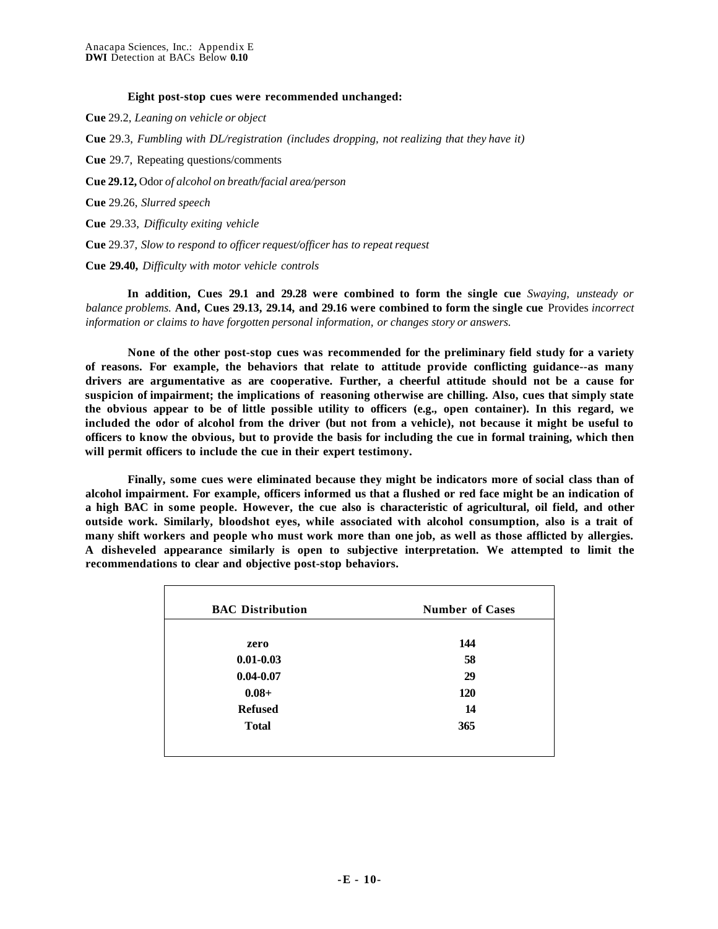#### **Eight post-stop cues were recommended unchanged:**

**Cue** 29.2, *Leaning on vehicle or object*

**Cue** 29.3, *Fumbling with DL/registration (includes dropping, not realizing that they have it)*

**Cue** 29.7, Repeating questions/comments

**Cue 29.12,** Odor *of alcohol on breath/facial area/person*

**Cue** 29.26, *Slurred speech*

**Cue** 29.33, *Difficulty exiting vehicle*

**Cue** 29.37, *Slow to respond to officer request/officer has to repeat request*

**Cue 29.40,** *Difficulty with motor vehicle controls*

**In addition, Cues 29.1 and 29.28 were combined to form the single cue** *Swaying, unsteady or balance problems.* **And, Cues 29.13, 29.14, and 29.16 were combined to form the single cue** Provides *incorrect information or claims to have forgotten personal information, or changes story or answers.*

**None of the other post-stop cues was recommended for the preliminary field study for a variety of reasons. For example, the behaviors that relate to attitude provide conflicting guidance--as many drivers are argumentative as are cooperative. Further, a cheerful attitude should not be a cause for suspicion of impairment; the implications of reasoning otherwise are chilling. Also, cues that simply state the obvious appear to be of little possible utility to officers (e.g., open container). In this regard, we included the odor of alcohol from the driver (but not from a vehicle), not because it might be useful to officers to know the obvious, but to provide the basis for including the cue in formal training, which then will permit officers to include the cue in their expert testimony.**

**Finally, some cues were eliminated because they might be indicators more of social class than of alcohol impairment. For example, officers informed us that a flushed or red face might be an indication of a high BAC in some people. However, the cue also is characteristic of agricultural, oil field, and other outside work. Similarly, bloodshot eyes, while associated with alcohol consumption, also is a trait of many shift workers and people who must work more than one job, as well as those afflicted by allergies. A disheveled appearance similarly is open to subjective interpretation. We attempted to limit the recommendations to clear and objective post-stop behaviors.**

| <b>BAC</b> Distribution | <b>Number of Cases</b> |
|-------------------------|------------------------|
| zero                    | 144                    |
| $0.01 - 0.03$           | 58                     |
| $0.04 - 0.07$           | 29                     |
| $0.08 +$                | <b>120</b>             |
| <b>Refused</b>          | 14                     |
| <b>Total</b>            | 365                    |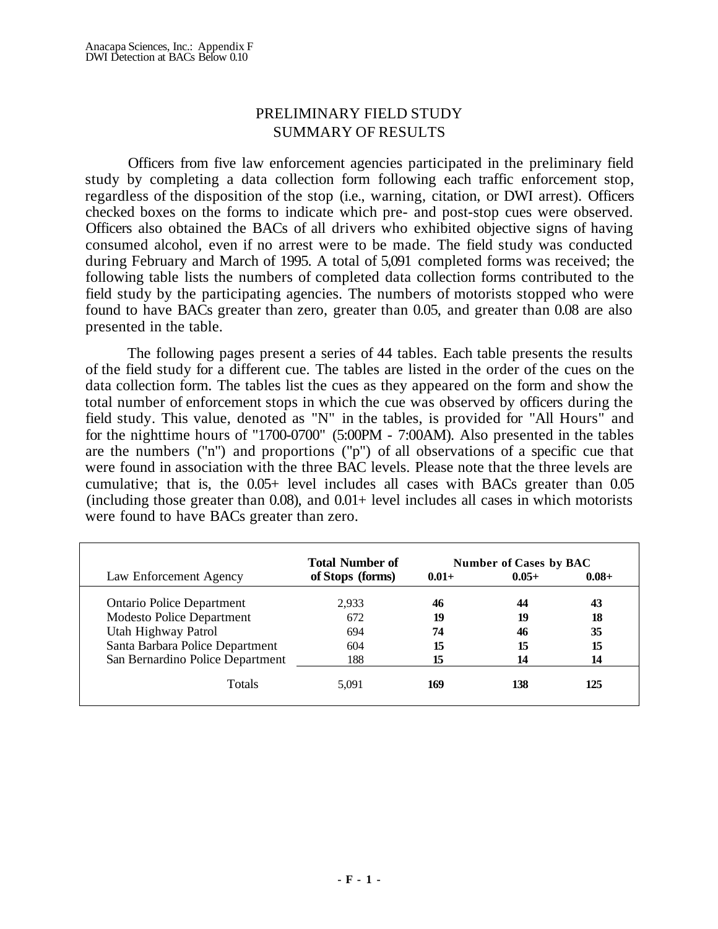# PRELIMINARY FIELD STUDY SUMMARY OF RESULTS

Officers from five law enforcement agencies participated in the preliminary field study by completing a data collection form following each traffic enforcement stop, regardless of the disposition of the stop (i.e., warning, citation, or DWI arrest). Officers checked boxes on the forms to indicate which pre- and post-stop cues were observed. Officers also obtained the BACs of all drivers who exhibited objective signs of having consumed alcohol, even if no arrest were to be made. The field study was conducted during February and March of 1995. A total of 5,091 completed forms was received; the following table lists the numbers of completed data collection forms contributed to the field study by the participating agencies. The numbers of motorists stopped who were found to have BACs greater than zero, greater than 0.05, and greater than 0.08 are also presented in the table.

The following pages present a series of 44 tables. Each table presents the results of the field study for a different cue. The tables are listed in the order of the cues on the data collection form. The tables list the cues as they appeared on the form and show the total number of enforcement stops in which the cue was observed by officers during the field study. This value, denoted as "N" in the tables, is provided for "All Hours" and for the nighttime hours of "1700-0700" (5:00PM - 7:00AM). Also presented in the tables are the numbers ("n") and proportions ("p") of all observations of a specific cue that were found in association with the three BAC levels. Please note that the three levels are cumulative; that is, the 0.05+ level includes all cases with BACs greater than 0.05 (including those greater than 0.08), and 0.01+ level includes all cases in which motorists were found to have BACs greater than zero.

|                                  | <b>Total Number of</b> |          | <b>Number of Cases by BAC</b> |          |
|----------------------------------|------------------------|----------|-------------------------------|----------|
| Law Enforcement Agency           | of Stops (forms)       | $0.01 +$ | $0.05+$                       | $0.08 +$ |
| <b>Ontario Police Department</b> | 2,933                  | 46       | 44                            | 43       |
| <b>Modesto Police Department</b> | 672                    | 19       | 19                            | 18       |
| Utah Highway Patrol              | 694                    | 74       | 46                            | 35       |
| Santa Barbara Police Department  | 604                    | 15       | 15                            | 15       |
| San Bernardino Police Department | 188                    | 15       | 14                            | 14       |
| Totals                           | 5.091                  | 169      | 138                           | 125      |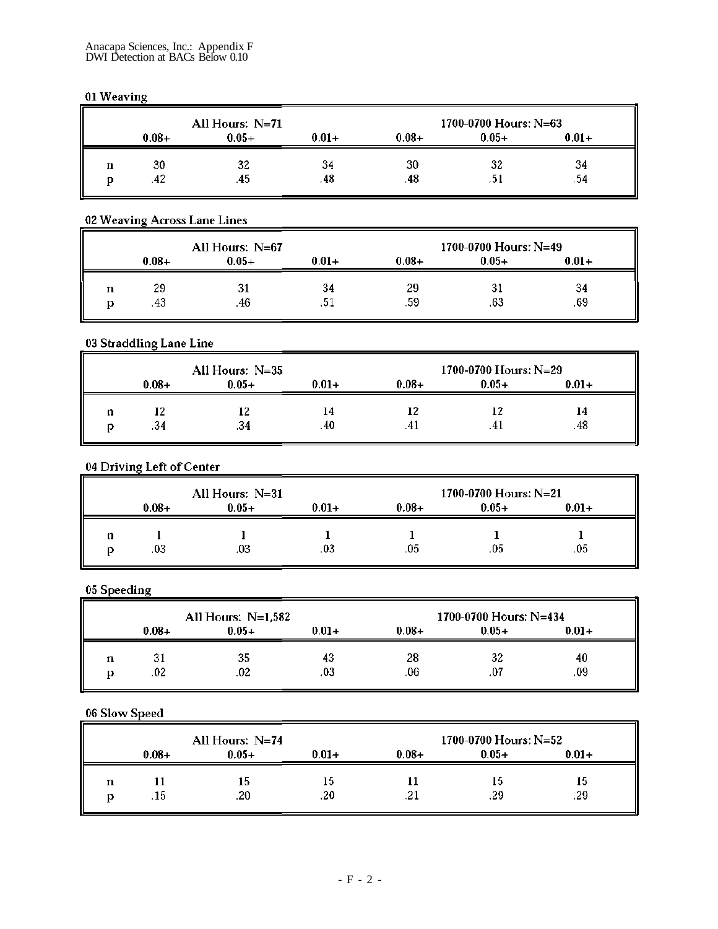### 01 Weaving

| All Hours: $N=71$ |          |          |          | 1700-0700 Hours: N=63 |             |            |
|-------------------|----------|----------|----------|-----------------------|-------------|------------|
|                   | $0.08 +$ | $0.05+$  | $0.01 +$ | $0.08 +$              | $0.05+$     | $0.01 +$   |
| n                 | 30       | 32<br>45 | 34       | 30<br>.48             | 32<br>. J . | 34<br>. 54 |

# 02 Weaving Across Lane Lines

|   | All Hours: $N=67$ |          |           |           | 1700-0700 Hours: N=49 |           |  |  |
|---|-------------------|----------|-----------|-----------|-----------------------|-----------|--|--|
|   | $0.08+$           | $0.05+$  | $0.01 +$  | $0.08 +$  | $0.05+$               | $0.01 +$  |  |  |
| n | 29<br>.43         | 31<br>46 | 34<br>-51 | 29<br>.59 | эι<br>.63             | 34<br>.69 |  |  |

## 03 Straddling Lane Line

|        | All Hours: $N=35$ |          |           |         | 1700-0700 Hours: N=29 |           |  |
|--------|-------------------|----------|-----------|---------|-----------------------|-----------|--|
|        | $0.08 +$          | $0.05+$  | $0.01 +$  | $0.08+$ | $0.05+$               | $0.01+$   |  |
| n<br>D | 14<br>.34         | 16<br>34 | 14<br>.40 | .41     | 12<br>41              | 14<br>-48 |  |

## 04 Driving Left of Center

|          | All Hours: N=31 |         | 1700-0700 Hours: $N=21$ |         |          |
|----------|-----------------|---------|-------------------------|---------|----------|
| $0.08 +$ | $0.05+$         | $0.01+$ | $0.08 +$                | $0.05+$ | $0.01 +$ |
| .03      | .03             | .03     | .05                     | .05     | .05      |

### 05 Speeding

|   | All Hours: $N=1,582$ |         |         | 1700-0700 Hours: N=434 |         |          |
|---|----------------------|---------|---------|------------------------|---------|----------|
|   | $0.08 +$             | $0.05+$ | $0.01+$ | $0.08 +$               | $0.05+$ | $0.01 +$ |
| n | 31                   | 35      | 43      | 28                     | 32      | 40       |
| D | .02                  | 02      | 03      | .06                    | 07      | .09      |

### 06 Slow Speed

|   |          | All Hours: $N=74$ |          | 1700-0700 Hours: N=52 |           |          |
|---|----------|-------------------|----------|-----------------------|-----------|----------|
|   | $0.08 +$ | $0.05+$           | $0.01 +$ | $0.08 +$              | $0.05+$   | $0.01 +$ |
| n | . 15     | L5<br>.20         | .20      |                       | IЭ<br>.29 |          |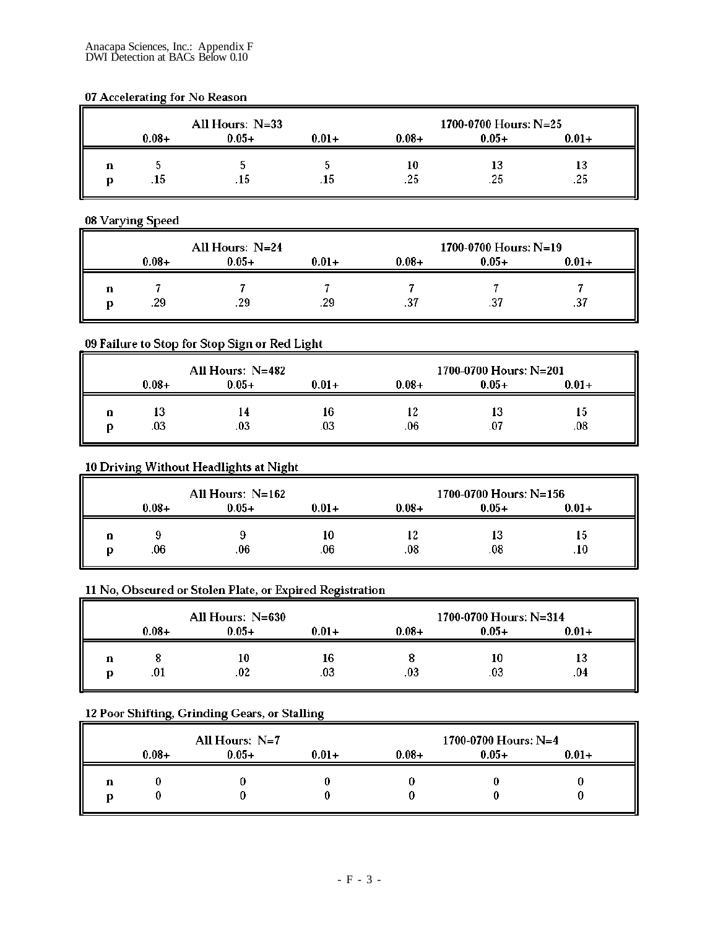### 07 Accelerating for No Reason

|             | All Hours: $N=33$ |         |          |           | 1700-0700 Hours: N=25 |           |  |
|-------------|-------------------|---------|----------|-----------|-----------------------|-----------|--|
|             | $0.08+$           | $0.05+$ | $0.01 +$ | $0.08 +$  | $0.05+$               | $0.01+$   |  |
| ║<br>n<br>I | . 15              | .15     | . 15     | ΙU<br>.25 | 13<br>.25             | 13<br>.25 |  |

### 08 Varying Speed

|   |          | All Hours: $N=24$ |          | 1700-0700 Hours: $N=19$ |         |         |
|---|----------|-------------------|----------|-------------------------|---------|---------|
|   | $0.08 +$ | $0.05+$           | $0.01 +$ | $0.08 +$                | $0.05+$ | $0.01+$ |
| n | .29      | .29               | .29      | .37                     |         | ٠       |

### 09 Failure to Stop for Stop Sign or Red Light

|   |           | All Hours: N=482 |          | 1700-0700 Hours: N=201 |           |           |
|---|-----------|------------------|----------|------------------------|-----------|-----------|
|   | $0.08 +$  | $0.05+$          | $0.01 +$ | $0.08 +$               | $0.05+$   | $0.01+$   |
| n | 13<br>.03 | 03               | Iб<br>03 | .06                    | 13<br>.07 | Ľ5<br>.08 |

### 10 Driving Without Headlights at Night

|             | All Hours: $N=162$ |         |          |          | 1700-0700 Hours: N=156 |            |  |
|-------------|--------------------|---------|----------|----------|------------------------|------------|--|
|             | $0.08 +$           | $0.05+$ | $0.01 +$ | $0.08 +$ | $0.05+$                | $0.01 +$   |  |
| ║<br>n<br>I | .06                | .06     | 06       | .08      | 13<br>.08              | ל 1<br>.10 |  |

# 11 No, Obscured or Stolen Plate, or Expired Registration

| II      | All Hours: N=630 |           |           | 1700-0700 Hours: N=314 |           |         |
|---------|------------------|-----------|-----------|------------------------|-----------|---------|
|         | $0.08 +$         | $0.05+$   | $0.01+$   | $0.08 +$               | $0.05+$   | $0.01+$ |
| n<br>II | .UI              | 10<br>.02 | 16<br>.03 | .03                    | 10<br>.03 | .04     |

### 12 Poor Shifting, Grinding Gears, or Stalling

| All Hours: $N=7$ |         |          |          | 1700-0700 Hours: N=4 |         |  |
|------------------|---------|----------|----------|----------------------|---------|--|
| $0.08+$          | $0.05+$ | $0.01 +$ | $0.08 +$ | $0.05+$              | $0.01+$ |  |
|                  |         |          |          |                      |         |  |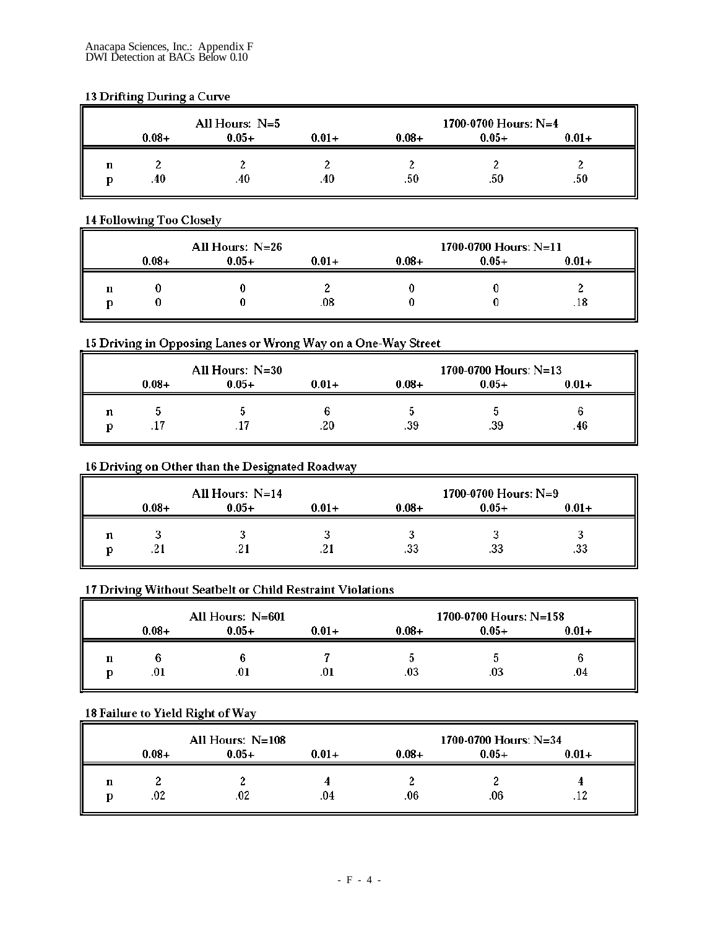### 13 Drifting During a Curve

| I | All Hours: $N=5$ |         |          |          | 1700-0700 Hours: $N=4$ |         |  |
|---|------------------|---------|----------|----------|------------------------|---------|--|
|   | $0.08 +$         | $0.05+$ | $0.01 +$ | $0.08 +$ | $0.05+$                | $0.01+$ |  |
| n | .40              | .40     | .40      | .50      | .50                    | .50     |  |

## 14 Following Too Closely

|   |         | All Hours: $N=26$ |          | 1700-0700 Hours: $N=11$ |         |          |
|---|---------|-------------------|----------|-------------------------|---------|----------|
|   | $0.08+$ | $0.05+$           | $0.01 +$ | $0.08 +$                | $0.05+$ | $0.01 +$ |
| n |         |                   | .08      |                         |         | .18      |

### 15 Driving in Opposing Lanes or Wrong Way on a One-Way Street

|   |          | All Hours: $N=30$ |          | 1700-0700 Hours: N=13 |         |         |
|---|----------|-------------------|----------|-----------------------|---------|---------|
|   | $0.08 +$ | $0.05+$           | $0.01 +$ | $0.08 +$              | $0.05+$ | $0.01+$ |
| n | .17      |                   | .20      | .39                   | .39     | 46      |

### 16 Driving on Other than the Designated Roadway

|          | All Hours: $N=14$ |         | 1700-0700 Hours: $N=9$ |         |         |
|----------|-------------------|---------|------------------------|---------|---------|
| $0.08 +$ | $0.05+$           | $0.01+$ | $0.08 +$               | $0.05+$ | $0.01+$ |
| .21      | .                 | . د ،   | .33                    | .33     | .33     |

# 17 Driving Without Seatbelt or Child Restraint Violations

| ║           | All Hours: $N=601$ |         |          | 1700-0700 Hours: N=158 |         |          |
|-------------|--------------------|---------|----------|------------------------|---------|----------|
|             | $0.08 +$           | $0.05+$ | $0.01 +$ | $0.08 +$               | $0.05+$ | $0.01 +$ |
| ║<br>n<br>n | .01                | .01     |          | .03                    | .03     | .04      |

# 18 Failure to Yield Right of Way

|   | All Hours: $N=108$ |         |          |          | 1700-0700 Hours: N=34 |          |  |
|---|--------------------|---------|----------|----------|-----------------------|----------|--|
|   | $0.08+$            | $0.05+$ | $0.01 +$ | $0.08 +$ | $0.05+$               | $0.01 +$ |  |
| n | .02                | .02     | 04       | .06      | .06                   |          |  |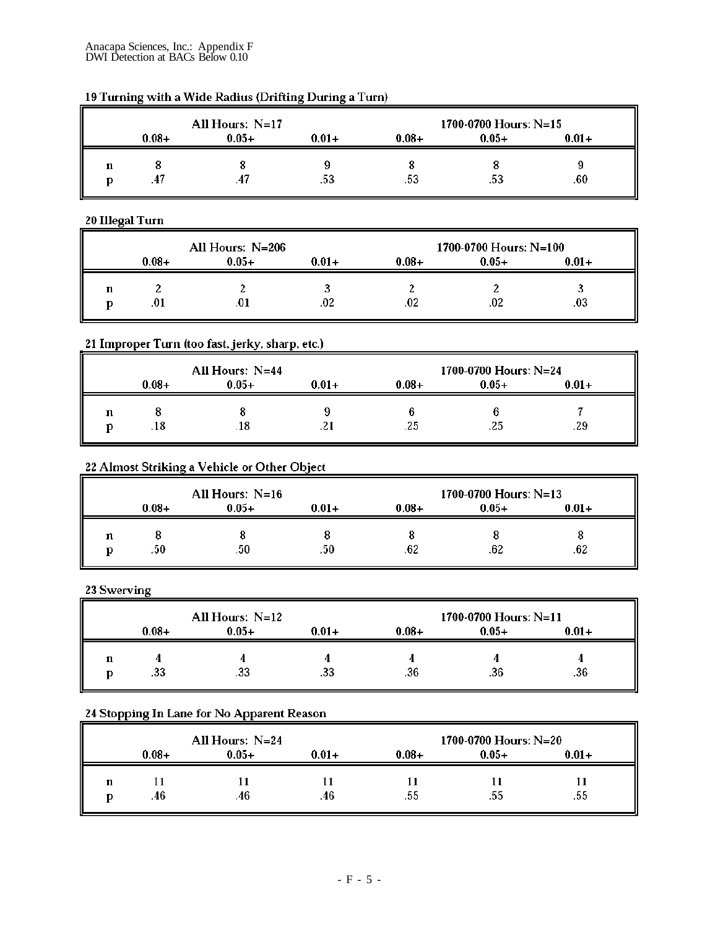| All Hours: $N=17$ |          |         |         | 1700-0700 Hours: N=15 |         |          |
|-------------------|----------|---------|---------|-----------------------|---------|----------|
| I                 | $0.08 +$ | $0.05+$ | $0.01+$ | $0.08 +$              | $0.05+$ | $0.01 +$ |
| n                 |          |         | .53     | .53                   | .53     | .60      |

### 19 Turning with a Wide Radius (Drifting During a Turn)

### 20 Illegal Turn

|        |         | All Hours: $N=206$ |          | 1700-0700 Hours: $N=100$ |         |          |
|--------|---------|--------------------|----------|--------------------------|---------|----------|
|        | $0.08+$ | $0.05+$            | $0.01 +$ | $0.08 +$                 | $0.05+$ | $0.01 +$ |
| n<br>D | .U.     |                    |          | .02                      | .02     |          |

### 21 Improper Turn (too fast, jerky, sharp, etc.)

| All Hours: N=44 |          |         |         | 1700-0700 Hours: N=24 |         |         |
|-----------------|----------|---------|---------|-----------------------|---------|---------|
|                 | $0.08 +$ | $0.05+$ | $0.01+$ | $0.08 +$              | $0.05+$ | $0.01+$ |
| ║<br>n<br>D     | .18      | .18     |         | .25                   | .25     | .29     |

### 22 Almost Striking a Vehicle or Other Object

| ║           |          | All Hours: $N=16$ |          | 1700-0700 Hours: N=13 |         |         |
|-------------|----------|-------------------|----------|-----------------------|---------|---------|
|             | $0.08 +$ | $0.05+$           | $0.01 +$ | $0.08 +$              | $0.05+$ | $0.01+$ |
| ║<br>n<br>n | .50      | .50               | .50      | 62                    | 62      |         |

# 23 Swerving

|        | All Hours: $N=12$ |         |          | 1700-0700 Hours: N=11 |         |          |
|--------|-------------------|---------|----------|-----------------------|---------|----------|
|        | $0.08 +$          | $0.05+$ | $0.01 +$ | $0.08+$               | $0.05+$ | $0.01 +$ |
| n<br>n | .33               | .33     | .33      | .36                   | .36     | .36      |

### 24 Stopping In Lane for No Apparent Reason

|        |          | All Hours: $N=24$ |          | 1700-0700 Hours: N=20 |         |         |
|--------|----------|-------------------|----------|-----------------------|---------|---------|
|        | $0.08 +$ | $0.05+$           | $0.01 +$ | $0.08+$               | $0.05+$ | $0.01+$ |
| n<br>n | .46      | .46               | .46      | .55                   | .55     | .55     |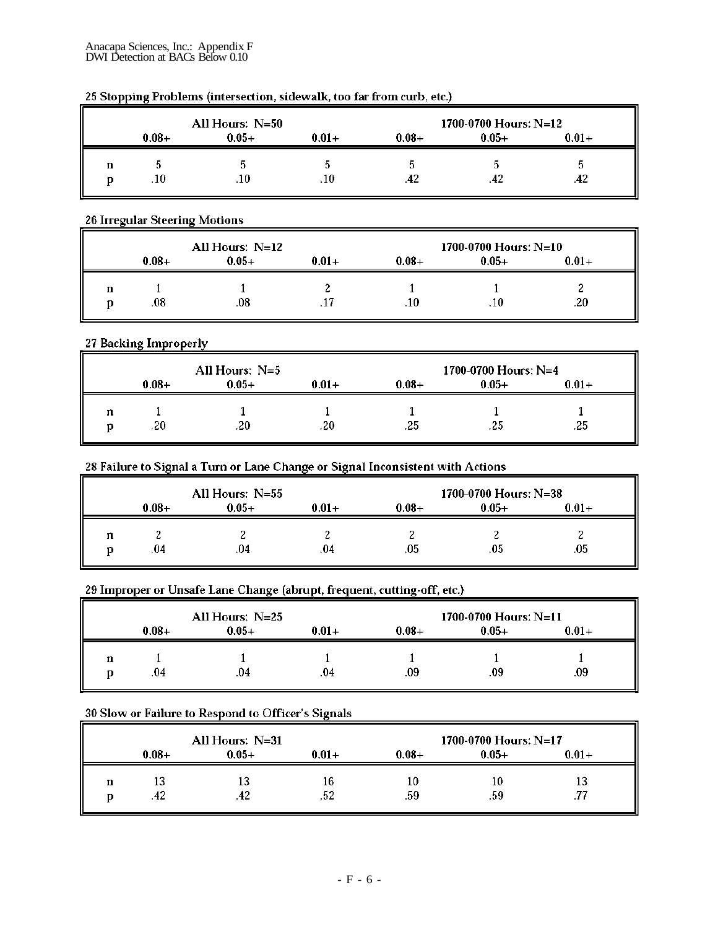| ║      | All Hours: $N=50$ |         |          |          | 1700-0700 Hours: $N=12$ |          |  |
|--------|-------------------|---------|----------|----------|-------------------------|----------|--|
|        | $0.08 +$          | $0.05+$ | $0.01 +$ | $0.08 +$ | $0.05+$                 | $0.01 +$ |  |
| n<br>D | .10               | 10      |          | 42       | 44                      |          |  |

### 25 Stopping Problems (intersection, sidewalk, too far from curb, etc.)

### 26 Irregular Steering Motions

|         | All Hours: $N=12$ |         | 1700-0700 Hours: N=10 |         |          |
|---------|-------------------|---------|-----------------------|---------|----------|
| $0.08+$ | $0.05+$           | $0.01+$ | $0.08 +$              | $0.05+$ | $0.01 +$ |
| 08      | .08               |         | .10                   | .10     | .20      |

### 27 Backing Improperly

|        |          | All Hours: $N=5$ |          | 1700-0700 Hours: $N=4$ |         |          |
|--------|----------|------------------|----------|------------------------|---------|----------|
|        | $0.08 +$ | $0.05+$          | $0.01 +$ | $0.08 +$               | $0.05+$ | $0.01 +$ |
| n<br>n | .20      | .20              | .20      | .25                    | .25     | .25      |

### 28 Failure to Signal a Turn or Lane Change or Signal Inconsistent with Actions

| All Hours: $N=55$ |         |          | 1700-0700 Hours: N=38 |         |         |
|-------------------|---------|----------|-----------------------|---------|---------|
| $0.08 +$          | $0.05+$ | $0.01 +$ | $0.08 +$              | $0.05+$ | $0.01+$ |
| Δ<br>.04          | 04      | 04       | .05                   | .05     | .05     |

### 29 Improper or Unsafe Lane Change (abrupt, frequent, cutting-off, etc.)

|   | All Hours: $N=25$ |         |          | 1700-0700 Hours: $N=11$ |         |         |
|---|-------------------|---------|----------|-------------------------|---------|---------|
|   | $0.08 +$          | $0.05+$ | $0.01 +$ | $0.08 +$                | $0.05+$ | $0.01+$ |
| n | .04               | .04     | .04      | .09                     | .09     | .09     |

### 30 Slow or Failure to Respond to Officer's Signals

|   |            | All Hours: $N=31$ |          | 1700-0700 Hours: N=17 |           |          |
|---|------------|-------------------|----------|-----------------------|-----------|----------|
|   | $0.08 +$   | $0.05+$           | $0.01 +$ | $0.08 +$              | $0.05+$   | $0.01 +$ |
| n | w<br>$-14$ | 13                | .52      | 10<br>.59             | 10<br>.59 |          |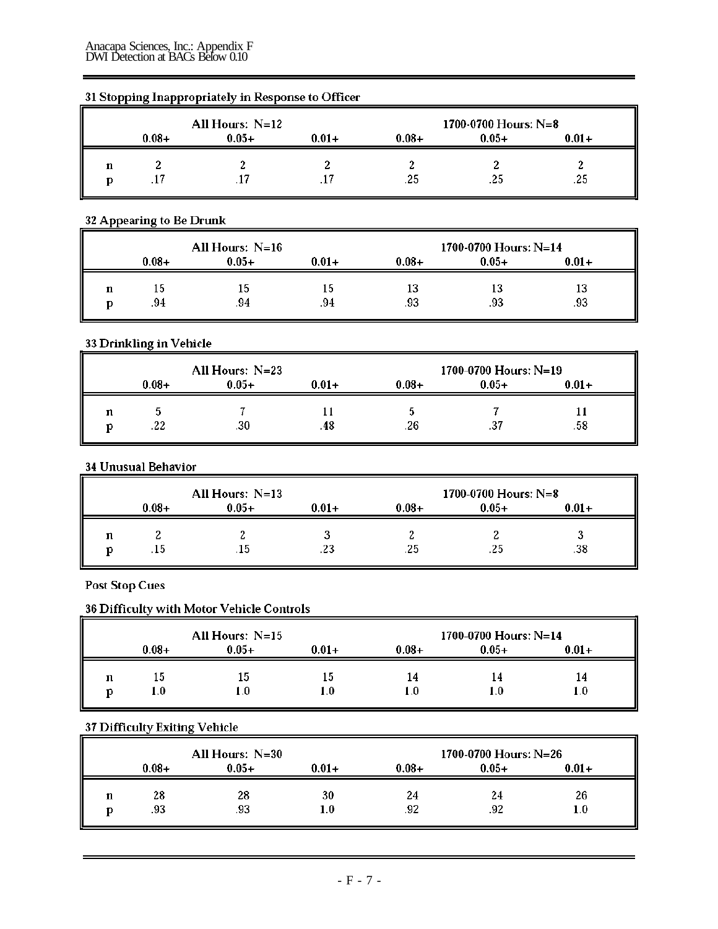|        |          | All Hours: $N=12$ |          | 1700-0700 Hours: N=8 |         |          |
|--------|----------|-------------------|----------|----------------------|---------|----------|
|        | $0.08 +$ | $0.05+$           | $0.01 +$ | $0.08 +$             | $0.05+$ | $0.01 +$ |
| ║<br>n | . 11     |                   |          | .25                  | .25     | .25      |

### 31 Stopping Inappropriately in Response to Officer

### 32 Appearing to Be Drunk

| I           |           | All Hours: $N=16$ |           | 1700-0700 Hours: N=14 |           |           |
|-------------|-----------|-------------------|-----------|-----------------------|-----------|-----------|
|             | $0.08 +$  | $0.05+$           | $0.01 +$  | $0.08 +$              | $0.05+$   | $0.01 +$  |
| ║<br>n<br>n | 15<br>.94 | 15<br>.94         | Iэ<br>.94 | ΙN<br>.93             | 13<br>.93 | 13<br>.93 |

### 33 Drinkling in Vehicle

|   |          | All Hours: $N=23$ |         | 1700-0700 Hours: N=19 |         |         |
|---|----------|-------------------|---------|-----------------------|---------|---------|
|   | $0.08 +$ | $0.05+$           | $0.01+$ | $0.08 +$              | $0.05+$ | $0.01+$ |
| n | .22      | .30               | .48     | .26                   | .37     | .58     |

### 34 Unusual Behavior

| All Hours: $N=13$ |          |         |         | 1700-0700 Hours: N=8 |         |         |
|-------------------|----------|---------|---------|----------------------|---------|---------|
|                   | $0.08 +$ | $0.05+$ | $0.01+$ | $0.08 +$             | $0.05+$ | $0.01+$ |
| n                 | .15      | . 15    | .23     | .25                  | .25     | .38     |

### **Post Stop Cues**

### 36 Difficulty with Motor Vehicle Controls

|        | All Hours: $N=15$ |          |         | 1700-0700 Hours: N=14 |         |         |
|--------|-------------------|----------|---------|-----------------------|---------|---------|
|        | $0.08 +$          | $0.05+$  | $0.01+$ | $0.08 +$              | $0.05+$ | $0.01+$ |
| n<br>D | 15<br>1.0         | 15<br>.0 | 15      | 1.0                   | 14      | 14      |

### 37 Difficulty Exiting Vehicle

|   |           | All Hours: $N=30$ |          | 1700-0700 Hours: $N=26$ |           |          |
|---|-----------|-------------------|----------|-------------------------|-----------|----------|
|   | $0.08 +$  | $0.05+$           | $0.01 +$ | $0.08 +$                | $0.05+$   | $0.01 +$ |
| n | 28<br>.93 | 28<br>.93         | 30       | 24<br>.92               | 24<br>.92 | 26       |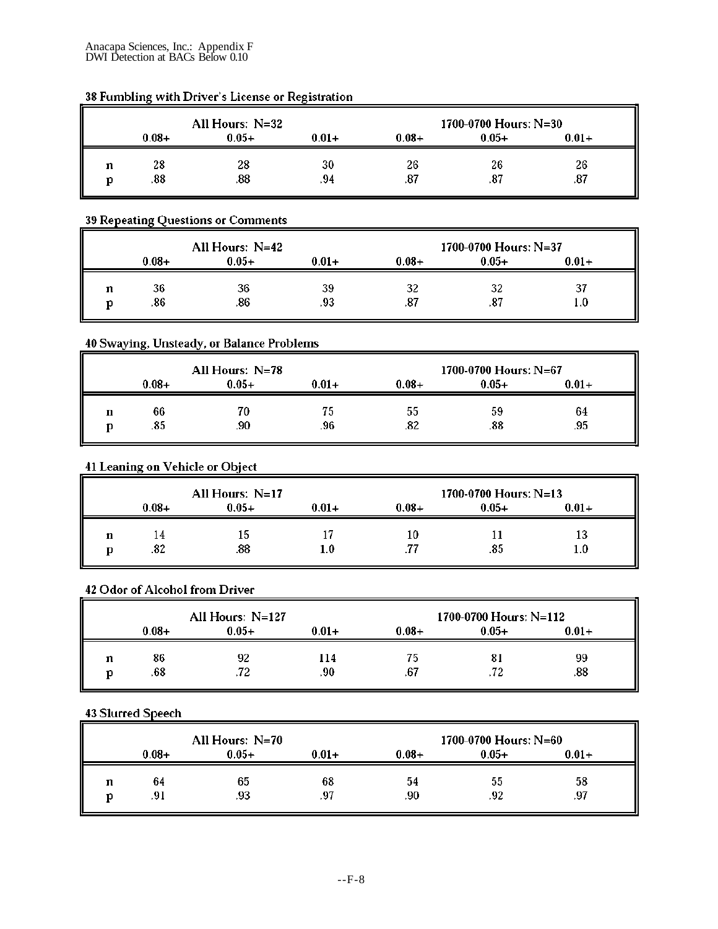| I           |           | All Hours: $N=32$ |           | 1700-0700 Hours: N=30 |           |         |
|-------------|-----------|-------------------|-----------|-----------------------|-----------|---------|
|             | $0.08 +$  | $0.05+$           | $0.01 +$  | $0.08 +$              | $0.05+$   | $0.01+$ |
| ║<br>n<br>D | 28<br>.88 | 28<br>.88         | 30<br>.94 | 26<br>.87             | 26<br>.87 | 26      |

### 38 Fumbling with Driver's License or Registration

### 39 Repeating Questions or Comments

| I<br>All Hours: $N=42$ |           |           |           | 1700-0700 Hours: N=37 |           |         |
|------------------------|-----------|-----------|-----------|-----------------------|-----------|---------|
|                        | $0.08 +$  | $0.05+$   | $0.01 +$  | $0.08 +$              | $0.05+$   | $0.01+$ |
| ║<br>n<br>n            | 36<br>.86 | 36<br>.86 | 39<br>.93 | 32<br>.87             | 32<br>.87 | 37      |

## 40 Swaying, Unsteady, or Balance Problems

| All Hours: $N=78$ |           |           |           | 1700-0700 Hours: N=67 |           |           |
|-------------------|-----------|-----------|-----------|-----------------------|-----------|-----------|
|                   | $0.08 +$  | $0.05+$   | $0.01 +$  | $0.08 +$              | $0.05+$   | $0.01 +$  |
| ║<br>n            | 66<br>.85 | 70<br>.90 | 75<br>.96 | 55<br>.82             | 59<br>.88 | 64<br>.95 |

### 41 Leaning on Vehicle or Object

| I<br>All Hours: $N=17$ |           |           |          | 1700-0700 Hours: $N=13$ |         |          |
|------------------------|-----------|-----------|----------|-------------------------|---------|----------|
|                        | $0.08 +$  | $0.05+$   | $0.01 +$ | $0.08+$                 | $0.05+$ | $0.01 +$ |
| n<br>n                 | 14<br>.82 | 15<br>.88 | L.O      | 10<br>77                | .85     |          |

# 42 Odor of Alcohol from Driver

| All Hours: N=127 |                                |           |            | 1700-0700 Hours: $N=112$ |           |           |
|------------------|--------------------------------|-----------|------------|--------------------------|-----------|-----------|
|                  | $0.05+$<br>$0.08 +$<br>$0.01+$ |           |            | $0.08 +$                 | $0.05+$   | $0.01+$   |
| n<br>D.          | 86<br>.68                      | 92<br>.72 | 114<br>.90 | 75<br>.67                | 81<br>.72 | 99<br>.88 |

### 43 Slurred Speech

| I<br>All Hours: $N=70$ |                                 |           |           | 1700-0700 Hours: N=60 |           |           |
|------------------------|---------------------------------|-----------|-----------|-----------------------|-----------|-----------|
|                        | $0.05+$<br>$0.01 +$<br>$0.08 +$ |           |           | $0.08 +$              | $0.05+$   | $0.01+$   |
| n                      | 64<br>.91                       | 65<br>.93 | 68<br>.97 | 54<br>.90             | ჂჂ<br>.92 | 58<br>.97 |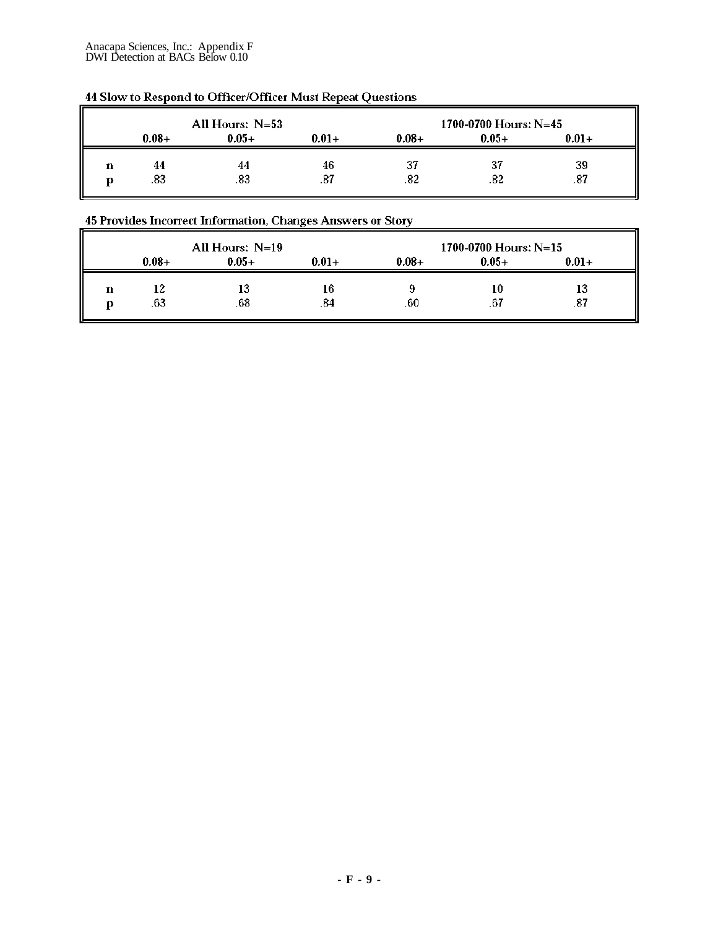| All Hours: $N=53$ |           |           |         | 1700-0700 Hours: $N=45$ |           |           |
|-------------------|-----------|-----------|---------|-------------------------|-----------|-----------|
|                   | $0.08 +$  | $0.05+$   | $0.01+$ | $0.08 +$                | $0.05+$   | $0.01 +$  |
| n<br>n            | 44<br>.83 | 44<br>.83 | 46      | 37<br>.82               | 37<br>.82 | 39<br>.87 |

### 44 Slow to Respond to Officer/Officer Must Repeat Questions

### 45 Provides Incorrect Information, Changes Answers or Story

|        | All Hours: $N=19$ |          |          |          | 1700-0700 Hours: $N=15$ |           |  |
|--------|-------------------|----------|----------|----------|-------------------------|-----------|--|
|        | $0.08 +$          | $0.05+$  | $0.01+$  | $0.08 +$ | $0.05+$                 | $0.01+$   |  |
| n<br>D | 12<br>.63         | 13<br>68 | 16<br>84 | .60      | 10<br>.67               | 13<br>.87 |  |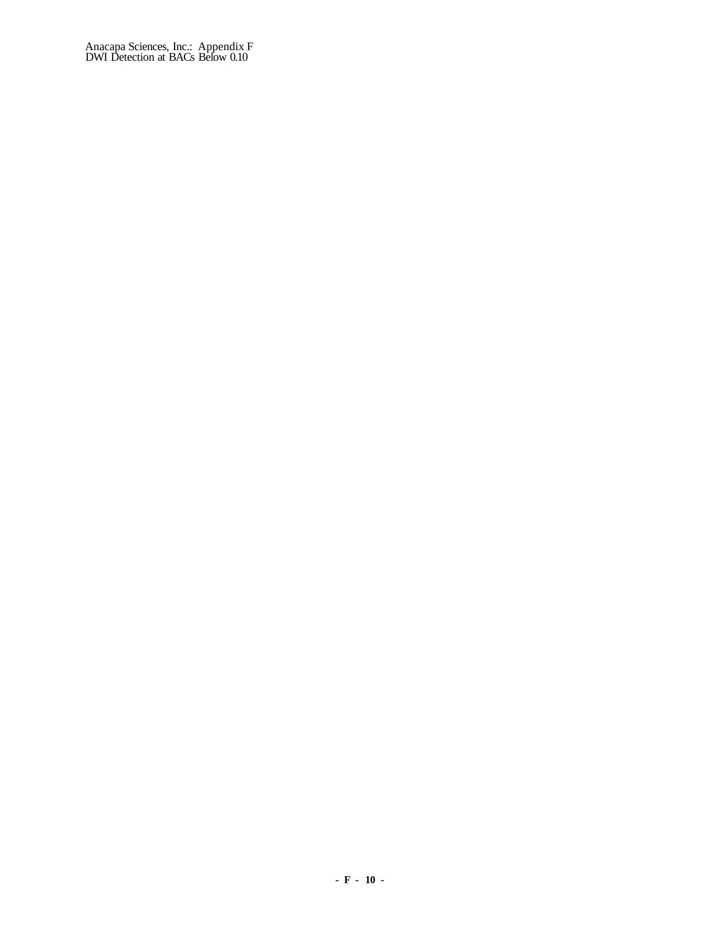Anacapa Sciences, Inc.: Appendix F DWI Detection at BACs Below 0.10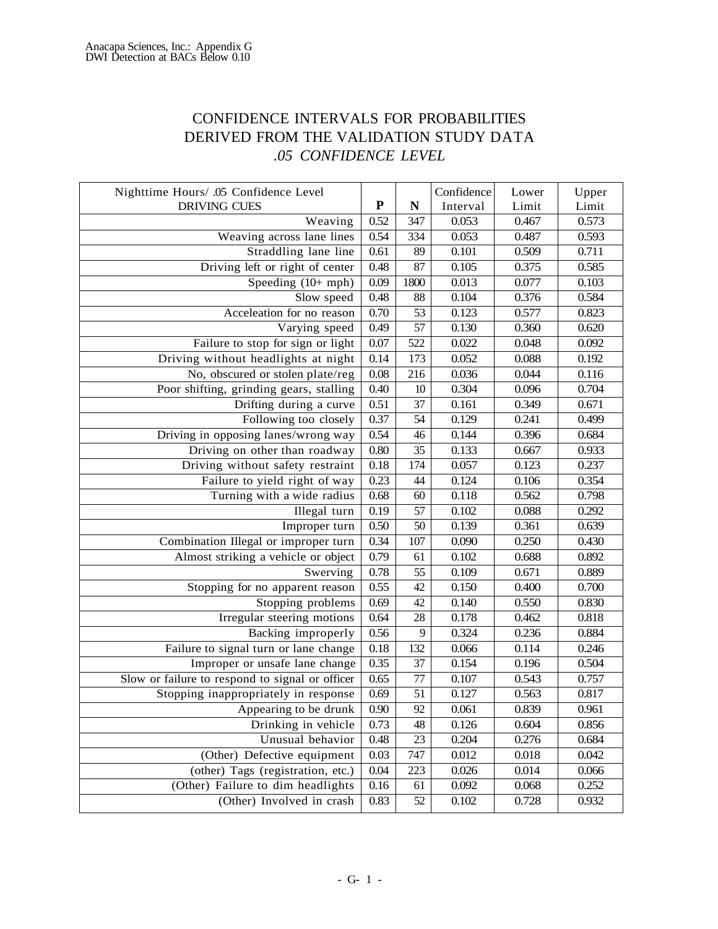## CONFIDENCE INTERVALS FOR PROBABILITIES DERIVED FROM THE VALIDATION STUDY DATA *.05 CONFIDENCE LEVEL*

| Nighttime Hours/ .05 Confidence Level           |           |      | Confidence | Lower | Upper |
|-------------------------------------------------|-----------|------|------------|-------|-------|
| <b>DRIVING CUES</b>                             | ${\bf P}$ | N    | Interval   | Limit | Limit |
| Weaving                                         | 0.52      | 347  | 0.053      | 0.467 | 0.573 |
| Weaving across lane lines                       | 0.54      | 334  | 0.053      | 0.487 | 0.593 |
| Straddling lane line                            | 0.61      | 89   | 0.101      | 0.509 | 0.711 |
| Driving left or right of center                 | 0.48      | 87   | 0.105      | 0.375 | 0.585 |
| Speeding $(10+mph)$                             | 0.09      | 1800 | 0.013      | 0.077 | 0.103 |
| Slow speed                                      | 0.48      | 88   | 0.104      | 0.376 | 0.584 |
| Acceleation for no reason                       | 0.70      | 53   | 0.123      | 0.577 | 0.823 |
| Varying speed                                   | 0.49      | 57   | 0.130      | 0.360 | 0.620 |
| Failure to stop for sign or light               | $0.07\,$  | 522  | 0.022      | 0.048 | 0.092 |
| Driving without headlights at night             | 0.14      | 173  | 0.052      | 0.088 | 0.192 |
| No, obscured or stolen plate/reg                | $0.08\,$  | 216  | 0.036      | 0.044 | 0.116 |
| Poor shifting, grinding gears, stalling         | $0.40\,$  | 10   | 0.304      | 0.096 | 0.704 |
| Drifting during a curve                         | 0.51      | 37   | 0.161      | 0.349 | 0.671 |
| Following too closely                           | 0.37      | 54   | 0.129      | 0.241 | 0.499 |
| Driving in opposing lanes/wrong way             | 0.54      | 46   | 0.144      | 0.396 | 0.684 |
| Driving on other than roadway                   | 0.80      | 35   | 0.133      | 0.667 | 0.933 |
| Driving without safety restraint                | 0.18      | 174  | 0.057      | 0.123 | 0.237 |
| Failure to yield right of way                   | 0.23      | 44   | 0.124      | 0.106 | 0.354 |
| Turning with a wide radius                      | 0.68      | 60   | 0.118      | 0.562 | 0.798 |
| Illegal turn                                    | 0.19      | 57   | 0.102      | 0.088 | 0.292 |
| Improper turn                                   | 0.50      | 50   | 0.139      | 0.361 | 0.639 |
| Combination Illegal or improper turn            | 0.34      | 107  | 0.090      | 0.250 | 0.430 |
| Almost striking a vehicle or object             | 0.79      | 61   | 0.102      | 0.688 | 0.892 |
| Swerving                                        | 0.78      | 55   | 0.109      | 0.671 | 0.889 |
| Stopping for no apparent reason                 | 0.55      | 42   | 0.150      | 0.400 | 0.700 |
| Stopping problems                               | 0.69      | 42   | 0.140      | 0.550 | 0.830 |
| Irregular steering motions                      | 0.64      | 28   | 0.178      | 0.462 | 0.818 |
| Backing improperly                              | 0.56      | 9    | 0.324      | 0.236 | 0.884 |
| Failure to signal turn or lane change           | $0.18\,$  | 132  | 0.066      | 0.114 | 0.246 |
| Improper or unsafe lane change                  | 0.35      | 37   | 0.154      | 0.196 | 0.504 |
| Slow or failure to respond to signal or officer | 0.65      | 77   | 0.107      | 0.543 | 0.757 |
| Stopping inappropriately in response            | 0.69      | 51   | 0.127      | 0.563 | 0.817 |
| Appearing to be drunk                           | 0.90      | 92   | 0.061      | 0.839 | 0.961 |
| Drinking in vehicle                             | 0.73      | 48   | 0.126      | 0.604 | 0.856 |
| Unusual behavior                                | 0.48      | 23   | 0.204      | 0.276 | 0.684 |
| (Other) Defective equipment                     | 0.03      | 747  | 0.012      | 0.018 | 0.042 |
| (other) Tags (registration, etc.)               | 0.04      | 223  | 0.026      | 0.014 | 0.066 |
| (Other) Failure to dim headlights               | 0.16      | 61   | 0.092      | 0.068 | 0.252 |
| (Other) Involved in crash                       | 0.83      | 52   | 0.102      | 0.728 | 0.932 |